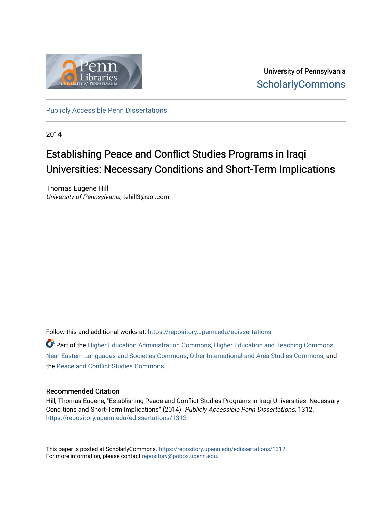

University of Pennsylvania **ScholarlyCommons** 

[Publicly Accessible Penn Dissertations](https://repository.upenn.edu/edissertations)

2014

### Establishing Peace and Conflict Studies Programs in Iraqi Universities: Necessary Conditions and Short-Term Implications

Thomas Eugene Hill University of Pennsylvania, tehill3@aol.com

Follow this and additional works at: [https://repository.upenn.edu/edissertations](https://repository.upenn.edu/edissertations?utm_source=repository.upenn.edu%2Fedissertations%2F1312&utm_medium=PDF&utm_campaign=PDFCoverPages) 

 $\bullet$  Part of the [Higher Education Administration Commons,](http://network.bepress.com/hgg/discipline/791?utm_source=repository.upenn.edu%2Fedissertations%2F1312&utm_medium=PDF&utm_campaign=PDFCoverPages) [Higher Education and Teaching Commons,](http://network.bepress.com/hgg/discipline/806?utm_source=repository.upenn.edu%2Fedissertations%2F1312&utm_medium=PDF&utm_campaign=PDFCoverPages) [Near Eastern Languages and Societies Commons,](http://network.bepress.com/hgg/discipline/484?utm_source=repository.upenn.edu%2Fedissertations%2F1312&utm_medium=PDF&utm_campaign=PDFCoverPages) [Other International and Area Studies Commons](http://network.bepress.com/hgg/discipline/365?utm_source=repository.upenn.edu%2Fedissertations%2F1312&utm_medium=PDF&utm_campaign=PDFCoverPages), and the [Peace and Conflict Studies Commons](http://network.bepress.com/hgg/discipline/397?utm_source=repository.upenn.edu%2Fedissertations%2F1312&utm_medium=PDF&utm_campaign=PDFCoverPages)

### Recommended Citation

Hill, Thomas Eugene, "Establishing Peace and Conflict Studies Programs in Iraqi Universities: Necessary Conditions and Short-Term Implications" (2014). Publicly Accessible Penn Dissertations. 1312. [https://repository.upenn.edu/edissertations/1312](https://repository.upenn.edu/edissertations/1312?utm_source=repository.upenn.edu%2Fedissertations%2F1312&utm_medium=PDF&utm_campaign=PDFCoverPages) 

This paper is posted at ScholarlyCommons.<https://repository.upenn.edu/edissertations/1312> For more information, please contact [repository@pobox.upenn.edu.](mailto:repository@pobox.upenn.edu)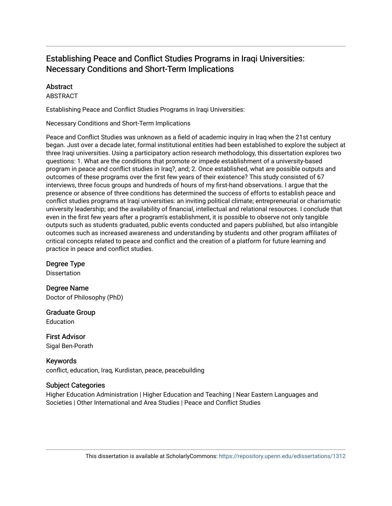### Establishing Peace and Conflict Studies Programs in Iraqi Universities: Necessary Conditions and Short-Term Implications

### **Abstract**

ABSTRACT

Establishing Peace and Conflict Studies Programs in Iraqi Universities:

Necessary Conditions and Short-Term Implications

Peace and Conflict Studies was unknown as a field of academic inquiry in Iraq when the 21st century began. Just over a decade later, formal institutional entities had been established to explore the subject at three Iraqi universities. Using a participatory action research methodology, this dissertation explores two questions: 1. What are the conditions that promote or impede establishment of a university-based program in peace and conflict studies in Iraq?, and; 2. Once established, what are possible outputs and outcomes of these programs over the first few years of their existence? This study consisted of 67 interviews, three focus groups and hundreds of hours of my first-hand observations. I argue that the presence or absence of three conditions has determined the success of efforts to establish peace and conflict studies programs at Iraqi universities: an inviting political climate; entrepreneurial or charismatic university leadership; and the availability of financial, intellectual and relational resources. I conclude that even in the first few years after a program's establishment, it is possible to observe not only tangible outputs such as students graduated, public events conducted and papers published, but also intangible outcomes such as increased awareness and understanding by students and other program affiliates of critical concepts related to peace and conflict and the creation of a platform for future learning and practice in peace and conflict studies.

Degree Type

**Dissertation** 

Degree Name Doctor of Philosophy (PhD)

Graduate Group Education

First Advisor Sigal Ben-Porath

Keywords conflict, education, Iraq, Kurdistan, peace, peacebuilding

### Subject Categories

Higher Education Administration | Higher Education and Teaching | Near Eastern Languages and Societies | Other International and Area Studies | Peace and Conflict Studies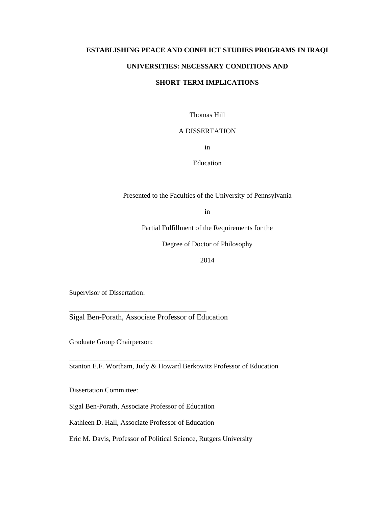## **ESTABLISHING PEACE AND CONFLICT STUDIES PROGRAMS IN IRAQI UNIVERSITIES: NECESSARY CONDITIONS AND**

### **SHORT-TERM IMPLICATIONS**

Thomas Hill

### A DISSERTATION

in

Education

Presented to the Faculties of the University of Pennsylvania

in

Partial Fulfillment of the Requirements for the

Degree of Doctor of Philosophy

2014

Supervisor of Dissertation:

Sigal Ben-Porath, Associate Professor of Education

\_\_\_\_\_\_\_\_\_\_\_\_\_\_\_\_\_\_\_\_\_\_\_\_\_\_\_\_\_\_\_\_\_\_\_\_\_\_\_

\_\_\_\_\_\_\_\_\_\_\_\_\_\_\_\_\_\_\_\_\_\_\_\_\_\_\_\_\_\_\_\_\_\_\_\_\_\_

Graduate Group Chairperson:

Stanton E.F. Wortham, Judy & Howard Berkowitz Professor of Education

Dissertation Committee:

Sigal Ben-Porath, Associate Professor of Education

Kathleen D. Hall, Associate Professor of Education

Eric M. Davis, Professor of Political Science, Rutgers University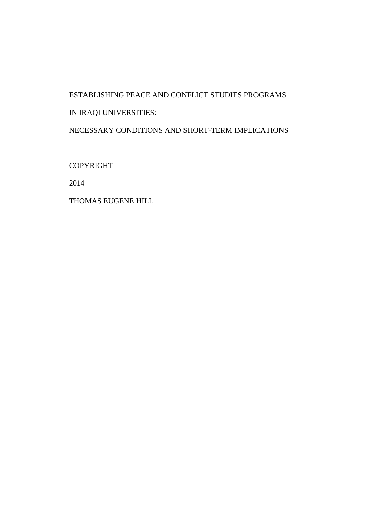# ESTABLISHING PEACE AND CONFLICT STUDIES PROGRAMS IN IRAQI UNIVERSITIES:

NECESSARY CONDITIONS AND SHORT-TERM IMPLICATIONS

COPYRIGHT

2014

THOMAS EUGENE HILL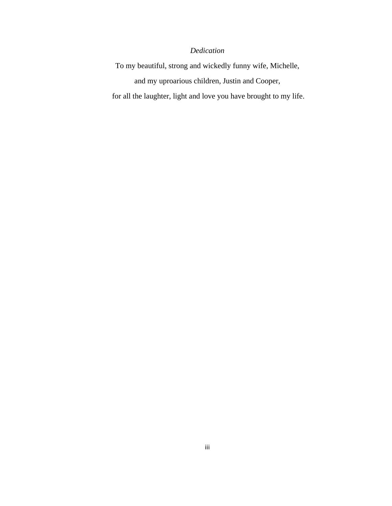### *Dedication*

To my beautiful, strong and wickedly funny wife, Michelle, and my uproarious children, Justin and Cooper,

for all the laughter, light and love you have brought to my life.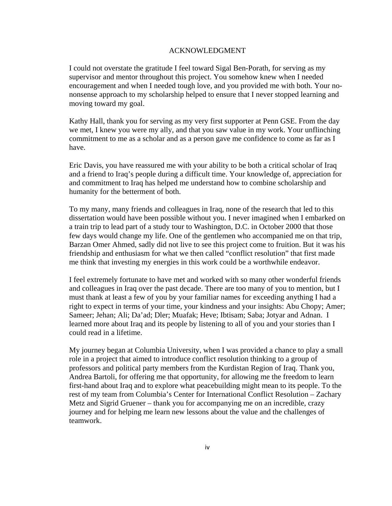### ACKNOWLEDGMENT

I could not overstate the gratitude I feel toward Sigal Ben-Porath, for serving as my supervisor and mentor throughout this project. You somehow knew when I needed encouragement and when I needed tough love, and you provided me with both. Your nononsense approach to my scholarship helped to ensure that I never stopped learning and moving toward my goal.

Kathy Hall, thank you for serving as my very first supporter at Penn GSE. From the day we met, I knew you were my ally, and that you saw value in my work. Your unflinching commitment to me as a scholar and as a person gave me confidence to come as far as I have.

Eric Davis, you have reassured me with your ability to be both a critical scholar of Iraq and a friend to Iraq's people during a difficult time. Your knowledge of, appreciation for and commitment to Iraq has helped me understand how to combine scholarship and humanity for the betterment of both.

To my many, many friends and colleagues in Iraq, none of the research that led to this dissertation would have been possible without you. I never imagined when I embarked on a train trip to lead part of a study tour to Washington, D.C. in October 2000 that those few days would change my life. One of the gentlemen who accompanied me on that trip, Barzan Omer Ahmed, sadly did not live to see this project come to fruition. But it was his friendship and enthusiasm for what we then called "conflict resolution" that first made me think that investing my energies in this work could be a worthwhile endeavor.

I feel extremely fortunate to have met and worked with so many other wonderful friends and colleagues in Iraq over the past decade. There are too many of you to mention, but I must thank at least a few of you by your familiar names for exceeding anything I had a right to expect in terms of your time, your kindness and your insights: Abu Chopy; Amer; Sameer; Jehan; Ali; Da'ad; Dler; Muafak; Heve; Ibtisam; Saba; Jotyar and Adnan. I learned more about Iraq and its people by listening to all of you and your stories than I could read in a lifetime.

My journey began at Columbia University, when I was provided a chance to play a small role in a project that aimed to introduce conflict resolution thinking to a group of professors and political party members from the Kurdistan Region of Iraq. Thank you, Andrea Bartoli, for offering me that opportunity, for allowing me the freedom to learn first-hand about Iraq and to explore what peacebuilding might mean to its people. To the rest of my team from Columbia's Center for International Conflict Resolution – Zachary Metz and Sigrid Gruener – thank you for accompanying me on an incredible, crazy journey and for helping me learn new lessons about the value and the challenges of teamwork.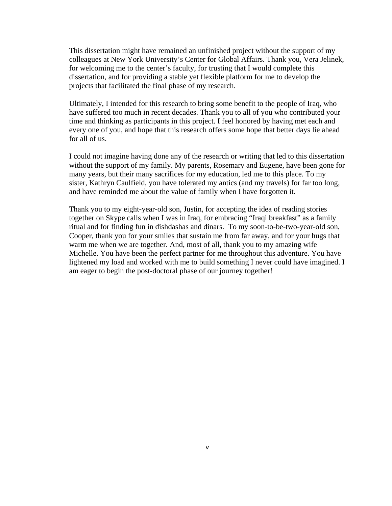This dissertation might have remained an unfinished project without the support of my colleagues at New York University's Center for Global Affairs. Thank you, Vera Jelinek, for welcoming me to the center's faculty, for trusting that I would complete this dissertation, and for providing a stable yet flexible platform for me to develop the projects that facilitated the final phase of my research.

Ultimately, I intended for this research to bring some benefit to the people of Iraq, who have suffered too much in recent decades. Thank you to all of you who contributed your time and thinking as participants in this project. I feel honored by having met each and every one of you, and hope that this research offers some hope that better days lie ahead for all of us.

I could not imagine having done any of the research or writing that led to this dissertation without the support of my family. My parents, Rosemary and Eugene, have been gone for many years, but their many sacrifices for my education, led me to this place. To my sister, Kathryn Caulfield, you have tolerated my antics (and my travels) for far too long, and have reminded me about the value of family when I have forgotten it.

Thank you to my eight-year-old son, Justin, for accepting the idea of reading stories together on Skype calls when I was in Iraq, for embracing "Iraqi breakfast" as a family ritual and for finding fun in dishdashas and dinars. To my soon-to-be-two-year-old son, Cooper, thank you for your smiles that sustain me from far away, and for your hugs that warm me when we are together. And, most of all, thank you to my amazing wife Michelle. You have been the perfect partner for me throughout this adventure. You have lightened my load and worked with me to build something I never could have imagined. I am eager to begin the post-doctoral phase of our journey together!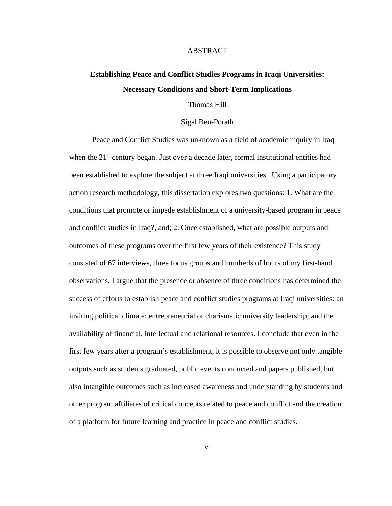### ABSTRACT

### **Establishing Peace and Conflict Studies Programs in Iraqi Universities: Necessary Conditions and Short-Term Implications**

### Thomas Hill

### Sigal Ben-Porath

Peace and Conflict Studies was unknown as a field of academic inquiry in Iraq when the  $21<sup>st</sup>$  century began. Just over a decade later, formal institutional entities had been established to explore the subject at three Iraqi universities. Using a participatory action research methodology, this dissertation explores two questions: 1. What are the conditions that promote or impede establishment of a university-based program in peace and conflict studies in Iraq?, and; 2. Once established, what are possible outputs and outcomes of these programs over the first few years of their existence? This study consisted of 67 interviews, three focus groups and hundreds of hours of my first-hand observations. I argue that the presence or absence of three conditions has determined the success of efforts to establish peace and conflict studies programs at Iraqi universities: an inviting political climate; entrepreneurial or charismatic university leadership; and the availability of financial, intellectual and relational resources. I conclude that even in the first few years after a program's establishment, it is possible to observe not only tangible outputs such as students graduated, public events conducted and papers published, but also intangible outcomes such as increased awareness and understanding by students and other program affiliates of critical concepts related to peace and conflict and the creation of a platform for future learning and practice in peace and conflict studies.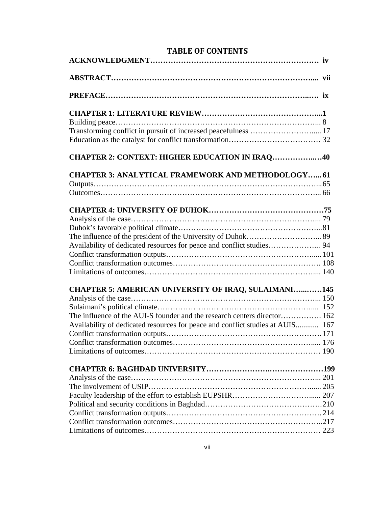| <b>TABLE OF CONTENTS</b>                                                       |
|--------------------------------------------------------------------------------|
|                                                                                |
|                                                                                |
|                                                                                |
|                                                                                |
| Transforming conflict in pursuit of increased peacefulness  17                 |
| <b>CHAPTER 2: CONTEXT: HIGHER EDUCATION IN IRAQ40</b>                          |
| <b>CHAPTER 3: ANALYTICAL FRAMEWORK AND METHODOLOGY 61</b>                      |
|                                                                                |
|                                                                                |
|                                                                                |
|                                                                                |
|                                                                                |
| Availability of dedicated resources for peace and conflict studies 94          |
|                                                                                |
|                                                                                |
|                                                                                |
| <b>CHAPTER 5: AMERICAN UNIVERSITY OF IRAQ, SULAIMANI145</b>                    |
|                                                                                |
|                                                                                |
| The influence of the AUI-S founder and the research centers director 162       |
| Availability of dedicated resources for peace and conflict studies at AUIS 167 |
|                                                                                |
|                                                                                |
|                                                                                |
|                                                                                |
|                                                                                |
|                                                                                |
|                                                                                |
|                                                                                |
|                                                                                |
|                                                                                |
|                                                                                |

### **TABLE OF CONTENTS**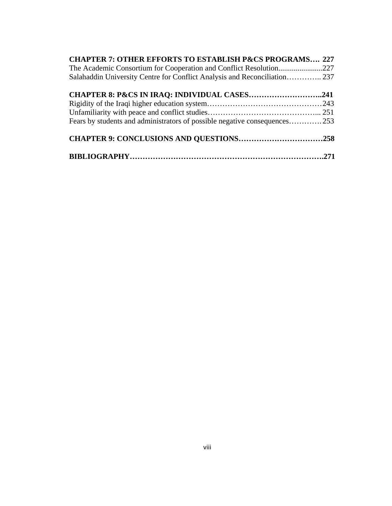| <b>CHAPTER 7: OTHER EFFORTS TO ESTABLISH P&amp;CS PROGRAMS 227</b>        |  |
|---------------------------------------------------------------------------|--|
| The Academic Consortium for Cooperation and Conflict Resolution227        |  |
| Salahaddin University Centre for Conflict Analysis and Reconciliation 237 |  |
| <b>CHAPTER 8: P&amp;CS IN IRAQ: INDIVIDUAL CASES241</b>                   |  |
|                                                                           |  |
|                                                                           |  |
| Fears by students and administrators of possible negative consequences253 |  |
| <b>CHAPTER 9: CONCLUSIONS AND QUESTIONS258</b>                            |  |
|                                                                           |  |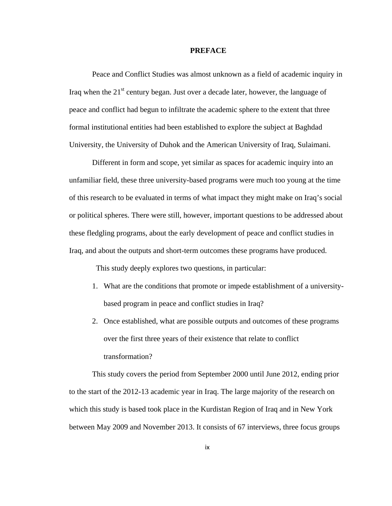### **PREFACE**

Peace and Conflict Studies was almost unknown as a field of academic inquiry in Iraq when the  $21<sup>st</sup>$  century began. Just over a decade later, however, the language of peace and conflict had begun to infiltrate the academic sphere to the extent that three formal institutional entities had been established to explore the subject at Baghdad University, the University of Duhok and the American University of Iraq, Sulaimani.

Different in form and scope, yet similar as spaces for academic inquiry into an unfamiliar field, these three university-based programs were much too young at the time of this research to be evaluated in terms of what impact they might make on Iraq's social or political spheres. There were still, however, important questions to be addressed about these fledgling programs, about the early development of peace and conflict studies in Iraq, and about the outputs and short-term outcomes these programs have produced.

This study deeply explores two questions, in particular:

- 1. What are the conditions that promote or impede establishment of a universitybased program in peace and conflict studies in Iraq?
- 2. Once established, what are possible outputs and outcomes of these programs over the first three years of their existence that relate to conflict transformation?

This study covers the period from September 2000 until June 2012, ending prior to the start of the 2012-13 academic year in Iraq. The large majority of the research on which this study is based took place in the Kurdistan Region of Iraq and in New York between May 2009 and November 2013. It consists of 67 interviews, three focus groups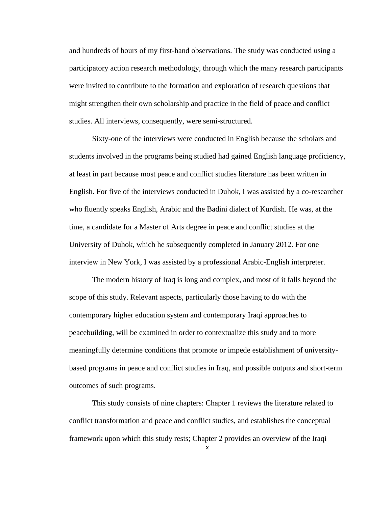and hundreds of hours of my first-hand observations. The study was conducted using a participatory action research methodology, through which the many research participants were invited to contribute to the formation and exploration of research questions that might strengthen their own scholarship and practice in the field of peace and conflict studies. All interviews, consequently, were semi-structured.

Sixty-one of the interviews were conducted in English because the scholars and students involved in the programs being studied had gained English language proficiency, at least in part because most peace and conflict studies literature has been written in English. For five of the interviews conducted in Duhok, I was assisted by a co-researcher who fluently speaks English, Arabic and the Badini dialect of Kurdish. He was, at the time, a candidate for a Master of Arts degree in peace and conflict studies at the University of Duhok, which he subsequently completed in January 2012. For one interview in New York, I was assisted by a professional Arabic-English interpreter.

The modern history of Iraq is long and complex, and most of it falls beyond the scope of this study. Relevant aspects, particularly those having to do with the contemporary higher education system and contemporary Iraqi approaches to peacebuilding, will be examined in order to contextualize this study and to more meaningfully determine conditions that promote or impede establishment of universitybased programs in peace and conflict studies in Iraq, and possible outputs and short-term outcomes of such programs.

This study consists of nine chapters: Chapter 1 reviews the literature related to conflict transformation and peace and conflict studies, and establishes the conceptual framework upon which this study rests; Chapter 2 provides an overview of the Iraqi

x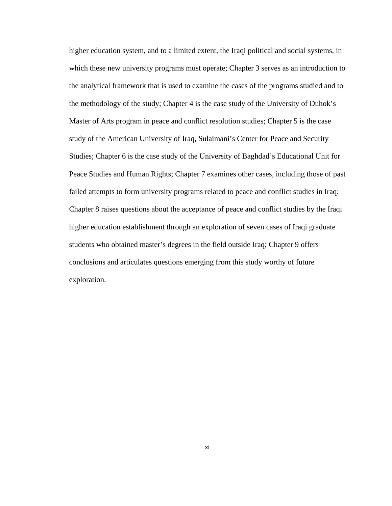higher education system, and to a limited extent, the Iraqi political and social systems, in which these new university programs must operate; Chapter 3 serves as an introduction to the analytical framework that is used to examine the cases of the programs studied and to the methodology of the study; Chapter 4 is the case study of the University of Duhok's Master of Arts program in peace and conflict resolution studies; Chapter 5 is the case study of the American University of Iraq, Sulaimani's Center for Peace and Security Studies; Chapter 6 is the case study of the University of Baghdad's Educational Unit for Peace Studies and Human Rights; Chapter 7 examines other cases, including those of past failed attempts to form university programs related to peace and conflict studies in Iraq; Chapter 8 raises questions about the acceptance of peace and conflict studies by the Iraqi higher education establishment through an exploration of seven cases of Iraqi graduate students who obtained master's degrees in the field outside Iraq; Chapter 9 offers conclusions and articulates questions emerging from this study worthy of future exploration.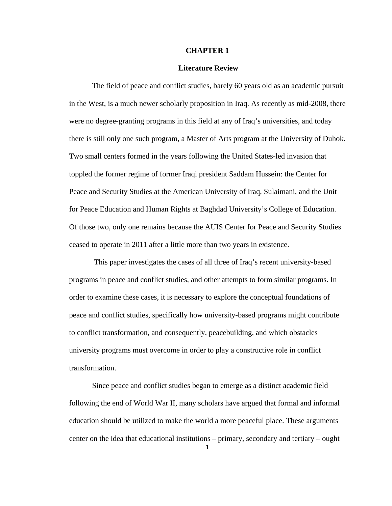### **CHAPTER 1**

### **Literature Review**

The field of peace and conflict studies, barely 60 years old as an academic pursuit in the West, is a much newer scholarly proposition in Iraq. As recently as mid-2008, there were no degree-granting programs in this field at any of Iraq's universities, and today there is still only one such program, a Master of Arts program at the University of Duhok. Two small centers formed in the years following the United States-led invasion that toppled the former regime of former Iraqi president Saddam Hussein: the Center for Peace and Security Studies at the American University of Iraq, Sulaimani, and the Unit for Peace Education and Human Rights at Baghdad University's College of Education. Of those two, only one remains because the AUIS Center for Peace and Security Studies ceased to operate in 2011 after a little more than two years in existence.

 This paper investigates the cases of all three of Iraq's recent university-based programs in peace and conflict studies, and other attempts to form similar programs. In order to examine these cases, it is necessary to explore the conceptual foundations of peace and conflict studies, specifically how university-based programs might contribute to conflict transformation, and consequently, peacebuilding, and which obstacles university programs must overcome in order to play a constructive role in conflict transformation.

Since peace and conflict studies began to emerge as a distinct academic field following the end of World War II, many scholars have argued that formal and informal education should be utilized to make the world a more peaceful place. These arguments center on the idea that educational institutions – primary, secondary and tertiary – ought

1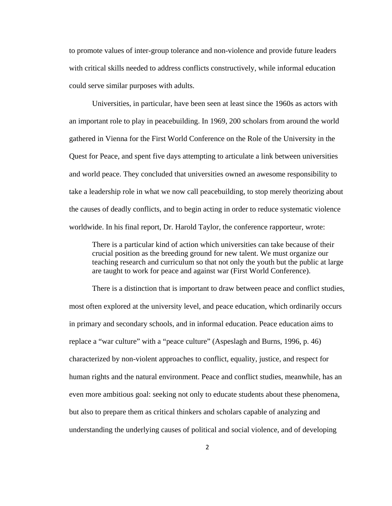to promote values of inter-group tolerance and non-violence and provide future leaders with critical skills needed to address conflicts constructively, while informal education could serve similar purposes with adults.

Universities, in particular, have been seen at least since the 1960s as actors with an important role to play in peacebuilding. In 1969, 200 scholars from around the world gathered in Vienna for the First World Conference on the Role of the University in the Quest for Peace, and spent five days attempting to articulate a link between universities and world peace. They concluded that universities owned an awesome responsibility to take a leadership role in what we now call peacebuilding, to stop merely theorizing about the causes of deadly conflicts, and to begin acting in order to reduce systematic violence worldwide. In his final report, Dr. Harold Taylor, the conference rapporteur, wrote:

There is a particular kind of action which universities can take because of their crucial position as the breeding ground for new talent. We must organize our teaching research and curriculum so that not only the youth but the public at large are taught to work for peace and against war (First World Conference).

There is a distinction that is important to draw between peace and conflict studies, most often explored at the university level, and peace education, which ordinarily occurs in primary and secondary schools, and in informal education. Peace education aims to replace a "war culture" with a "peace culture" (Aspeslagh and Burns, 1996, p. 46) characterized by non-violent approaches to conflict, equality, justice, and respect for human rights and the natural environment. Peace and conflict studies, meanwhile, has an even more ambitious goal: seeking not only to educate students about these phenomena, but also to prepare them as critical thinkers and scholars capable of analyzing and understanding the underlying causes of political and social violence, and of developing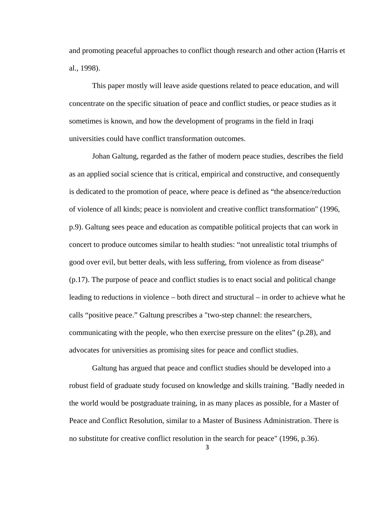and promoting peaceful approaches to conflict though research and other action (Harris et al., 1998).

This paper mostly will leave aside questions related to peace education, and will concentrate on the specific situation of peace and conflict studies, or peace studies as it sometimes is known, and how the development of programs in the field in Iraqi universities could have conflict transformation outcomes.

 Johan Galtung, regarded as the father of modern peace studies, describes the field as an applied social science that is critical, empirical and constructive, and consequently is dedicated to the promotion of peace, where peace is defined as "the absence/reduction of violence of all kinds; peace is nonviolent and creative conflict transformation" (1996, p.9). Galtung sees peace and education as compatible political projects that can work in concert to produce outcomes similar to health studies: "not unrealistic total triumphs of good over evil, but better deals, with less suffering, from violence as from disease" (p.17). The purpose of peace and conflict studies is to enact social and political change leading to reductions in violence – both direct and structural – in order to achieve what he calls "positive peace." Galtung prescribes a "two-step channel: the researchers, communicating with the people, who then exercise pressure on the elites" (p.28), and advocates for universities as promising sites for peace and conflict studies.

Galtung has argued that peace and conflict studies should be developed into a robust field of graduate study focused on knowledge and skills training. "Badly needed in the world would be postgraduate training, in as many places as possible, for a Master of Peace and Conflict Resolution, similar to a Master of Business Administration. There is no substitute for creative conflict resolution in the search for peace" (1996, p.36).

3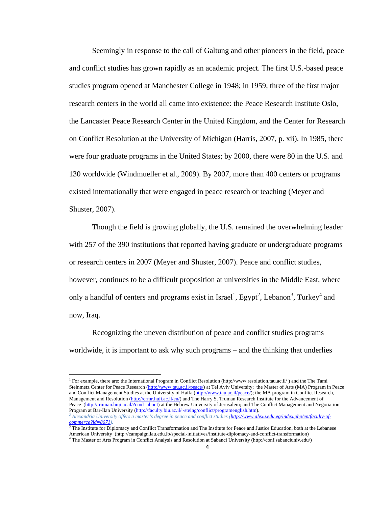Seemingly in response to the call of Galtung and other pioneers in the field, peace and conflict studies has grown rapidly as an academic project. The first U.S.-based peace studies program opened at Manchester College in 1948; in 1959, three of the first major research centers in the world all came into existence: the Peace Research Institute Oslo, the Lancaster Peace Research Center in the United Kingdom, and the Center for Research on Conflict Resolution at the University of Michigan (Harris, 2007, p. xii). In 1985, there were four graduate programs in the United States; by 2000, there were 80 in the U.S. and 130 worldwide (Windmueller et al., 2009). By 2007, more than 400 centers or programs existed internationally that were engaged in peace research or teaching (Meyer and Shuster, 2007).

Though the field is growing globally, the U.S. remained the overwhelming leader with 257 of the 390 institutions that reported having graduate or undergraduate programs or research centers in 2007 (Meyer and Shuster, 2007). Peace and conflict studies, however, continues to be a difficult proposition at universities in the Middle East, where only a handful of centers and programs exist in Israel<sup>1</sup>, Egypt<sup>2</sup>, Lebanon<sup>3</sup>, Turkey<sup>4</sup> and now, Iraq.

Recognizing the uneven distribution of peace and conflict studies programs worldwide, it is important to ask why such programs – and the thinking that underlies

<sup>1</sup> For example, there are: the International Program in Conflict Resolution (http://www.resolution.tau.ac.il/) and the The Tami Steinmetz Center for Peace Research (http://www.tau.ac.il/peace/) at Tel Aviv University; the Master of Arts (MA) Program in Peace and Conflict Management Studies at the University of Haifa (http://www.tau.ac.il/peace/); the MA program in Conflict Research, Management and Resolution (http://crmr.huji.ac.il/en/) and The Harry S. Truman Research Institute for the Advancement of Peace (http://truman.huji.ac.il/?cmd=about) at the Hebrew University of Jerusalem; and The Conflict Management and Negotiation Program at Bar-Ilan University (http://faculty.biu.ac.il/~steing/conflict/programenglish.htm).

*<sup>2</sup> Alexandria University offers a master's degree in peace and conflict studies (http://www.alexu.edu.eg/index.php/en/faculty-ofcommerce?id=8671).* 3 The Institute for Diplomacy and Conflict Transformation and The Institute for Peace and Justice Education, both at the Lebanese

American University (http://campaign.lau.edu.lb/special-initiatives/institute-diplomacy-and-conflict-transformation) 4

The Master of Arts Program in Conflict Analysis and Resolution at Sabanci University (http://conf.sabanciuniv.edu/)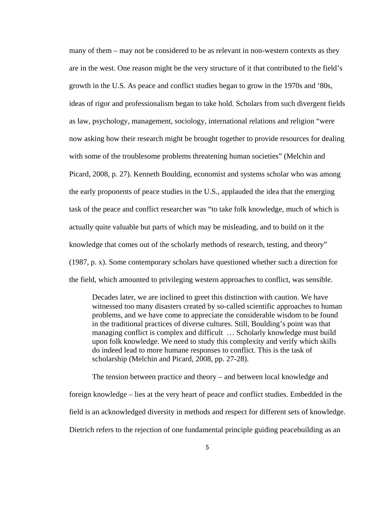many of them – may not be considered to be as relevant in non-western contexts as they are in the west. One reason might be the very structure of it that contributed to the field's growth in the U.S. As peace and conflict studies began to grow in the 1970s and '80s, ideas of rigor and professionalism began to take hold. Scholars from such divergent fields as law, psychology, management, sociology, international relations and religion "were now asking how their research might be brought together to provide resources for dealing with some of the troublesome problems threatening human societies" (Melchin and Picard, 2008, p. 27). Kenneth Boulding, economist and systems scholar who was among the early proponents of peace studies in the U.S., applauded the idea that the emerging task of the peace and conflict researcher was "to take folk knowledge, much of which is actually quite valuable but parts of which may be misleading, and to build on it the knowledge that comes out of the scholarly methods of research, testing, and theory" (1987, p. x). Some contemporary scholars have questioned whether such a direction for the field, which amounted to privileging western approaches to conflict, was sensible.

Decades later, we are inclined to greet this distinction with caution. We have witnessed too many disasters created by so-called scientific approaches to human problems, and we have come to appreciate the considerable wisdom to be found in the traditional practices of diverse cultures. Still, Boulding's point was that managing conflict is complex and difficult … Scholarly knowledge must build upon folk knowledge. We need to study this complexity and verify which skills do indeed lead to more humane responses to conflict. This is the task of scholarship (Melchin and Picard, 2008, pp. 27-28).

The tension between practice and theory – and between local knowledge and foreign knowledge – lies at the very heart of peace and conflict studies. Embedded in the field is an acknowledged diversity in methods and respect for different sets of knowledge. Dietrich refers to the rejection of one fundamental principle guiding peacebuilding as an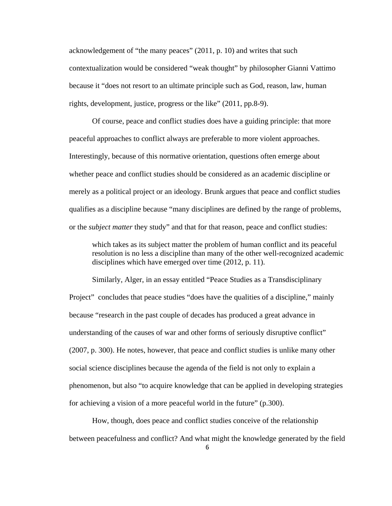acknowledgement of "the many peaces" (2011, p. 10) and writes that such contextualization would be considered "weak thought" by philosopher Gianni Vattimo because it "does not resort to an ultimate principle such as God, reason, law, human rights, development, justice, progress or the like" (2011, pp.8-9).

Of course, peace and conflict studies does have a guiding principle: that more peaceful approaches to conflict always are preferable to more violent approaches. Interestingly, because of this normative orientation, questions often emerge about whether peace and conflict studies should be considered as an academic discipline or merely as a political project or an ideology. Brunk argues that peace and conflict studies qualifies as a discipline because "many disciplines are defined by the range of problems, or the *subject matter* they study" and that for that reason, peace and conflict studies:

which takes as its subject matter the problem of human conflict and its peaceful resolution is no less a discipline than many of the other well-recognized academic disciplines which have emerged over time (2012, p. 11).

Similarly, Alger, in an essay entitled "Peace Studies as a Transdisciplinary Project" concludes that peace studies "does have the qualities of a discipline," mainly because "research in the past couple of decades has produced a great advance in understanding of the causes of war and other forms of seriously disruptive conflict" (2007, p. 300). He notes, however, that peace and conflict studies is unlike many other social science disciplines because the agenda of the field is not only to explain a phenomenon, but also "to acquire knowledge that can be applied in developing strategies for achieving a vision of a more peaceful world in the future" (p.300).

How, though, does peace and conflict studies conceive of the relationship between peacefulness and conflict? And what might the knowledge generated by the field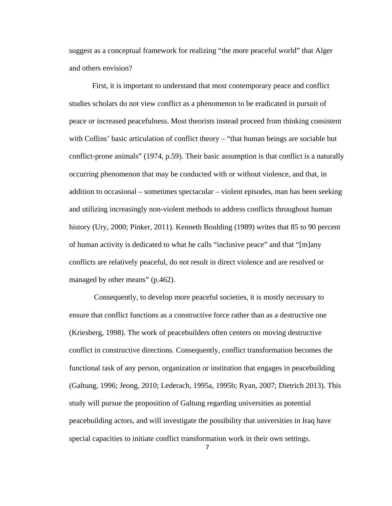suggest as a conceptual framework for realizing "the more peaceful world" that Alger and others envision?

First, it is important to understand that most contemporary peace and conflict studies scholars do not view conflict as a phenomenon to be eradicated in pursuit of peace or increased peacefulness. Most theorists instead proceed from thinking consistent with Collins' basic articulation of conflict theory – "that human beings are sociable but conflict-prone animals" (1974, p.59). Their basic assumption is that conflict is a naturally occurring phenomenon that may be conducted with or without violence, and that, in addition to occasional – sometimes spectacular – violent episodes, man has been seeking and utilizing increasingly non-violent methods to address conflicts throughout human history (Ury, 2000; Pinker, 2011). Kenneth Boulding (1989) writes that 85 to 90 percent of human activity is dedicated to what he calls "inclusive peace" and that "[m]any conflicts are relatively peaceful, do not result in direct violence and are resolved or managed by other means" (p.462).

 Consequently, to develop more peaceful societies, it is mostly necessary to ensure that conflict functions as a constructive force rather than as a destructive one (Kriesberg, 1998). The work of peacebuilders often centers on moving destructive conflict in constructive directions. Consequently, conflict transformation becomes the functional task of any person, organization or institution that engages in peacebuilding (Galtung, 1996; Jeong, 2010; Lederach, 1995a, 1995b; Ryan, 2007; Dietrich 2013). This study will pursue the proposition of Galtung regarding universities as potential peacebuilding actors, and will investigate the possibility that universities in Iraq have special capacities to initiate conflict transformation work in their own settings.

7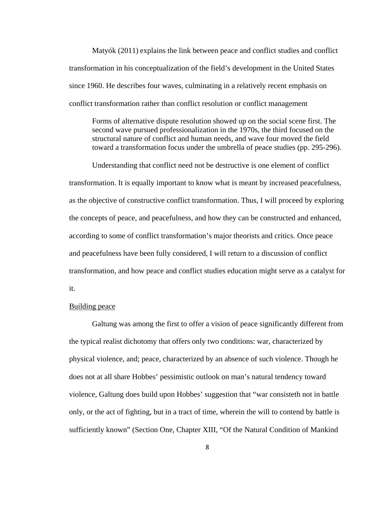Matyók (2011) explains the link between peace and conflict studies and conflict transformation in his conceptualization of the field's development in the United States since 1960. He describes four waves, culminating in a relatively recent emphasis on conflict transformation rather than conflict resolution or conflict management

Forms of alternative dispute resolution showed up on the social scene first. The second wave pursued professionalization in the 1970s, the third focused on the structural nature of conflict and human needs, and wave four moved the field toward a transformation focus under the umbrella of peace studies (pp. 295-296).

Understanding that conflict need not be destructive is one element of conflict transformation. It is equally important to know what is meant by increased peacefulness, as the objective of constructive conflict transformation. Thus, I will proceed by exploring the concepts of peace, and peacefulness, and how they can be constructed and enhanced, according to some of conflict transformation's major theorists and critics. Once peace and peacefulness have been fully considered, I will return to a discussion of conflict transformation, and how peace and conflict studies education might serve as a catalyst for it.

### Building peace

Galtung was among the first to offer a vision of peace significantly different from the typical realist dichotomy that offers only two conditions: war, characterized by physical violence, and; peace, characterized by an absence of such violence. Though he does not at all share Hobbes' pessimistic outlook on man's natural tendency toward violence, Galtung does build upon Hobbes' suggestion that "war consisteth not in battle only, or the act of fighting, but in a tract of time, wherein the will to contend by battle is sufficiently known" (Section One, Chapter XIII, "Of the Natural Condition of Mankind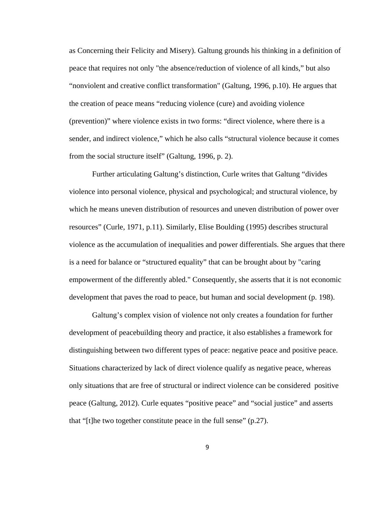as Concerning their Felicity and Misery). Galtung grounds his thinking in a definition of peace that requires not only "the absence/reduction of violence of all kinds," but also "nonviolent and creative conflict transformation" (Galtung, 1996, p.10). He argues that the creation of peace means "reducing violence (cure) and avoiding violence (prevention)" where violence exists in two forms: "direct violence, where there is a sender, and indirect violence," which he also calls "structural violence because it comes from the social structure itself" (Galtung, 1996, p. 2).

Further articulating Galtung's distinction, Curle writes that Galtung "divides violence into personal violence, physical and psychological; and structural violence, by which he means uneven distribution of resources and uneven distribution of power over resources" (Curle, 1971, p.11). Similarly, Elise Boulding (1995) describes structural violence as the accumulation of inequalities and power differentials. She argues that there is a need for balance or "structured equality" that can be brought about by "caring empowerment of the differently abled." Consequently, she asserts that it is not economic development that paves the road to peace, but human and social development (p. 198).

Galtung's complex vision of violence not only creates a foundation for further development of peacebuilding theory and practice, it also establishes a framework for distinguishing between two different types of peace: negative peace and positive peace. Situations characterized by lack of direct violence qualify as negative peace, whereas only situations that are free of structural or indirect violence can be considered positive peace (Galtung, 2012). Curle equates "positive peace" and "social justice" and asserts that "[t]he two together constitute peace in the full sense" (p.27).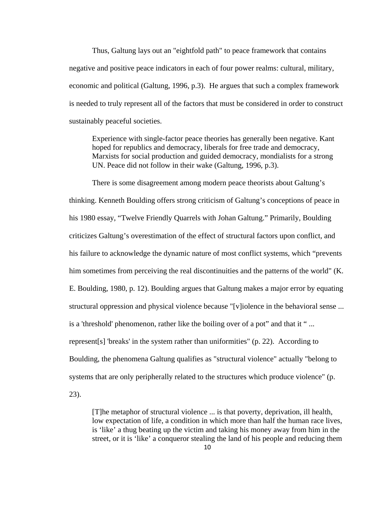Thus, Galtung lays out an "eightfold path" to peace framework that contains negative and positive peace indicators in each of four power realms: cultural, military, economic and political (Galtung, 1996, p.3). He argues that such a complex framework is needed to truly represent all of the factors that must be considered in order to construct sustainably peaceful societies.

Experience with single-factor peace theories has generally been negative. Kant hoped for republics and democracy, liberals for free trade and democracy, Marxists for social production and guided democracy, mondialists for a strong UN. Peace did not follow in their wake (Galtung, 1996, p.3).

There is some disagreement among modern peace theorists about Galtung's thinking. Kenneth Boulding offers strong criticism of Galtung's conceptions of peace in his 1980 essay, "Twelve Friendly Quarrels with Johan Galtung." Primarily, Boulding criticizes Galtung's overestimation of the effect of structural factors upon conflict, and his failure to acknowledge the dynamic nature of most conflict systems, which "prevents him sometimes from perceiving the real discontinuities and the patterns of the world" (K. E. Boulding, 1980, p. 12). Boulding argues that Galtung makes a major error by equating structural oppression and physical violence because "[v]iolence in the behavioral sense ... is a 'threshold' phenomenon, rather like the boiling over of a pot" and that it " ... represent[s] 'breaks' in the system rather than uniformities" (p. 22). According to Boulding, the phenomena Galtung qualifies as "structural violence" actually "belong to systems that are only peripherally related to the structures which produce violence" (p. 23).

[T]he metaphor of structural violence ... is that poverty, deprivation, ill health, low expectation of life, a condition in which more than half the human race lives, is 'like' a thug beating up the victim and taking his money away from him in the street, or it is 'like' a conqueror stealing the land of his people and reducing them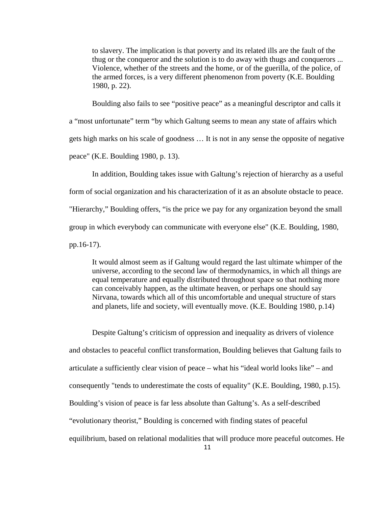to slavery. The implication is that poverty and its related ills are the fault of the thug or the conqueror and the solution is to do away with thugs and conquerors ... Violence, whether of the streets and the home, or of the guerilla, of the police, of the armed forces, is a very different phenomenon from poverty (K.E. Boulding 1980, p. 22).

Boulding also fails to see "positive peace" as a meaningful descriptor and calls it a "most unfortunate" term "by which Galtung seems to mean any state of affairs which gets high marks on his scale of goodness … It is not in any sense the opposite of negative peace" (K.E. Boulding 1980, p. 13).

In addition, Boulding takes issue with Galtung's rejection of hierarchy as a useful form of social organization and his characterization of it as an absolute obstacle to peace. "Hierarchy," Boulding offers, "is the price we pay for any organization beyond the small group in which everybody can communicate with everyone else" (K.E. Boulding, 1980, pp.16-17).

It would almost seem as if Galtung would regard the last ultimate whimper of the universe, according to the second law of thermodynamics, in which all things are equal temperature and equally distributed throughout space so that nothing more can conceivably happen, as the ultimate heaven, or perhaps one should say Nirvana, towards which all of this uncomfortable and unequal structure of stars and planets, life and society, will eventually move. (K.E. Boulding 1980, p.14)

Despite Galtung's criticism of oppression and inequality as drivers of violence and obstacles to peaceful conflict transformation, Boulding believes that Galtung fails to articulate a sufficiently clear vision of peace – what his "ideal world looks like" – and consequently "tends to underestimate the costs of equality" (K.E. Boulding, 1980, p.15). Boulding's vision of peace is far less absolute than Galtung's. As a self-described "evolutionary theorist," Boulding is concerned with finding states of peaceful equilibrium, based on relational modalities that will produce more peaceful outcomes. He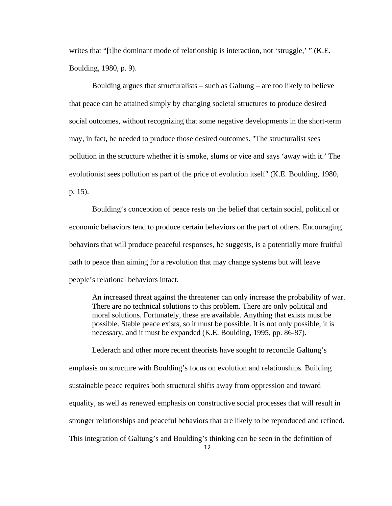writes that "[t]he dominant mode of relationship is interaction, not 'struggle,' " (K.E. Boulding, 1980, p. 9).

Boulding argues that structuralists  $-$  such as Galtung  $-$  are too likely to believe that peace can be attained simply by changing societal structures to produce desired social outcomes, without recognizing that some negative developments in the short-term may, in fact, be needed to produce those desired outcomes. "The structuralist sees pollution in the structure whether it is smoke, slums or vice and says 'away with it.' The evolutionist sees pollution as part of the price of evolution itself" (K.E. Boulding, 1980, p. 15).

Boulding's conception of peace rests on the belief that certain social, political or economic behaviors tend to produce certain behaviors on the part of others. Encouraging behaviors that will produce peaceful responses, he suggests, is a potentially more fruitful path to peace than aiming for a revolution that may change systems but will leave people's relational behaviors intact.

An increased threat against the threatener can only increase the probability of war. There are no technical solutions to this problem. There are only political and moral solutions. Fortunately, these are available. Anything that exists must be possible. Stable peace exists, so it must be possible. It is not only possible, it is necessary, and it must be expanded (K.E. Boulding, 1995, pp. 86-87).

Lederach and other more recent theorists have sought to reconcile Galtung's emphasis on structure with Boulding's focus on evolution and relationships. Building sustainable peace requires both structural shifts away from oppression and toward equality, as well as renewed emphasis on constructive social processes that will result in stronger relationships and peaceful behaviors that are likely to be reproduced and refined. This integration of Galtung's and Boulding's thinking can be seen in the definition of

12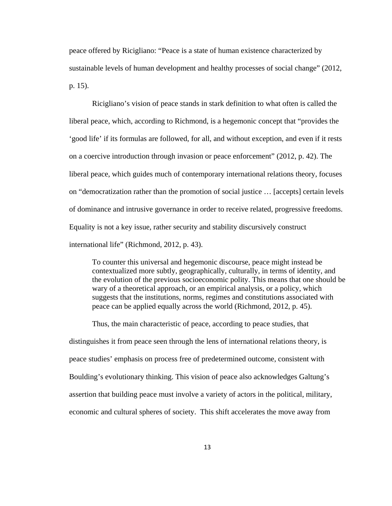peace offered by Ricigliano: "Peace is a state of human existence characterized by sustainable levels of human development and healthy processes of social change" (2012, p. 15).

Ricigliano's vision of peace stands in stark definition to what often is called the liberal peace, which, according to Richmond, is a hegemonic concept that "provides the 'good life' if its formulas are followed, for all, and without exception, and even if it rests on a coercive introduction through invasion or peace enforcement" (2012, p. 42). The liberal peace, which guides much of contemporary international relations theory, focuses on "democratization rather than the promotion of social justice … [accepts] certain levels of dominance and intrusive governance in order to receive related, progressive freedoms. Equality is not a key issue, rather security and stability discursively construct international life" (Richmond, 2012, p. 43).

To counter this universal and hegemonic discourse, peace might instead be contextualized more subtly, geographically, culturally, in terms of identity, and the evolution of the previous socioeconomic polity. This means that one should be wary of a theoretical approach, or an empirical analysis, or a policy, which suggests that the institutions, norms, regimes and constitutions associated with peace can be applied equally across the world (Richmond, 2012, p. 45).

Thus, the main characteristic of peace, according to peace studies, that distinguishes it from peace seen through the lens of international relations theory, is peace studies' emphasis on process free of predetermined outcome, consistent with Boulding's evolutionary thinking. This vision of peace also acknowledges Galtung's assertion that building peace must involve a variety of actors in the political, military, economic and cultural spheres of society. This shift accelerates the move away from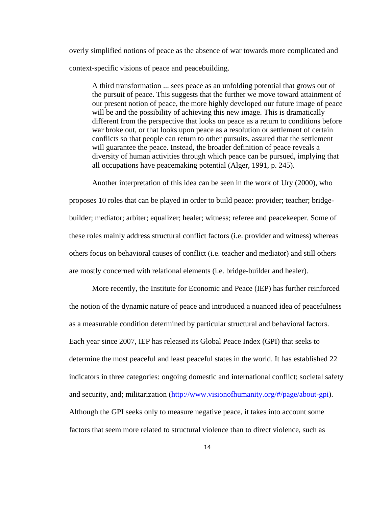overly simplified notions of peace as the absence of war towards more complicated and context-specific visions of peace and peacebuilding.

A third transformation ... sees peace as an unfolding potential that grows out of the pursuit of peace. This suggests that the further we move toward attainment of our present notion of peace, the more highly developed our future image of peace will be and the possibility of achieving this new image. This is dramatically different from the perspective that looks on peace as a return to conditions before war broke out, or that looks upon peace as a resolution or settlement of certain conflicts so that people can return to other pursuits, assured that the settlement will guarantee the peace. Instead, the broader definition of peace reveals a diversity of human activities through which peace can be pursued, implying that all occupations have peacemaking potential (Alger, 1991, p. 245).

Another interpretation of this idea can be seen in the work of Ury (2000), who proposes 10 roles that can be played in order to build peace: provider; teacher; bridgebuilder; mediator; arbiter; equalizer; healer; witness; referee and peacekeeper. Some of these roles mainly address structural conflict factors (i.e. provider and witness) whereas others focus on behavioral causes of conflict (i.e. teacher and mediator) and still others are mostly concerned with relational elements (i.e. bridge-builder and healer).

More recently, the Institute for Economic and Peace (IEP) has further reinforced the notion of the dynamic nature of peace and introduced a nuanced idea of peacefulness as a measurable condition determined by particular structural and behavioral factors. Each year since 2007, IEP has released its Global Peace Index (GPI) that seeks to determine the most peaceful and least peaceful states in the world. It has established 22 indicators in three categories: ongoing domestic and international conflict; societal safety and security, and; militarization (http://www.visionofhumanity.org/#/page/about-gpi). Although the GPI seeks only to measure negative peace, it takes into account some factors that seem more related to structural violence than to direct violence, such as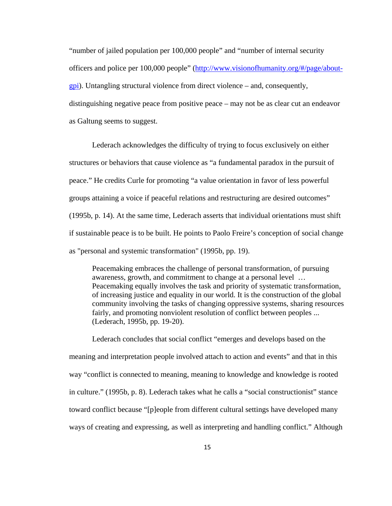"number of jailed population per 100,000 people" and "number of internal security officers and police per 100,000 people" (http://www.visionofhumanity.org/#/page/aboutgpi). Untangling structural violence from direct violence – and, consequently, distinguishing negative peace from positive peace – may not be as clear cut an endeavor as Galtung seems to suggest.

Lederach acknowledges the difficulty of trying to focus exclusively on either structures or behaviors that cause violence as "a fundamental paradox in the pursuit of peace." He credits Curle for promoting "a value orientation in favor of less powerful groups attaining a voice if peaceful relations and restructuring are desired outcomes" (1995b, p. 14). At the same time, Lederach asserts that individual orientations must shift if sustainable peace is to be built. He points to Paolo Freire's conception of social change as "personal and systemic transformation" (1995b, pp. 19).

Peacemaking embraces the challenge of personal transformation, of pursuing awareness, growth, and commitment to change at a personal level … Peacemaking equally involves the task and priority of systematic transformation, of increasing justice and equality in our world. It is the construction of the global community involving the tasks of changing oppressive systems, sharing resources fairly, and promoting nonviolent resolution of conflict between peoples ... (Lederach, 1995b, pp. 19-20).

Lederach concludes that social conflict "emerges and develops based on the meaning and interpretation people involved attach to action and events" and that in this way "conflict is connected to meaning, meaning to knowledge and knowledge is rooted in culture." (1995b, p. 8). Lederach takes what he calls a "social constructionist" stance toward conflict because "[p]eople from different cultural settings have developed many ways of creating and expressing, as well as interpreting and handling conflict." Although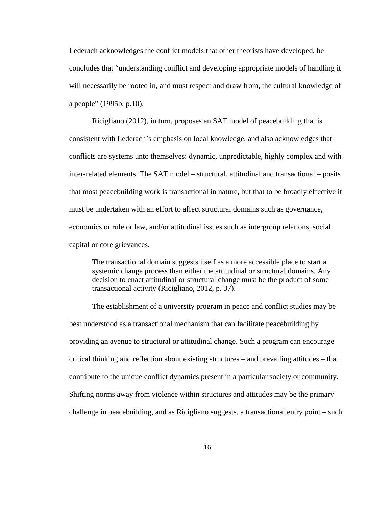Lederach acknowledges the conflict models that other theorists have developed, he concludes that "understanding conflict and developing appropriate models of handling it will necessarily be rooted in, and must respect and draw from, the cultural knowledge of a people" (1995b, p.10).

Ricigliano (2012), in turn, proposes an SAT model of peacebuilding that is consistent with Lederach's emphasis on local knowledge, and also acknowledges that conflicts are systems unto themselves: dynamic, unpredictable, highly complex and with inter-related elements. The SAT model – structural, attitudinal and transactional – posits that most peacebuilding work is transactional in nature, but that to be broadly effective it must be undertaken with an effort to affect structural domains such as governance, economics or rule or law, and/or attitudinal issues such as intergroup relations, social capital or core grievances.

The transactional domain suggests itself as a more accessible place to start a systemic change process than either the attitudinal or structural domains. Any decision to enact attitudinal or structural change must be the product of some transactional activity (Ricigliano, 2012, p. 37).

The establishment of a university program in peace and conflict studies may be best understood as a transactional mechanism that can facilitate peacebuilding by providing an avenue to structural or attitudinal change. Such a program can encourage critical thinking and reflection about existing structures – and prevailing attitudes – that contribute to the unique conflict dynamics present in a particular society or community. Shifting norms away from violence within structures and attitudes may be the primary challenge in peacebuilding, and as Ricigliano suggests, a transactional entry point – such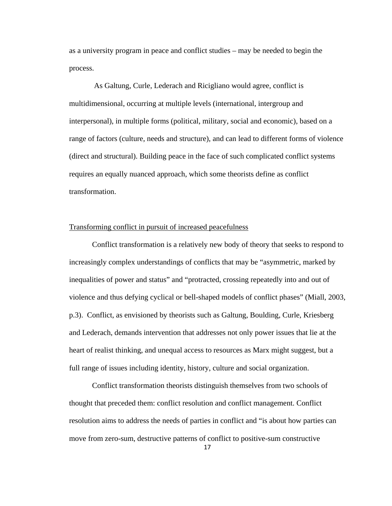as a university program in peace and conflict studies – may be needed to begin the process.

 As Galtung, Curle, Lederach and Ricigliano would agree, conflict is multidimensional, occurring at multiple levels (international, intergroup and interpersonal), in multiple forms (political, military, social and economic), based on a range of factors (culture, needs and structure), and can lead to different forms of violence (direct and structural). Building peace in the face of such complicated conflict systems requires an equally nuanced approach, which some theorists define as conflict transformation.

### Transforming conflict in pursuit of increased peacefulness

 Conflict transformation is a relatively new body of theory that seeks to respond to increasingly complex understandings of conflicts that may be "asymmetric, marked by inequalities of power and status" and "protracted, crossing repeatedly into and out of violence and thus defying cyclical or bell-shaped models of conflict phases" (Miall, 2003, p.3). Conflict, as envisioned by theorists such as Galtung, Boulding, Curle, Kriesberg and Lederach, demands intervention that addresses not only power issues that lie at the heart of realist thinking, and unequal access to resources as Marx might suggest, but a full range of issues including identity, history, culture and social organization.

 Conflict transformation theorists distinguish themselves from two schools of thought that preceded them: conflict resolution and conflict management. Conflict resolution aims to address the needs of parties in conflict and "is about how parties can move from zero-sum, destructive patterns of conflict to positive-sum constructive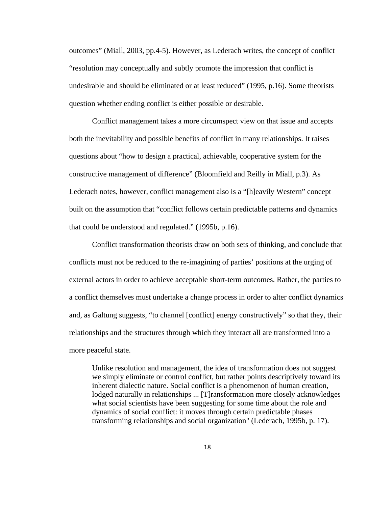outcomes" (Miall, 2003, pp.4-5). However, as Lederach writes, the concept of conflict "resolution may conceptually and subtly promote the impression that conflict is undesirable and should be eliminated or at least reduced" (1995, p.16). Some theorists question whether ending conflict is either possible or desirable.

 Conflict management takes a more circumspect view on that issue and accepts both the inevitability and possible benefits of conflict in many relationships. It raises questions about "how to design a practical, achievable, cooperative system for the constructive management of difference" (Bloomfield and Reilly in Miall, p.3). As Lederach notes, however, conflict management also is a "[h]eavily Western" concept built on the assumption that "conflict follows certain predictable patterns and dynamics that could be understood and regulated." (1995b, p.16).

 Conflict transformation theorists draw on both sets of thinking, and conclude that conflicts must not be reduced to the re-imagining of parties' positions at the urging of external actors in order to achieve acceptable short-term outcomes. Rather, the parties to a conflict themselves must undertake a change process in order to alter conflict dynamics and, as Galtung suggests, "to channel [conflict] energy constructively" so that they, their relationships and the structures through which they interact all are transformed into a more peaceful state.

Unlike resolution and management, the idea of transformation does not suggest we simply eliminate or control conflict, but rather points descriptively toward its inherent dialectic nature. Social conflict is a phenomenon of human creation, lodged naturally in relationships ... [T]ransformation more closely acknowledges what social scientists have been suggesting for some time about the role and dynamics of social conflict: it moves through certain predictable phases transforming relationships and social organization" (Lederach, 1995b, p. 17).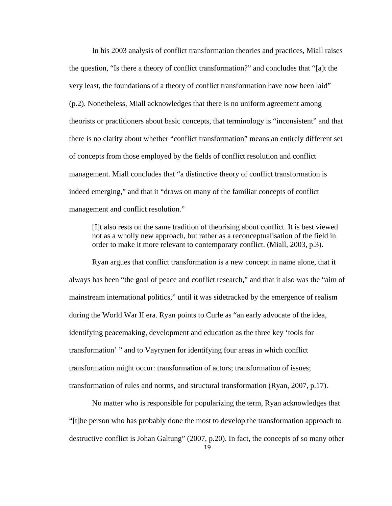In his 2003 analysis of conflict transformation theories and practices, Miall raises the question, "Is there a theory of conflict transformation?" and concludes that "[a]t the very least, the foundations of a theory of conflict transformation have now been laid" (p.2). Nonetheless, Miall acknowledges that there is no uniform agreement among theorists or practitioners about basic concepts, that terminology is "inconsistent" and that there is no clarity about whether "conflict transformation" means an entirely different set of concepts from those employed by the fields of conflict resolution and conflict management. Miall concludes that "a distinctive theory of conflict transformation is indeed emerging," and that it "draws on many of the familiar concepts of conflict management and conflict resolution."

[I]t also rests on the same tradition of theorising about conflict. It is best viewed not as a wholly new approach, but rather as a reconceptualisation of the field in order to make it more relevant to contemporary conflict. (Miall, 2003, p.3).

Ryan argues that conflict transformation is a new concept in name alone, that it always has been "the goal of peace and conflict research," and that it also was the "aim of mainstream international politics," until it was sidetracked by the emergence of realism during the World War II era. Ryan points to Curle as "an early advocate of the idea, identifying peacemaking, development and education as the three key 'tools for transformation' " and to Vayrynen for identifying four areas in which conflict transformation might occur: transformation of actors; transformation of issues; transformation of rules and norms, and structural transformation (Ryan, 2007, p.17).

19 No matter who is responsible for popularizing the term, Ryan acknowledges that "[t]he person who has probably done the most to develop the transformation approach to destructive conflict is Johan Galtung" (2007, p.20). In fact, the concepts of so many other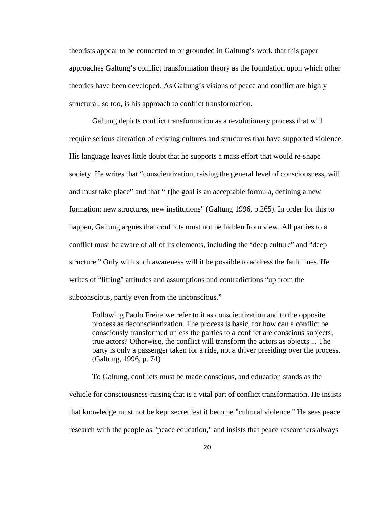theorists appear to be connected to or grounded in Galtung's work that this paper approaches Galtung's conflict transformation theory as the foundation upon which other theories have been developed. As Galtung's visions of peace and conflict are highly structural, so too, is his approach to conflict transformation.

Galtung depicts conflict transformation as a revolutionary process that will require serious alteration of existing cultures and structures that have supported violence. His language leaves little doubt that he supports a mass effort that would re-shape society. He writes that "conscientization, raising the general level of consciousness, will and must take place" and that "[t]he goal is an acceptable formula, defining a new formation; new structures, new institutions" (Galtung 1996, p.265). In order for this to happen, Galtung argues that conflicts must not be hidden from view. All parties to a conflict must be aware of all of its elements, including the "deep culture" and "deep structure." Only with such awareness will it be possible to address the fault lines. He writes of "lifting" attitudes and assumptions and contradictions "up from the subconscious, partly even from the unconscious."

Following Paolo Freire we refer to it as conscientization and to the opposite process as deconscientization. The process is basic, for how can a conflict be consciously transformed unless the parties to a conflict are conscious subjects, true actors? Otherwise, the conflict will transform the actors as objects ... The party is only a passenger taken for a ride, not a driver presiding over the process. (Galtung, 1996, p. 74)

To Galtung, conflicts must be made conscious, and education stands as the vehicle for consciousness-raising that is a vital part of conflict transformation. He insists that knowledge must not be kept secret lest it become "cultural violence." He sees peace research with the people as "peace education," and insists that peace researchers always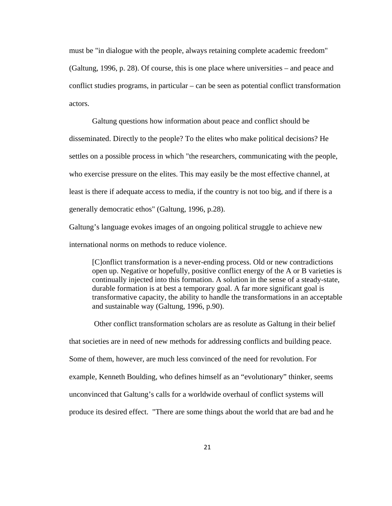must be "in dialogue with the people, always retaining complete academic freedom" (Galtung, 1996, p. 28). Of course, this is one place where universities – and peace and conflict studies programs, in particular – can be seen as potential conflict transformation actors.

Galtung questions how information about peace and conflict should be disseminated. Directly to the people? To the elites who make political decisions? He settles on a possible process in which "the researchers, communicating with the people, who exercise pressure on the elites. This may easily be the most effective channel, at least is there if adequate access to media, if the country is not too big, and if there is a generally democratic ethos" (Galtung, 1996, p.28).

Galtung's language evokes images of an ongoing political struggle to achieve new international norms on methods to reduce violence.

[C]onflict transformation is a never-ending process. Old or new contradictions open up. Negative or hopefully, positive conflict energy of the A or B varieties is continually injected into this formation. A solution in the sense of a steady-state, durable formation is at best a temporary goal. A far more significant goal is transformative capacity, the ability to handle the transformations in an acceptable and sustainable way (Galtung, 1996, p.90).

 Other conflict transformation scholars are as resolute as Galtung in their belief that societies are in need of new methods for addressing conflicts and building peace. Some of them, however, are much less convinced of the need for revolution. For example, Kenneth Boulding, who defines himself as an "evolutionary" thinker, seems unconvinced that Galtung's calls for a worldwide overhaul of conflict systems will produce its desired effect. "There are some things about the world that are bad and he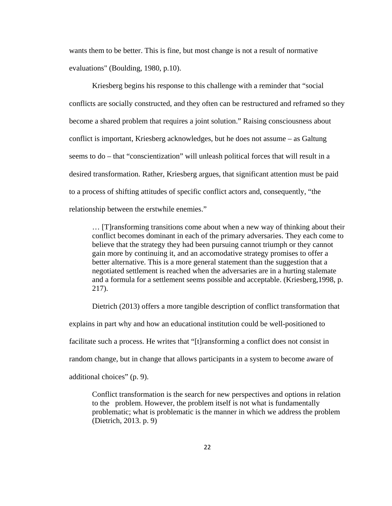wants them to be better. This is fine, but most change is not a result of normative evaluations" (Boulding, 1980, p.10).

Kriesberg begins his response to this challenge with a reminder that "social conflicts are socially constructed, and they often can be restructured and reframed so they become a shared problem that requires a joint solution." Raising consciousness about conflict is important, Kriesberg acknowledges, but he does not assume – as Galtung seems to do – that "conscientization" will unleash political forces that will result in a desired transformation. Rather, Kriesberg argues, that significant attention must be paid to a process of shifting attitudes of specific conflict actors and, consequently, "the relationship between the erstwhile enemies."

… [T]ransforming transitions come about when a new way of thinking about their conflict becomes dominant in each of the primary adversaries. They each come to believe that the strategy they had been pursuing cannot triumph or they cannot gain more by continuing it, and an accomodative strategy promises to offer a better alternative. This is a more general statement than the suggestion that a negotiated settlement is reached when the adversaries are in a hurting stalemate and a formula for a settlement seems possible and acceptable. (Kriesberg,1998, p. 217).

 Dietrich (2013) offers a more tangible description of conflict transformation that explains in part why and how an educational institution could be well-positioned to facilitate such a process. He writes that "[t]ransforming a conflict does not consist in random change, but in change that allows participants in a system to become aware of

additional choices" (p. 9).

Conflict transformation is the search for new perspectives and options in relation to the problem. However, the problem itself is not what is fundamentally problematic; what is problematic is the manner in which we address the problem (Dietrich, 2013. p. 9)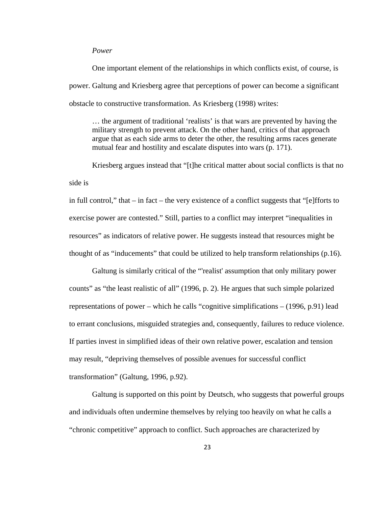### *Power*

One important element of the relationships in which conflicts exist, of course, is power. Galtung and Kriesberg agree that perceptions of power can become a significant obstacle to constructive transformation. As Kriesberg (1998) writes:

… the argument of traditional 'realists' is that wars are prevented by having the military strength to prevent attack. On the other hand, critics of that approach argue that as each side arms to deter the other, the resulting arms races generate mutual fear and hostility and escalate disputes into wars (p. 171).

Kriesberg argues instead that "[t]he critical matter about social conflicts is that no side is

in full control," that – in fact – the very existence of a conflict suggests that "[e]fforts to exercise power are contested." Still, parties to a conflict may interpret "inequalities in resources" as indicators of relative power. He suggests instead that resources might be thought of as "inducements" that could be utilized to help transform relationships (p.16).

Galtung is similarly critical of the "'realist' assumption that only military power counts" as "the least realistic of all" (1996, p. 2). He argues that such simple polarized representations of power – which he calls "cognitive simplifications – (1996, p.91) lead to errant conclusions, misguided strategies and, consequently, failures to reduce violence. If parties invest in simplified ideas of their own relative power, escalation and tension may result, "depriving themselves of possible avenues for successful conflict transformation" (Galtung, 1996, p.92).

Galtung is supported on this point by Deutsch, who suggests that powerful groups and individuals often undermine themselves by relying too heavily on what he calls a "chronic competitive" approach to conflict. Such approaches are characterized by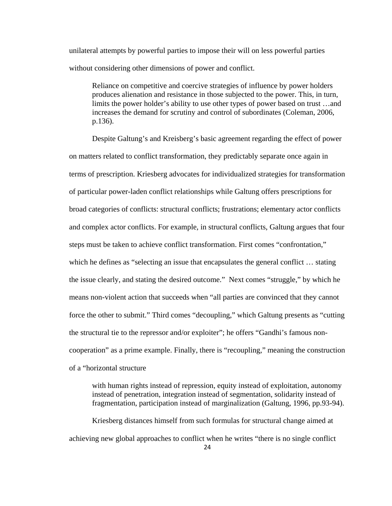unilateral attempts by powerful parties to impose their will on less powerful parties without considering other dimensions of power and conflict.

Reliance on competitive and coercive strategies of influence by power holders produces alienation and resistance in those subjected to the power. This, in turn, limits the power holder's ability to use other types of power based on trust …and increases the demand for scrutiny and control of subordinates (Coleman, 2006, p.136).

Despite Galtung's and Kreisberg's basic agreement regarding the effect of power on matters related to conflict transformation, they predictably separate once again in terms of prescription. Kriesberg advocates for individualized strategies for transformation of particular power-laden conflict relationships while Galtung offers prescriptions for broad categories of conflicts: structural conflicts; frustrations; elementary actor conflicts and complex actor conflicts. For example, in structural conflicts, Galtung argues that four steps must be taken to achieve conflict transformation. First comes "confrontation," which he defines as "selecting an issue that encapsulates the general conflict ... stating the issue clearly, and stating the desired outcome." Next comes "struggle," by which he means non-violent action that succeeds when "all parties are convinced that they cannot force the other to submit." Third comes "decoupling," which Galtung presents as "cutting the structural tie to the repressor and/or exploiter"; he offers "Gandhi's famous noncooperation" as a prime example. Finally, there is "recoupling," meaning the construction of a "horizontal structure

with human rights instead of repression, equity instead of exploitation, autonomy instead of penetration, integration instead of segmentation, solidarity instead of fragmentation, participation instead of marginalization (Galtung, 1996, pp.93-94).

Kriesberg distances himself from such formulas for structural change aimed at achieving new global approaches to conflict when he writes "there is no single conflict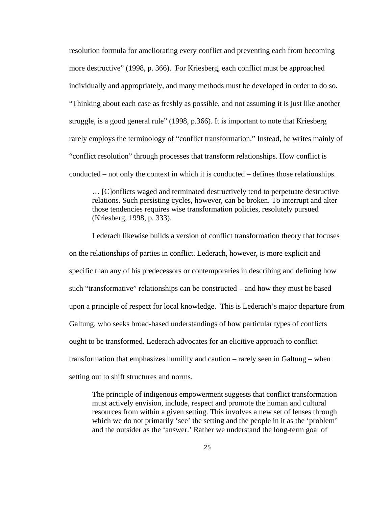resolution formula for ameliorating every conflict and preventing each from becoming more destructive" (1998, p. 366). For Kriesberg, each conflict must be approached individually and appropriately, and many methods must be developed in order to do so. "Thinking about each case as freshly as possible, and not assuming it is just like another struggle, is a good general rule" (1998, p.366). It is important to note that Kriesberg rarely employs the terminology of "conflict transformation." Instead, he writes mainly of "conflict resolution" through processes that transform relationships. How conflict is conducted – not only the context in which it is conducted – defines those relationships.

… [C]onflicts waged and terminated destructively tend to perpetuate destructive relations. Such persisting cycles, however, can be broken. To interrupt and alter those tendencies requires wise transformation policies, resolutely pursued (Kriesberg, 1998, p. 333).

Lederach likewise builds a version of conflict transformation theory that focuses on the relationships of parties in conflict. Lederach, however, is more explicit and specific than any of his predecessors or contemporaries in describing and defining how such "transformative" relationships can be constructed – and how they must be based upon a principle of respect for local knowledge. This is Lederach's major departure from Galtung, who seeks broad-based understandings of how particular types of conflicts ought to be transformed. Lederach advocates for an elicitive approach to conflict transformation that emphasizes humility and caution – rarely seen in Galtung – when setting out to shift structures and norms.

The principle of indigenous empowerment suggests that conflict transformation must actively envision, include, respect and promote the human and cultural resources from within a given setting. This involves a new set of lenses through which we do not primarily 'see' the setting and the people in it as the 'problem' and the outsider as the 'answer.' Rather we understand the long-term goal of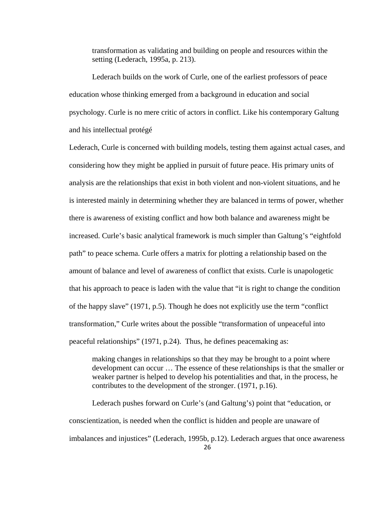transformation as validating and building on people and resources within the setting (Lederach, 1995a, p. 213).

Lederach builds on the work of Curle, one of the earliest professors of peace education whose thinking emerged from a background in education and social psychology. Curle is no mere critic of actors in conflict. Like his contemporary Galtung and his intellectual protégé

Lederach, Curle is concerned with building models, testing them against actual cases, and considering how they might be applied in pursuit of future peace. His primary units of analysis are the relationships that exist in both violent and non-violent situations, and he is interested mainly in determining whether they are balanced in terms of power, whether there is awareness of existing conflict and how both balance and awareness might be increased. Curle's basic analytical framework is much simpler than Galtung's "eightfold path" to peace schema. Curle offers a matrix for plotting a relationship based on the amount of balance and level of awareness of conflict that exists. Curle is unapologetic that his approach to peace is laden with the value that "it is right to change the condition of the happy slave" (1971, p.5). Though he does not explicitly use the term "conflict transformation," Curle writes about the possible "transformation of unpeaceful into peaceful relationships" (1971, p.24). Thus, he defines peacemaking as:

making changes in relationships so that they may be brought to a point where development can occur … The essence of these relationships is that the smaller or weaker partner is helped to develop his potentialities and that, in the process, he contributes to the development of the stronger. (1971, p.16).

26 Lederach pushes forward on Curle's (and Galtung's) point that "education, or conscientization, is needed when the conflict is hidden and people are unaware of imbalances and injustices" (Lederach, 1995b, p.12). Lederach argues that once awareness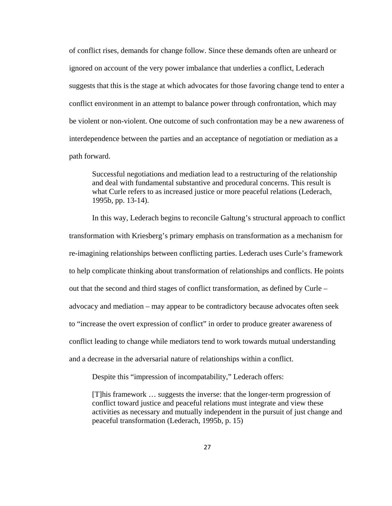of conflict rises, demands for change follow. Since these demands often are unheard or ignored on account of the very power imbalance that underlies a conflict, Lederach suggests that this is the stage at which advocates for those favoring change tend to enter a conflict environment in an attempt to balance power through confrontation, which may be violent or non-violent. One outcome of such confrontation may be a new awareness of interdependence between the parties and an acceptance of negotiation or mediation as a path forward.

Successful negotiations and mediation lead to a restructuring of the relationship and deal with fundamental substantive and procedural concerns. This result is what Curle refers to as increased justice or more peaceful relations (Lederach, 1995b, pp. 13-14).

In this way, Lederach begins to reconcile Galtung's structural approach to conflict transformation with Kriesberg's primary emphasis on transformation as a mechanism for re-imagining relationships between conflicting parties. Lederach uses Curle's framework to help complicate thinking about transformation of relationships and conflicts. He points out that the second and third stages of conflict transformation, as defined by Curle – advocacy and mediation – may appear to be contradictory because advocates often seek to "increase the overt expression of conflict" in order to produce greater awareness of conflict leading to change while mediators tend to work towards mutual understanding and a decrease in the adversarial nature of relationships within a conflict.

Despite this "impression of incompatability," Lederach offers:

[T]his framework … suggests the inverse: that the longer-term progression of conflict toward justice and peaceful relations must integrate and view these activities as necessary and mutually independent in the pursuit of just change and peaceful transformation (Lederach, 1995b, p. 15)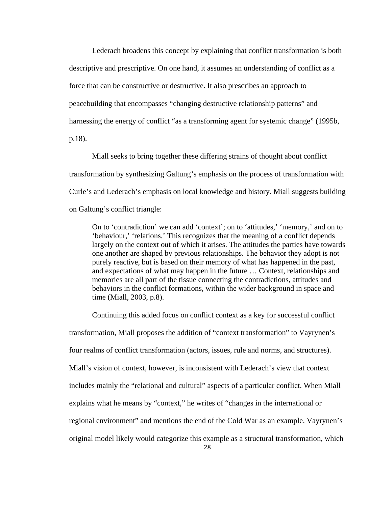Lederach broadens this concept by explaining that conflict transformation is both descriptive and prescriptive. On one hand, it assumes an understanding of conflict as a force that can be constructive or destructive. It also prescribes an approach to peacebuilding that encompasses "changing destructive relationship patterns" and harnessing the energy of conflict "as a transforming agent for systemic change" (1995b, p.18).

Miall seeks to bring together these differing strains of thought about conflict transformation by synthesizing Galtung's emphasis on the process of transformation with Curle's and Lederach's emphasis on local knowledge and history. Miall suggests building on Galtung's conflict triangle:

On to 'contradiction' we can add 'context'; on to 'attitudes,' 'memory,' and on to 'behaviour,' 'relations.' This recognizes that the meaning of a conflict depends largely on the context out of which it arises. The attitudes the parties have towards one another are shaped by previous relationships. The behavior they adopt is not purely reactive, but is based on their memory of what has happened in the past, and expectations of what may happen in the future … Context, relationships and memories are all part of the tissue connecting the contradictions, attitudes and behaviors in the conflict formations, within the wider background in space and time (Miall, 2003, p.8).

Continuing this added focus on conflict context as a key for successful conflict transformation, Miall proposes the addition of "context transformation" to Vayrynen's four realms of conflict transformation (actors, issues, rule and norms, and structures). Miall's vision of context, however, is inconsistent with Lederach's view that context includes mainly the "relational and cultural" aspects of a particular conflict. When Miall explains what he means by "context," he writes of "changes in the international or regional environment" and mentions the end of the Cold War as an example. Vayrynen's original model likely would categorize this example as a structural transformation, which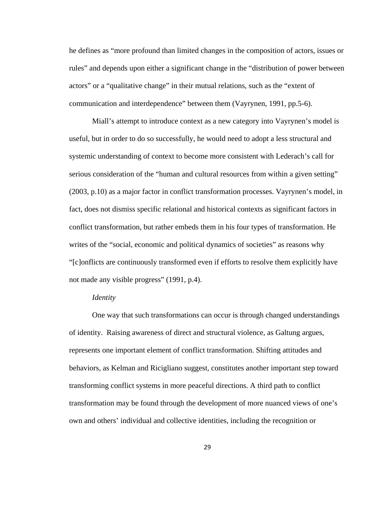he defines as "more profound than limited changes in the composition of actors, issues or rules" and depends upon either a significant change in the "distribution of power between actors" or a "qualitative change" in their mutual relations, such as the "extent of communication and interdependence" between them (Vayrynen, 1991, pp.5-6).

Miall's attempt to introduce context as a new category into Vayrynen's model is useful, but in order to do so successfully, he would need to adopt a less structural and systemic understanding of context to become more consistent with Lederach's call for serious consideration of the "human and cultural resources from within a given setting" (2003, p.10) as a major factor in conflict transformation processes. Vayrynen's model, in fact, does not dismiss specific relational and historical contexts as significant factors in conflict transformation, but rather embeds them in his four types of transformation. He writes of the "social, economic and political dynamics of societies" as reasons why "[c]onflicts are continuously transformed even if efforts to resolve them explicitly have not made any visible progress" (1991, p.4).

## *Identity*

 One way that such transformations can occur is through changed understandings of identity. Raising awareness of direct and structural violence, as Galtung argues, represents one important element of conflict transformation. Shifting attitudes and behaviors, as Kelman and Ricigliano suggest, constitutes another important step toward transforming conflict systems in more peaceful directions. A third path to conflict transformation may be found through the development of more nuanced views of one's own and others' individual and collective identities, including the recognition or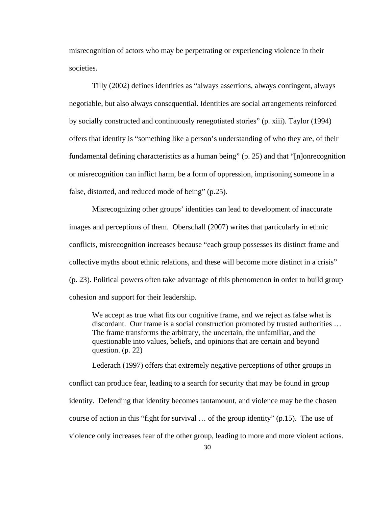misrecognition of actors who may be perpetrating or experiencing violence in their societies.

Tilly (2002) defines identities as "always assertions, always contingent, always negotiable, but also always consequential. Identities are social arrangements reinforced by socially constructed and continuously renegotiated stories" (p. xiii). Taylor (1994) offers that identity is "something like a person's understanding of who they are, of their fundamental defining characteristics as a human being" (p. 25) and that "[n]onrecognition or misrecognition can inflict harm, be a form of oppression, imprisoning someone in a false, distorted, and reduced mode of being" (p.25).

Misrecognizing other groups' identities can lead to development of inaccurate images and perceptions of them. Oberschall (2007) writes that particularly in ethnic conflicts, misrecognition increases because "each group possesses its distinct frame and collective myths about ethnic relations, and these will become more distinct in a crisis" (p. 23). Political powers often take advantage of this phenomenon in order to build group cohesion and support for their leadership.

We accept as true what fits our cognitive frame, and we reject as false what is discordant. Our frame is a social construction promoted by trusted authorities … The frame transforms the arbitrary, the uncertain, the unfamiliar, and the questionable into values, beliefs, and opinions that are certain and beyond question. (p. 22)

Lederach (1997) offers that extremely negative perceptions of other groups in conflict can produce fear, leading to a search for security that may be found in group identity. Defending that identity becomes tantamount, and violence may be the chosen course of action in this "fight for survival … of the group identity" (p.15). The use of violence only increases fear of the other group, leading to more and more violent actions.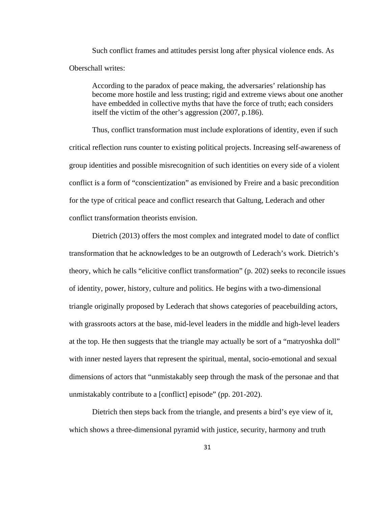Such conflict frames and attitudes persist long after physical violence ends. As Oberschall writes:

According to the paradox of peace making, the adversaries' relationship has become more hostile and less trusting; rigid and extreme views about one another have embedded in collective myths that have the force of truth; each considers itself the victim of the other's aggression (2007, p.186).

Thus, conflict transformation must include explorations of identity, even if such critical reflection runs counter to existing political projects. Increasing self-awareness of group identities and possible misrecognition of such identities on every side of a violent conflict is a form of "conscientization" as envisioned by Freire and a basic precondition for the type of critical peace and conflict research that Galtung, Lederach and other conflict transformation theorists envision.

 Dietrich (2013) offers the most complex and integrated model to date of conflict transformation that he acknowledges to be an outgrowth of Lederach's work. Dietrich's theory, which he calls "elicitive conflict transformation" (p. 202) seeks to reconcile issues of identity, power, history, culture and politics. He begins with a two-dimensional triangle originally proposed by Lederach that shows categories of peacebuilding actors, with grassroots actors at the base, mid-level leaders in the middle and high-level leaders at the top. He then suggests that the triangle may actually be sort of a "matryoshka doll" with inner nested layers that represent the spiritual, mental, socio-emotional and sexual dimensions of actors that "unmistakably seep through the mask of the personae and that unmistakably contribute to a [conflict] episode" (pp. 201-202).

 Dietrich then steps back from the triangle, and presents a bird's eye view of it, which shows a three-dimensional pyramid with justice, security, harmony and truth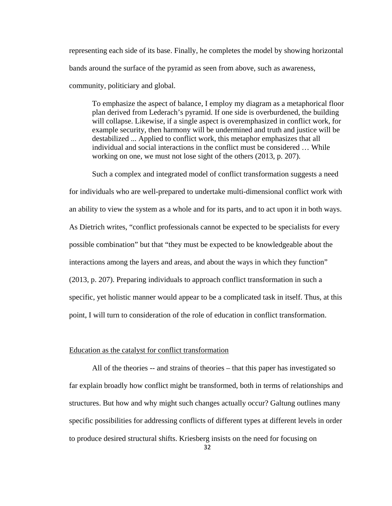representing each side of its base. Finally, he completes the model by showing horizontal bands around the surface of the pyramid as seen from above, such as awareness, community, politiciary and global.

To emphasize the aspect of balance, I employ my diagram as a metaphorical floor plan derived from Lederach's pyramid. If one side is overburdened, the building will collapse. Likewise, if a single aspect is overemphasized in conflict work, for example security, then harmony will be undermined and truth and justice will be destabilized ... Applied to conflict work, this metaphor emphasizes that all individual and social interactions in the conflict must be considered … While working on one, we must not lose sight of the others (2013, p. 207).

 Such a complex and integrated model of conflict transformation suggests a need for individuals who are well-prepared to undertake multi-dimensional conflict work with an ability to view the system as a whole and for its parts, and to act upon it in both ways. As Dietrich writes, "conflict professionals cannot be expected to be specialists for every possible combination" but that "they must be expected to be knowledgeable about the interactions among the layers and areas, and about the ways in which they function" (2013, p. 207). Preparing individuals to approach conflict transformation in such a specific, yet holistic manner would appear to be a complicated task in itself. Thus, at this point, I will turn to consideration of the role of education in conflict transformation.

## Education as the catalyst for conflict transformation

All of the theories -- and strains of theories – that this paper has investigated so far explain broadly how conflict might be transformed, both in terms of relationships and structures. But how and why might such changes actually occur? Galtung outlines many specific possibilities for addressing conflicts of different types at different levels in order to produce desired structural shifts. Kriesberg insists on the need for focusing on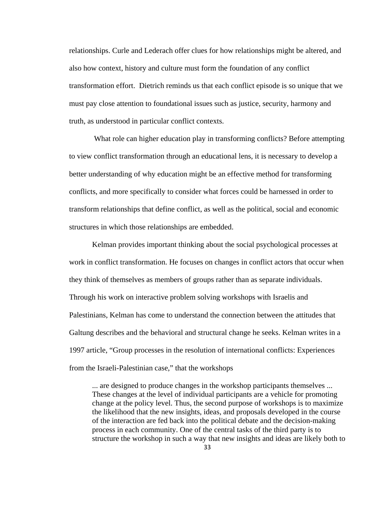relationships. Curle and Lederach offer clues for how relationships might be altered, and also how context, history and culture must form the foundation of any conflict transformation effort. Dietrich reminds us that each conflict episode is so unique that we must pay close attention to foundational issues such as justice, security, harmony and truth, as understood in particular conflict contexts.

 What role can higher education play in transforming conflicts? Before attempting to view conflict transformation through an educational lens, it is necessary to develop a better understanding of why education might be an effective method for transforming conflicts, and more specifically to consider what forces could be harnessed in order to transform relationships that define conflict, as well as the political, social and economic structures in which those relationships are embedded.

Kelman provides important thinking about the social psychological processes at work in conflict transformation. He focuses on changes in conflict actors that occur when they think of themselves as members of groups rather than as separate individuals. Through his work on interactive problem solving workshops with Israelis and Palestinians, Kelman has come to understand the connection between the attitudes that Galtung describes and the behavioral and structural change he seeks. Kelman writes in a 1997 article, "Group processes in the resolution of international conflicts: Experiences from the Israeli-Palestinian case," that the workshops

... are designed to produce changes in the workshop participants themselves ... These changes at the level of individual participants are a vehicle for promoting change at the policy level. Thus, the second purpose of workshops is to maximize the likelihood that the new insights, ideas, and proposals developed in the course of the interaction are fed back into the political debate and the decision-making process in each community. One of the central tasks of the third party is to structure the workshop in such a way that new insights and ideas are likely both to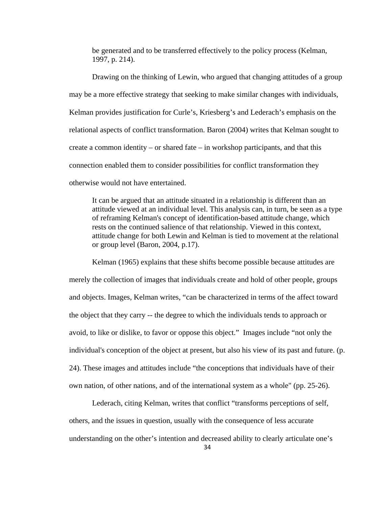be generated and to be transferred effectively to the policy process (Kelman, 1997, p. 214).

Drawing on the thinking of Lewin, who argued that changing attitudes of a group may be a more effective strategy that seeking to make similar changes with individuals, Kelman provides justification for Curle's, Kriesberg's and Lederach's emphasis on the relational aspects of conflict transformation. Baron (2004) writes that Kelman sought to create a common identity – or shared fate – in workshop participants, and that this connection enabled them to consider possibilities for conflict transformation they otherwise would not have entertained.

It can be argued that an attitude situated in a relationship is different than an attitude viewed at an individual level. This analysis can, in turn, be seen as a type of reframing Kelman's concept of identification-based attitude change, which rests on the continued salience of that relationship. Viewed in this context, attitude change for both Lewin and Kelman is tied to movement at the relational or group level (Baron, 2004, p.17).

Kelman (1965) explains that these shifts become possible because attitudes are merely the collection of images that individuals create and hold of other people, groups and objects. Images, Kelman writes, "can be characterized in terms of the affect toward the object that they carry -- the degree to which the individuals tends to approach or avoid, to like or dislike, to favor or oppose this object." Images include "not only the individual's conception of the object at present, but also his view of its past and future. (p. 24). These images and attitudes include "the conceptions that individuals have of their own nation, of other nations, and of the international system as a whole" (pp. 25-26).

Lederach, citing Kelman, writes that conflict "transforms perceptions of self, others, and the issues in question, usually with the consequence of less accurate understanding on the other's intention and decreased ability to clearly articulate one's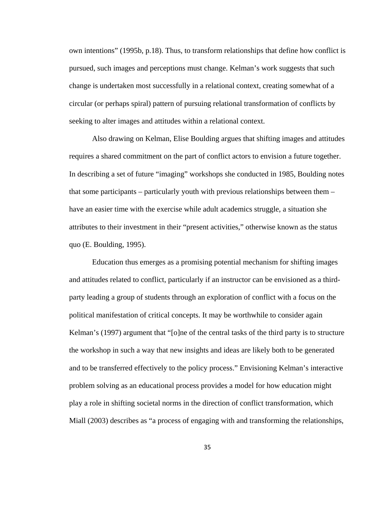own intentions" (1995b, p.18). Thus, to transform relationships that define how conflict is pursued, such images and perceptions must change. Kelman's work suggests that such change is undertaken most successfully in a relational context, creating somewhat of a circular (or perhaps spiral) pattern of pursuing relational transformation of conflicts by seeking to alter images and attitudes within a relational context.

Also drawing on Kelman, Elise Boulding argues that shifting images and attitudes requires a shared commitment on the part of conflict actors to envision a future together. In describing a set of future "imaging" workshops she conducted in 1985, Boulding notes that some participants – particularly youth with previous relationships between them – have an easier time with the exercise while adult academics struggle, a situation she attributes to their investment in their "present activities," otherwise known as the status quo (E. Boulding, 1995).

Education thus emerges as a promising potential mechanism for shifting images and attitudes related to conflict, particularly if an instructor can be envisioned as a thirdparty leading a group of students through an exploration of conflict with a focus on the political manifestation of critical concepts. It may be worthwhile to consider again Kelman's (1997) argument that "[o]ne of the central tasks of the third party is to structure the workshop in such a way that new insights and ideas are likely both to be generated and to be transferred effectively to the policy process." Envisioning Kelman's interactive problem solving as an educational process provides a model for how education might play a role in shifting societal norms in the direction of conflict transformation, which Miall (2003) describes as "a process of engaging with and transforming the relationships,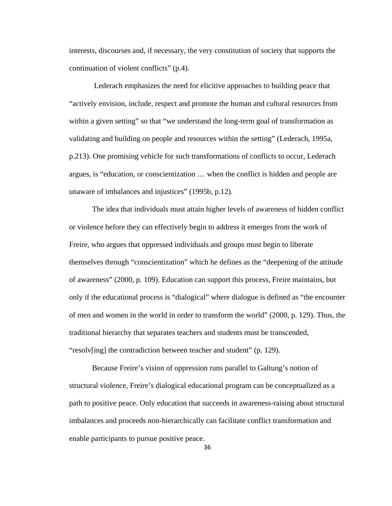interests, discourses and, if necessary, the very constitution of society that supports the continuation of violent conflicts" (p.4).

 Lederach emphasizes the need for elicitive approaches to building peace that "actively envision, include, respect and promote the human and cultural resources from within a given setting" so that "we understand the long-term goal of transformation as validating and building on people and resources within the setting" (Lederach, 1995a, p.213). One promising vehicle for such transformations of conflicts to occur, Lederach argues, is "education, or conscientization … when the conflict is hidden and people are unaware of imbalances and injustices" (1995b, p.12).

The idea that individuals must attain higher levels of awareness of hidden conflict or violence before they can effectively begin to address it emerges from the work of Freire, who argues that oppressed individuals and groups must begin to liberate themselves through "conscientization" which he defines as the "deepening of the attitude of awareness" (2000, p. 109). Education can support this process, Freire maintains, but only if the educational process is "dialogical" where dialogue is defined as "the encounter of men and women in the world in order to transform the world" (2000, p. 129). Thus, the traditional hierarchy that separates teachers and students must be transcended, "resolv[ing] the contradiction between teacher and student" (p. 129).

Because Freire's vision of oppression runs parallel to Galtung's notion of structural violence, Freire's dialogical educational program can be conceptualized as a path to positive peace. Only education that succeeds in awareness-raising about structural imbalances and proceeds non-hierarchically can facilitate conflict transformation and enable participants to pursue positive peace.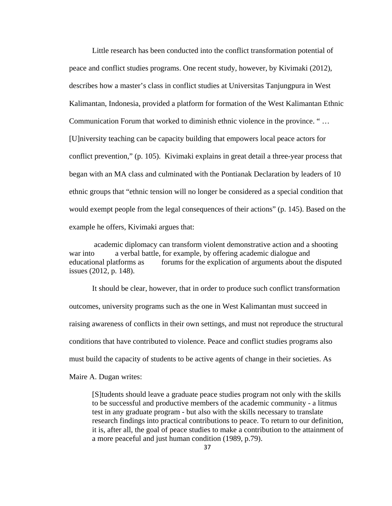Little research has been conducted into the conflict transformation potential of peace and conflict studies programs. One recent study, however, by Kivimaki (2012), describes how a master's class in conflict studies at Universitas Tanjungpura in West Kalimantan, Indonesia, provided a platform for formation of the West Kalimantan Ethnic Communication Forum that worked to diminish ethnic violence in the province. " … [U]niversity teaching can be capacity building that empowers local peace actors for conflict prevention," (p. 105). Kivimaki explains in great detail a three-year process that began with an MA class and culminated with the Pontianak Declaration by leaders of 10 ethnic groups that "ethnic tension will no longer be considered as a special condition that would exempt people from the legal consequences of their actions" (p. 145). Based on the example he offers, Kivimaki argues that:

 academic diplomacy can transform violent demonstrative action and a shooting war into a verbal battle, for example, by offering academic dialogue and educational platforms as forums for the explication of arguments about the disputed issues (2012, p. 148).

It should be clear, however, that in order to produce such conflict transformation outcomes, university programs such as the one in West Kalimantan must succeed in raising awareness of conflicts in their own settings, and must not reproduce the structural conditions that have contributed to violence. Peace and conflict studies programs also must build the capacity of students to be active agents of change in their societies. As Maire A. Dugan writes:

[S]tudents should leave a graduate peace studies program not only with the skills to be successful and productive members of the academic community - a litmus test in any graduate program - but also with the skills necessary to translate research findings into practical contributions to peace. To return to our definition, it is, after all, the goal of peace studies to make a contribution to the attainment of a more peaceful and just human condition (1989, p.79).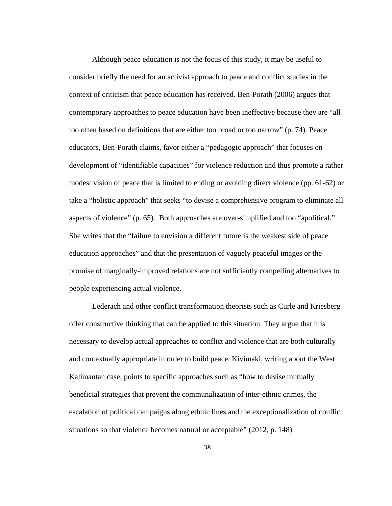Although peace education is not the focus of this study, it may be useful to consider briefly the need for an activist approach to peace and conflict studies in the context of criticism that peace education has received. Ben-Porath (2006) argues that contemporary approaches to peace education have been ineffective because they are "all too often based on definitions that are either too broad or too narrow" (p. 74). Peace educators, Ben-Porath claims, favor either a "pedagogic approach" that focuses on development of "identifiable capacities" for violence reduction and thus promote a rather modest vision of peace that is limited to ending or avoiding direct violence (pp. 61-62) or take a "holistic approach" that seeks "to devise a comprehensive program to eliminate all aspects of violence" (p. 65). Both approaches are over-simplified and too "apolitical." She writes that the "failure to envision a different future is the weakest side of peace education approaches" and that the presentation of vaguely peaceful images or the promise of marginally-improved relations are not sufficiently compelling alternatives to people experiencing actual violence.

Lederach and other conflict transformation theorists such as Curle and Kriesberg offer constructive thinking that can be applied to this situation. They argue that it is necessary to develop actual approaches to conflict and violence that are both culturally and contextually appropriate in order to build peace. Kivimaki, writing about the West Kalimantan case, points to specific approaches such as "how to devise mutually beneficial strategies that prevent the communalization of inter-ethnic crimes, the escalation of political campaigns along ethnic lines and the exceptionalization of conflict situations so that violence becomes natural or acceptable" (2012, p. 148)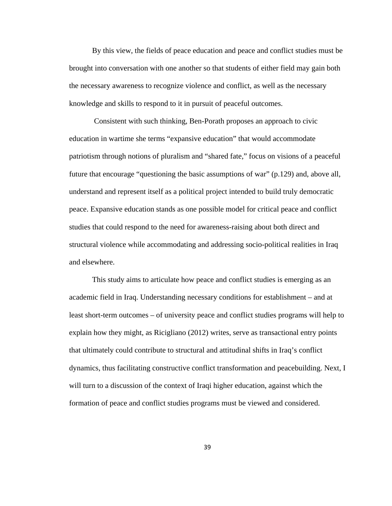By this view, the fields of peace education and peace and conflict studies must be brought into conversation with one another so that students of either field may gain both the necessary awareness to recognize violence and conflict, as well as the necessary knowledge and skills to respond to it in pursuit of peaceful outcomes.

 Consistent with such thinking, Ben-Porath proposes an approach to civic education in wartime she terms "expansive education" that would accommodate patriotism through notions of pluralism and "shared fate," focus on visions of a peaceful future that encourage "questioning the basic assumptions of war" (p.129) and, above all, understand and represent itself as a political project intended to build truly democratic peace. Expansive education stands as one possible model for critical peace and conflict studies that could respond to the need for awareness-raising about both direct and structural violence while accommodating and addressing socio-political realities in Iraq and elsewhere.

This study aims to articulate how peace and conflict studies is emerging as an academic field in Iraq. Understanding necessary conditions for establishment – and at least short-term outcomes – of university peace and conflict studies programs will help to explain how they might, as Ricigliano (2012) writes, serve as transactional entry points that ultimately could contribute to structural and attitudinal shifts in Iraq's conflict dynamics, thus facilitating constructive conflict transformation and peacebuilding. Next, I will turn to a discussion of the context of Iraqi higher education, against which the formation of peace and conflict studies programs must be viewed and considered.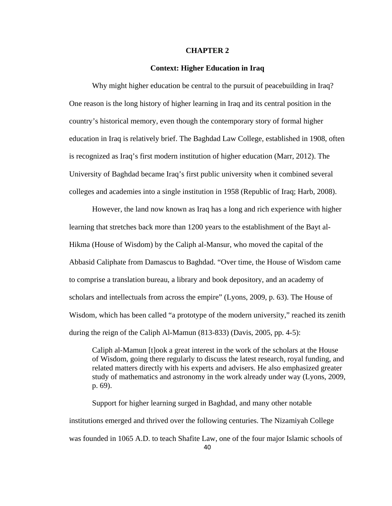## **CHAPTER 2**

## **Context: Higher Education in Iraq**

 Why might higher education be central to the pursuit of peacebuilding in Iraq? One reason is the long history of higher learning in Iraq and its central position in the country's historical memory, even though the contemporary story of formal higher education in Iraq is relatively brief. The Baghdad Law College, established in 1908, often is recognized as Iraq's first modern institution of higher education (Marr, 2012). The University of Baghdad became Iraq's first public university when it combined several colleges and academies into a single institution in 1958 (Republic of Iraq; Harb, 2008).

However, the land now known as Iraq has a long and rich experience with higher learning that stretches back more than 1200 years to the establishment of the Bayt al-Hikma (House of Wisdom) by the Caliph al-Mansur, who moved the capital of the Abbasid Caliphate from Damascus to Baghdad. "Over time, the House of Wisdom came to comprise a translation bureau, a library and book depository, and an academy of scholars and intellectuals from across the empire" (Lyons, 2009, p. 63). The House of Wisdom, which has been called "a prototype of the modern university," reached its zenith during the reign of the Caliph Al-Mamun (813-833) (Davis, 2005, pp. 4-5):

Caliph al-Mamun [t]ook a great interest in the work of the scholars at the House of Wisdom, going there regularly to discuss the latest research, royal funding, and related matters directly with his experts and advisers. He also emphasized greater study of mathematics and astronomy in the work already under way (Lyons, 2009, p. 69).

Support for higher learning surged in Baghdad, and many other notable institutions emerged and thrived over the following centuries. The Nizamiyah College was founded in 1065 A.D. to teach Shafite Law, one of the four major Islamic schools of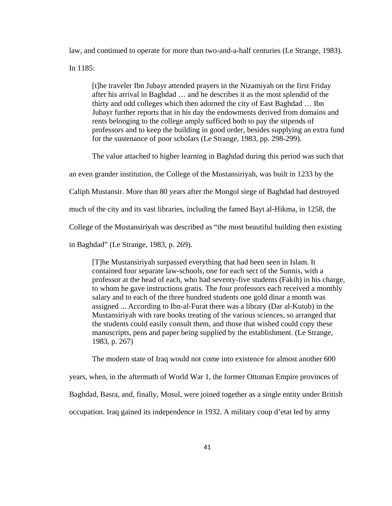law, and continued to operate for more than two-and-a-half centuries (Le Strange, 1983).

In 1185:

[t]he traveler Ibn Jubayr attended prayers in the Nizamiyah on the first Friday after his arrival in Baghdad … and he describes it as the most splendid of the thirty and odd colleges which then adorned the city of East Baghdad … Ibn Jubayr further reports that in his day the endowments derived from domains and rents belonging to the college amply sufficed both to pay the stipends of professors and to keep the building in good order, besides supplying an extra fund for the sustenance of poor scholars (Le Strange, 1983, pp. 298-299).

The value attached to higher learning in Baghdad during this period was such that

an even grander institution, the College of the Mustansiriyah, was built in 1233 by the

Caliph Mustansir. More than 80 years after the Mongol siege of Baghdad had destroyed

much of the city and its vast libraries, including the famed Bayt al-Hikma, in 1258, the

College of the Mustansiriyah was described as "the most beautiful building then existing

in Baghdad" (Le Strange, 1983, p. 269).

[T]he Mustansiriyah surpassed everything that had been seen in Islam. It contained four separate law-schools, one for each sect of the Sunnis, with a professor at the head of each, who had seventy-five students (Fakih) in his charge, to whom he gave instructions gratis. The four professors each received a monthly salary and to each of the three hundred students one gold dinar a month was assigned ... According to Ibn-al-Furat there was a library (Dar al-Kutub) in the Mustansiriyah with rare books treating of the various sciences, so arranged that the students could easily consult them, and those that wished could copy these manuscripts, pens and paper being supplied by the establishment. (Le Strange, 1983, p. 267)

The modern state of Iraq would not come into existence for almost another 600

years, when, in the aftermath of World War 1, the former Ottoman Empire provinces of

Baghdad, Basra, and, finally, Mosul, were joined together as a single entity under British

occupation. Iraq gained its independence in 1932. A military coup d'etat led by army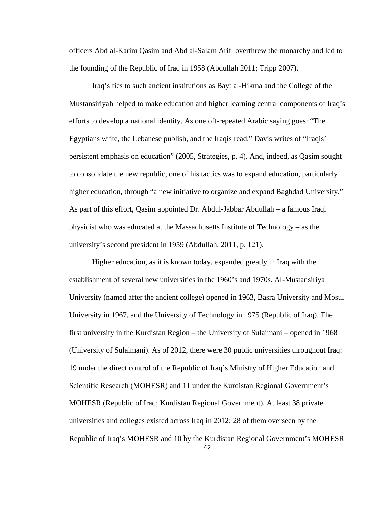officers Abd al-Karim Qasim and Abd al-Salam Arif overthrew the monarchy and led to the founding of the Republic of Iraq in 1958 (Abdullah 2011; Tripp 2007).

Iraq's ties to such ancient institutions as Bayt al-Hikma and the College of the Mustansiriyah helped to make education and higher learning central components of Iraq's efforts to develop a national identity. As one oft-repeated Arabic saying goes: "The Egyptians write, the Lebanese publish, and the Iraqis read." Davis writes of "Iraqis' persistent emphasis on education" (2005, Strategies, p. 4). And, indeed, as Qasim sought to consolidate the new republic, one of his tactics was to expand education, particularly higher education, through "a new initiative to organize and expand Baghdad University." As part of this effort, Qasim appointed Dr. Abdul-Jabbar Abdullah – a famous Iraqi physicist who was educated at the Massachusetts Institute of Technology – as the university's second president in 1959 (Abdullah, 2011, p. 121).

Higher education, as it is known today, expanded greatly in Iraq with the establishment of several new universities in the 1960's and 1970s. Al-Mustansiriya University (named after the ancient college) opened in 1963, Basra University and Mosul University in 1967, and the University of Technology in 1975 (Republic of Iraq). The first university in the Kurdistan Region – the University of Sulaimani – opened in 1968 (University of Sulaimani). As of 2012, there were 30 public universities throughout Iraq: 19 under the direct control of the Republic of Iraq's Ministry of Higher Education and Scientific Research (MOHESR) and 11 under the Kurdistan Regional Government's MOHESR (Republic of Iraq; Kurdistan Regional Government). At least 38 private universities and colleges existed across Iraq in 2012: 28 of them overseen by the Republic of Iraq's MOHESR and 10 by the Kurdistan Regional Government's MOHESR

42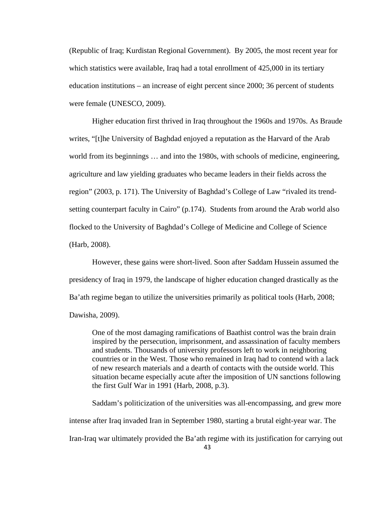(Republic of Iraq; Kurdistan Regional Government). By 2005, the most recent year for which statistics were available, Iraq had a total enrollment of 425,000 in its tertiary education institutions – an increase of eight percent since 2000; 36 percent of students were female (UNESCO, 2009).

 Higher education first thrived in Iraq throughout the 1960s and 1970s. As Braude writes, "[t]he University of Baghdad enjoyed a reputation as the Harvard of the Arab world from its beginnings … and into the 1980s, with schools of medicine, engineering, agriculture and law yielding graduates who became leaders in their fields across the region" (2003, p. 171). The University of Baghdad's College of Law "rivaled its trendsetting counterpart faculty in Cairo" (p.174). Students from around the Arab world also flocked to the University of Baghdad's College of Medicine and College of Science (Harb, 2008).

 However, these gains were short-lived. Soon after Saddam Hussein assumed the presidency of Iraq in 1979, the landscape of higher education changed drastically as the Ba'ath regime began to utilize the universities primarily as political tools (Harb, 2008; Dawisha, 2009).

One of the most damaging ramifications of Baathist control was the brain drain inspired by the persecution, imprisonment, and assassination of faculty members and students. Thousands of university professors left to work in neighboring countries or in the West. Those who remained in Iraq had to contend with a lack of new research materials and a dearth of contacts with the outside world. This situation became especially acute after the imposition of UN sanctions following the first Gulf War in 1991 (Harb, 2008, p.3).

Saddam's politicization of the universities was all-encompassing, and grew more intense after Iraq invaded Iran in September 1980, starting a brutal eight-year war. The Iran-Iraq war ultimately provided the Ba'ath regime with its justification for carrying out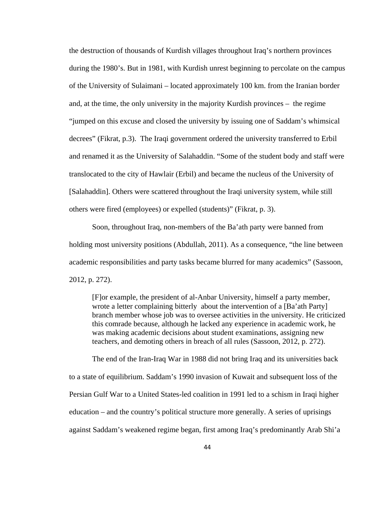the destruction of thousands of Kurdish villages throughout Iraq's northern provinces during the 1980's. But in 1981, with Kurdish unrest beginning to percolate on the campus of the University of Sulaimani – located approximately 100 km. from the Iranian border and, at the time, the only university in the majority Kurdish provinces – the regime "jumped on this excuse and closed the university by issuing one of Saddam's whimsical decrees" (Fikrat, p.3). The Iraqi government ordered the university transferred to Erbil and renamed it as the University of Salahaddin. "Some of the student body and staff were translocated to the city of Hawlair (Erbil) and became the nucleus of the University of [Salahaddin]. Others were scattered throughout the Iraqi university system, while still others were fired (employees) or expelled (students)" (Fikrat, p. 3).

Soon, throughout Iraq, non-members of the Ba'ath party were banned from holding most university positions (Abdullah, 2011). As a consequence, "the line between academic responsibilities and party tasks became blurred for many academics" (Sassoon, 2012, p. 272).

[F]or example, the president of al-Anbar University, himself a party member, wrote a letter complaining bitterly about the intervention of a [Ba'ath Party] branch member whose job was to oversee activities in the university. He criticized this comrade because, although he lacked any experience in academic work, he was making academic decisions about student examinations, assigning new teachers, and demoting others in breach of all rules (Sassoon, 2012, p. 272).

The end of the Iran-Iraq War in 1988 did not bring Iraq and its universities back to a state of equilibrium. Saddam's 1990 invasion of Kuwait and subsequent loss of the Persian Gulf War to a United States-led coalition in 1991 led to a schism in Iraqi higher education – and the country's political structure more generally. A series of uprisings against Saddam's weakened regime began, first among Iraq's predominantly Arab Shi'a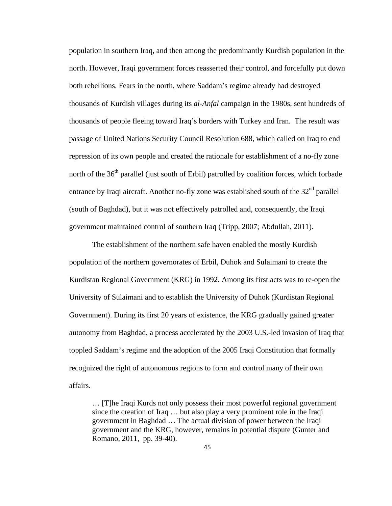population in southern Iraq, and then among the predominantly Kurdish population in the north. However, Iraqi government forces reasserted their control, and forcefully put down both rebellions. Fears in the north, where Saddam's regime already had destroyed thousands of Kurdish villages during its *al-Anfal* campaign in the 1980s, sent hundreds of thousands of people fleeing toward Iraq's borders with Turkey and Iran. The result was passage of United Nations Security Council Resolution 688, which called on Iraq to end repression of its own people and created the rationale for establishment of a no-fly zone north of the 36<sup>th</sup> parallel (just south of Erbil) patrolled by coalition forces, which forbade entrance by Iraqi aircraft. Another no-fly zone was established south of the  $32<sup>nd</sup>$  parallel (south of Baghdad), but it was not effectively patrolled and, consequently, the Iraqi government maintained control of southern Iraq (Tripp, 2007; Abdullah, 2011).

The establishment of the northern safe haven enabled the mostly Kurdish population of the northern governorates of Erbil, Duhok and Sulaimani to create the Kurdistan Regional Government (KRG) in 1992. Among its first acts was to re-open the University of Sulaimani and to establish the University of Duhok (Kurdistan Regional Government). During its first 20 years of existence, the KRG gradually gained greater autonomy from Baghdad, a process accelerated by the 2003 U.S.-led invasion of Iraq that toppled Saddam's regime and the adoption of the 2005 Iraqi Constitution that formally recognized the right of autonomous regions to form and control many of their own affairs.

… [T]he Iraqi Kurds not only possess their most powerful regional government since the creation of Iraq … but also play a very prominent role in the Iraqi government in Baghdad … The actual division of power between the Iraqi government and the KRG, however, remains in potential dispute (Gunter and Romano, 2011, pp. 39-40).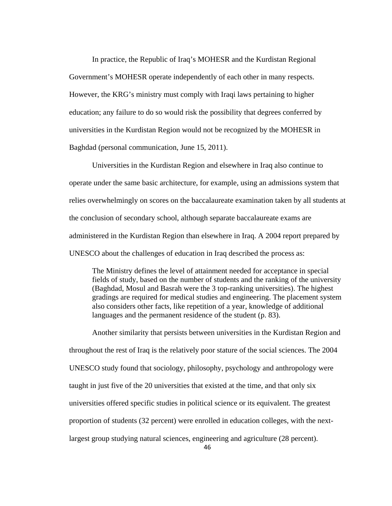In practice, the Republic of Iraq's MOHESR and the Kurdistan Regional Government's MOHESR operate independently of each other in many respects. However, the KRG's ministry must comply with Iraqi laws pertaining to higher education; any failure to do so would risk the possibility that degrees conferred by universities in the Kurdistan Region would not be recognized by the MOHESR in Baghdad (personal communication, June 15, 2011).

Universities in the Kurdistan Region and elsewhere in Iraq also continue to operate under the same basic architecture, for example, using an admissions system that relies overwhelmingly on scores on the baccalaureate examination taken by all students at the conclusion of secondary school, although separate baccalaureate exams are administered in the Kurdistan Region than elsewhere in Iraq. A 2004 report prepared by UNESCO about the challenges of education in Iraq described the process as:

The Ministry defines the level of attainment needed for acceptance in special fields of study, based on the number of students and the ranking of the university (Baghdad, Mosul and Basrah were the 3 top-ranking universities). The highest gradings are required for medical studies and engineering. The placement system also considers other facts, like repetition of a year, knowledge of additional languages and the permanent residence of the student (p. 83).

Another similarity that persists between universities in the Kurdistan Region and throughout the rest of Iraq is the relatively poor stature of the social sciences. The 2004 UNESCO study found that sociology, philosophy, psychology and anthropology were taught in just five of the 20 universities that existed at the time, and that only six universities offered specific studies in political science or its equivalent. The greatest proportion of students (32 percent) were enrolled in education colleges, with the nextlargest group studying natural sciences, engineering and agriculture (28 percent).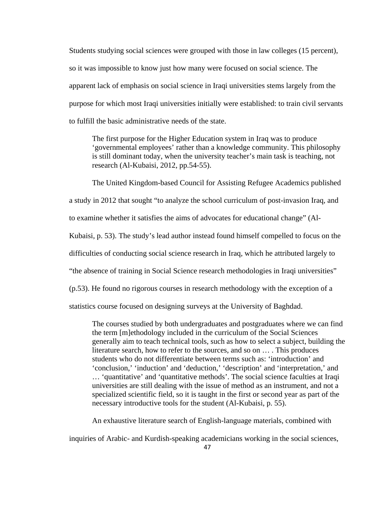Students studying social sciences were grouped with those in law colleges (15 percent), so it was impossible to know just how many were focused on social science. The apparent lack of emphasis on social science in Iraqi universities stems largely from the purpose for which most Iraqi universities initially were established: to train civil servants to fulfill the basic administrative needs of the state.

The first purpose for the Higher Education system in Iraq was to produce 'governmental employees' rather than a knowledge community. This philosophy is still dominant today, when the university teacher's main task is teaching, not research (Al-Kubaisi, 2012, pp.54-55).

The United Kingdom-based Council for Assisting Refugee Academics published a study in 2012 that sought "to analyze the school curriculum of post-invasion Iraq, and to examine whether it satisfies the aims of advocates for educational change" (Al-Kubaisi, p. 53). The study's lead author instead found himself compelled to focus on the difficulties of conducting social science research in Iraq, which he attributed largely to "the absence of training in Social Science research methodologies in Iraqi universities" (p.53). He found no rigorous courses in research methodology with the exception of a statistics course focused on designing surveys at the University of Baghdad.

The courses studied by both undergraduates and postgraduates where we can find the term [m]ethodology included in the curriculum of the Social Sciences generally aim to teach technical tools, such as how to select a subject, building the literature search, how to refer to the sources, and so on … . This produces students who do not differentiate between terms such as: 'introduction' and 'conclusion,' 'induction' and 'deduction,' 'description' and 'interpretation,' and … 'quantitative' and 'quantitative methods'. The social science faculties at Iraqi universities are still dealing with the issue of method as an instrument, and not a specialized scientific field, so it is taught in the first or second year as part of the necessary introductive tools for the student (Al-Kubaisi, p. 55).

An exhaustive literature search of English-language materials, combined with

inquiries of Arabic- and Kurdish-speaking academicians working in the social sciences,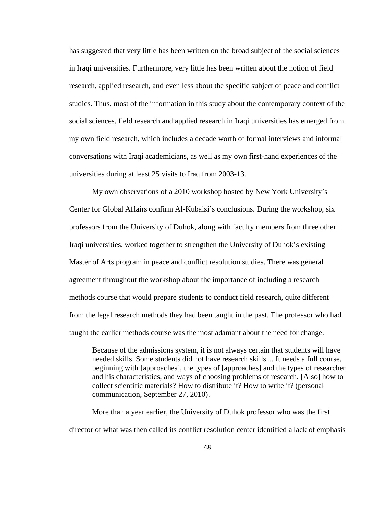has suggested that very little has been written on the broad subject of the social sciences in Iraqi universities. Furthermore, very little has been written about the notion of field research, applied research, and even less about the specific subject of peace and conflict studies. Thus, most of the information in this study about the contemporary context of the social sciences, field research and applied research in Iraqi universities has emerged from my own field research, which includes a decade worth of formal interviews and informal conversations with Iraqi academicians, as well as my own first-hand experiences of the universities during at least 25 visits to Iraq from 2003-13.

My own observations of a 2010 workshop hosted by New York University's Center for Global Affairs confirm Al-Kubaisi's conclusions. During the workshop, six professors from the University of Duhok, along with faculty members from three other Iraqi universities, worked together to strengthen the University of Duhok's existing Master of Arts program in peace and conflict resolution studies. There was general agreement throughout the workshop about the importance of including a research methods course that would prepare students to conduct field research, quite different from the legal research methods they had been taught in the past. The professor who had taught the earlier methods course was the most adamant about the need for change.

Because of the admissions system, it is not always certain that students will have needed skills. Some students did not have research skills ... It needs a full course, beginning with [approaches], the types of [approaches] and the types of researcher and his characteristics, and ways of choosing problems of research. [Also] how to collect scientific materials? How to distribute it? How to write it? (personal communication, September 27, 2010).

More than a year earlier, the University of Duhok professor who was the first director of what was then called its conflict resolution center identified a lack of emphasis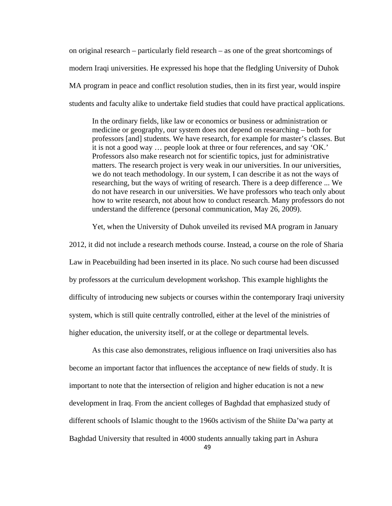on original research – particularly field research – as one of the great shortcomings of modern Iraqi universities. He expressed his hope that the fledgling University of Duhok MA program in peace and conflict resolution studies, then in its first year, would inspire students and faculty alike to undertake field studies that could have practical applications.

In the ordinary fields, like law or economics or business or administration or medicine or geography, our system does not depend on researching – both for professors [and] students. We have research, for example for master's classes. But it is not a good way … people look at three or four references, and say 'OK.' Professors also make research not for scientific topics, just for administrative matters. The research project is very weak in our universities. In our universities, we do not teach methodology. In our system, I can describe it as not the ways of researching, but the ways of writing of research. There is a deep difference ... We do not have research in our universities. We have professors who teach only about how to write research, not about how to conduct research. Many professors do not understand the difference (personal communication, May 26, 2009).

Yet, when the University of Duhok unveiled its revised MA program in January

2012, it did not include a research methods course. Instead, a course on the role of Sharia Law in Peacebuilding had been inserted in its place. No such course had been discussed by professors at the curriculum development workshop. This example highlights the difficulty of introducing new subjects or courses within the contemporary Iraqi university system, which is still quite centrally controlled, either at the level of the ministries of higher education, the university itself, or at the college or departmental levels.

As this case also demonstrates, religious influence on Iraqi universities also has become an important factor that influences the acceptance of new fields of study. It is important to note that the intersection of religion and higher education is not a new development in Iraq. From the ancient colleges of Baghdad that emphasized study of different schools of Islamic thought to the 1960s activism of the Shiite Da'wa party at Baghdad University that resulted in 4000 students annually taking part in Ashura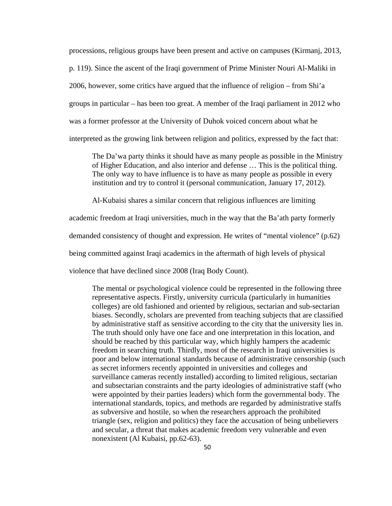processions, religious groups have been present and active on campuses (Kirmanj, 2013,

p. 119). Since the ascent of the Iraqi government of Prime Minister Nouri Al-Maliki in

2006, however, some critics have argued that the influence of religion – from Shi'a

groups in particular – has been too great. A member of the Iraqi parliament in 2012 who

was a former professor at the University of Duhok voiced concern about what he

interpreted as the growing link between religion and politics, expressed by the fact that:

The Da'wa party thinks it should have as many people as possible in the Ministry of Higher Education, and also interior and defense … This is the political thing. The only way to have influence is to have as many people as possible in every institution and try to control it (personal communication, January 17, 2012).

Al-Kubaisi shares a similar concern that religious influences are limiting

academic freedom at Iraqi universities, much in the way that the Ba'ath party formerly

demanded consistency of thought and expression. He writes of "mental violence" (p.62)

being committed against Iraqi academics in the aftermath of high levels of physical

violence that have declined since 2008 (Iraq Body Count).

The mental or psychological violence could be represented in the following three representative aspects. Firstly, university curricula (particularly in humanities colleges) are old fashioned and oriented by religious, sectarian and sub-sectarian biases. Secondly, scholars are prevented from teaching subjects that are classified by administrative staff as sensitive according to the city that the university lies in. The truth should only have one face and one interpretation in this location, and should be reached by this particular way, which highly hampers the academic freedom in searching truth. Thirdly, most of the research in Iraqi universities is poor and below international standards because of administrative censorship (such as secret informers recently appointed in universities and colleges and surveillance cameras recently installed) according to limited religious, sectarian and subsectarian constraints and the party ideologies of administrative staff (who were appointed by their parties leaders) which form the governmental body. The international standards, topics, and methods are regarded by administrative staffs as subversive and hostile, so when the researchers approach the prohibited triangle (sex, religion and politics) they face the accusation of being unbelievers and secular, a threat that makes academic freedom very vulnerable and even nonexistent (Al Kubaisi, pp.62-63).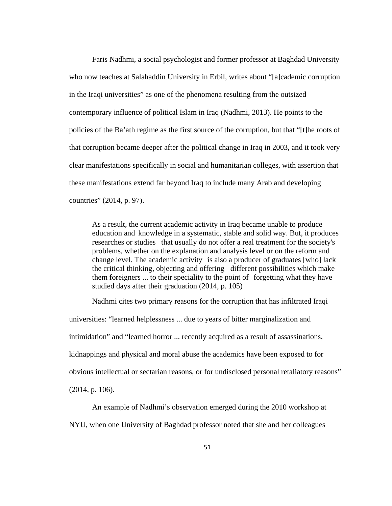Faris Nadhmi, a social psychologist and former professor at Baghdad University who now teaches at Salahaddin University in Erbil, writes about "[a]cademic corruption in the Iraqi universities" as one of the phenomena resulting from the outsized contemporary influence of political Islam in Iraq (Nadhmi, 2013). He points to the policies of the Ba'ath regime as the first source of the corruption, but that "[t]he roots of that corruption became deeper after the political change in Iraq in 2003, and it took very clear manifestations specifically in social and humanitarian colleges, with assertion that these manifestations extend far beyond Iraq to include many Arab and developing countries" (2014, p. 97).

As a result, the current academic activity in Iraq became unable to produce education and knowledge in a systematic, stable and solid way. But, it produces researches or studies that usually do not offer a real treatment for the society's problems, whether on the explanation and analysis level or on the reform and change level. The academic activity is also a producer of graduates [who] lack the critical thinking, objecting and offering different possibilities which make them foreigners ... to their speciality to the point of forgetting what they have studied days after their graduation (2014, p. 105)

Nadhmi cites two primary reasons for the corruption that has infiltrated Iraqi

universities: "learned helplessness ... due to years of bitter marginalization and intimidation" and "learned horror ... recently acquired as a result of assassinations, kidnappings and physical and moral abuse the academics have been exposed to for obvious intellectual or sectarian reasons, or for undisclosed personal retaliatory reasons" (2014, p. 106).

An example of Nadhmi's observation emerged during the 2010 workshop at NYU, when one University of Baghdad professor noted that she and her colleagues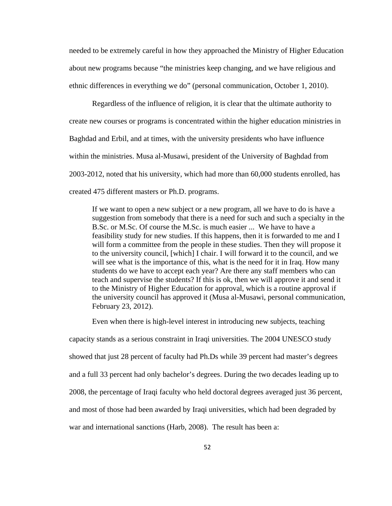needed to be extremely careful in how they approached the Ministry of Higher Education about new programs because "the ministries keep changing, and we have religious and ethnic differences in everything we do" (personal communication, October 1, 2010).

Regardless of the influence of religion, it is clear that the ultimate authority to create new courses or programs is concentrated within the higher education ministries in Baghdad and Erbil, and at times, with the university presidents who have influence within the ministries. Musa al-Musawi, president of the University of Baghdad from 2003-2012, noted that his university, which had more than 60,000 students enrolled, has created 475 different masters or Ph.D. programs.

If we want to open a new subject or a new program, all we have to do is have a suggestion from somebody that there is a need for such and such a specialty in the B.Sc. or M.Sc. Of course the M.Sc. is much easier ... We have to have a feasibility study for new studies. If this happens, then it is forwarded to me and I will form a committee from the people in these studies. Then they will propose it to the university council, [which] I chair. I will forward it to the council, and we will see what is the importance of this, what is the need for it in Iraq. How many students do we have to accept each year? Are there any staff members who can teach and supervise the students? If this is ok, then we will approve it and send it to the Ministry of Higher Education for approval, which is a routine approval if the university council has approved it (Musa al-Musawi, personal communication, February 23, 2012).

Even when there is high-level interest in introducing new subjects, teaching capacity stands as a serious constraint in Iraqi universities. The 2004 UNESCO study showed that just 28 percent of faculty had Ph.Ds while 39 percent had master's degrees and a full 33 percent had only bachelor's degrees. During the two decades leading up to 2008, the percentage of Iraqi faculty who held doctoral degrees averaged just 36 percent, and most of those had been awarded by Iraqi universities, which had been degraded by war and international sanctions (Harb, 2008). The result has been a: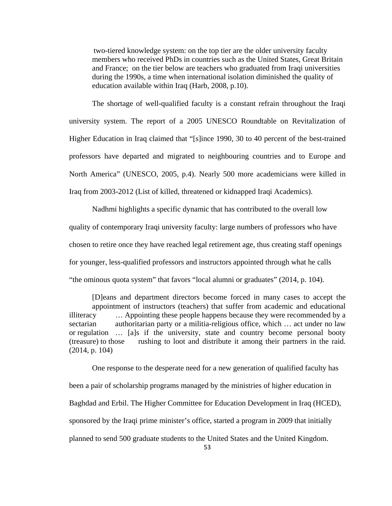two-tiered knowledge system: on the top tier are the older university faculty members who received PhDs in countries such as the United States, Great Britain and France; on the tier below are teachers who graduated from Iraqi universities during the 1990s, a time when international isolation diminished the quality of education available within Iraq (Harb, 2008, p.10).

The shortage of well-qualified faculty is a constant refrain throughout the Iraqi university system. The report of a 2005 UNESCO Roundtable on Revitalization of Higher Education in Iraq claimed that "[s]ince 1990, 30 to 40 percent of the best-trained professors have departed and migrated to neighbouring countries and to Europe and North America" (UNESCO, 2005, p.4). Nearly 500 more academicians were killed in Iraq from 2003-2012 (List of killed, threatened or kidnapped Iraqi Academics).

Nadhmi highlights a specific dynamic that has contributed to the overall low quality of contemporary Iraqi university faculty: large numbers of professors who have chosen to retire once they have reached legal retirement age, thus creating staff openings for younger, less-qualified professors and instructors appointed through what he calls "the ominous quota system" that favors "local alumni or graduates" (2014, p. 104).

[D]eans and department directors become forced in many cases to accept the appointment of instructors (teachers) that suffer from academic and educational illiteracy … Appointing these people happens because they were recommended by a sectarian authoritarian party or a militia-religious office, which ... act under no law or regulation … [a]s if the university, state and country become personal booty (treasure) to those rushing to loot and distribute it among their partners in the raid. (2014, p. 104)

One response to the desperate need for a new generation of qualified faculty has been a pair of scholarship programs managed by the ministries of higher education in Baghdad and Erbil. The Higher Committee for Education Development in Iraq (HCED), sponsored by the Iraqi prime minister's office, started a program in 2009 that initially planned to send 500 graduate students to the United States and the United Kingdom.

53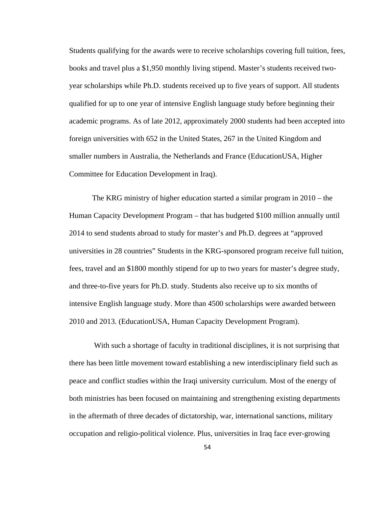Students qualifying for the awards were to receive scholarships covering full tuition, fees, books and travel plus a \$1,950 monthly living stipend. Master's students received twoyear scholarships while Ph.D. students received up to five years of support. All students qualified for up to one year of intensive English language study before beginning their academic programs. As of late 2012, approximately 2000 students had been accepted into foreign universities with 652 in the United States, 267 in the United Kingdom and smaller numbers in Australia, the Netherlands and France (EducationUSA, Higher Committee for Education Development in Iraq).

The KRG ministry of higher education started a similar program in 2010 – the Human Capacity Development Program – that has budgeted \$100 million annually until 2014 to send students abroad to study for master's and Ph.D. degrees at "approved universities in 28 countries" Students in the KRG-sponsored program receive full tuition, fees, travel and an \$1800 monthly stipend for up to two years for master's degree study, and three-to-five years for Ph.D. study. Students also receive up to six months of intensive English language study. More than 4500 scholarships were awarded between 2010 and 2013. (EducationUSA, Human Capacity Development Program).

 With such a shortage of faculty in traditional disciplines, it is not surprising that there has been little movement toward establishing a new interdisciplinary field such as peace and conflict studies within the Iraqi university curriculum. Most of the energy of both ministries has been focused on maintaining and strengthening existing departments in the aftermath of three decades of dictatorship, war, international sanctions, military occupation and religio-political violence. Plus, universities in Iraq face ever-growing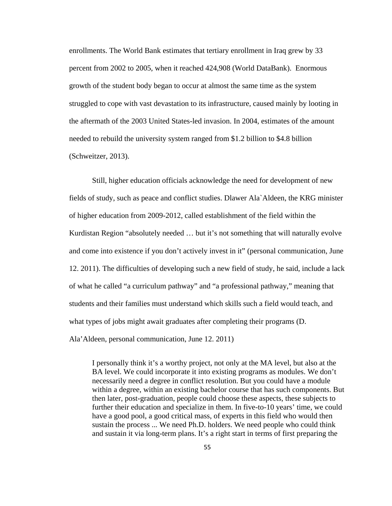enrollments. The World Bank estimates that tertiary enrollment in Iraq grew by 33 percent from 2002 to 2005, when it reached 424,908 (World DataBank). Enormous growth of the student body began to occur at almost the same time as the system struggled to cope with vast devastation to its infrastructure, caused mainly by looting in the aftermath of the 2003 United States-led invasion. In 2004, estimates of the amount needed to rebuild the university system ranged from \$1.2 billion to \$4.8 billion (Schweitzer, 2013).

Still, higher education officials acknowledge the need for development of new fields of study, such as peace and conflict studies. Dlawer Ala`Aldeen, the KRG minister of higher education from 2009-2012, called establishment of the field within the Kurdistan Region "absolutely needed … but it's not something that will naturally evolve and come into existence if you don't actively invest in it" (personal communication, June 12. 2011). The difficulties of developing such a new field of study, he said, include a lack of what he called "a curriculum pathway" and "a professional pathway," meaning that students and their families must understand which skills such a field would teach, and what types of jobs might await graduates after completing their programs (D. Ala'Aldeen, personal communication, June 12. 2011)

I personally think it's a worthy project, not only at the MA level, but also at the BA level. We could incorporate it into existing programs as modules. We don't necessarily need a degree in conflict resolution. But you could have a module within a degree, within an existing bachelor course that has such components. But then later, post-graduation, people could choose these aspects, these subjects to further their education and specialize in them. In five-to-10 years' time, we could have a good pool, a good critical mass, of experts in this field who would then sustain the process ... We need Ph.D. holders. We need people who could think and sustain it via long-term plans. It's a right start in terms of first preparing the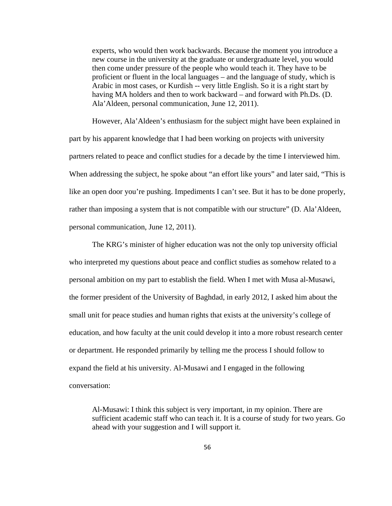experts, who would then work backwards. Because the moment you introduce a new course in the university at the graduate or undergraduate level, you would then come under pressure of the people who would teach it. They have to be proficient or fluent in the local languages – and the language of study, which is Arabic in most cases, or Kurdish -- very little English. So it is a right start by having MA holders and then to work backward – and forward with Ph.Ds. (D. Ala'Aldeen, personal communication, June 12, 2011).

However, Ala'Aldeen's enthusiasm for the subject might have been explained in part by his apparent knowledge that I had been working on projects with university partners related to peace and conflict studies for a decade by the time I interviewed him. When addressing the subject, he spoke about "an effort like yours" and later said, "This is like an open door you're pushing. Impediments I can't see. But it has to be done properly, rather than imposing a system that is not compatible with our structure" (D. Ala'Aldeen, personal communication, June 12, 2011).

The KRG's minister of higher education was not the only top university official who interpreted my questions about peace and conflict studies as somehow related to a personal ambition on my part to establish the field. When I met with Musa al-Musawi, the former president of the University of Baghdad, in early 2012, I asked him about the small unit for peace studies and human rights that exists at the university's college of education, and how faculty at the unit could develop it into a more robust research center or department. He responded primarily by telling me the process I should follow to expand the field at his university. Al-Musawi and I engaged in the following conversation:

Al-Musawi: I think this subject is very important, in my opinion. There are sufficient academic staff who can teach it. It is a course of study for two years. Go ahead with your suggestion and I will support it.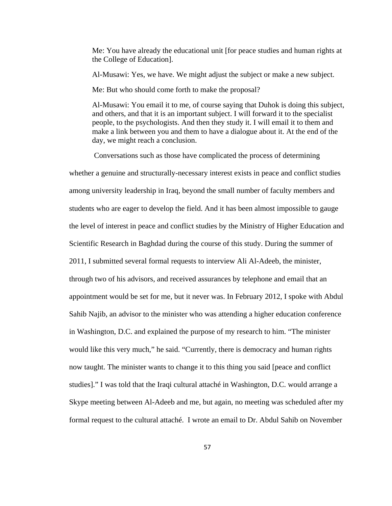Me: You have already the educational unit [for peace studies and human rights at the College of Education].

Al-Musawi: Yes, we have. We might adjust the subject or make a new subject.

Me: But who should come forth to make the proposal?

Al-Musawi: You email it to me, of course saying that Duhok is doing this subject, and others, and that it is an important subject. I will forward it to the specialist people, to the psychologists. And then they study it. I will email it to them and make a link between you and them to have a dialogue about it. At the end of the day, we might reach a conclusion.

 Conversations such as those have complicated the process of determining whether a genuine and structurally-necessary interest exists in peace and conflict studies among university leadership in Iraq, beyond the small number of faculty members and students who are eager to develop the field. And it has been almost impossible to gauge the level of interest in peace and conflict studies by the Ministry of Higher Education and Scientific Research in Baghdad during the course of this study. During the summer of 2011, I submitted several formal requests to interview Ali Al-Adeeb, the minister, through two of his advisors, and received assurances by telephone and email that an appointment would be set for me, but it never was. In February 2012, I spoke with Abdul Sahib Najib, an advisor to the minister who was attending a higher education conference in Washington, D.C. and explained the purpose of my research to him. "The minister would like this very much," he said. "Currently, there is democracy and human rights now taught. The minister wants to change it to this thing you said [peace and conflict studies]." I was told that the Iraqi cultural attaché in Washington, D.C. would arrange a Skype meeting between Al-Adeeb and me, but again, no meeting was scheduled after my formal request to the cultural attaché. I wrote an email to Dr. Abdul Sahib on November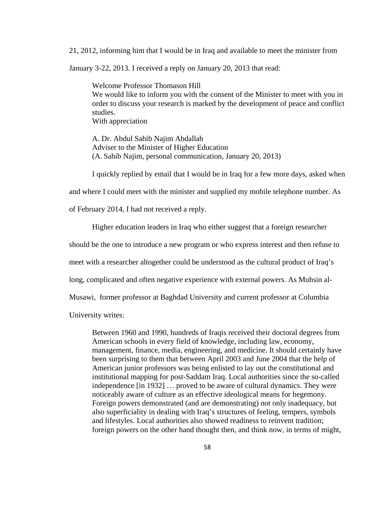21, 2012, informing him that I would be in Iraq and available to meet the minister from

January 3-22, 2013. I received a reply on January 20, 2013 that read:

Welcome Professor Thomason Hill We would like to inform you with the consent of the Minister to meet with you in order to discuss your research is marked by the development of peace and conflict studies. With appreciation

A. Dr. Abdul Sahib Najim Abdallah Adviser to the Minister of Higher Education (A. Sahib Najim, personal communication, January 20, 2013)

I quickly replied by email that I would be in Iraq for a few more days, asked when

and where I could meet with the minister and supplied my mobile telephone number. As

of February 2014, I had not received a reply.

Higher education leaders in Iraq who either suggest that a foreign researcher

should be the one to introduce a new program or who express interest and then refuse to

meet with a researcher altogether could be understood as the cultural product of Iraq's

long, complicated and often negative experience with external powers. As Muhsin al-

Musawi, former professor at Baghdad University and current professor at Columbia

University writes:

Between 1960 and 1990, hundreds of Iraqis received their doctoral degrees from American schools in every field of knowledge, including law, economy, management, finance, media, engineering, and medicine. It should certainly have been surprising to them that between April 2003 and June 2004 that the help of American junior professors was being enlisted to lay out the constitutional and institutional mapping for post-Saddam Iraq. Local authorities since the so-called independence [in 1932] … proved to be aware of cultural dynamics. They were noticeably aware of culture as an effective ideological means for hegemony. Foreign powers demonstrated (and are demonstrating) not only inadequacy, but also superficiality in dealing with Iraq's structures of feeling, tempers, symbols and lifestyles. Local authorities also showed readiness to reinvent tradition; foreign powers on the other hand thought then, and think now, in terms of might,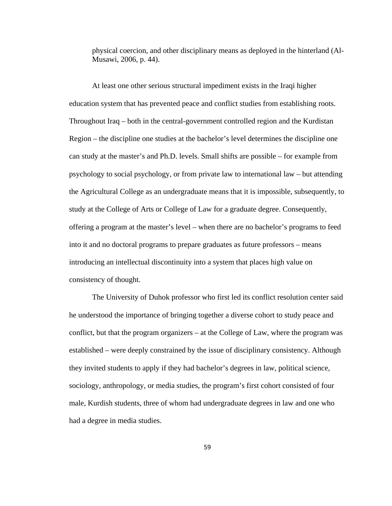physical coercion, and other disciplinary means as deployed in the hinterland (Al-Musawi, 2006, p. 44).

At least one other serious structural impediment exists in the Iraqi higher education system that has prevented peace and conflict studies from establishing roots. Throughout Iraq – both in the central-government controlled region and the Kurdistan Region – the discipline one studies at the bachelor's level determines the discipline one can study at the master's and Ph.D. levels. Small shifts are possible – for example from psychology to social psychology, or from private law to international law – but attending the Agricultural College as an undergraduate means that it is impossible, subsequently, to study at the College of Arts or College of Law for a graduate degree. Consequently, offering a program at the master's level – when there are no bachelor's programs to feed into it and no doctoral programs to prepare graduates as future professors – means introducing an intellectual discontinuity into a system that places high value on consistency of thought.

The University of Duhok professor who first led its conflict resolution center said he understood the importance of bringing together a diverse cohort to study peace and conflict, but that the program organizers – at the College of Law, where the program was established – were deeply constrained by the issue of disciplinary consistency. Although they invited students to apply if they had bachelor's degrees in law, political science, sociology, anthropology, or media studies, the program's first cohort consisted of four male, Kurdish students, three of whom had undergraduate degrees in law and one who had a degree in media studies.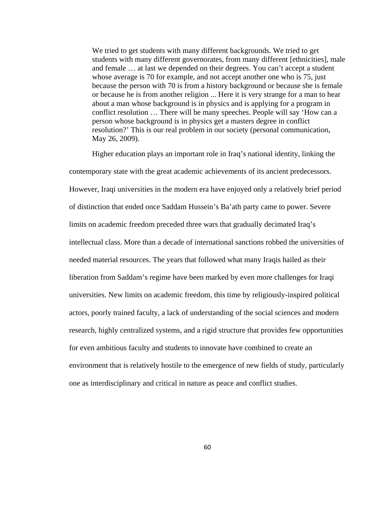We tried to get students with many different backgrounds. We tried to get students with many different governorates, from many different [ethnicities], male and female … at last we depended on their degrees. You can't accept a student whose average is 70 for example, and not accept another one who is 75, just because the person with 70 is from a history background or because she is female or because he is from another religion ... Here it is very strange for a man to hear about a man whose background is in physics and is applying for a program in conflict resolution … There will be many speeches. People will say 'How can a person whose background is in physics get a masters degree in conflict resolution?' This is our real problem in our society (personal communication, May 26, 2009).

Higher education plays an important role in Iraq's national identity, linking the contemporary state with the great academic achievements of its ancient predecessors. However, Iraqi universities in the modern era have enjoyed only a relatively brief period of distinction that ended once Saddam Hussein's Ba'ath party came to power. Severe limits on academic freedom preceded three wars that gradually decimated Iraq's intellectual class. More than a decade of international sanctions robbed the universities of needed material resources. The years that followed what many Iraqis hailed as their liberation from Saddam's regime have been marked by even more challenges for Iraqi universities. New limits on academic freedom, this time by religiously-inspired political actors, poorly trained faculty, a lack of understanding of the social sciences and modern research, highly centralized systems, and a rigid structure that provides few opportunities for even ambitious faculty and students to innovate have combined to create an environment that is relatively hostile to the emergence of new fields of study, particularly one as interdisciplinary and critical in nature as peace and conflict studies.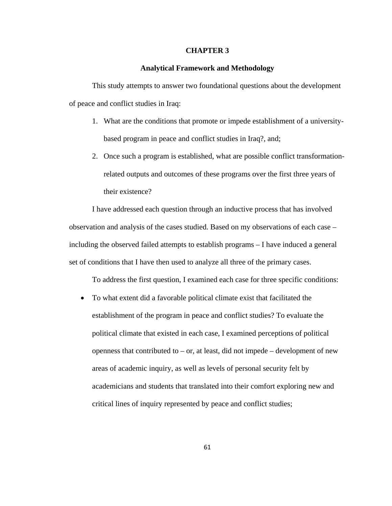## **CHAPTER 3**

## **Analytical Framework and Methodology**

This study attempts to answer two foundational questions about the development of peace and conflict studies in Iraq:

- 1. What are the conditions that promote or impede establishment of a universitybased program in peace and conflict studies in Iraq?, and;
- 2. Once such a program is established, what are possible conflict transformationrelated outputs and outcomes of these programs over the first three years of their existence?

I have addressed each question through an inductive process that has involved observation and analysis of the cases studied. Based on my observations of each case – including the observed failed attempts to establish programs – I have induced a general set of conditions that I have then used to analyze all three of the primary cases.

To address the first question, I examined each case for three specific conditions:

 To what extent did a favorable political climate exist that facilitated the establishment of the program in peace and conflict studies? To evaluate the political climate that existed in each case, I examined perceptions of political openness that contributed to  $-$  or, at least, did not impede  $-$  development of new areas of academic inquiry, as well as levels of personal security felt by academicians and students that translated into their comfort exploring new and critical lines of inquiry represented by peace and conflict studies;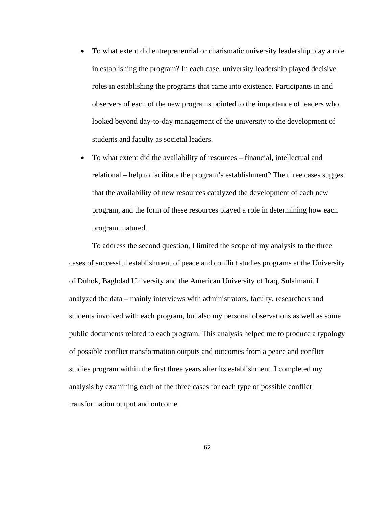- To what extent did entrepreneurial or charismatic university leadership play a role in establishing the program? In each case, university leadership played decisive roles in establishing the programs that came into existence. Participants in and observers of each of the new programs pointed to the importance of leaders who looked beyond day-to-day management of the university to the development of students and faculty as societal leaders.
- To what extent did the availability of resources financial, intellectual and relational – help to facilitate the program's establishment? The three cases suggest that the availability of new resources catalyzed the development of each new program, and the form of these resources played a role in determining how each program matured.

To address the second question, I limited the scope of my analysis to the three cases of successful establishment of peace and conflict studies programs at the University of Duhok, Baghdad University and the American University of Iraq, Sulaimani. I analyzed the data – mainly interviews with administrators, faculty, researchers and students involved with each program, but also my personal observations as well as some public documents related to each program. This analysis helped me to produce a typology of possible conflict transformation outputs and outcomes from a peace and conflict studies program within the first three years after its establishment. I completed my analysis by examining each of the three cases for each type of possible conflict transformation output and outcome.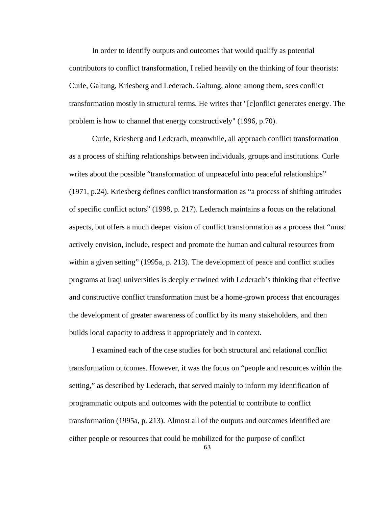In order to identify outputs and outcomes that would qualify as potential contributors to conflict transformation, I relied heavily on the thinking of four theorists: Curle, Galtung, Kriesberg and Lederach. Galtung, alone among them, sees conflict transformation mostly in structural terms. He writes that "[c]onflict generates energy. The problem is how to channel that energy constructively" (1996, p.70).

Curle, Kriesberg and Lederach, meanwhile, all approach conflict transformation as a process of shifting relationships between individuals, groups and institutions. Curle writes about the possible "transformation of unpeaceful into peaceful relationships" (1971, p.24). Kriesberg defines conflict transformation as "a process of shifting attitudes of specific conflict actors" (1998, p. 217). Lederach maintains a focus on the relational aspects, but offers a much deeper vision of conflict transformation as a process that "must actively envision, include, respect and promote the human and cultural resources from within a given setting" (1995a, p. 213). The development of peace and conflict studies programs at Iraqi universities is deeply entwined with Lederach's thinking that effective and constructive conflict transformation must be a home-grown process that encourages the development of greater awareness of conflict by its many stakeholders, and then builds local capacity to address it appropriately and in context.

 I examined each of the case studies for both structural and relational conflict transformation outcomes. However, it was the focus on "people and resources within the setting," as described by Lederach, that served mainly to inform my identification of programmatic outputs and outcomes with the potential to contribute to conflict transformation (1995a, p. 213). Almost all of the outputs and outcomes identified are either people or resources that could be mobilized for the purpose of conflict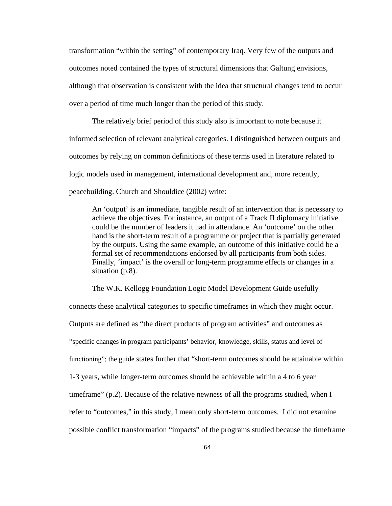transformation "within the setting" of contemporary Iraq. Very few of the outputs and outcomes noted contained the types of structural dimensions that Galtung envisions, although that observation is consistent with the idea that structural changes tend to occur over a period of time much longer than the period of this study.

 The relatively brief period of this study also is important to note because it informed selection of relevant analytical categories. I distinguished between outputs and outcomes by relying on common definitions of these terms used in literature related to logic models used in management, international development and, more recently, peacebuilding. Church and Shouldice (2002) write:

An 'output' is an immediate, tangible result of an intervention that is necessary to achieve the objectives. For instance, an output of a Track II diplomacy initiative could be the number of leaders it had in attendance. An 'outcome' on the other hand is the short-term result of a programme or project that is partially generated by the outputs. Using the same example, an outcome of this initiative could be a formal set of recommendations endorsed by all participants from both sides. Finally, 'impact' is the overall or long-term programme effects or changes in a situation (p.8).

The W.K. Kellogg Foundation Logic Model Development Guide usefully connects these analytical categories to specific timeframes in which they might occur. Outputs are defined as "the direct products of program activities" and outcomes as "specific changes in program participants' behavior, knowledge, skills, status and level of functioning"; the guide states further that "short-term outcomes should be attainable within 1-3 years, while longer-term outcomes should be achievable within a 4 to 6 year timeframe" (p.2). Because of the relative newness of all the programs studied, when I refer to "outcomes," in this study, I mean only short-term outcomes. I did not examine possible conflict transformation "impacts" of the programs studied because the timeframe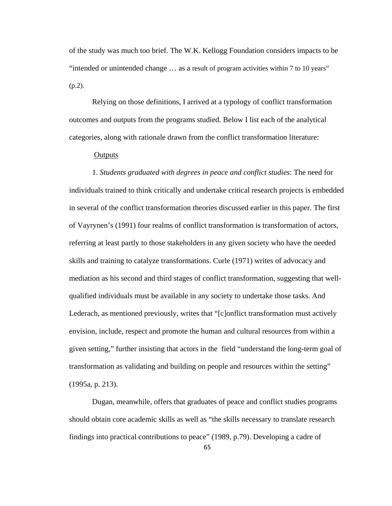of the study was much too brief. The W.K. Kellogg Foundation considers impacts to be "intended or unintended change … as a result of program activities within 7 to 10 years"  $(p.2)$ .

Relying on those definitions, I arrived at a typology of conflict transformation outcomes and outputs from the programs studied. Below I list each of the analytical categories, along with rationale drawn from the conflict transformation literature:

# **Outputs**

1. *Students graduated with degrees in peace and conflict studies*: The need for individuals trained to think critically and undertake critical research projects is embedded in several of the conflict transformation theories discussed earlier in this paper. The first of Vayrynen's (1991) four realms of conflict transformation is transformation of actors, referring at least partly to those stakeholders in any given society who have the needed skills and training to catalyze transformations. Curle (1971) writes of advocacy and mediation as his second and third stages of conflict transformation, suggesting that wellqualified individuals must be available in any society to undertake those tasks. And Lederach, as mentioned previously, writes that "[c]onflict transformation must actively envision, include, respect and promote the human and cultural resources from within a given setting," further insisting that actors in the field "understand the long-term goal of transformation as validating and building on people and resources within the setting" (1995a, p. 213).

Dugan, meanwhile, offers that graduates of peace and conflict studies programs should obtain core academic skills as well as "the skills necessary to translate research findings into practical contributions to peace" (1989, p.79). Developing a cadre of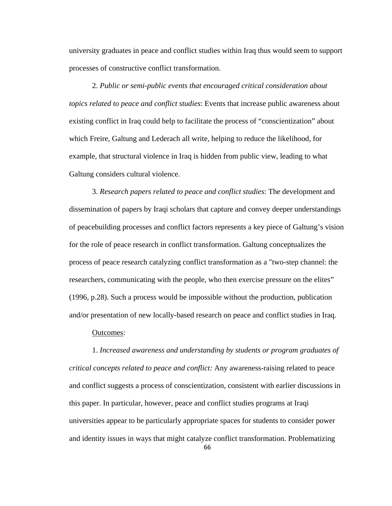university graduates in peace and conflict studies within Iraq thus would seem to support processes of constructive conflict transformation.

2. *Public or semi-public events that encouraged critical consideration about topics related to peace and conflict studies*: Events that increase public awareness about existing conflict in Iraq could help to facilitate the process of "conscientization" about which Freire, Galtung and Lederach all write, helping to reduce the likelihood, for example, that structural violence in Iraq is hidden from public view, leading to what Galtung considers cultural violence.

3. *Research papers related to peace and conflict studies*: The development and dissemination of papers by Iraqi scholars that capture and convey deeper understandings of peacebuilding processes and conflict factors represents a key piece of Galtung's vision for the role of peace research in conflict transformation. Galtung conceptualizes the process of peace research catalyzing conflict transformation as a "two-step channel: the researchers, communicating with the people, who then exercise pressure on the elites" (1996, p.28). Such a process would be impossible without the production, publication and/or presentation of new locally-based research on peace and conflict studies in Iraq.

#### Outcomes:

1. *Increased awareness and understanding by students or program graduates of critical concepts related to peace and conflict:* Any awareness-raising related to peace and conflict suggests a process of conscientization, consistent with earlier discussions in this paper. In particular, however, peace and conflict studies programs at Iraqi universities appear to be particularly appropriate spaces for students to consider power and identity issues in ways that might catalyze conflict transformation. Problematizing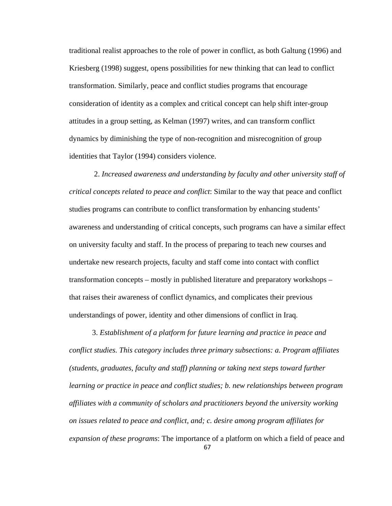traditional realist approaches to the role of power in conflict, as both Galtung (1996) and Kriesberg (1998) suggest, opens possibilities for new thinking that can lead to conflict transformation. Similarly, peace and conflict studies programs that encourage consideration of identity as a complex and critical concept can help shift inter-group attitudes in a group setting, as Kelman (1997) writes, and can transform conflict dynamics by diminishing the type of non-recognition and misrecognition of group identities that Taylor (1994) considers violence.

 2. *Increased awareness and understanding by faculty and other university staff of critical concepts related to peace and conflict*: Similar to the way that peace and conflict studies programs can contribute to conflict transformation by enhancing students' awareness and understanding of critical concepts, such programs can have a similar effect on university faculty and staff. In the process of preparing to teach new courses and undertake new research projects, faculty and staff come into contact with conflict transformation concepts – mostly in published literature and preparatory workshops – that raises their awareness of conflict dynamics, and complicates their previous understandings of power, identity and other dimensions of conflict in Iraq.

3. *Establishment of a platform for future learning and practice in peace and conflict studies. This category includes three primary subsections: a. Program affiliates (students, graduates, faculty and staff) planning or taking next steps toward further learning or practice in peace and conflict studies; b. new relationships between program affiliates with a community of scholars and practitioners beyond the university working on issues related to peace and conflict, and; c. desire among program affiliates for expansion of these programs*: The importance of a platform on which a field of peace and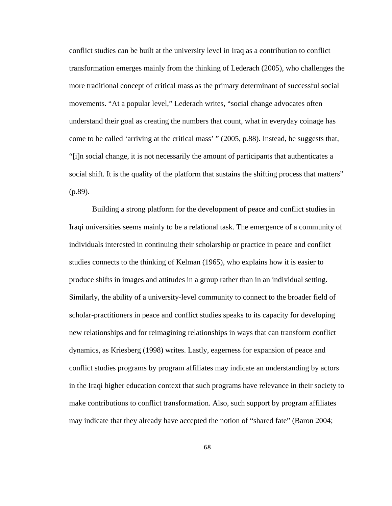conflict studies can be built at the university level in Iraq as a contribution to conflict transformation emerges mainly from the thinking of Lederach (2005), who challenges the more traditional concept of critical mass as the primary determinant of successful social movements. "At a popular level," Lederach writes, "social change advocates often understand their goal as creating the numbers that count, what in everyday coinage has come to be called 'arriving at the critical mass' " (2005, p.88). Instead, he suggests that, "[i]n social change, it is not necessarily the amount of participants that authenticates a social shift. It is the quality of the platform that sustains the shifting process that matters" (p.89).

Building a strong platform for the development of peace and conflict studies in Iraqi universities seems mainly to be a relational task. The emergence of a community of individuals interested in continuing their scholarship or practice in peace and conflict studies connects to the thinking of Kelman (1965), who explains how it is easier to produce shifts in images and attitudes in a group rather than in an individual setting. Similarly, the ability of a university-level community to connect to the broader field of scholar-practitioners in peace and conflict studies speaks to its capacity for developing new relationships and for reimagining relationships in ways that can transform conflict dynamics, as Kriesberg (1998) writes. Lastly, eagerness for expansion of peace and conflict studies programs by program affiliates may indicate an understanding by actors in the Iraqi higher education context that such programs have relevance in their society to make contributions to conflict transformation. Also, such support by program affiliates may indicate that they already have accepted the notion of "shared fate" (Baron 2004;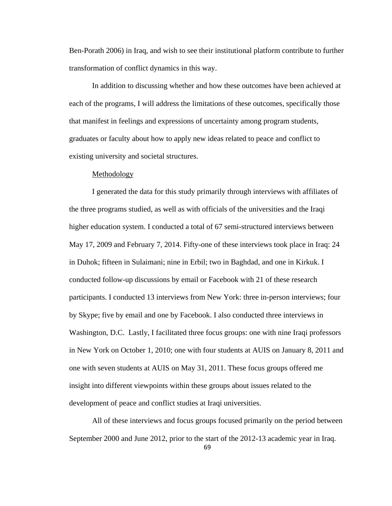Ben-Porath 2006) in Iraq, and wish to see their institutional platform contribute to further transformation of conflict dynamics in this way.

In addition to discussing whether and how these outcomes have been achieved at each of the programs, I will address the limitations of these outcomes, specifically those that manifest in feelings and expressions of uncertainty among program students, graduates or faculty about how to apply new ideas related to peace and conflict to existing university and societal structures.

#### Methodology

I generated the data for this study primarily through interviews with affiliates of the three programs studied, as well as with officials of the universities and the Iraqi higher education system. I conducted a total of 67 semi-structured interviews between May 17, 2009 and February 7, 2014. Fifty-one of these interviews took place in Iraq: 24 in Duhok; fifteen in Sulaimani; nine in Erbil; two in Baghdad, and one in Kirkuk. I conducted follow-up discussions by email or Facebook with 21 of these research participants. I conducted 13 interviews from New York: three in-person interviews; four by Skype; five by email and one by Facebook. I also conducted three interviews in Washington, D.C. Lastly, I facilitated three focus groups: one with nine Iraqi professors in New York on October 1, 2010; one with four students at AUIS on January 8, 2011 and one with seven students at AUIS on May 31, 2011. These focus groups offered me insight into different viewpoints within these groups about issues related to the development of peace and conflict studies at Iraqi universities.

All of these interviews and focus groups focused primarily on the period between September 2000 and June 2012, prior to the start of the 2012-13 academic year in Iraq.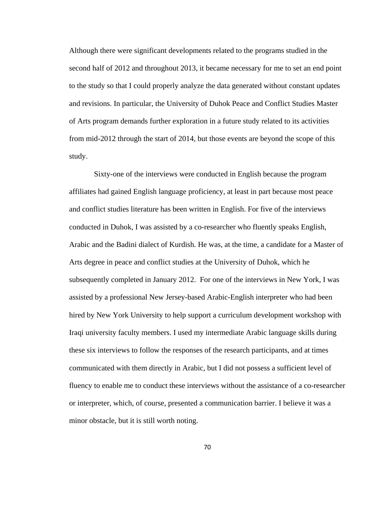Although there were significant developments related to the programs studied in the second half of 2012 and throughout 2013, it became necessary for me to set an end point to the study so that I could properly analyze the data generated without constant updates and revisions. In particular, the University of Duhok Peace and Conflict Studies Master of Arts program demands further exploration in a future study related to its activities from mid-2012 through the start of 2014, but those events are beyond the scope of this study.

 Sixty-one of the interviews were conducted in English because the program affiliates had gained English language proficiency, at least in part because most peace and conflict studies literature has been written in English. For five of the interviews conducted in Duhok, I was assisted by a co-researcher who fluently speaks English, Arabic and the Badini dialect of Kurdish. He was, at the time, a candidate for a Master of Arts degree in peace and conflict studies at the University of Duhok, which he subsequently completed in January 2012. For one of the interviews in New York, I was assisted by a professional New Jersey-based Arabic-English interpreter who had been hired by New York University to help support a curriculum development workshop with Iraqi university faculty members. I used my intermediate Arabic language skills during these six interviews to follow the responses of the research participants, and at times communicated with them directly in Arabic, but I did not possess a sufficient level of fluency to enable me to conduct these interviews without the assistance of a co-researcher or interpreter, which, of course, presented a communication barrier. I believe it was a minor obstacle, but it is still worth noting.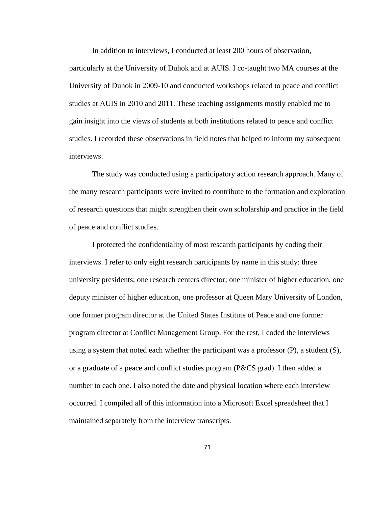In addition to interviews, I conducted at least 200 hours of observation,

particularly at the University of Duhok and at AUIS. I co-taught two MA courses at the University of Duhok in 2009-10 and conducted workshops related to peace and conflict studies at AUIS in 2010 and 2011. These teaching assignments mostly enabled me to gain insight into the views of students at both institutions related to peace and conflict studies. I recorded these observations in field notes that helped to inform my subsequent interviews.

The study was conducted using a participatory action research approach. Many of the many research participants were invited to contribute to the formation and exploration of research questions that might strengthen their own scholarship and practice in the field of peace and conflict studies.

I protected the confidentiality of most research participants by coding their interviews. I refer to only eight research participants by name in this study: three university presidents; one research centers director; one minister of higher education, one deputy minister of higher education, one professor at Queen Mary University of London, one former program director at the United States Institute of Peace and one former program director at Conflict Management Group. For the rest, I coded the interviews using a system that noted each whether the participant was a professor (P), a student (S), or a graduate of a peace and conflict studies program (P&CS grad). I then added a number to each one. I also noted the date and physical location where each interview occurred. I compiled all of this information into a Microsoft Excel spreadsheet that I maintained separately from the interview transcripts.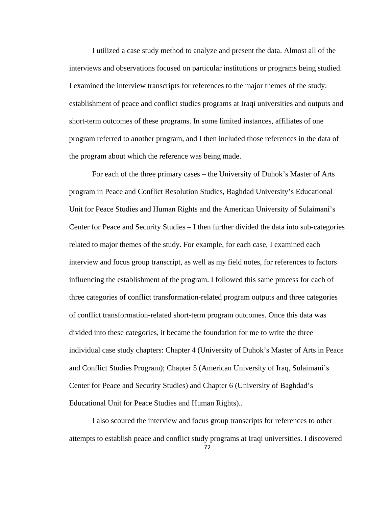I utilized a case study method to analyze and present the data. Almost all of the interviews and observations focused on particular institutions or programs being studied. I examined the interview transcripts for references to the major themes of the study: establishment of peace and conflict studies programs at Iraqi universities and outputs and short-term outcomes of these programs. In some limited instances, affiliates of one program referred to another program, and I then included those references in the data of the program about which the reference was being made.

 For each of the three primary cases – the University of Duhok's Master of Arts program in Peace and Conflict Resolution Studies, Baghdad University's Educational Unit for Peace Studies and Human Rights and the American University of Sulaimani's Center for Peace and Security Studies – I then further divided the data into sub-categories related to major themes of the study. For example, for each case, I examined each interview and focus group transcript, as well as my field notes, for references to factors influencing the establishment of the program. I followed this same process for each of three categories of conflict transformation-related program outputs and three categories of conflict transformation-related short-term program outcomes. Once this data was divided into these categories, it became the foundation for me to write the three individual case study chapters: Chapter 4 (University of Duhok's Master of Arts in Peace and Conflict Studies Program); Chapter 5 (American University of Iraq, Sulaimani's Center for Peace and Security Studies) and Chapter 6 (University of Baghdad's Educational Unit for Peace Studies and Human Rights)..

 I also scoured the interview and focus group transcripts for references to other attempts to establish peace and conflict study programs at Iraqi universities. I discovered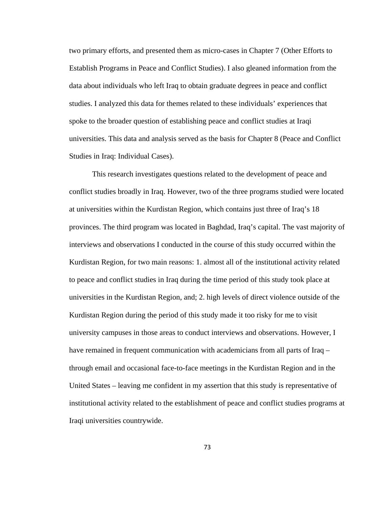two primary efforts, and presented them as micro-cases in Chapter 7 (Other Efforts to Establish Programs in Peace and Conflict Studies). I also gleaned information from the data about individuals who left Iraq to obtain graduate degrees in peace and conflict studies. I analyzed this data for themes related to these individuals' experiences that spoke to the broader question of establishing peace and conflict studies at Iraqi universities. This data and analysis served as the basis for Chapter 8 (Peace and Conflict Studies in Iraq: Individual Cases).

This research investigates questions related to the development of peace and conflict studies broadly in Iraq. However, two of the three programs studied were located at universities within the Kurdistan Region, which contains just three of Iraq's 18 provinces. The third program was located in Baghdad, Iraq's capital. The vast majority of interviews and observations I conducted in the course of this study occurred within the Kurdistan Region, for two main reasons: 1. almost all of the institutional activity related to peace and conflict studies in Iraq during the time period of this study took place at universities in the Kurdistan Region, and; 2. high levels of direct violence outside of the Kurdistan Region during the period of this study made it too risky for me to visit university campuses in those areas to conduct interviews and observations. However, I have remained in frequent communication with academicians from all parts of Iraq – through email and occasional face-to-face meetings in the Kurdistan Region and in the United States – leaving me confident in my assertion that this study is representative of institutional activity related to the establishment of peace and conflict studies programs at Iraqi universities countrywide.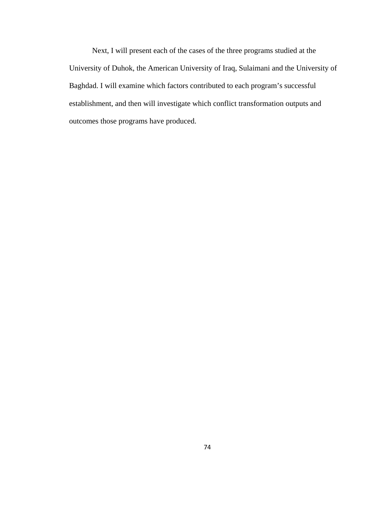Next, I will present each of the cases of the three programs studied at the University of Duhok, the American University of Iraq, Sulaimani and the University of Baghdad. I will examine which factors contributed to each program's successful establishment, and then will investigate which conflict transformation outputs and outcomes those programs have produced.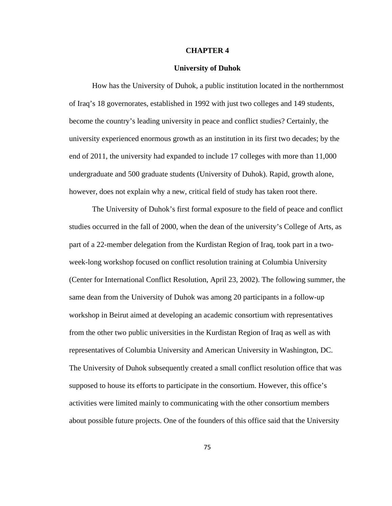#### **CHAPTER 4**

### **University of Duhok**

How has the University of Duhok, a public institution located in the northernmost of Iraq's 18 governorates, established in 1992 with just two colleges and 149 students, become the country's leading university in peace and conflict studies? Certainly, the university experienced enormous growth as an institution in its first two decades; by the end of 2011, the university had expanded to include 17 colleges with more than 11,000 undergraduate and 500 graduate students (University of Duhok). Rapid, growth alone, however, does not explain why a new, critical field of study has taken root there.

The University of Duhok's first formal exposure to the field of peace and conflict studies occurred in the fall of 2000, when the dean of the university's College of Arts, as part of a 22-member delegation from the Kurdistan Region of Iraq, took part in a twoweek-long workshop focused on conflict resolution training at Columbia University (Center for International Conflict Resolution, April 23, 2002). The following summer, the same dean from the University of Duhok was among 20 participants in a follow-up workshop in Beirut aimed at developing an academic consortium with representatives from the other two public universities in the Kurdistan Region of Iraq as well as with representatives of Columbia University and American University in Washington, DC. The University of Duhok subsequently created a small conflict resolution office that was supposed to house its efforts to participate in the consortium. However, this office's activities were limited mainly to communicating with the other consortium members about possible future projects. One of the founders of this office said that the University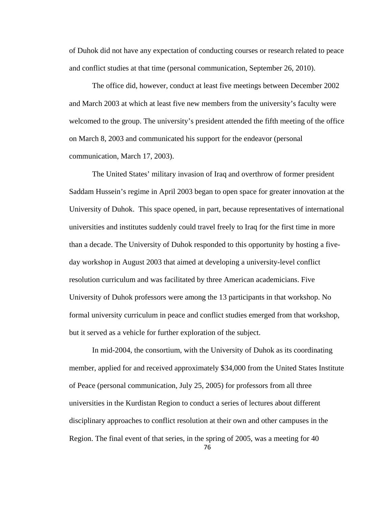of Duhok did not have any expectation of conducting courses or research related to peace and conflict studies at that time (personal communication, September 26, 2010).

The office did, however, conduct at least five meetings between December 2002 and March 2003 at which at least five new members from the university's faculty were welcomed to the group. The university's president attended the fifth meeting of the office on March 8, 2003 and communicated his support for the endeavor (personal communication, March 17, 2003).

The United States' military invasion of Iraq and overthrow of former president Saddam Hussein's regime in April 2003 began to open space for greater innovation at the University of Duhok. This space opened, in part, because representatives of international universities and institutes suddenly could travel freely to Iraq for the first time in more than a decade. The University of Duhok responded to this opportunity by hosting a fiveday workshop in August 2003 that aimed at developing a university-level conflict resolution curriculum and was facilitated by three American academicians. Five University of Duhok professors were among the 13 participants in that workshop. No formal university curriculum in peace and conflict studies emerged from that workshop, but it served as a vehicle for further exploration of the subject.

In mid-2004, the consortium, with the University of Duhok as its coordinating member, applied for and received approximately \$34,000 from the United States Institute of Peace (personal communication, July 25, 2005) for professors from all three universities in the Kurdistan Region to conduct a series of lectures about different disciplinary approaches to conflict resolution at their own and other campuses in the Region. The final event of that series, in the spring of 2005, was a meeting for 40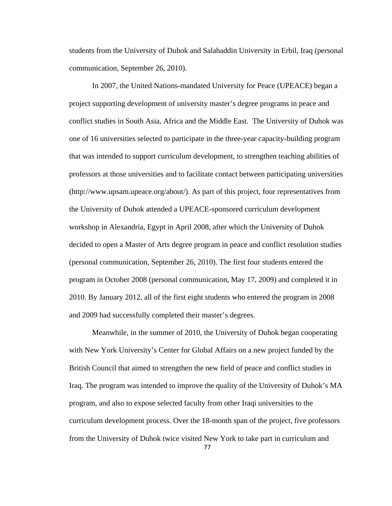students from the University of Duhok and Salahaddin University in Erbil, Iraq (personal communication, September 26, 2010).

In 2007, the United Nations-mandated University for Peace (UPEACE) began a project supporting development of university master's degree programs in peace and conflict studies in South Asia, Africa and the Middle East. The University of Duhok was one of 16 universities selected to participate in the three-year capacity-building program that was intended to support curriculum development, to strengthen teaching abilities of professors at those universities and to facilitate contact between participating universities (http://www.upsam.upeace.org/about/). As part of this project, four representatives from the University of Duhok attended a UPEACE-sponsored curriculum development workshop in Alexandria, Egypt in April 2008, after which the University of Duhok decided to open a Master of Arts degree program in peace and conflict resolution studies (personal communication, September 26, 2010). The first four students entered the program in October 2008 (personal communication, May 17, 2009) and completed it in 2010. By January 2012, all of the first eight students who entered the program in 2008 and 2009 had successfully completed their master's degrees.

Meanwhile, in the summer of 2010, the University of Duhok began cooperating with New York University's Center for Global Affairs on a new project funded by the British Council that aimed to strengthen the new field of peace and conflict studies in Iraq. The program was intended to improve the quality of the University of Duhok's MA program, and also to expose selected faculty from other Iraqi universities to the curriculum development process. Over the 18-month span of the project, five professors from the University of Duhok twice visited New York to take part in curriculum and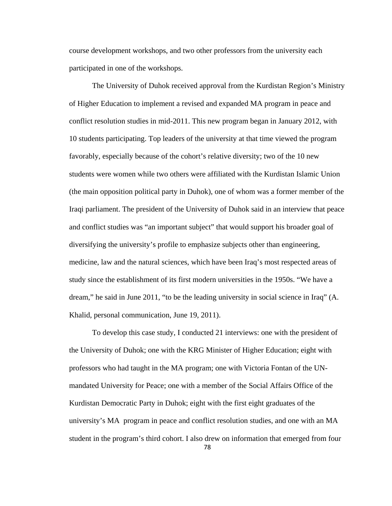course development workshops, and two other professors from the university each participated in one of the workshops.

The University of Duhok received approval from the Kurdistan Region's Ministry of Higher Education to implement a revised and expanded MA program in peace and conflict resolution studies in mid-2011. This new program began in January 2012, with 10 students participating. Top leaders of the university at that time viewed the program favorably, especially because of the cohort's relative diversity; two of the 10 new students were women while two others were affiliated with the Kurdistan Islamic Union (the main opposition political party in Duhok), one of whom was a former member of the Iraqi parliament. The president of the University of Duhok said in an interview that peace and conflict studies was "an important subject" that would support his broader goal of diversifying the university's profile to emphasize subjects other than engineering, medicine, law and the natural sciences, which have been Iraq's most respected areas of study since the establishment of its first modern universities in the 1950s. "We have a dream," he said in June 2011, "to be the leading university in social science in Iraq" (A. Khalid, personal communication, June 19, 2011).

To develop this case study, I conducted 21 interviews: one with the president of the University of Duhok; one with the KRG Minister of Higher Education; eight with professors who had taught in the MA program; one with Victoria Fontan of the UNmandated University for Peace; one with a member of the Social Affairs Office of the Kurdistan Democratic Party in Duhok; eight with the first eight graduates of the university's MA program in peace and conflict resolution studies, and one with an MA student in the program's third cohort. I also drew on information that emerged from four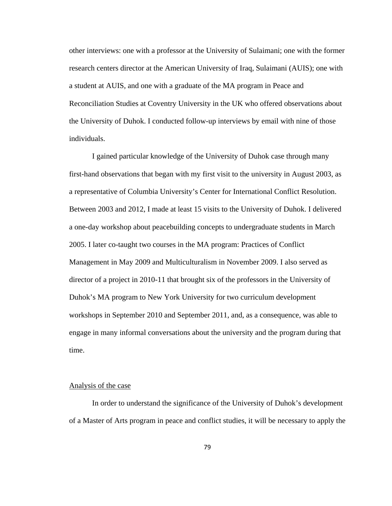other interviews: one with a professor at the University of Sulaimani; one with the former research centers director at the American University of Iraq, Sulaimani (AUIS); one with a student at AUIS, and one with a graduate of the MA program in Peace and Reconciliation Studies at Coventry University in the UK who offered observations about the University of Duhok. I conducted follow-up interviews by email with nine of those individuals.

 I gained particular knowledge of the University of Duhok case through many first-hand observations that began with my first visit to the university in August 2003, as a representative of Columbia University's Center for International Conflict Resolution. Between 2003 and 2012, I made at least 15 visits to the University of Duhok. I delivered a one-day workshop about peacebuilding concepts to undergraduate students in March 2005. I later co-taught two courses in the MA program: Practices of Conflict Management in May 2009 and Multiculturalism in November 2009. I also served as director of a project in 2010-11 that brought six of the professors in the University of Duhok's MA program to New York University for two curriculum development workshops in September 2010 and September 2011, and, as a consequence, was able to engage in many informal conversations about the university and the program during that time.

## Analysis of the case

 In order to understand the significance of the University of Duhok's development of a Master of Arts program in peace and conflict studies, it will be necessary to apply the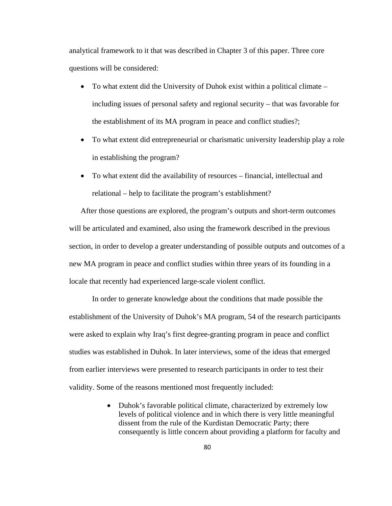analytical framework to it that was described in Chapter 3 of this paper. Three core questions will be considered:

- To what extent did the University of Duhok exist within a political climate including issues of personal safety and regional security – that was favorable for the establishment of its MA program in peace and conflict studies?;
- To what extent did entrepreneurial or charismatic university leadership play a role in establishing the program?
- To what extent did the availability of resources financial, intellectual and relational – help to facilitate the program's establishment?

After those questions are explored, the program's outputs and short-term outcomes will be articulated and examined, also using the framework described in the previous section, in order to develop a greater understanding of possible outputs and outcomes of a new MA program in peace and conflict studies within three years of its founding in a locale that recently had experienced large-scale violent conflict.

In order to generate knowledge about the conditions that made possible the establishment of the University of Duhok's MA program, 54 of the research participants were asked to explain why Iraq's first degree-granting program in peace and conflict studies was established in Duhok. In later interviews, some of the ideas that emerged from earlier interviews were presented to research participants in order to test their validity. Some of the reasons mentioned most frequently included:

> • Duhok's favorable political climate, characterized by extremely low levels of political violence and in which there is very little meaningful dissent from the rule of the Kurdistan Democratic Party; there consequently is little concern about providing a platform for faculty and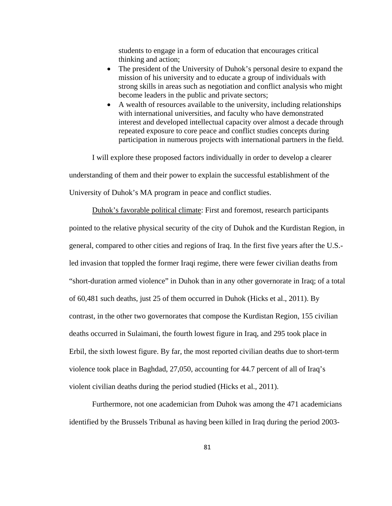students to engage in a form of education that encourages critical thinking and action;

- The president of the University of Duhok's personal desire to expand the mission of his university and to educate a group of individuals with strong skills in areas such as negotiation and conflict analysis who might become leaders in the public and private sectors;
- A wealth of resources available to the university, including relationships with international universities, and faculty who have demonstrated interest and developed intellectual capacity over almost a decade through repeated exposure to core peace and conflict studies concepts during participation in numerous projects with international partners in the field.

I will explore these proposed factors individually in order to develop a clearer understanding of them and their power to explain the successful establishment of the University of Duhok's MA program in peace and conflict studies.

Duhok's favorable political climate: First and foremost, research participants pointed to the relative physical security of the city of Duhok and the Kurdistan Region, in general, compared to other cities and regions of Iraq. In the first five years after the U.S. led invasion that toppled the former Iraqi regime, there were fewer civilian deaths from "short-duration armed violence" in Duhok than in any other governorate in Iraq; of a total of 60,481 such deaths, just 25 of them occurred in Duhok (Hicks et al., 2011). By contrast, in the other two governorates that compose the Kurdistan Region, 155 civilian deaths occurred in Sulaimani, the fourth lowest figure in Iraq, and 295 took place in Erbil, the sixth lowest figure. By far, the most reported civilian deaths due to short-term violence took place in Baghdad, 27,050, accounting for 44.7 percent of all of Iraq's violent civilian deaths during the period studied (Hicks et al., 2011).

Furthermore, not one academician from Duhok was among the 471 academicians identified by the Brussels Tribunal as having been killed in Iraq during the period 2003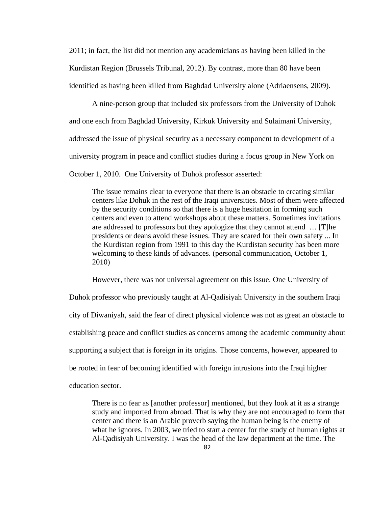2011; in fact, the list did not mention any academicians as having been killed in the Kurdistan Region (Brussels Tribunal, 2012). By contrast, more than 80 have been identified as having been killed from Baghdad University alone (Adriaensens, 2009).

A nine-person group that included six professors from the University of Duhok and one each from Baghdad University, Kirkuk University and Sulaimani University, addressed the issue of physical security as a necessary component to development of a university program in peace and conflict studies during a focus group in New York on October 1, 2010. One University of Duhok professor asserted:

The issue remains clear to everyone that there is an obstacle to creating similar centers like Dohuk in the rest of the Iraqi universities. Most of them were affected by the security conditions so that there is a huge hesitation in forming such centers and even to attend workshops about these matters. Sometimes invitations are addressed to professors but they apologize that they cannot attend … [T]he presidents or deans avoid these issues. They are scared for their own safety ... In the Kurdistan region from 1991 to this day the Kurdistan security has been more welcoming to these kinds of advances. (personal communication, October 1, 2010)

However, there was not universal agreement on this issue. One University of Duhok professor who previously taught at Al-Qadisiyah University in the southern Iraqi city of Diwaniyah, said the fear of direct physical violence was not as great an obstacle to establishing peace and conflict studies as concerns among the academic community about supporting a subject that is foreign in its origins. Those concerns, however, appeared to be rooted in fear of becoming identified with foreign intrusions into the Iraqi higher education sector.

There is no fear as [another professor] mentioned, but they look at it as a strange study and imported from abroad. That is why they are not encouraged to form that center and there is an Arabic proverb saying the human being is the enemy of what he ignores. In 2003, we tried to start a center for the study of human rights at Al-Qadisiyah University. I was the head of the law department at the time. The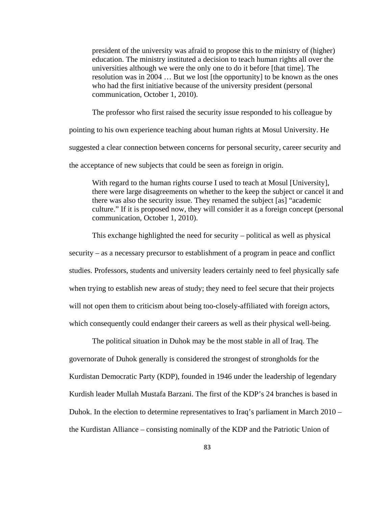president of the university was afraid to propose this to the ministry of (higher) education. The ministry instituted a decision to teach human rights all over the universities although we were the only one to do it before [that time]. The resolution was in 2004 … But we lost [the opportunity] to be known as the ones who had the first initiative because of the university president (personal communication, October 1, 2010).

The professor who first raised the security issue responded to his colleague by

pointing to his own experience teaching about human rights at Mosul University. He

suggested a clear connection between concerns for personal security, career security and

the acceptance of new subjects that could be seen as foreign in origin.

With regard to the human rights course I used to teach at Mosul [University], there were large disagreements on whether to the keep the subject or cancel it and there was also the security issue. They renamed the subject [as] "academic culture." If it is proposed now, they will consider it as a foreign concept (personal communication, October 1, 2010).

This exchange highlighted the need for security – political as well as physical security – as a necessary precursor to establishment of a program in peace and conflict studies. Professors, students and university leaders certainly need to feel physically safe when trying to establish new areas of study; they need to feel secure that their projects will not open them to criticism about being too-closely-affiliated with foreign actors, which consequently could endanger their careers as well as their physical well-being.

The political situation in Duhok may be the most stable in all of Iraq. The governorate of Duhok generally is considered the strongest of strongholds for the Kurdistan Democratic Party (KDP), founded in 1946 under the leadership of legendary Kurdish leader Mullah Mustafa Barzani. The first of the KDP's 24 branches is based in Duhok. In the election to determine representatives to Iraq's parliament in March 2010 – the Kurdistan Alliance – consisting nominally of the KDP and the Patriotic Union of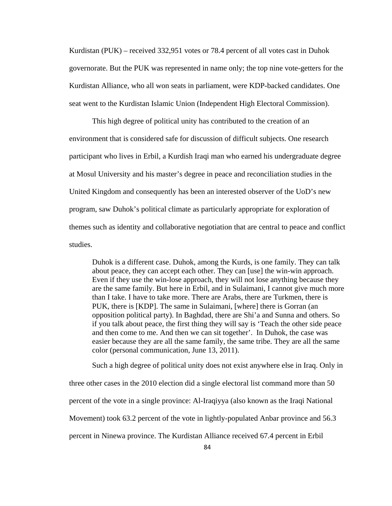Kurdistan (PUK) – received 332,951 votes or 78.4 percent of all votes cast in Duhok governorate. But the PUK was represented in name only; the top nine vote-getters for the Kurdistan Alliance, who all won seats in parliament, were KDP-backed candidates. One seat went to the Kurdistan Islamic Union (Independent High Electoral Commission).

This high degree of political unity has contributed to the creation of an environment that is considered safe for discussion of difficult subjects. One research participant who lives in Erbil, a Kurdish Iraqi man who earned his undergraduate degree at Mosul University and his master's degree in peace and reconciliation studies in the United Kingdom and consequently has been an interested observer of the UoD's new program, saw Duhok's political climate as particularly appropriate for exploration of themes such as identity and collaborative negotiation that are central to peace and conflict studies.

Duhok is a different case. Duhok, among the Kurds, is one family. They can talk about peace, they can accept each other. They can [use] the win-win approach. Even if they use the win-lose approach, they will not lose anything because they are the same family. But here in Erbil, and in Sulaimani, I cannot give much more than I take. I have to take more. There are Arabs, there are Turkmen, there is PUK, there is [KDP]. The same in Sulaimani, [where] there is Gorran (an opposition political party). In Baghdad, there are Shi'a and Sunna and others. So if you talk about peace, the first thing they will say is 'Teach the other side peace and then come to me. And then we can sit together'. In Duhok, the case was easier because they are all the same family, the same tribe. They are all the same color (personal communication, June 13, 2011).

Such a high degree of political unity does not exist anywhere else in Iraq. Only in three other cases in the 2010 election did a single electoral list command more than 50 percent of the vote in a single province: Al-Iraqiyya (also known as the Iraqi National Movement) took 63.2 percent of the vote in lightly-populated Anbar province and 56.3 percent in Ninewa province. The Kurdistan Alliance received 67.4 percent in Erbil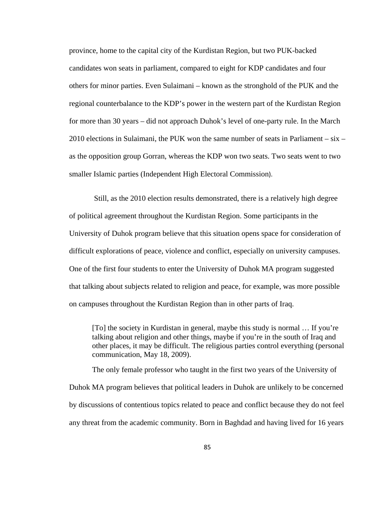province, home to the capital city of the Kurdistan Region, but two PUK-backed candidates won seats in parliament, compared to eight for KDP candidates and four others for minor parties. Even Sulaimani – known as the stronghold of the PUK and the regional counterbalance to the KDP's power in the western part of the Kurdistan Region for more than 30 years – did not approach Duhok's level of one-party rule. In the March 2010 elections in Sulaimani, the PUK won the same number of seats in Parliament – six – as the opposition group Gorran, whereas the KDP won two seats. Two seats went to two smaller Islamic parties (Independent High Electoral Commission).

 Still, as the 2010 election results demonstrated, there is a relatively high degree of political agreement throughout the Kurdistan Region. Some participants in the University of Duhok program believe that this situation opens space for consideration of difficult explorations of peace, violence and conflict, especially on university campuses. One of the first four students to enter the University of Duhok MA program suggested that talking about subjects related to religion and peace, for example, was more possible on campuses throughout the Kurdistan Region than in other parts of Iraq.

[To] the society in Kurdistan in general, maybe this study is normal … If you're talking about religion and other things, maybe if you're in the south of Iraq and other places, it may be difficult. The religious parties control everything (personal communication, May 18, 2009).

 The only female professor who taught in the first two years of the University of Duhok MA program believes that political leaders in Duhok are unlikely to be concerned by discussions of contentious topics related to peace and conflict because they do not feel any threat from the academic community. Born in Baghdad and having lived for 16 years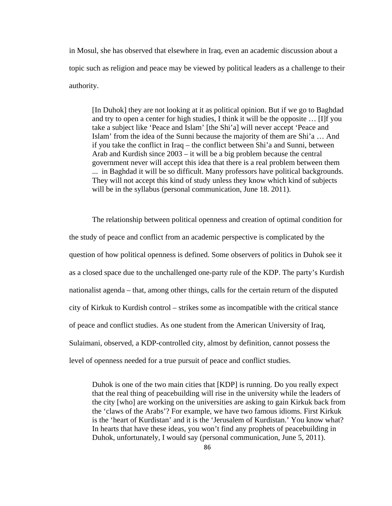in Mosul, she has observed that elsewhere in Iraq, even an academic discussion about a topic such as religion and peace may be viewed by political leaders as a challenge to their authority.

[In Duhok] they are not looking at it as political opinion. But if we go to Baghdad and try to open a center for high studies, I think it will be the opposite … [I]f you take a subject like 'Peace and Islam' [the Shi'a] will never accept 'Peace and Islam' from the idea of the Sunni because the majority of them are Shi'a … And if you take the conflict in Iraq – the conflict between Shi'a and Sunni, between Arab and Kurdish since 2003 – it will be a big problem because the central government never will accept this idea that there is a real problem between them ... in Baghdad it will be so difficult. Many professors have political backgrounds. They will not accept this kind of study unless they know which kind of subjects will be in the syllabus (personal communication, June 18. 2011).

The relationship between political openness and creation of optimal condition for the study of peace and conflict from an academic perspective is complicated by the question of how political openness is defined. Some observers of politics in Duhok see it as a closed space due to the unchallenged one-party rule of the KDP. The party's Kurdish nationalist agenda – that, among other things, calls for the certain return of the disputed city of Kirkuk to Kurdish control – strikes some as incompatible with the critical stance of peace and conflict studies. As one student from the American University of Iraq, Sulaimani, observed, a KDP-controlled city, almost by definition, cannot possess the level of openness needed for a true pursuit of peace and conflict studies.

Duhok is one of the two main cities that [KDP] is running. Do you really expect that the real thing of peacebuilding will rise in the university while the leaders of the city [who] are working on the universities are asking to gain Kirkuk back from the 'claws of the Arabs'? For example, we have two famous idioms. First Kirkuk is the 'heart of Kurdistan' and it is the 'Jerusalem of Kurdistan.' You know what? In hearts that have these ideas, you won't find any prophets of peacebuilding in Duhok, unfortunately, I would say (personal communication, June 5, 2011).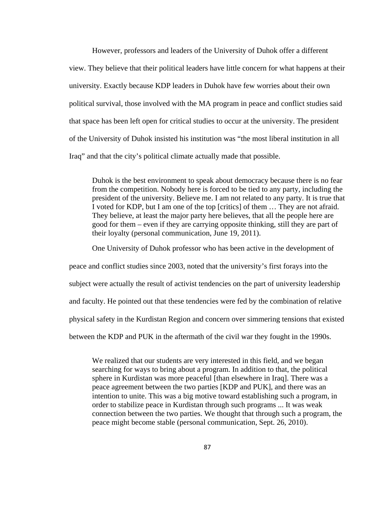However, professors and leaders of the University of Duhok offer a different view. They believe that their political leaders have little concern for what happens at their university. Exactly because KDP leaders in Duhok have few worries about their own political survival, those involved with the MA program in peace and conflict studies said that space has been left open for critical studies to occur at the university. The president of the University of Duhok insisted his institution was "the most liberal institution in all Iraq" and that the city's political climate actually made that possible.

Duhok is the best environment to speak about democracy because there is no fear from the competition. Nobody here is forced to be tied to any party, including the president of the university. Believe me. I am not related to any party. It is true that I voted for KDP, but I am one of the top [critics] of them … They are not afraid. They believe, at least the major party here believes, that all the people here are good for them – even if they are carrying opposite thinking, still they are part of their loyalty (personal communication, June 19, 2011).

One University of Duhok professor who has been active in the development of

peace and conflict studies since 2003, noted that the university's first forays into the

subject were actually the result of activist tendencies on the part of university leadership

and faculty. He pointed out that these tendencies were fed by the combination of relative

physical safety in the Kurdistan Region and concern over simmering tensions that existed

between the KDP and PUK in the aftermath of the civil war they fought in the 1990s.

We realized that our students are very interested in this field, and we began searching for ways to bring about a program. In addition to that, the political sphere in Kurdistan was more peaceful [than elsewhere in Iraq]. There was a peace agreement between the two parties [KDP and PUK], and there was an intention to unite. This was a big motive toward establishing such a program, in order to stabilize peace in Kurdistan through such programs ... It was weak connection between the two parties. We thought that through such a program, the peace might become stable (personal communication, Sept. 26, 2010).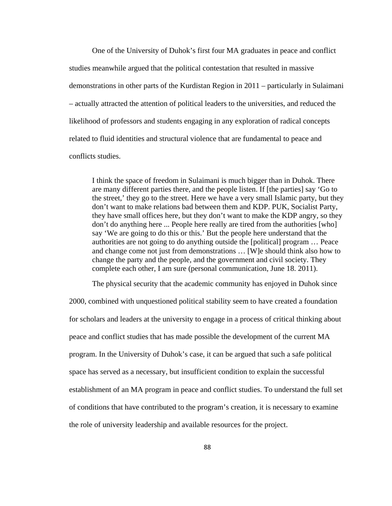One of the University of Duhok's first four MA graduates in peace and conflict studies meanwhile argued that the political contestation that resulted in massive demonstrations in other parts of the Kurdistan Region in 2011 – particularly in Sulaimani – actually attracted the attention of political leaders to the universities, and reduced the likelihood of professors and students engaging in any exploration of radical concepts related to fluid identities and structural violence that are fundamental to peace and conflicts studies.

I think the space of freedom in Sulaimani is much bigger than in Duhok. There are many different parties there, and the people listen. If [the parties] say 'Go to the street,' they go to the street. Here we have a very small Islamic party, but they don't want to make relations bad between them and KDP. PUK, Socialist Party, they have small offices here, but they don't want to make the KDP angry, so they don't do anything here ... People here really are tired from the authorities [who] say 'We are going to do this or this.' But the people here understand that the authorities are not going to do anything outside the [political] program … Peace and change come not just from demonstrations … [W]e should think also how to change the party and the people, and the government and civil society. They complete each other, I am sure (personal communication, June 18. 2011).

The physical security that the academic community has enjoyed in Duhok since 2000, combined with unquestioned political stability seem to have created a foundation

for scholars and leaders at the university to engage in a process of critical thinking about peace and conflict studies that has made possible the development of the current MA program. In the University of Duhok's case, it can be argued that such a safe political space has served as a necessary, but insufficient condition to explain the successful establishment of an MA program in peace and conflict studies. To understand the full set of conditions that have contributed to the program's creation, it is necessary to examine the role of university leadership and available resources for the project.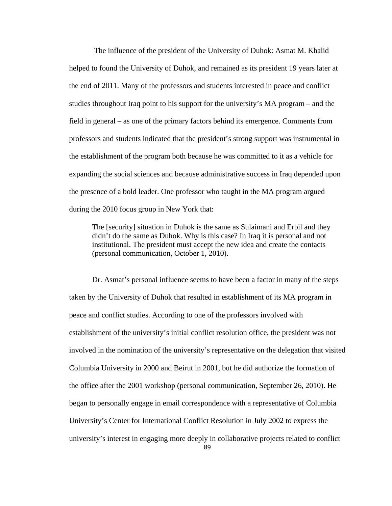The influence of the president of the University of Duhok: Asmat M. Khalid helped to found the University of Duhok, and remained as its president 19 years later at the end of 2011. Many of the professors and students interested in peace and conflict studies throughout Iraq point to his support for the university's MA program – and the field in general – as one of the primary factors behind its emergence. Comments from professors and students indicated that the president's strong support was instrumental in the establishment of the program both because he was committed to it as a vehicle for expanding the social sciences and because administrative success in Iraq depended upon the presence of a bold leader. One professor who taught in the MA program argued during the 2010 focus group in New York that:

The [security] situation in Duhok is the same as Sulaimani and Erbil and they didn't do the same as Duhok. Why is this case? In Iraq it is personal and not institutional. The president must accept the new idea and create the contacts (personal communication, October 1, 2010).

Dr. Asmat's personal influence seems to have been a factor in many of the steps taken by the University of Duhok that resulted in establishment of its MA program in peace and conflict studies. According to one of the professors involved with establishment of the university's initial conflict resolution office, the president was not involved in the nomination of the university's representative on the delegation that visited Columbia University in 2000 and Beirut in 2001, but he did authorize the formation of the office after the 2001 workshop (personal communication, September 26, 2010). He began to personally engage in email correspondence with a representative of Columbia University's Center for International Conflict Resolution in July 2002 to express the university's interest in engaging more deeply in collaborative projects related to conflict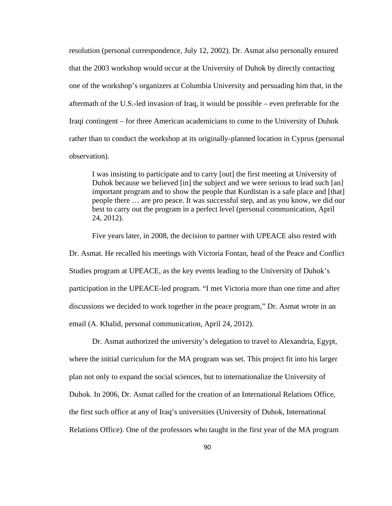resolution (personal correspondence, July 12, 2002). Dr. Asmat also personally ensured that the 2003 workshop would occur at the University of Duhok by directly contacting one of the workshop's organizers at Columbia University and persuading him that, in the aftermath of the U.S.-led invasion of Iraq, it would be possible – even preferable for the Iraqi contingent – for three American academicians to come to the University of Duhok rather than to conduct the workshop at its originally-planned location in Cyprus (personal observation).

I was insisting to participate and to carry [out] the first meeting at University of Duhok because we believed [in] the subject and we were serious to lead such [an] important program and to show the people that Kurdistan is a safe place and [that] people there … are pro peace. It was successful step, and as you know, we did our best to carry out the program in a perfect level (personal communication, April 24, 2012).

Five years later, in 2008, the decision to partner with UPEACE also rested with Dr. Asmat. He recalled his meetings with Victoria Fontan, head of the Peace and Conflict Studies program at UPEACE, as the key events leading to the University of Duhok's participation in the UPEACE-led program. "I met Victoria more than one time and after discussions we decided to work together in the peace program," Dr. Asmat wrote in an email (A. Khalid, personal communication, April 24, 2012).

Dr. Asmat authorized the university's delegation to travel to Alexandria, Egypt, where the initial curriculum for the MA program was set. This project fit into his larger plan not only to expand the social sciences, but to internationalize the University of Duhok. In 2006, Dr. Asmat called for the creation of an International Relations Office, the first such office at any of Iraq's universities (University of Duhok, International Relations Office). One of the professors who taught in the first year of the MA program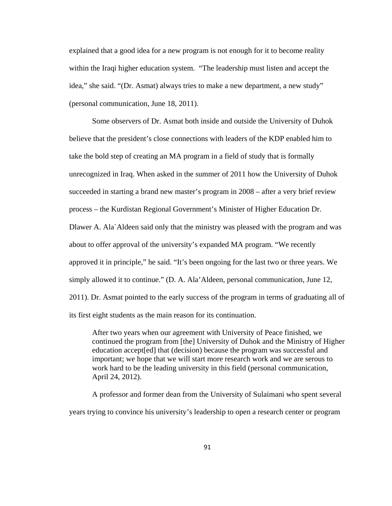explained that a good idea for a new program is not enough for it to become reality within the Iraqi higher education system. "The leadership must listen and accept the idea," she said. "(Dr. Asmat) always tries to make a new department, a new study" (personal communication, June 18, 2011).

Some observers of Dr. Asmat both inside and outside the University of Duhok believe that the president's close connections with leaders of the KDP enabled him to take the bold step of creating an MA program in a field of study that is formally unrecognized in Iraq. When asked in the summer of 2011 how the University of Duhok succeeded in starting a brand new master's program in 2008 – after a very brief review process – the Kurdistan Regional Government's Minister of Higher Education Dr. Dlawer A. Ala`Aldeen said only that the ministry was pleased with the program and was about to offer approval of the university's expanded MA program. "We recently approved it in principle," he said. "It's been ongoing for the last two or three years. We simply allowed it to continue." (D. A. Ala'Aldeen, personal communication, June 12, 2011). Dr. Asmat pointed to the early success of the program in terms of graduating all of its first eight students as the main reason for its continuation.

After two years when our agreement with University of Peace finished, we continued the program from [the] University of Duhok and the Ministry of Higher education accept[ed] that (decision) because the program was successful and important; we hope that we will start more research work and we are serous to work hard to be the leading university in this field (personal communication, April 24, 2012).

A professor and former dean from the University of Sulaimani who spent several years trying to convince his university's leadership to open a research center or program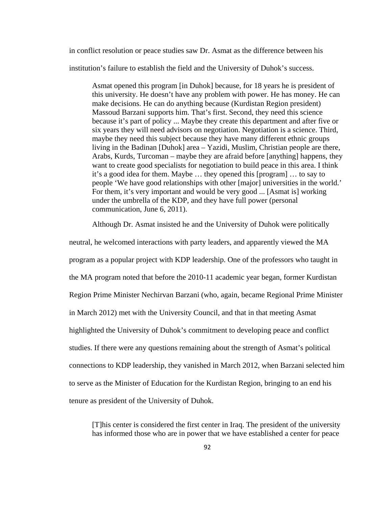in conflict resolution or peace studies saw Dr. Asmat as the difference between his

institution's failure to establish the field and the University of Duhok's success.

Asmat opened this program [in Duhok] because, for 18 years he is president of this university. He doesn't have any problem with power. He has money. He can make decisions. He can do anything because (Kurdistan Region president) Massoud Barzani supports him. That's first. Second, they need this science because it's part of policy ... Maybe they create this department and after five or six years they will need advisors on negotiation. Negotiation is a science. Third, maybe they need this subject because they have many different ethnic groups living in the Badinan [Duhok] area – Yazidi, Muslim, Christian people are there, Arabs, Kurds, Turcoman – maybe they are afraid before [anything] happens, they want to create good specialists for negotiation to build peace in this area. I think it's a good idea for them. Maybe … they opened this [program] … to say to people 'We have good relationships with other [major] universities in the world.' For them, it's very important and would be very good ... [Asmat is] working under the umbrella of the KDP, and they have full power (personal communication, June 6, 2011).

Although Dr. Asmat insisted he and the University of Duhok were politically

neutral, he welcomed interactions with party leaders, and apparently viewed the MA program as a popular project with KDP leadership. One of the professors who taught in the MA program noted that before the 2010-11 academic year began, former Kurdistan Region Prime Minister Nechirvan Barzani (who, again, became Regional Prime Minister in March 2012) met with the University Council, and that in that meeting Asmat highlighted the University of Duhok's commitment to developing peace and conflict studies. If there were any questions remaining about the strength of Asmat's political connections to KDP leadership, they vanished in March 2012, when Barzani selected him to serve as the Minister of Education for the Kurdistan Region, bringing to an end his tenure as president of the University of Duhok.

[T]his center is considered the first center in Iraq. The president of the university has informed those who are in power that we have established a center for peace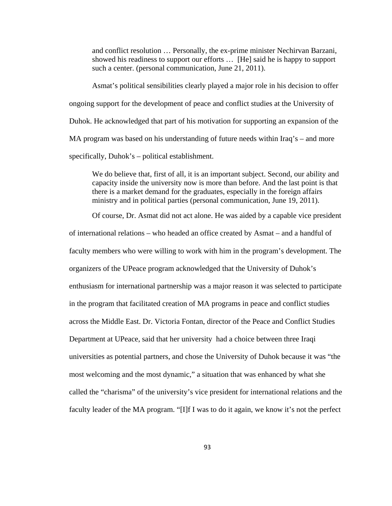and conflict resolution … Personally, the ex-prime minister Nechirvan Barzani, showed his readiness to support our efforts … [He] said he is happy to support such a center. (personal communication, June 21, 2011).

Asmat's political sensibilities clearly played a major role in his decision to offer ongoing support for the development of peace and conflict studies at the University of Duhok. He acknowledged that part of his motivation for supporting an expansion of the MA program was based on his understanding of future needs within Iraq's – and more specifically, Duhok's – political establishment.

We do believe that, first of all, it is an important subject. Second, our ability and capacity inside the university now is more than before. And the last point is that there is a market demand for the graduates, especially in the foreign affairs ministry and in political parties (personal communication, June 19, 2011).

Of course, Dr. Asmat did not act alone. He was aided by a capable vice president

of international relations – who headed an office created by Asmat – and a handful of faculty members who were willing to work with him in the program's development. The organizers of the UPeace program acknowledged that the University of Duhok's enthusiasm for international partnership was a major reason it was selected to participate in the program that facilitated creation of MA programs in peace and conflict studies across the Middle East. Dr. Victoria Fontan, director of the Peace and Conflict Studies Department at UPeace, said that her university had a choice between three Iraqi universities as potential partners, and chose the University of Duhok because it was "the most welcoming and the most dynamic," a situation that was enhanced by what she called the "charisma" of the university's vice president for international relations and the faculty leader of the MA program. "[I]f I was to do it again, we know it's not the perfect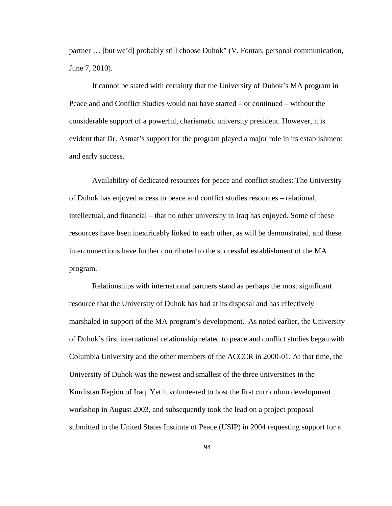partner … [but we'd] probably still choose Duhok" (V. Fontan, personal communication, June 7, 2010).

It cannot be stated with certainty that the University of Duhok's MA program in Peace and and Conflict Studies would not have started – or continued – without the considerable support of a powerful, charismatic university president. However, it is evident that Dr. Asmat's support for the program played a major role in its establishment and early success.

 Availability of dedicated resources for peace and conflict studies: The University of Duhok has enjoyed access to peace and conflict studies resources – relational, intellectual, and financial – that no other university in Iraq has enjoyed. Some of these resources have been inextricably linked to each other, as will be demonstrated, and these interconnections have further contributed to the successful establishment of the MA program.

 Relationships with international partners stand as perhaps the most significant resource that the University of Duhok has had at its disposal and has effectively marshaled in support of the MA program's development. As noted earlier, the University of Duhok's first international relationship related to peace and conflict studies began with Columbia University and the other members of the ACCCR in 2000-01. At that time, the University of Duhok was the newest and smallest of the three universities in the Kurdistan Region of Iraq. Yet it volunteered to host the first curriculum development workshop in August 2003, and subsequently took the lead on a project proposal submitted to the United States Institute of Peace (USIP) in 2004 requesting support for a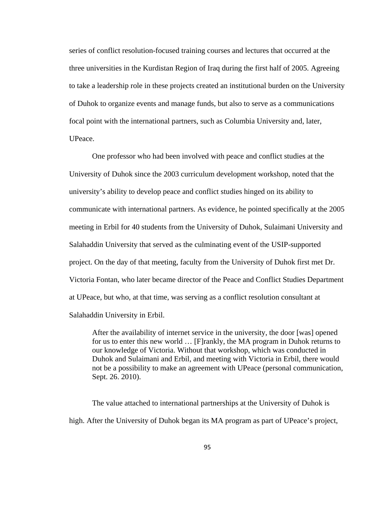series of conflict resolution-focused training courses and lectures that occurred at the three universities in the Kurdistan Region of Iraq during the first half of 2005. Agreeing to take a leadership role in these projects created an institutional burden on the University of Duhok to organize events and manage funds, but also to serve as a communications focal point with the international partners, such as Columbia University and, later, UPeace.

 One professor who had been involved with peace and conflict studies at the University of Duhok since the 2003 curriculum development workshop, noted that the university's ability to develop peace and conflict studies hinged on its ability to communicate with international partners. As evidence, he pointed specifically at the 2005 meeting in Erbil for 40 students from the University of Duhok, Sulaimani University and Salahaddin University that served as the culminating event of the USIP-supported project. On the day of that meeting, faculty from the University of Duhok first met Dr. Victoria Fontan, who later became director of the Peace and Conflict Studies Department at UPeace, but who, at that time, was serving as a conflict resolution consultant at Salahaddin University in Erbil.

After the availability of internet service in the university, the door [was] opened for us to enter this new world … [F]rankly, the MA program in Duhok returns to our knowledge of Victoria. Without that workshop, which was conducted in Duhok and Sulaimani and Erbil, and meeting with Victoria in Erbil, there would not be a possibility to make an agreement with UPeace (personal communication, Sept. 26. 2010).

 The value attached to international partnerships at the University of Duhok is high. After the University of Duhok began its MA program as part of UPeace's project,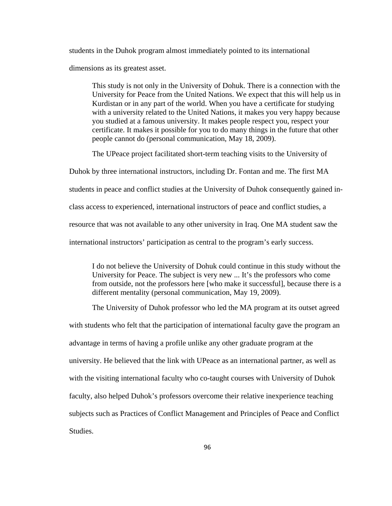students in the Duhok program almost immediately pointed to its international

dimensions as its greatest asset.

This study is not only in the University of Dohuk. There is a connection with the University for Peace from the United Nations. We expect that this will help us in Kurdistan or in any part of the world. When you have a certificate for studying with a university related to the United Nations, it makes you very happy because you studied at a famous university. It makes people respect you, respect your certificate. It makes it possible for you to do many things in the future that other people cannot do (personal communication, May 18, 2009).

The UPeace project facilitated short-term teaching visits to the University of

Duhok by three international instructors, including Dr. Fontan and me. The first MA students in peace and conflict studies at the University of Duhok consequently gained inclass access to experienced, international instructors of peace and conflict studies, a resource that was not available to any other university in Iraq. One MA student saw the international instructors' participation as central to the program's early success.

I do not believe the University of Dohuk could continue in this study without the University for Peace. The subject is very new ... It's the professors who come from outside, not the professors here [who make it successful], because there is a different mentality (personal communication, May 19, 2009).

The University of Duhok professor who led the MA program at its outset agreed with students who felt that the participation of international faculty gave the program an advantage in terms of having a profile unlike any other graduate program at the university. He believed that the link with UPeace as an international partner, as well as with the visiting international faculty who co-taught courses with University of Duhok faculty, also helped Duhok's professors overcome their relative inexperience teaching subjects such as Practices of Conflict Management and Principles of Peace and Conflict Studies.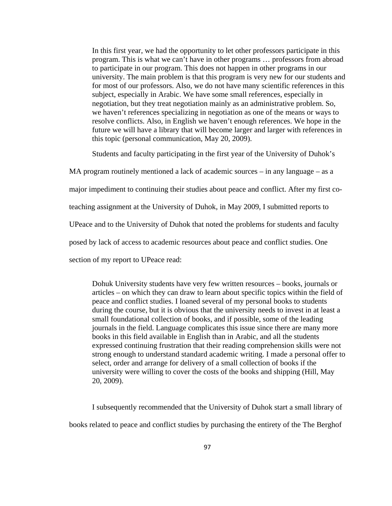In this first year, we had the opportunity to let other professors participate in this program. This is what we can't have in other programs … professors from abroad to participate in our program. This does not happen in other programs in our university. The main problem is that this program is very new for our students and for most of our professors. Also, we do not have many scientific references in this subject, especially in Arabic. We have some small references, especially in negotiation, but they treat negotiation mainly as an administrative problem. So, we haven't references specializing in negotiation as one of the means or ways to resolve conflicts. Also, in English we haven't enough references. We hope in the future we will have a library that will become larger and larger with references in this topic (personal communication, May 20, 2009).

Students and faculty participating in the first year of the University of Duhok's

MA program routinely mentioned a lack of academic sources – in any language – as a

major impediment to continuing their studies about peace and conflict. After my first co-

teaching assignment at the University of Duhok, in May 2009, I submitted reports to

UPeace and to the University of Duhok that noted the problems for students and faculty

posed by lack of access to academic resources about peace and conflict studies. One

section of my report to UPeace read:

Dohuk University students have very few written resources – books, journals or articles – on which they can draw to learn about specific topics within the field of peace and conflict studies. I loaned several of my personal books to students during the course, but it is obvious that the university needs to invest in at least a small foundational collection of books, and if possible, some of the leading journals in the field. Language complicates this issue since there are many more books in this field available in English than in Arabic, and all the students expressed continuing frustration that their reading comprehension skills were not strong enough to understand standard academic writing. I made a personal offer to select, order and arrange for delivery of a small collection of books if the university were willing to cover the costs of the books and shipping (Hill, May 20, 2009).

 I subsequently recommended that the University of Duhok start a small library of books related to peace and conflict studies by purchasing the entirety of the The Berghof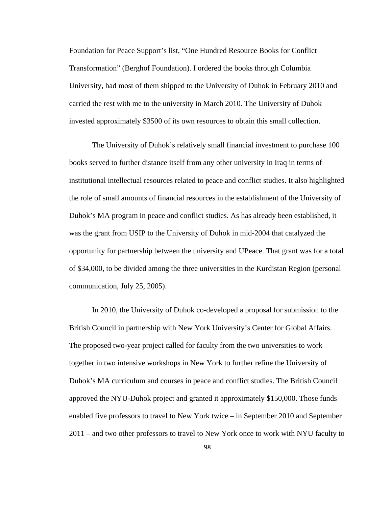Foundation for Peace Support's list, "One Hundred Resource Books for Conflict Transformation" (Berghof Foundation). I ordered the books through Columbia University, had most of them shipped to the University of Duhok in February 2010 and carried the rest with me to the university in March 2010. The University of Duhok invested approximately \$3500 of its own resources to obtain this small collection.

 The University of Duhok's relatively small financial investment to purchase 100 books served to further distance itself from any other university in Iraq in terms of institutional intellectual resources related to peace and conflict studies. It also highlighted the role of small amounts of financial resources in the establishment of the University of Duhok's MA program in peace and conflict studies. As has already been established, it was the grant from USIP to the University of Duhok in mid-2004 that catalyzed the opportunity for partnership between the university and UPeace. That grant was for a total of \$34,000, to be divided among the three universities in the Kurdistan Region (personal communication, July 25, 2005).

In 2010, the University of Duhok co-developed a proposal for submission to the British Council in partnership with New York University's Center for Global Affairs. The proposed two-year project called for faculty from the two universities to work together in two intensive workshops in New York to further refine the University of Duhok's MA curriculum and courses in peace and conflict studies. The British Council approved the NYU-Duhok project and granted it approximately \$150,000. Those funds enabled five professors to travel to New York twice – in September 2010 and September 2011 – and two other professors to travel to New York once to work with NYU faculty to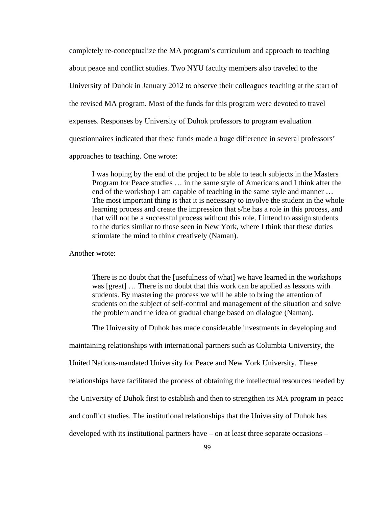completely re-conceptualize the MA program's curriculum and approach to teaching about peace and conflict studies. Two NYU faculty members also traveled to the University of Duhok in January 2012 to observe their colleagues teaching at the start of the revised MA program. Most of the funds for this program were devoted to travel expenses. Responses by University of Duhok professors to program evaluation questionnaires indicated that these funds made a huge difference in several professors' approaches to teaching. One wrote:

I was hoping by the end of the project to be able to teach subjects in the Masters Program for Peace studies … in the same style of Americans and I think after the end of the workshop I am capable of teaching in the same style and manner ... The most important thing is that it is necessary to involve the student in the whole learning process and create the impression that s/he has a role in this process, and that will not be a successful process without this role. I intend to assign students to the duties similar to those seen in New York, where I think that these duties stimulate the mind to think creatively (Naman).

Another wrote:

There is no doubt that the [usefulness of what] we have learned in the workshops was [great] … There is no doubt that this work can be applied as lessons with students. By mastering the process we will be able to bring the attention of students on the subject of self-control and management of the situation and solve the problem and the idea of gradual change based on dialogue (Naman).

The University of Duhok has made considerable investments in developing and

maintaining relationships with international partners such as Columbia University, the

United Nations-mandated University for Peace and New York University. These

relationships have facilitated the process of obtaining the intellectual resources needed by

the University of Duhok first to establish and then to strengthen its MA program in peace

and conflict studies. The institutional relationships that the University of Duhok has

developed with its institutional partners have – on at least three separate occasions –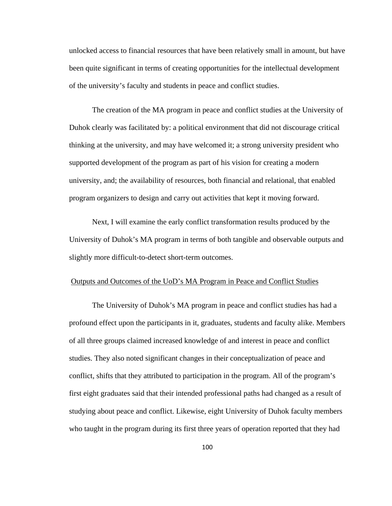unlocked access to financial resources that have been relatively small in amount, but have been quite significant in terms of creating opportunities for the intellectual development of the university's faculty and students in peace and conflict studies.

The creation of the MA program in peace and conflict studies at the University of Duhok clearly was facilitated by: a political environment that did not discourage critical thinking at the university, and may have welcomed it; a strong university president who supported development of the program as part of his vision for creating a modern university, and; the availability of resources, both financial and relational, that enabled program organizers to design and carry out activities that kept it moving forward.

Next, I will examine the early conflict transformation results produced by the University of Duhok's MA program in terms of both tangible and observable outputs and slightly more difficult-to-detect short-term outcomes.

## Outputs and Outcomes of the UoD's MA Program in Peace and Conflict Studies

 The University of Duhok's MA program in peace and conflict studies has had a profound effect upon the participants in it, graduates, students and faculty alike. Members of all three groups claimed increased knowledge of and interest in peace and conflict studies. They also noted significant changes in their conceptualization of peace and conflict, shifts that they attributed to participation in the program. All of the program's first eight graduates said that their intended professional paths had changed as a result of studying about peace and conflict. Likewise, eight University of Duhok faculty members who taught in the program during its first three years of operation reported that they had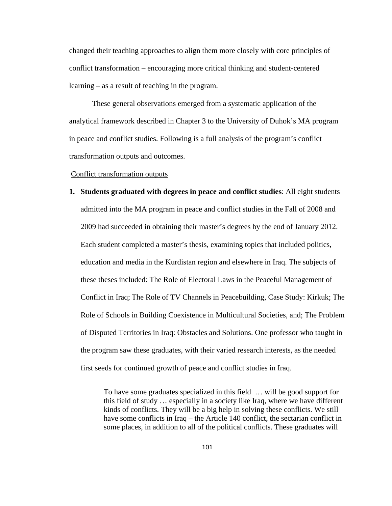changed their teaching approaches to align them more closely with core principles of conflict transformation – encouraging more critical thinking and student-centered learning – as a result of teaching in the program.

 These general observations emerged from a systematic application of the analytical framework described in Chapter 3 to the University of Duhok's MA program in peace and conflict studies. Following is a full analysis of the program's conflict transformation outputs and outcomes.

#### Conflict transformation outputs

**1. Students graduated with degrees in peace and conflict studies**: All eight students admitted into the MA program in peace and conflict studies in the Fall of 2008 and 2009 had succeeded in obtaining their master's degrees by the end of January 2012. Each student completed a master's thesis, examining topics that included politics, education and media in the Kurdistan region and elsewhere in Iraq. The subjects of these theses included: The Role of Electoral Laws in the Peaceful Management of Conflict in Iraq; The Role of TV Channels in Peacebuilding, Case Study: Kirkuk; The Role of Schools in Building Coexistence in Multicultural Societies, and; The Problem of Disputed Territories in Iraq: Obstacles and Solutions. One professor who taught in the program saw these graduates, with their varied research interests, as the needed first seeds for continued growth of peace and conflict studies in Iraq.

> To have some graduates specialized in this field … will be good support for this field of study … especially in a society like Iraq, where we have different kinds of conflicts. They will be a big help in solving these conflicts. We still have some conflicts in Iraq – the Article 140 conflict, the sectarian conflict in some places, in addition to all of the political conflicts. These graduates will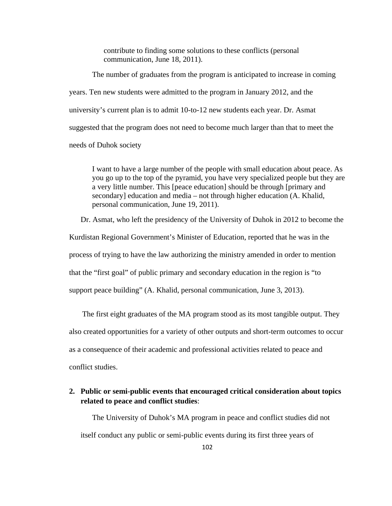contribute to finding some solutions to these conflicts (personal communication, June 18, 2011).

 The number of graduates from the program is anticipated to increase in coming years. Ten new students were admitted to the program in January 2012, and the university's current plan is to admit 10-to-12 new students each year. Dr. Asmat suggested that the program does not need to become much larger than that to meet the needs of Duhok society

I want to have a large number of the people with small education about peace. As you go up to the top of the pyramid, you have very specialized people but they are a very little number. This [peace education] should be through [primary and secondary] education and media – not through higher education (A. Khalid, personal communication, June 19, 2011).

Dr. Asmat, who left the presidency of the University of Duhok in 2012 to become the Kurdistan Regional Government's Minister of Education, reported that he was in the process of trying to have the law authorizing the ministry amended in order to mention that the "first goal" of public primary and secondary education in the region is "to support peace building" (A. Khalid, personal communication, June 3, 2013).

The first eight graduates of the MA program stood as its most tangible output. They also created opportunities for a variety of other outputs and short-term outcomes to occur as a consequence of their academic and professional activities related to peace and conflict studies.

# **2. Public or semi-public events that encouraged critical consideration about topics related to peace and conflict studies**:

The University of Duhok's MA program in peace and conflict studies did not itself conduct any public or semi-public events during its first three years of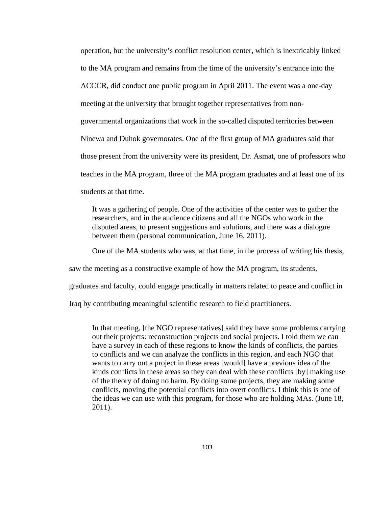operation, but the university's conflict resolution center, which is inextricably linked to the MA program and remains from the time of the university's entrance into the ACCCR, did conduct one public program in April 2011. The event was a one-day meeting at the university that brought together representatives from nongovernmental organizations that work in the so-called disputed territories between Ninewa and Duhok governorates. One of the first group of MA graduates said that those present from the university were its president, Dr. Asmat, one of professors who teaches in the MA program, three of the MA program graduates and at least one of its students at that time.

It was a gathering of people. One of the activities of the center was to gather the researchers, and in the audience citizens and all the NGOs who work in the disputed areas, to present suggestions and solutions, and there was a dialogue between them (personal communication, June 16, 2011).

One of the MA students who was, at that time, in the process of writing his thesis,

saw the meeting as a constructive example of how the MA program, its students,

graduates and faculty, could engage practically in matters related to peace and conflict in

Iraq by contributing meaningful scientific research to field practitioners.

In that meeting, [the NGO representatives] said they have some problems carrying out their projects: reconstruction projects and social projects. I told them we can have a survey in each of these regions to know the kinds of conflicts, the parties to conflicts and we can analyze the conflicts in this region, and each NGO that wants to carry out a project in these areas [would] have a previous idea of the kinds conflicts in these areas so they can deal with these conflicts [by] making use of the theory of doing no harm. By doing some projects, they are making some conflicts, moving the potential conflicts into overt conflicts. I think this is one of the ideas we can use with this program, for those who are holding MAs. (June 18, 2011).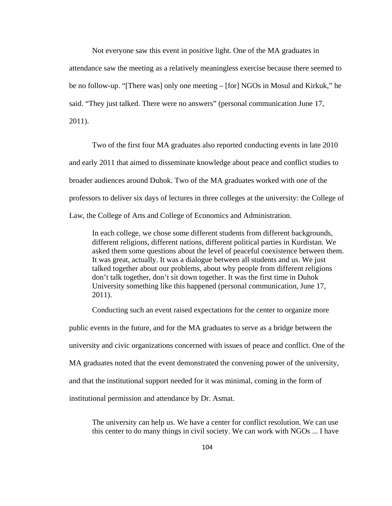Not everyone saw this event in positive light. One of the MA graduates in attendance saw the meeting as a relatively meaningless exercise because there seemed to be no follow-up. "[There was] only one meeting – [for] NGOs in Mosul and Kirkuk," he said. "They just talked. There were no answers" (personal communication June 17, 2011).

Two of the first four MA graduates also reported conducting events in late 2010 and early 2011 that aimed to disseminate knowledge about peace and conflict studies to broader audiences around Duhok. Two of the MA graduates worked with one of the professors to deliver six days of lectures in three colleges at the university: the College of Law, the College of Arts and College of Economics and Administration.

In each college, we chose some different students from different backgrounds, different religions, different nations, different political parties in Kurdistan. We asked them some questions about the level of peaceful coexistence between them. It was great, actually. It was a dialogue between all students and us. We just talked together about our problems, about why people from different religions don't talk together, don't sit down together. It was the first time in Duhok University something like this happened (personal communication, June 17, 2011).

Conducting such an event raised expectations for the center to organize more public events in the future, and for the MA graduates to serve as a bridge between the

university and civic organizations concerned with issues of peace and conflict. One of the

MA graduates noted that the event demonstrated the convening power of the university,

and that the institutional support needed for it was minimal, coming in the form of

institutional permission and attendance by Dr. Asmat.

The university can help us. We have a center for conflict resolution. We can use this center to do many things in civil society. We can work with NGOs ... I have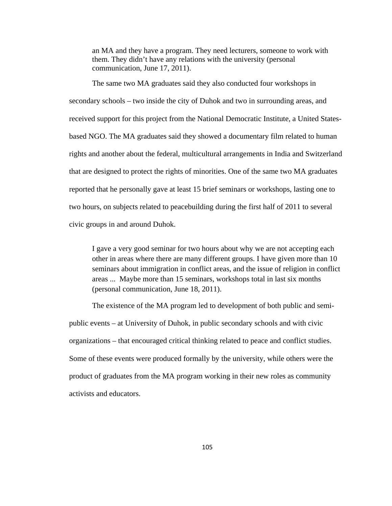an MA and they have a program. They need lecturers, someone to work with them. They didn't have any relations with the university (personal communication, June 17, 2011).

The same two MA graduates said they also conducted four workshops in secondary schools – two inside the city of Duhok and two in surrounding areas, and received support for this project from the National Democratic Institute, a United Statesbased NGO. The MA graduates said they showed a documentary film related to human rights and another about the federal, multicultural arrangements in India and Switzerland that are designed to protect the rights of minorities. One of the same two MA graduates reported that he personally gave at least 15 brief seminars or workshops, lasting one to two hours, on subjects related to peacebuilding during the first half of 2011 to several civic groups in and around Duhok.

I gave a very good seminar for two hours about why we are not accepting each other in areas where there are many different groups. I have given more than 10 seminars about immigration in conflict areas, and the issue of religion in conflict areas ... Maybe more than 15 seminars, workshops total in last six months (personal communication, June 18, 2011).

 The existence of the MA program led to development of both public and semipublic events – at University of Duhok, in public secondary schools and with civic organizations – that encouraged critical thinking related to peace and conflict studies. Some of these events were produced formally by the university, while others were the product of graduates from the MA program working in their new roles as community activists and educators.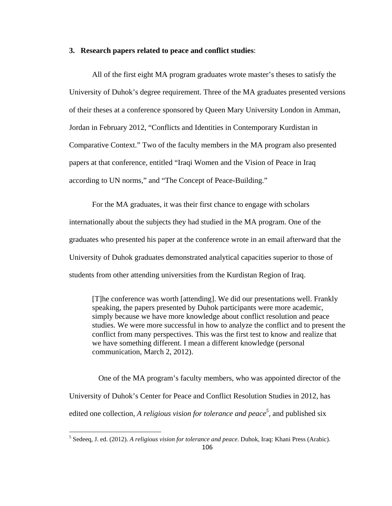### **3. Research papers related to peace and conflict studies**:

 All of the first eight MA program graduates wrote master's theses to satisfy the University of Duhok's degree requirement. Three of the MA graduates presented versions of their theses at a conference sponsored by Queen Mary University London in Amman, Jordan in February 2012, "Conflicts and Identities in Contemporary Kurdistan in Comparative Context." Two of the faculty members in the MA program also presented papers at that conference, entitled "Iraqi Women and the Vision of Peace in Iraq according to UN norms," and "The Concept of Peace-Building."

For the MA graduates, it was their first chance to engage with scholars internationally about the subjects they had studied in the MA program. One of the graduates who presented his paper at the conference wrote in an email afterward that the University of Duhok graduates demonstrated analytical capacities superior to those of students from other attending universities from the Kurdistan Region of Iraq.

[T]he conference was worth [attending]. We did our presentations well. Frankly speaking, the papers presented by Duhok participants were more academic, simply because we have more knowledge about conflict resolution and peace studies. We were more successful in how to analyze the conflict and to present the conflict from many perspectives. This was the first test to know and realize that we have something different. I mean a different knowledge (personal communication, March 2, 2012).

 One of the MA program's faculty members, who was appointed director of the University of Duhok's Center for Peace and Conflict Resolution Studies in 2012, has edited one collection, *A religious vision for tolerance and peace*<sup>5</sup>, and published six

 5 Sedeeq, J. ed. (2012). *A religious vision for tolerance and peace*. Duhok, Iraq: Khani Press (Arabic).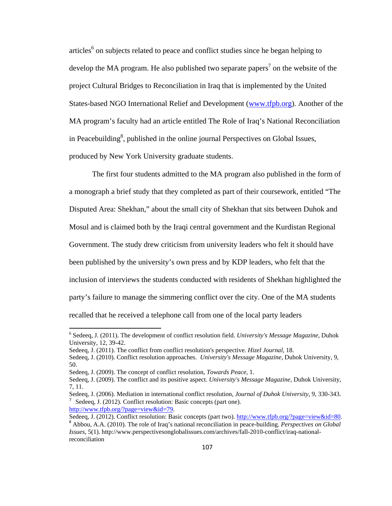articles<sup>6</sup> on subjects related to peace and conflict studies since he began helping to develop the MA program. He also published two separate papers<sup>7</sup> on the website of the project Cultural Bridges to Reconciliation in Iraq that is implemented by the United States-based NGO International Relief and Development (www.tfpb.org). Another of the MA program's faculty had an article entitled The Role of Iraq's National Reconciliation in Peacebuilding<sup>8</sup>, published in the online journal Perspectives on Global Issues, produced by New York University graduate students.

 The first four students admitted to the MA program also published in the form of a monograph a brief study that they completed as part of their coursework, entitled "The Disputed Area: Shekhan," about the small city of Shekhan that sits between Duhok and Mosul and is claimed both by the Iraqi central government and the Kurdistan Regional Government. The study drew criticism from university leaders who felt it should have been published by the university's own press and by KDP leaders, who felt that the inclusion of interviews the students conducted with residents of Shekhan highlighted the party's failure to manage the simmering conflict over the city. One of the MA students recalled that he received a telephone call from one of the local party leaders

<sup>6</sup> Sedeeq, J. (2011). The development of conflict resolution field. *University's Message Magazine*, Duhok University, 12, 39-42.

Sedeeq, J. (2011). The conflict from conflict resolution's perspective. *Hizel Journal*, 18.

Sedeeq, J. (2010). Conflict resolution approaches. *University's Message Magazine*, Duhok University, 9, 50.

Sedeeq, J. (2009). The concept of conflict resolution, *Towards Peace*, 1.

Sedeeq, J. (2009). The conflict and its positive aspect. *University's Message Magazine*, Duhok University, 7, 11.

Sedeeq, J. (2006). Mediation in international conflict resolution, *Journal of Duhok University*, 9, 330-343.  $\frac{7}{2}$  Sedeeq, J. (2012). Conflict resolution: Basic concepts (part one).

http://www.tfpb.org/?page=view&id=79. Sedeeq, J. (2012). Conflict resolution: Basic concepts (part two). http://www.tfpb.org/?page=view&id=80. <sup>8</sup> Abbou, A.A. (2010). The role of Iraq's national reconciliation in peace-building. *Perspectives on Global Issues*, 5(1). http://www.perspectivesonglobalissues.com/archives/fall-2010-conflict/iraq-nationalreconciliation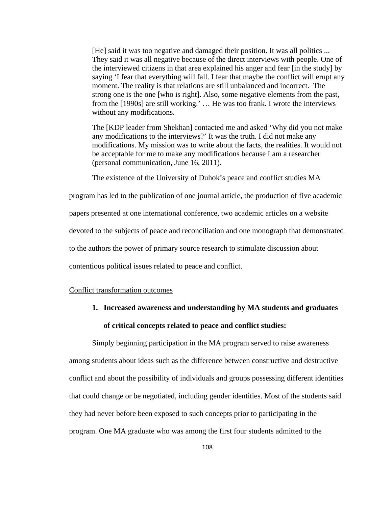[He] said it was too negative and damaged their position. It was all politics ... They said it was all negative because of the direct interviews with people. One of the interviewed citizens in that area explained his anger and fear [in the study] by saying 'I fear that everything will fall. I fear that maybe the conflict will erupt any moment. The reality is that relations are still unbalanced and incorrect. The strong one is the one [who is right]. Also, some negative elements from the past, from the [1990s] are still working.' … He was too frank. I wrote the interviews without any modifications.

The [KDP leader from Shekhan] contacted me and asked 'Why did you not make any modifications to the interviews?' It was the truth. I did not make any modifications. My mission was to write about the facts, the realities. It would not be acceptable for me to make any modifications because I am a researcher (personal communication, June 16, 2011).

The existence of the University of Duhok's peace and conflict studies MA

program has led to the publication of one journal article, the production of five academic

papers presented at one international conference, two academic articles on a website

devoted to the subjects of peace and reconciliation and one monograph that demonstrated

to the authors the power of primary source research to stimulate discussion about

contentious political issues related to peace and conflict.

### Conflict transformation outcomes

**1. Increased awareness and understanding by MA students and graduates of critical concepts related to peace and conflict studies:** 

Simply beginning participation in the MA program served to raise awareness among students about ideas such as the difference between constructive and destructive conflict and about the possibility of individuals and groups possessing different identities that could change or be negotiated, including gender identities. Most of the students said they had never before been exposed to such concepts prior to participating in the program. One MA graduate who was among the first four students admitted to the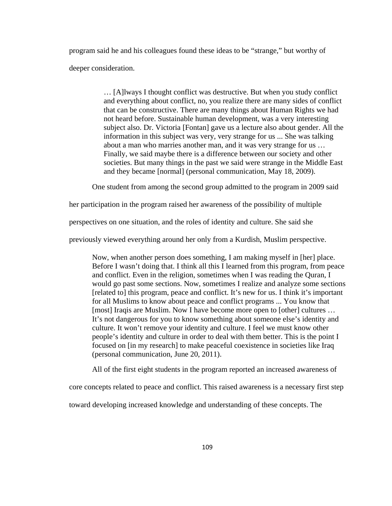program said he and his colleagues found these ideas to be "strange," but worthy of deeper consideration.

> … [A]lways I thought conflict was destructive. But when you study conflict and everything about conflict, no, you realize there are many sides of conflict that can be constructive. There are many things about Human Rights we had not heard before. Sustainable human development, was a very interesting subject also. Dr. Victoria [Fontan] gave us a lecture also about gender. All the information in this subject was very, very strange for us ... She was talking about a man who marries another man, and it was very strange for us … Finally, we said maybe there is a difference between our society and other societies. But many things in the past we said were strange in the Middle East and they became [normal] (personal communication, May 18, 2009).

One student from among the second group admitted to the program in 2009 said

her participation in the program raised her awareness of the possibility of multiple

perspectives on one situation, and the roles of identity and culture. She said she

previously viewed everything around her only from a Kurdish, Muslim perspective.

Now, when another person does something, I am making myself in [her] place. Before I wasn't doing that. I think all this I learned from this program, from peace and conflict. Even in the religion, sometimes when I was reading the Quran, I would go past some sections. Now, sometimes I realize and analyze some sections [related to] this program, peace and conflict. It's new for us. I think it's important for all Muslims to know about peace and conflict programs ... You know that [most] Iraqis are Muslim. Now I have become more open to [other] cultures ... It's not dangerous for you to know something about someone else's identity and culture. It won't remove your identity and culture. I feel we must know other people's identity and culture in order to deal with them better. This is the point I focused on [in my research] to make peaceful coexistence in societies like Iraq (personal communication, June 20, 2011).

All of the first eight students in the program reported an increased awareness of

core concepts related to peace and conflict. This raised awareness is a necessary first step

toward developing increased knowledge and understanding of these concepts. The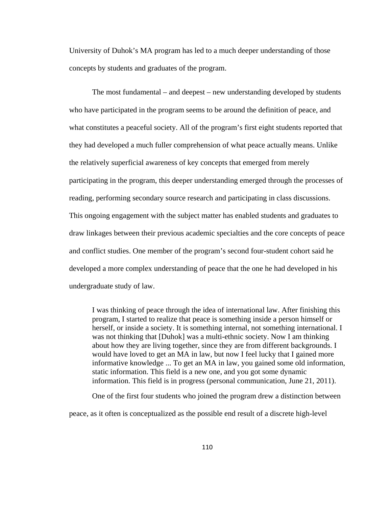University of Duhok's MA program has led to a much deeper understanding of those concepts by students and graduates of the program.

The most fundamental – and deepest – new understanding developed by students who have participated in the program seems to be around the definition of peace, and what constitutes a peaceful society. All of the program's first eight students reported that they had developed a much fuller comprehension of what peace actually means. Unlike the relatively superficial awareness of key concepts that emerged from merely participating in the program, this deeper understanding emerged through the processes of reading, performing secondary source research and participating in class discussions. This ongoing engagement with the subject matter has enabled students and graduates to draw linkages between their previous academic specialties and the core concepts of peace and conflict studies. One member of the program's second four-student cohort said he developed a more complex understanding of peace that the one he had developed in his undergraduate study of law.

I was thinking of peace through the idea of international law. After finishing this program, I started to realize that peace is something inside a person himself or herself, or inside a society. It is something internal, not something international. I was not thinking that [Duhok] was a multi-ethnic society. Now I am thinking about how they are living together, since they are from different backgrounds. I would have loved to get an MA in law, but now I feel lucky that I gained more informative knowledge ... To get an MA in law, you gained some old information, static information. This field is a new one, and you got some dynamic information. This field is in progress (personal communication, June 21, 2011).

One of the first four students who joined the program drew a distinction between

peace, as it often is conceptualized as the possible end result of a discrete high-level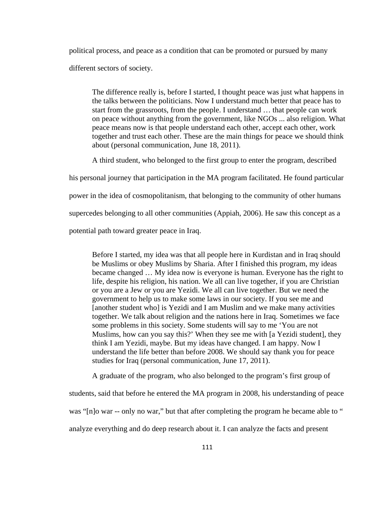political process, and peace as a condition that can be promoted or pursued by many

different sectors of society.

The difference really is, before I started, I thought peace was just what happens in the talks between the politicians. Now I understand much better that peace has to start from the grassroots, from the people. I understand … that people can work on peace without anything from the government, like NGOs ... also religion. What peace means now is that people understand each other, accept each other, work together and trust each other. These are the main things for peace we should think about (personal communication, June 18, 2011).

A third student, who belonged to the first group to enter the program, described

his personal journey that participation in the MA program facilitated. He found particular

power in the idea of cosmopolitanism, that belonging to the community of other humans

supercedes belonging to all other communities (Appiah, 2006). He saw this concept as a

potential path toward greater peace in Iraq.

Before I started, my idea was that all people here in Kurdistan and in Iraq should be Muslims or obey Muslims by Sharia. After I finished this program, my ideas became changed … My idea now is everyone is human. Everyone has the right to life, despite his religion, his nation. We all can live together, if you are Christian or you are a Jew or you are Yezidi. We all can live together. But we need the government to help us to make some laws in our society. If you see me and [another student who] is Yezidi and I am Muslim and we make many activities together. We talk about religion and the nations here in Iraq. Sometimes we face some problems in this society. Some students will say to me 'You are not Muslims, how can you say this?' When they see me with [a Yezidi student], they think I am Yezidi, maybe. But my ideas have changed. I am happy. Now I understand the life better than before 2008. We should say thank you for peace studies for Iraq (personal communication, June 17, 2011).

A graduate of the program, who also belonged to the program's first group of

students, said that before he entered the MA program in 2008, his understanding of peace was "[n]o war -- only no war," but that after completing the program he became able to "

analyze everything and do deep research about it. I can analyze the facts and present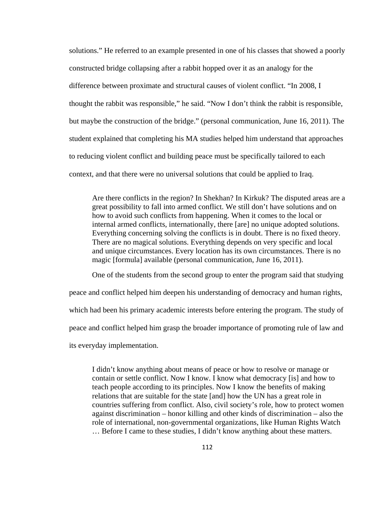solutions." He referred to an example presented in one of his classes that showed a poorly constructed bridge collapsing after a rabbit hopped over it as an analogy for the difference between proximate and structural causes of violent conflict. "In 2008, I thought the rabbit was responsible," he said. "Now I don't think the rabbit is responsible, but maybe the construction of the bridge." (personal communication, June 16, 2011). The student explained that completing his MA studies helped him understand that approaches to reducing violent conflict and building peace must be specifically tailored to each context, and that there were no universal solutions that could be applied to Iraq.

Are there conflicts in the region? In Shekhan? In Kirkuk? The disputed areas are a great possibility to fall into armed conflict. We still don't have solutions and on how to avoid such conflicts from happening. When it comes to the local or internal armed conflicts, internationally, there [are] no unique adopted solutions. Everything concerning solving the conflicts is in doubt. There is no fixed theory. There are no magical solutions. Everything depends on very specific and local and unique circumstances. Every location has its own circumstances. There is no magic [formula] available (personal communication, June 16, 2011).

One of the students from the second group to enter the program said that studying

peace and conflict helped him deepen his understanding of democracy and human rights, which had been his primary academic interests before entering the program. The study of peace and conflict helped him grasp the broader importance of promoting rule of law and its everyday implementation.

I didn't know anything about means of peace or how to resolve or manage or contain or settle conflict. Now I know. I know what democracy [is] and how to teach people according to its principles. Now I know the benefits of making relations that are suitable for the state [and] how the UN has a great role in countries suffering from conflict. Also, civil society's role, how to protect women against discrimination – honor killing and other kinds of discrimination – also the role of international, non-governmental organizations, like Human Rights Watch … Before I came to these studies, I didn't know anything about these matters.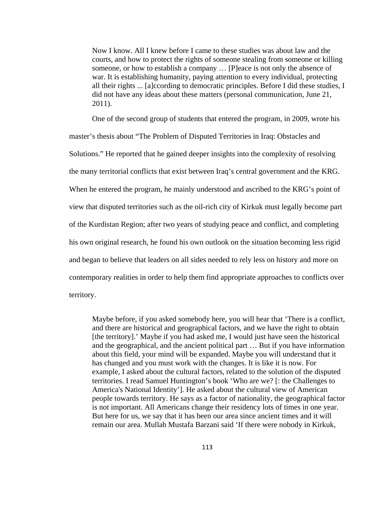Now I know. All I knew before I came to these studies was about law and the courts, and how to protect the rights of someone stealing from someone or killing someone, or how to establish a company … [P]eace is not only the absence of war. It is establishing humanity, paying attention to every individual, protecting all their rights ... [a]ccording to democratic principles. Before I did these studies, I did not have any ideas about these matters (personal communication, June 21, 2011).

One of the second group of students that entered the program, in 2009, wrote his master's thesis about "The Problem of Disputed Territories in Iraq: Obstacles and Solutions." He reported that he gained deeper insights into the complexity of resolving the many territorial conflicts that exist between Iraq's central government and the KRG. When he entered the program, he mainly understood and ascribed to the KRG's point of view that disputed territories such as the oil-rich city of Kirkuk must legally become part of the Kurdistan Region; after two years of studying peace and conflict, and completing his own original research, he found his own outlook on the situation becoming less rigid and began to believe that leaders on all sides needed to rely less on history and more on contemporary realities in order to help them find appropriate approaches to conflicts over territory.

Maybe before, if you asked somebody here, you will hear that 'There is a conflict, and there are historical and geographical factors, and we have the right to obtain [the territory].' Maybe if you had asked me, I would just have seen the historical and the geographical, and the ancient political part … But if you have information about this field, your mind will be expanded. Maybe you will understand that it has changed and you must work with the changes. It is like it is now. For example, I asked about the cultural factors, related to the solution of the disputed territories. I read Samuel Huntington's book 'Who are we? [: the Challenges to America's National Identity']. He asked about the cultural view of American people towards territory. He says as a factor of nationality, the geographical factor is not important. All Americans change their residency lots of times in one year. But here for us, we say that it has been our area since ancient times and it will remain our area. Mullah Mustafa Barzani said 'If there were nobody in Kirkuk,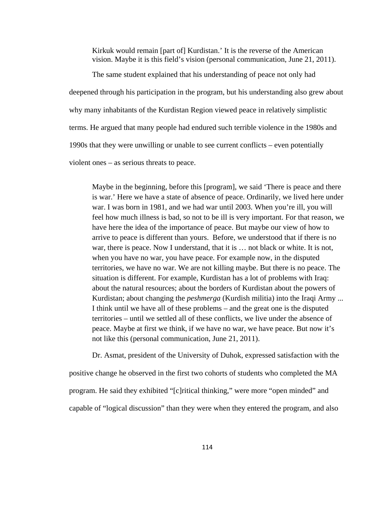Kirkuk would remain [part of] Kurdistan.' It is the reverse of the American vision. Maybe it is this field's vision (personal communication, June 21, 2011).

The same student explained that his understanding of peace not only had deepened through his participation in the program, but his understanding also grew about why many inhabitants of the Kurdistan Region viewed peace in relatively simplistic terms. He argued that many people had endured such terrible violence in the 1980s and 1990s that they were unwilling or unable to see current conflicts – even potentially violent ones – as serious threats to peace.

Maybe in the beginning, before this [program], we said 'There is peace and there is war.' Here we have a state of absence of peace. Ordinarily, we lived here under war. I was born in 1981, and we had war until 2003. When you're ill, you will feel how much illness is bad, so not to be ill is very important. For that reason, we have here the idea of the importance of peace. But maybe our view of how to arrive to peace is different than yours. Before, we understood that if there is no war, there is peace. Now I understand, that it is ... not black or white. It is not, when you have no war, you have peace. For example now, in the disputed territories, we have no war. We are not killing maybe. But there is no peace. The situation is different. For example, Kurdistan has a lot of problems with Iraq: about the natural resources; about the borders of Kurdistan about the powers of Kurdistan; about changing the *peshmerga* (Kurdish militia) into the Iraqi Army ... I think until we have all of these problems – and the great one is the disputed territories – until we settled all of these conflicts, we live under the absence of peace. Maybe at first we think, if we have no war, we have peace. But now it's not like this (personal communication, June 21, 2011).

 Dr. Asmat, president of the University of Duhok, expressed satisfaction with the positive change he observed in the first two cohorts of students who completed the MA program. He said they exhibited "[c]ritical thinking," were more "open minded" and capable of "logical discussion" than they were when they entered the program, and also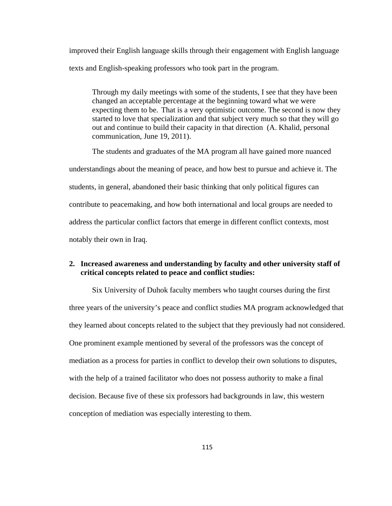improved their English language skills through their engagement with English language texts and English-speaking professors who took part in the program.

Through my daily meetings with some of the students, I see that they have been changed an acceptable percentage at the beginning toward what we were expecting them to be. That is a very optimistic outcome. The second is now they started to love that specialization and that subject very much so that they will go out and continue to build their capacity in that direction (A. Khalid, personal communication, June 19, 2011).

The students and graduates of the MA program all have gained more nuanced understandings about the meaning of peace, and how best to pursue and achieve it. The students, in general, abandoned their basic thinking that only political figures can contribute to peacemaking, and how both international and local groups are needed to address the particular conflict factors that emerge in different conflict contexts, most notably their own in Iraq.

### **2. Increased awareness and understanding by faculty and other university staff of critical concepts related to peace and conflict studies:**

Six University of Duhok faculty members who taught courses during the first three years of the university's peace and conflict studies MA program acknowledged that they learned about concepts related to the subject that they previously had not considered. One prominent example mentioned by several of the professors was the concept of mediation as a process for parties in conflict to develop their own solutions to disputes, with the help of a trained facilitator who does not possess authority to make a final decision. Because five of these six professors had backgrounds in law, this western conception of mediation was especially interesting to them.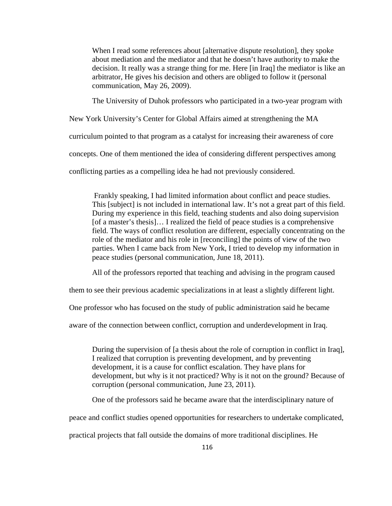When I read some references about [alternative dispute resolution], they spoke about mediation and the mediator and that he doesn't have authority to make the decision. It really was a strange thing for me. Here [in Iraq] the mediator is like an arbitrator, He gives his decision and others are obliged to follow it (personal communication, May 26, 2009).

The University of Duhok professors who participated in a two-year program with

New York University's Center for Global Affairs aimed at strengthening the MA

curriculum pointed to that program as a catalyst for increasing their awareness of core

concepts. One of them mentioned the idea of considering different perspectives among

conflicting parties as a compelling idea he had not previously considered.

 Frankly speaking, I had limited information about conflict and peace studies. This [subject] is not included in international law. It's not a great part of this field. During my experience in this field, teaching students and also doing supervision [of a master's thesis]... I realized the field of peace studies is a comprehensive field. The ways of conflict resolution are different, especially concentrating on the role of the mediator and his role in [reconciling] the points of view of the two parties. When I came back from New York, I tried to develop my information in peace studies (personal communication, June 18, 2011).

All of the professors reported that teaching and advising in the program caused

them to see their previous academic specializations in at least a slightly different light.

One professor who has focused on the study of public administration said he became

aware of the connection between conflict, corruption and underdevelopment in Iraq.

During the supervision of [a thesis about the role of corruption in conflict in Iraq], I realized that corruption is preventing development, and by preventing development, it is a cause for conflict escalation. They have plans for development, but why is it not practiced? Why is it not on the ground? Because of corruption (personal communication, June 23, 2011).

One of the professors said he became aware that the interdisciplinary nature of

peace and conflict studies opened opportunities for researchers to undertake complicated,

practical projects that fall outside the domains of more traditional disciplines. He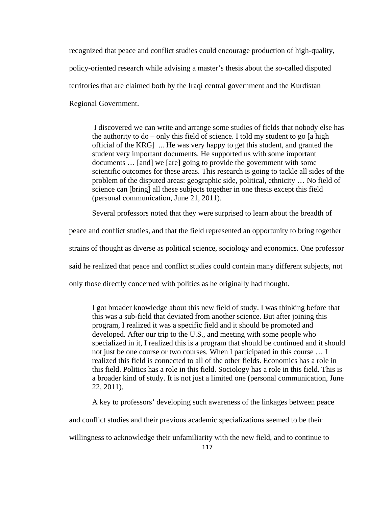recognized that peace and conflict studies could encourage production of high-quality, policy-oriented research while advising a master's thesis about the so-called disputed territories that are claimed both by the Iraqi central government and the Kurdistan Regional Government.

 I discovered we can write and arrange some studies of fields that nobody else has the authority to do – only this field of science. I told my student to go [a high official of the KRG] ... He was very happy to get this student, and granted the student very important documents. He supported us with some important documents … [and] we [are] going to provide the government with some scientific outcomes for these areas. This research is going to tackle all sides of the problem of the disputed areas: geographic side, political, ethnicity … No field of science can [bring] all these subjects together in one thesis except this field (personal communication, June 21, 2011).

Several professors noted that they were surprised to learn about the breadth of

peace and conflict studies, and that the field represented an opportunity to bring together

strains of thought as diverse as political science, sociology and economics. One professor

said he realized that peace and conflict studies could contain many different subjects, not

only those directly concerned with politics as he originally had thought.

I got broader knowledge about this new field of study. I was thinking before that this was a sub-field that deviated from another science. But after joining this program, I realized it was a specific field and it should be promoted and developed. After our trip to the U.S., and meeting with some people who specialized in it, I realized this is a program that should be continued and it should not just be one course or two courses. When I participated in this course … I realized this field is connected to all of the other fields. Economics has a role in this field. Politics has a role in this field. Sociology has a role in this field. This is a broader kind of study. It is not just a limited one (personal communication, June 22, 2011).

A key to professors' developing such awareness of the linkages between peace

and conflict studies and their previous academic specializations seemed to be their

willingness to acknowledge their unfamiliarity with the new field, and to continue to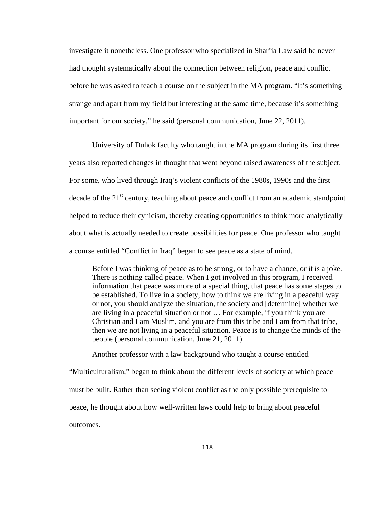investigate it nonetheless. One professor who specialized in Shar'ia Law said he never had thought systematically about the connection between religion, peace and conflict before he was asked to teach a course on the subject in the MA program. "It's something strange and apart from my field but interesting at the same time, because it's something important for our society," he said (personal communication, June 22, 2011).

University of Duhok faculty who taught in the MA program during its first three years also reported changes in thought that went beyond raised awareness of the subject. For some, who lived through Iraq's violent conflicts of the 1980s, 1990s and the first decade of the  $21<sup>st</sup>$  century, teaching about peace and conflict from an academic standpoint helped to reduce their cynicism, thereby creating opportunities to think more analytically about what is actually needed to create possibilities for peace. One professor who taught a course entitled "Conflict in Iraq" began to see peace as a state of mind.

Before I was thinking of peace as to be strong, or to have a chance, or it is a joke. There is nothing called peace. When I got involved in this program, I received information that peace was more of a special thing, that peace has some stages to be established. To live in a society, how to think we are living in a peaceful way or not, you should analyze the situation, the society and [determine] whether we are living in a peaceful situation or not … For example, if you think you are Christian and I am Muslim, and you are from this tribe and I am from that tribe, then we are not living in a peaceful situation. Peace is to change the minds of the people (personal communication, June 21, 2011).

Another professor with a law background who taught a course entitled "Multiculturalism," began to think about the different levels of society at which peace must be built. Rather than seeing violent conflict as the only possible prerequisite to peace, he thought about how well-written laws could help to bring about peaceful outcomes.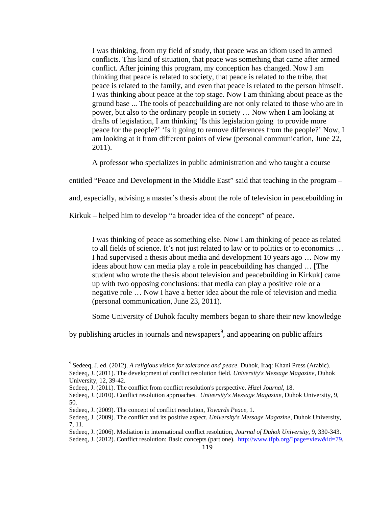I was thinking, from my field of study, that peace was an idiom used in armed conflicts. This kind of situation, that peace was something that came after armed conflict. After joining this program, my conception has changed. Now I am thinking that peace is related to society, that peace is related to the tribe, that peace is related to the family, and even that peace is related to the person himself. I was thinking about peace at the top stage. Now I am thinking about peace as the ground base ... The tools of peacebuilding are not only related to those who are in power, but also to the ordinary people in society … Now when I am looking at drafts of legislation, I am thinking 'Is this legislation going to provide more peace for the people?' 'Is it going to remove differences from the people?' Now, I am looking at it from different points of view (personal communication, June 22, 2011).

A professor who specializes in public administration and who taught a course

entitled "Peace and Development in the Middle East" said that teaching in the program –

and, especially, advising a master's thesis about the role of television in peacebuilding in

Kirkuk – helped him to develop "a broader idea of the concept" of peace.

I was thinking of peace as something else. Now I am thinking of peace as related to all fields of science. It's not just related to law or to politics or to economics … I had supervised a thesis about media and development 10 years ago … Now my ideas about how can media play a role in peacebuilding has changed … [The student who wrote the thesis about television and peacebuilding in Kirkuk] came up with two opposing conclusions: that media can play a positive role or a negative role … Now I have a better idea about the role of television and media (personal communication, June 23, 2011).

Some University of Duhok faculty members began to share their new knowledge

by publishing articles in journals and newspapers<sup>9</sup>, and appearing on public affairs

<sup>9</sup> Sedeeq, J. ed. (2012). *A religious vision for tolerance and peace*. Duhok, Iraq: Khani Press (Arabic). Sedeeq, J. (2011). The development of conflict resolution field. *University's Message Magazine*, Duhok University, 12, 39-42.

Sedeeq, J. (2011). The conflict from conflict resolution's perspective. *Hizel Journal*, 18.

Sedeeq, J. (2010). Conflict resolution approaches. *University's Message Magazine*, Duhok University, 9, 50.

Sedeeq, J. (2009). The concept of conflict resolution, *Towards Peace*, 1.

Sedeeq, J. (2009). The conflict and its positive aspect. *University's Message Magazine*, Duhok University, 7, 11.

Sedeeq, J. (2006). Mediation in international conflict resolution, *Journal of Duhok University*, 9, 330-343. Sedeeq, J. (2012). Conflict resolution: Basic concepts (part one). http://www.tfpb.org/?page=view&id=79.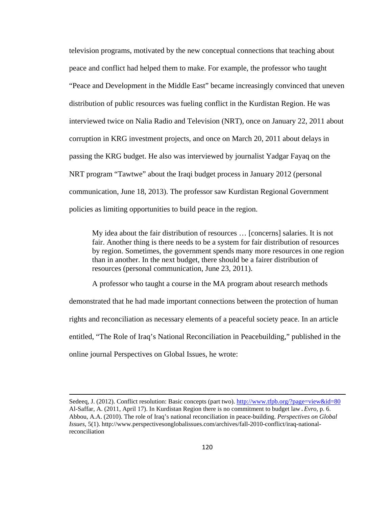television programs, motivated by the new conceptual connections that teaching about peace and conflict had helped them to make. For example, the professor who taught "Peace and Development in the Middle East" became increasingly convinced that uneven distribution of public resources was fueling conflict in the Kurdistan Region. He was interviewed twice on Nalia Radio and Television (NRT), once on January 22, 2011 about corruption in KRG investment projects, and once on March 20, 2011 about delays in passing the KRG budget. He also was interviewed by journalist Yadgar Fayaq on the NRT program "Tawtwe" about the Iraqi budget process in January 2012 (personal communication, June 18, 2013). The professor saw Kurdistan Regional Government policies as limiting opportunities to build peace in the region.

My idea about the fair distribution of resources … [concerns] salaries. It is not fair. Another thing is there needs to be a system for fair distribution of resources by region. Sometimes, the government spends many more resources in one region than in another. In the next budget, there should be a fairer distribution of resources (personal communication, June 23, 2011).

 A professor who taught a course in the MA program about research methods demonstrated that he had made important connections between the protection of human rights and reconciliation as necessary elements of a peaceful society peace. In an article entitled, "The Role of Iraq's National Reconciliation in Peacebuilding," published in the online journal Perspectives on Global Issues, he wrote:

<u> 1989 - Johann Stoff, fransk politik (d. 1989)</u>

Sedeeq, J. (2012). Conflict resolution: Basic concepts (part two). http://www.tfpb.org/?page=view&id=80 Al-Saffar, A. (2011, April 17). In Kurdistan Region there is no commitment to budget law.*Evro*, p. 6. Abbou, A.A. (2010). The role of Iraq's national reconciliation in peace-building. *Perspectives on Global Issues*, 5(1). http://www.perspectivesonglobalissues.com/archives/fall-2010-conflict/iraq-nationalreconciliation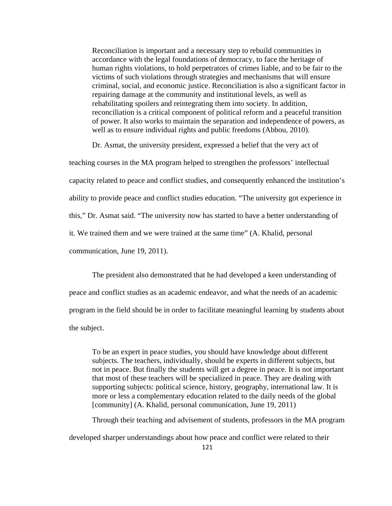Reconciliation is important and a necessary step to rebuild communities in accordance with the legal foundations of democracy, to face the heritage of human rights violations, to hold perpetrators of crimes liable, and to be fair to the victims of such violations through strategies and mechanisms that will ensure criminal, social, and economic justice. Reconciliation is also a significant factor in repairing damage at the community and institutional levels, as well as rehabilitating spoilers and reintegrating them into society. In addition, reconciliation is a critical component of political reform and a peaceful transition of power. It also works to maintain the separation and independence of powers, as well as to ensure individual rights and public freedoms (Abbou, 2010).

Dr. Asmat, the university president, expressed a belief that the very act of

teaching courses in the MA program helped to strengthen the professors' intellectual capacity related to peace and conflict studies, and consequently enhanced the institution's ability to provide peace and conflict studies education. "The university got experience in this," Dr. Asmat said. "The university now has started to have a better understanding of it. We trained them and we were trained at the same time" (A. Khalid, personal communication, June 19, 2011).

 The president also demonstrated that he had developed a keen understanding of peace and conflict studies as an academic endeavor, and what the needs of an academic program in the field should be in order to facilitate meaningful learning by students about the subject.

To be an expert in peace studies, you should have knowledge about different subjects. The teachers, individually, should be experts in different subjects, but not in peace. But finally the students will get a degree in peace. It is not important that most of these teachers will be specialized in peace. They are dealing with supporting subjects: political science, history, geography, international law. It is more or less a complementary education related to the daily needs of the global [community] (A. Khalid, personal communication, June 19, 2011)

Through their teaching and advisement of students, professors in the MA program

developed sharper understandings about how peace and conflict were related to their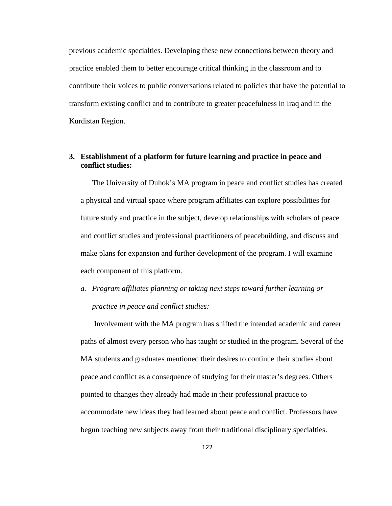previous academic specialties. Developing these new connections between theory and practice enabled them to better encourage critical thinking in the classroom and to contribute their voices to public conversations related to policies that have the potential to transform existing conflict and to contribute to greater peacefulness in Iraq and in the Kurdistan Region.

## **3. Establishment of a platform for future learning and practice in peace and conflict studies:**

The University of Duhok's MA program in peace and conflict studies has created a physical and virtual space where program affiliates can explore possibilities for future study and practice in the subject, develop relationships with scholars of peace and conflict studies and professional practitioners of peacebuilding, and discuss and make plans for expansion and further development of the program. I will examine each component of this platform.

*a. Program affiliates planning or taking next steps toward further learning or practice in peace and conflict studies:*

Involvement with the MA program has shifted the intended academic and career paths of almost every person who has taught or studied in the program. Several of the MA students and graduates mentioned their desires to continue their studies about peace and conflict as a consequence of studying for their master's degrees. Others pointed to changes they already had made in their professional practice to accommodate new ideas they had learned about peace and conflict. Professors have begun teaching new subjects away from their traditional disciplinary specialties.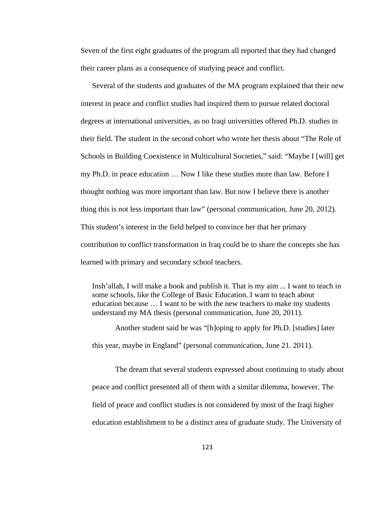Seven of the first eight graduates of the program all reported that they had changed their career plans as a consequence of studying peace and conflict.

Several of the students and graduates of the MA program explained that their new interest in peace and conflict studies had inspired them to pursue related doctoral degrees at international universities, as no Iraqi universities offered Ph.D. studies in their field. The student in the second cohort who wrote her thesis about "The Role of Schools in Building Coexistence in Multicultural Societies," said: "Maybe I [will] get my Ph.D. in peace education … Now I like these studies more than law. Before I thought nothing was more important than law. But now I believe there is another thing this is not less important than law" (personal communication, June 20, 2012). This student's interest in the field helped to convince her that her primary contribution to conflict transformation in Iraq could be to share the concepts she has learned with primary and secondary school teachers.

Insh'allah, I will make a book and publish it. That is my aim ... I want to teach in some schools, like the College of Basic Education. I want to teach about education because … I want to be with the new teachers to make my students understand my MA thesis (personal communication, June 20, 2011).

Another student said he was "[h]oping to apply for Ph.D. [studies] later this year, maybe in England" (personal communication, June 21. 2011).

The dream that several students expressed about continuing to study about peace and conflict presented all of them with a similar dilemma, however. The field of peace and conflict studies is not considered by most of the Iraqi higher education establishment to be a distinct area of graduate study. The University of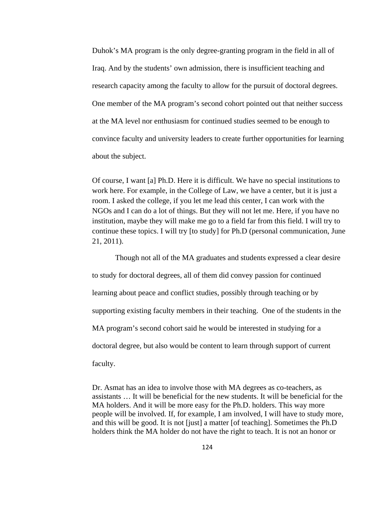Duhok's MA program is the only degree-granting program in the field in all of Iraq. And by the students' own admission, there is insufficient teaching and research capacity among the faculty to allow for the pursuit of doctoral degrees. One member of the MA program's second cohort pointed out that neither success at the MA level nor enthusiasm for continued studies seemed to be enough to convince faculty and university leaders to create further opportunities for learning about the subject.

Of course, I want [a] Ph.D. Here it is difficult. We have no special institutions to work here. For example, in the College of Law, we have a center, but it is just a room. I asked the college, if you let me lead this center, I can work with the NGOs and I can do a lot of things. But they will not let me. Here, if you have no institution, maybe they will make me go to a field far from this field. I will try to continue these topics. I will try [to study] for Ph.D (personal communication, June 21, 2011).

Though not all of the MA graduates and students expressed a clear desire to study for doctoral degrees, all of them did convey passion for continued learning about peace and conflict studies, possibly through teaching or by supporting existing faculty members in their teaching. One of the students in the MA program's second cohort said he would be interested in studying for a doctoral degree, but also would be content to learn through support of current faculty.

Dr. Asmat has an idea to involve those with MA degrees as co-teachers, as assistants … It will be beneficial for the new students. It will be beneficial for the MA holders. And it will be more easy for the Ph.D. holders. This way more people will be involved. If, for example, I am involved, I will have to study more, and this will be good. It is not [just] a matter [of teaching]. Sometimes the Ph.D holders think the MA holder do not have the right to teach. It is not an honor or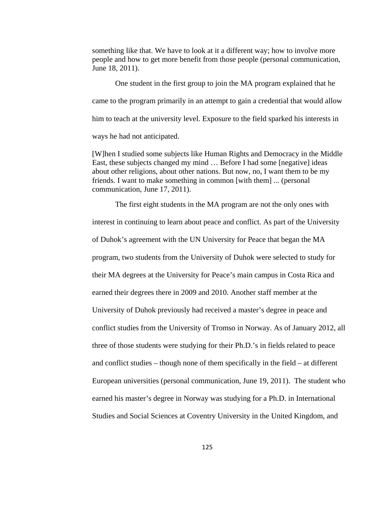something like that. We have to look at it a different way; how to involve more people and how to get more benefit from those people (personal communication, June 18, 2011).

One student in the first group to join the MA program explained that he came to the program primarily in an attempt to gain a credential that would allow him to teach at the university level. Exposure to the field sparked his interests in ways he had not anticipated.

[W]hen I studied some subjects like Human Rights and Democracy in the Middle East, these subjects changed my mind … Before I had some [negative] ideas about other religions, about other nations. But now, no, I want them to be my friends. I want to make something in common [with them] ... (personal communication, June 17, 2011).

The first eight students in the MA program are not the only ones with interest in continuing to learn about peace and conflict. As part of the University of Duhok's agreement with the UN University for Peace that began the MA program, two students from the University of Duhok were selected to study for their MA degrees at the University for Peace's main campus in Costa Rica and earned their degrees there in 2009 and 2010. Another staff member at the University of Duhok previously had received a master's degree in peace and conflict studies from the University of Tromso in Norway. As of January 2012, all three of those students were studying for their Ph.D.'s in fields related to peace and conflict studies – though none of them specifically in the field – at different European universities (personal communication, June 19, 2011). The student who earned his master's degree in Norway was studying for a Ph.D. in International Studies and Social Sciences at Coventry University in the United Kingdom, and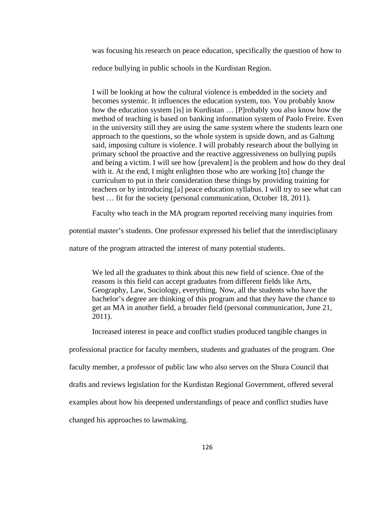was focusing his research on peace education, specifically the question of how to reduce bullying in public schools in the Kurdistan Region.

I will be looking at how the cultural violence is embedded in the society and becomes systemic. It influences the education system, too. You probably know how the education system [is] in Kurdistan … [P]robably you also know how the method of teaching is based on banking information system of Paolo Freire. Even in the university still they are using the same system where the students learn one approach to the questions, so the whole system is upside down, and as Galtung said, imposing culture is violence. I will probably research about the bullying in primary school the proactive and the reactive aggressiveness on bullying pupils and being a victim. I will see how [prevalent] is the problem and how do they deal with it. At the end, I might enlighten those who are working [to] change the curriculum to put in their consideration these things by providing training for teachers or by introducing [a] peace education syllabus. I will try to see what can best … fit for the society (personal communication, October 18, 2011).

Faculty who teach in the MA program reported receiving many inquiries from

potential master's students. One professor expressed his belief that the interdisciplinary

nature of the program attracted the interest of many potential students.

We led all the graduates to think about this new field of science. One of the reasons is this field can accept graduates from different fields like Arts, Geography, Law, Sociology, everything. Now, all the students who have the bachelor's degree are thinking of this program and that they have the chance to get an MA in another field, a broader field (personal communication, June 21, 2011).

Increased interest in peace and conflict studies produced tangible changes in

professional practice for faculty members, students and graduates of the program. One

faculty member, a professor of public law who also serves on the Shura Council that

drafts and reviews legislation for the Kurdistan Regional Government, offered several

examples about how his deepened understandings of peace and conflict studies have

changed his approaches to lawmaking.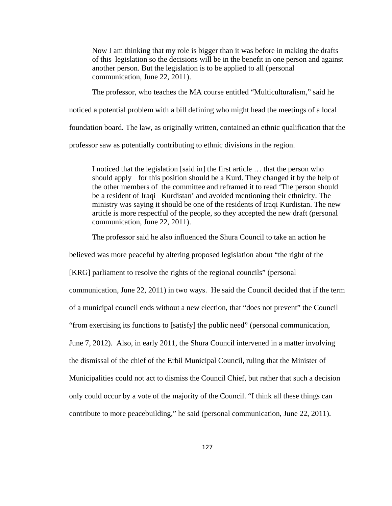Now I am thinking that my role is bigger than it was before in making the drafts of this legislation so the decisions will be in the benefit in one person and against another person. But the legislation is to be applied to all (personal communication, June 22, 2011).

 The professor, who teaches the MA course entitled "Multiculturalism," said he noticed a potential problem with a bill defining who might head the meetings of a local foundation board. The law, as originally written, contained an ethnic qualification that the professor saw as potentially contributing to ethnic divisions in the region.

I noticed that the legislation [said in] the first article … that the person who should apply for this position should be a Kurd. They changed it by the help of the other members of the committee and reframed it to read 'The person should be a resident of Iraqi Kurdistan' and avoided mentioning their ethnicity. The ministry was saying it should be one of the residents of Iraqi Kurdistan. The new article is more respectful of the people, so they accepted the new draft (personal communication, June 22, 2011).

The professor said he also influenced the Shura Council to take an action he

believed was more peaceful by altering proposed legislation about "the right of the [KRG] parliament to resolve the rights of the regional councils" (personal communication, June 22, 2011) in two ways. He said the Council decided that if the term of a municipal council ends without a new election, that "does not prevent" the Council "from exercising its functions to [satisfy] the public need" (personal communication, June 7, 2012). Also, in early 2011, the Shura Council intervened in a matter involving the dismissal of the chief of the Erbil Municipal Council, ruling that the Minister of Municipalities could not act to dismiss the Council Chief, but rather that such a decision only could occur by a vote of the majority of the Council. "I think all these things can contribute to more peacebuilding," he said (personal communication, June 22, 2011).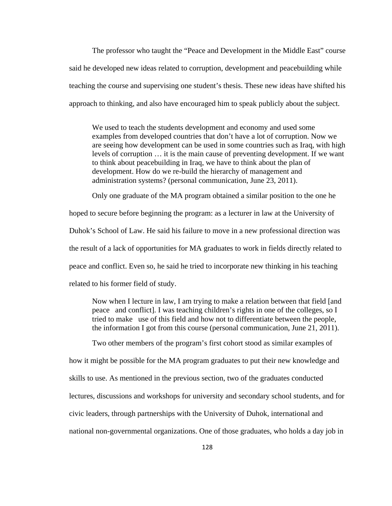The professor who taught the "Peace and Development in the Middle East" course said he developed new ideas related to corruption, development and peacebuilding while teaching the course and supervising one student's thesis. These new ideas have shifted his approach to thinking, and also have encouraged him to speak publicly about the subject.

We used to teach the students development and economy and used some examples from developed countries that don't have a lot of corruption. Now we are seeing how development can be used in some countries such as Iraq, with high levels of corruption … it is the main cause of preventing development. If we want to think about peacebuilding in Iraq, we have to think about the plan of development. How do we re-build the hierarchy of management and administration systems? (personal communication, June 23, 2011).

Only one graduate of the MA program obtained a similar position to the one he

hoped to secure before beginning the program: as a lecturer in law at the University of Duhok's School of Law. He said his failure to move in a new professional direction was the result of a lack of opportunities for MA graduates to work in fields directly related to peace and conflict. Even so, he said he tried to incorporate new thinking in his teaching related to his former field of study.

Now when I lecture in law, I am trying to make a relation between that field [and peace and conflict]. I was teaching children's rights in one of the colleges, so I tried to make use of this field and how not to differentiate between the people, the information I got from this course (personal communication, June 21, 2011).

Two other members of the program's first cohort stood as similar examples of

how it might be possible for the MA program graduates to put their new knowledge and skills to use. As mentioned in the previous section, two of the graduates conducted lectures, discussions and workshops for university and secondary school students, and for civic leaders, through partnerships with the University of Duhok, international and national non-governmental organizations. One of those graduates, who holds a day job in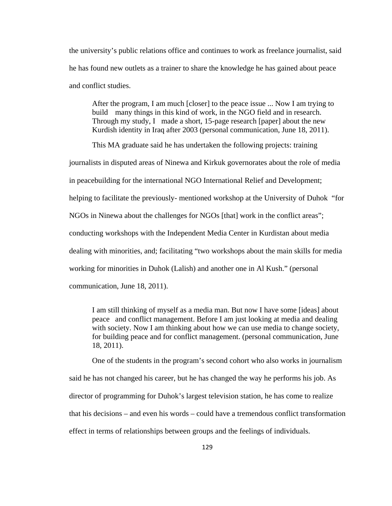the university's public relations office and continues to work as freelance journalist, said he has found new outlets as a trainer to share the knowledge he has gained about peace and conflict studies.

After the program, I am much [closer] to the peace issue ... Now I am trying to build many things in this kind of work, in the NGO field and in research. Through my study, I made a short, 15-page research [paper] about the new Kurdish identity in Iraq after 2003 (personal communication, June 18, 2011).

 This MA graduate said he has undertaken the following projects: training journalists in disputed areas of Ninewa and Kirkuk governorates about the role of media in peacebuilding for the international NGO International Relief and Development; helping to facilitate the previously- mentioned workshop at the University of Duhok "for NGOs in Ninewa about the challenges for NGOs [that] work in the conflict areas"; conducting workshops with the Independent Media Center in Kurdistan about media dealing with minorities, and; facilitating "two workshops about the main skills for media working for minorities in Duhok (Lalish) and another one in Al Kush." (personal communication, June 18, 2011).

I am still thinking of myself as a media man. But now I have some [ideas] about peace and conflict management. Before I am just looking at media and dealing with society. Now I am thinking about how we can use media to change society, for building peace and for conflict management. (personal communication, June 18, 2011).

 One of the students in the program's second cohort who also works in journalism said he has not changed his career, but he has changed the way he performs his job. As director of programming for Duhok's largest television station, he has come to realize that his decisions – and even his words – could have a tremendous conflict transformation effect in terms of relationships between groups and the feelings of individuals.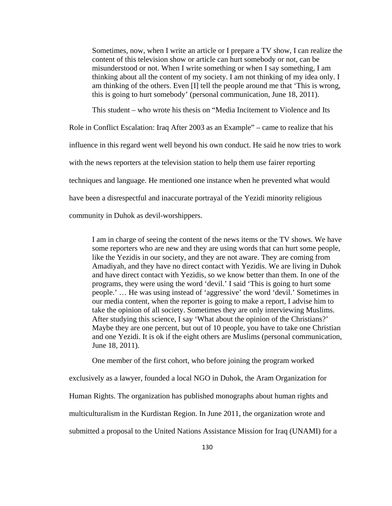Sometimes, now, when I write an article or I prepare a TV show, I can realize the content of this television show or article can hurt somebody or not, can be misunderstood or not. When I write something or when I say something, I am thinking about all the content of my society. I am not thinking of my idea only. I am thinking of the others. Even [I] tell the people around me that 'This is wrong, this is going to hurt somebody' (personal communication, June 18, 2011).

This student – who wrote his thesis on "Media Incitement to Violence and Its

Role in Conflict Escalation: Iraq After 2003 as an Example" – came to realize that his influence in this regard went well beyond his own conduct. He said he now tries to work with the news reporters at the television station to help them use fairer reporting techniques and language. He mentioned one instance when he prevented what would have been a disrespectful and inaccurate portrayal of the Yezidi minority religious community in Duhok as devil-worshippers.

I am in charge of seeing the content of the news items or the TV shows. We have some reporters who are new and they are using words that can hurt some people, like the Yezidis in our society, and they are not aware. They are coming from Amadiyah, and they have no direct contact with Yezidis. We are living in Duhok and have direct contact with Yezidis, so we know better than them. In one of the programs, they were using the word 'devil.' I said 'This is going to hurt some people.' … He was using instead of 'aggressive' the word 'devil.' Sometimes in our media content, when the reporter is going to make a report, I advise him to take the opinion of all society. Sometimes they are only interviewing Muslims. After studying this science, I say 'What about the opinion of the Christians?' Maybe they are one percent, but out of 10 people, you have to take one Christian and one Yezidi. It is ok if the eight others are Muslims (personal communication, June 18, 2011).

One member of the first cohort, who before joining the program worked

exclusively as a lawyer, founded a local NGO in Duhok, the Aram Organization for

Human Rights. The organization has published monographs about human rights and

multiculturalism in the Kurdistan Region. In June 2011, the organization wrote and

submitted a proposal to the United Nations Assistance Mission for Iraq (UNAMI) for a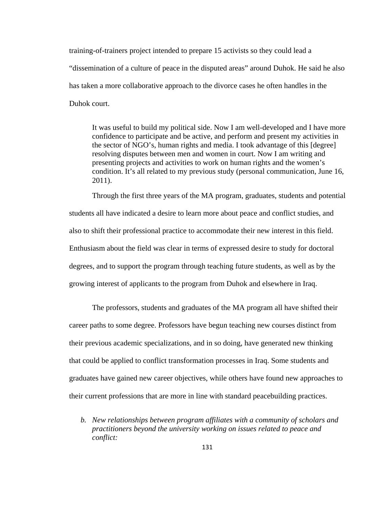training-of-trainers project intended to prepare 15 activists so they could lead a "dissemination of a culture of peace in the disputed areas" around Duhok. He said he also has taken a more collaborative approach to the divorce cases he often handles in the Duhok court.

It was useful to build my political side. Now I am well-developed and I have more confidence to participate and be active, and perform and present my activities in the sector of NGO's, human rights and media. I took advantage of this [degree] resolving disputes between men and women in court. Now I am writing and presenting projects and activities to work on human rights and the women's condition. It's all related to my previous study (personal communication, June 16, 2011).

Through the first three years of the MA program, graduates, students and potential students all have indicated a desire to learn more about peace and conflict studies, and also to shift their professional practice to accommodate their new interest in this field. Enthusiasm about the field was clear in terms of expressed desire to study for doctoral degrees, and to support the program through teaching future students, as well as by the growing interest of applicants to the program from Duhok and elsewhere in Iraq.

The professors, students and graduates of the MA program all have shifted their career paths to some degree. Professors have begun teaching new courses distinct from their previous academic specializations, and in so doing, have generated new thinking that could be applied to conflict transformation processes in Iraq. Some students and graduates have gained new career objectives, while others have found new approaches to their current professions that are more in line with standard peacebuilding practices.

*b. New relationships between program affiliates with a community of scholars and practitioners beyond the university working on issues related to peace and conflict:*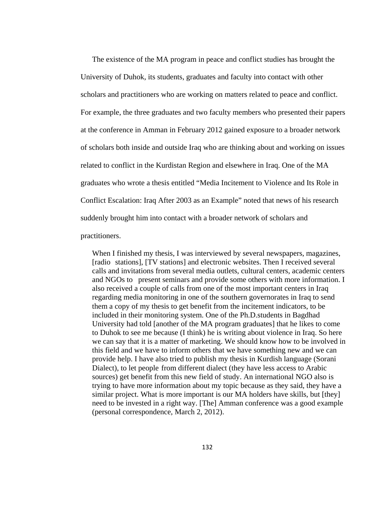The existence of the MA program in peace and conflict studies has brought the University of Duhok, its students, graduates and faculty into contact with other scholars and practitioners who are working on matters related to peace and conflict. For example, the three graduates and two faculty members who presented their papers at the conference in Amman in February 2012 gained exposure to a broader network of scholars both inside and outside Iraq who are thinking about and working on issues related to conflict in the Kurdistan Region and elsewhere in Iraq. One of the MA graduates who wrote a thesis entitled "Media Incitement to Violence and Its Role in Conflict Escalation: Iraq After 2003 as an Example" noted that news of his research suddenly brought him into contact with a broader network of scholars and

practitioners.

When I finished my thesis, I was interviewed by several newspapers, magazines, [radio stations], [TV stations] and electronic websites. Then I received several calls and invitations from several media outlets, cultural centers, academic centers and NGOs to present seminars and provide some others with more information. I also received a couple of calls from one of the most important centers in Iraq regarding media monitoring in one of the southern governorates in Iraq to send them a copy of my thesis to get benefit from the incitement indicators, to be included in their monitoring system. One of the Ph.D.students in Bagdhad University had told [another of the MA program graduates] that he likes to come to Duhok to see me because (I think) he is writing about violence in Iraq. So here we can say that it is a matter of marketing. We should know how to be involved in this field and we have to inform others that we have something new and we can provide help. I have also tried to publish my thesis in Kurdish language (Sorani Dialect), to let people from different dialect (they have less access to Arabic sources) get benefit from this new field of study. An international NGO also is trying to have more information about my topic because as they said, they have a similar project. What is more important is our MA holders have skills, but [they] need to be invested in a right way. [The] Amman conference was a good example (personal correspondence, March 2, 2012).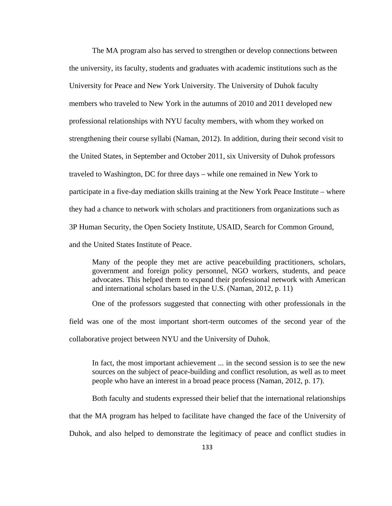The MA program also has served to strengthen or develop connections between the university, its faculty, students and graduates with academic institutions such as the University for Peace and New York University. The University of Duhok faculty members who traveled to New York in the autumns of 2010 and 2011 developed new professional relationships with NYU faculty members, with whom they worked on strengthening their course syllabi (Naman, 2012). In addition, during their second visit to the United States, in September and October 2011, six University of Duhok professors traveled to Washington, DC for three days – while one remained in New York to participate in a five-day mediation skills training at the New York Peace Institute – where they had a chance to network with scholars and practitioners from organizations such as 3P Human Security, the Open Society Institute, USAID, Search for Common Ground, and the United States Institute of Peace.

Many of the people they met are active peacebuilding practitioners, scholars, government and foreign policy personnel, NGO workers, students, and peace advocates. This helped them to expand their professional network with American and international scholars based in the U.S. (Naman, 2012, p. 11)

 One of the professors suggested that connecting with other professionals in the field was one of the most important short-term outcomes of the second year of the collaborative project between NYU and the University of Duhok.

In fact, the most important achievement ... in the second session is to see the new sources on the subject of peace-building and conflict resolution, as well as to meet people who have an interest in a broad peace process (Naman, 2012, p. 17).

Both faculty and students expressed their belief that the international relationships that the MA program has helped to facilitate have changed the face of the University of Duhok, and also helped to demonstrate the legitimacy of peace and conflict studies in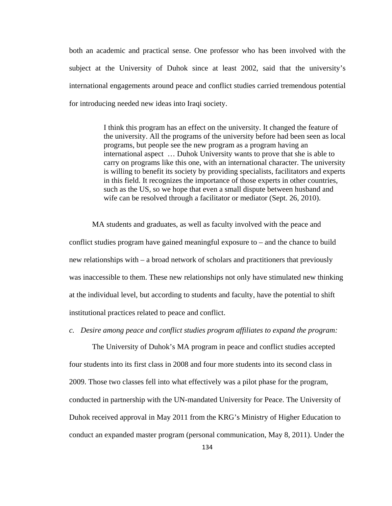both an academic and practical sense. One professor who has been involved with the subject at the University of Duhok since at least 2002, said that the university's international engagements around peace and conflict studies carried tremendous potential for introducing needed new ideas into Iraqi society.

> I think this program has an effect on the university. It changed the feature of the university. All the programs of the university before had been seen as local programs, but people see the new program as a program having an international aspect … Duhok University wants to prove that she is able to carry on programs like this one, with an international character. The university is willing to benefit its society by providing specialists, facilitators and experts in this field. It recognizes the importance of those experts in other countries, such as the US, so we hope that even a small dispute between husband and wife can be resolved through a facilitator or mediator (Sept. 26, 2010).

 MA students and graduates, as well as faculty involved with the peace and conflict studies program have gained meaningful exposure to – and the chance to build new relationships with – a broad network of scholars and practitioners that previously was inaccessible to them. These new relationships not only have stimulated new thinking at the individual level, but according to students and faculty, have the potential to shift institutional practices related to peace and conflict.

#### *c. Desire among peace and conflict studies program affiliates to expand the program:*

The University of Duhok's MA program in peace and conflict studies accepted four students into its first class in 2008 and four more students into its second class in 2009. Those two classes fell into what effectively was a pilot phase for the program, conducted in partnership with the UN-mandated University for Peace. The University of Duhok received approval in May 2011 from the KRG's Ministry of Higher Education to conduct an expanded master program (personal communication, May 8, 2011). Under the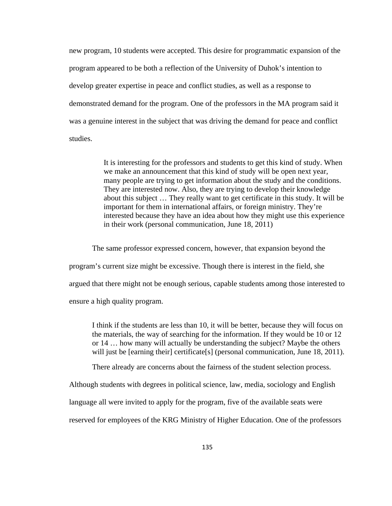new program, 10 students were accepted. This desire for programmatic expansion of the program appeared to be both a reflection of the University of Duhok's intention to develop greater expertise in peace and conflict studies, as well as a response to demonstrated demand for the program. One of the professors in the MA program said it was a genuine interest in the subject that was driving the demand for peace and conflict studies.

> It is interesting for the professors and students to get this kind of study. When we make an announcement that this kind of study will be open next year, many people are trying to get information about the study and the conditions. They are interested now. Also, they are trying to develop their knowledge about this subject … They really want to get certificate in this study. It will be important for them in international affairs, or foreign ministry. They're interested because they have an idea about how they might use this experience in their work (personal communication, June 18, 2011)

The same professor expressed concern, however, that expansion beyond the

program's current size might be excessive. Though there is interest in the field, she

argued that there might not be enough serious, capable students among those interested to

ensure a high quality program.

I think if the students are less than 10, it will be better, because they will focus on the materials, the way of searching for the information. If they would be 10 or 12 or 14 … how many will actually be understanding the subject? Maybe the others will just be [earning their] certificate[s] (personal communication, June 18, 2011).

There already are concerns about the fairness of the student selection process.

Although students with degrees in political science, law, media, sociology and English

language all were invited to apply for the program, five of the available seats were

reserved for employees of the KRG Ministry of Higher Education. One of the professors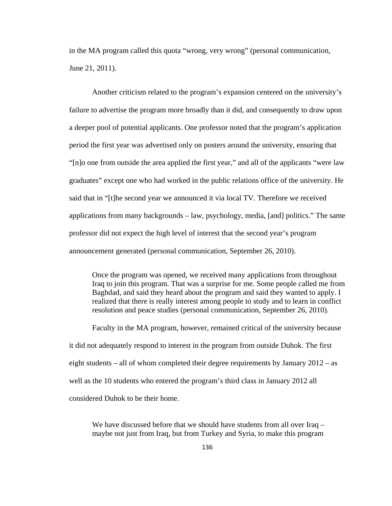in the MA program called this quota "wrong, very wrong" (personal communication, June 21, 2011).

Another criticism related to the program's expansion centered on the university's failure to advertise the program more broadly than it did, and consequently to draw upon a deeper pool of potential applicants. One professor noted that the program's application period the first year was advertised only on posters around the university, ensuring that "[n]o one from outside the area applied the first year," and all of the applicants "were law graduates" except one who had worked in the public relations office of the university. He said that in "[t]he second year we announced it via local TV. Therefore we received applications from many backgrounds – law, psychology, media, [and] politics." The same professor did not expect the high level of interest that the second year's program announcement generated (personal communication, September 26, 2010).

Once the program was opened, we received many applications from throughout Iraq to join this program. That was a surprise for me. Some people called me from Baghdad, and said they heard about the program and said they wanted to apply. I realized that there is really interest among people to study and to learn in conflict resolution and peace studies (personal communication, September 26, 2010).

Faculty in the MA program, however, remained critical of the university because it did not adequately respond to interest in the program from outside Duhok. The first eight students – all of whom completed their degree requirements by January 2012 – as well as the 10 students who entered the program's third class in January 2012 all considered Duhok to be their home.

We have discussed before that we should have students from all over Iraq – maybe not just from Iraq, but from Turkey and Syria, to make this program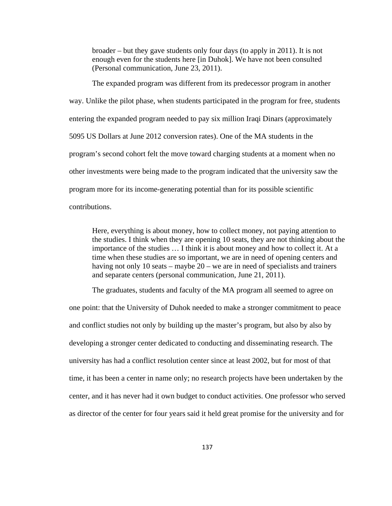broader – but they gave students only four days (to apply in 2011). It is not enough even for the students here [in Duhok]. We have not been consulted (Personal communication, June 23, 2011).

The expanded program was different from its predecessor program in another way. Unlike the pilot phase, when students participated in the program for free, students entering the expanded program needed to pay six million Iraqi Dinars (approximately 5095 US Dollars at June 2012 conversion rates). One of the MA students in the program's second cohort felt the move toward charging students at a moment when no other investments were being made to the program indicated that the university saw the program more for its income-generating potential than for its possible scientific contributions.

Here, everything is about money, how to collect money, not paying attention to the studies. I think when they are opening 10 seats, they are not thinking about the importance of the studies … I think it is about money and how to collect it. At a time when these studies are so important, we are in need of opening centers and having not only 10 seats – maybe 20 – we are in need of specialists and trainers and separate centers (personal communication, June 21, 2011).

The graduates, students and faculty of the MA program all seemed to agree on one point: that the University of Duhok needed to make a stronger commitment to peace and conflict studies not only by building up the master's program, but also by also by developing a stronger center dedicated to conducting and disseminating research. The university has had a conflict resolution center since at least 2002, but for most of that time, it has been a center in name only; no research projects have been undertaken by the center, and it has never had it own budget to conduct activities. One professor who served as director of the center for four years said it held great promise for the university and for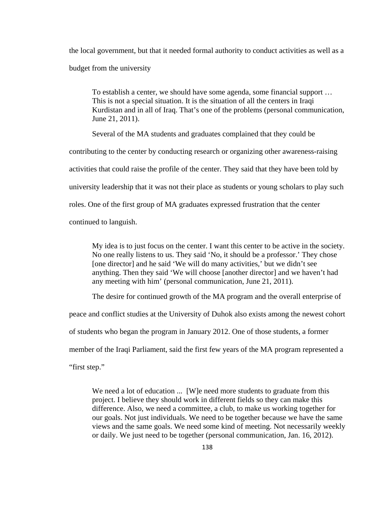the local government, but that it needed formal authority to conduct activities as well as a budget from the university

To establish a center, we should have some agenda, some financial support … This is not a special situation. It is the situation of all the centers in Iraqi Kurdistan and in all of Iraq. That's one of the problems (personal communication, June 21, 2011).

Several of the MA students and graduates complained that they could be

contributing to the center by conducting research or organizing other awareness-raising

activities that could raise the profile of the center. They said that they have been told by

university leadership that it was not their place as students or young scholars to play such

roles. One of the first group of MA graduates expressed frustration that the center

continued to languish.

My idea is to just focus on the center. I want this center to be active in the society. No one really listens to us. They said 'No, it should be a professor.' They chose [one director] and he said 'We will do many activities,' but we didn't see anything. Then they said 'We will choose [another director] and we haven't had any meeting with him' (personal communication, June 21, 2011).

The desire for continued growth of the MA program and the overall enterprise of

peace and conflict studies at the University of Duhok also exists among the newest cohort

of students who began the program in January 2012. One of those students, a former

member of the Iraqi Parliament, said the first few years of the MA program represented a

"first step."

We need a lot of education ... [W]e need more students to graduate from this project. I believe they should work in different fields so they can make this difference. Also, we need a committee, a club, to make us working together for our goals. Not just individuals. We need to be together because we have the same views and the same goals. We need some kind of meeting. Not necessarily weekly or daily. We just need to be together (personal communication, Jan. 16, 2012).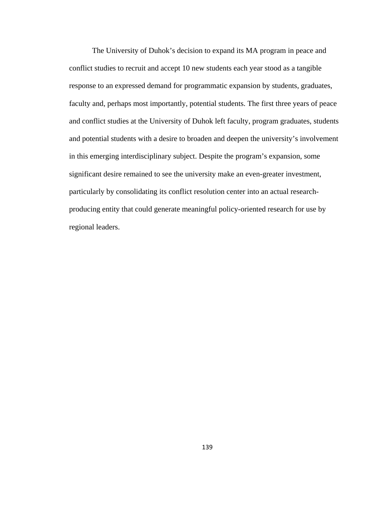The University of Duhok's decision to expand its MA program in peace and conflict studies to recruit and accept 10 new students each year stood as a tangible response to an expressed demand for programmatic expansion by students, graduates, faculty and, perhaps most importantly, potential students. The first three years of peace and conflict studies at the University of Duhok left faculty, program graduates, students and potential students with a desire to broaden and deepen the university's involvement in this emerging interdisciplinary subject. Despite the program's expansion, some significant desire remained to see the university make an even-greater investment, particularly by consolidating its conflict resolution center into an actual researchproducing entity that could generate meaningful policy-oriented research for use by regional leaders.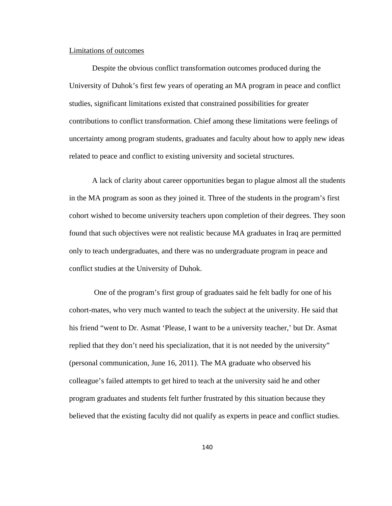# Limitations of outcomes

Despite the obvious conflict transformation outcomes produced during the University of Duhok's first few years of operating an MA program in peace and conflict studies, significant limitations existed that constrained possibilities for greater contributions to conflict transformation. Chief among these limitations were feelings of uncertainty among program students, graduates and faculty about how to apply new ideas related to peace and conflict to existing university and societal structures.

A lack of clarity about career opportunities began to plague almost all the students in the MA program as soon as they joined it. Three of the students in the program's first cohort wished to become university teachers upon completion of their degrees. They soon found that such objectives were not realistic because MA graduates in Iraq are permitted only to teach undergraduates, and there was no undergraduate program in peace and conflict studies at the University of Duhok.

 One of the program's first group of graduates said he felt badly for one of his cohort-mates, who very much wanted to teach the subject at the university. He said that his friend "went to Dr. Asmat 'Please, I want to be a university teacher,' but Dr. Asmat replied that they don't need his specialization, that it is not needed by the university" (personal communication, June 16, 2011). The MA graduate who observed his colleague's failed attempts to get hired to teach at the university said he and other program graduates and students felt further frustrated by this situation because they believed that the existing faculty did not qualify as experts in peace and conflict studies.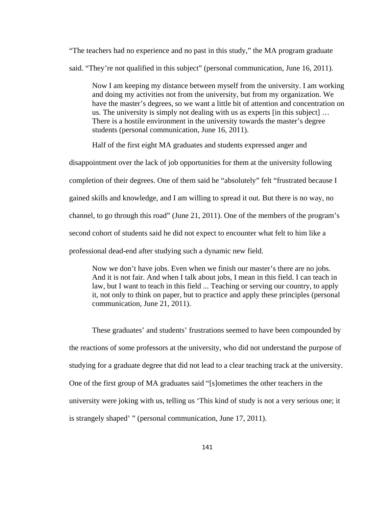"The teachers had no experience and no past in this study," the MA program graduate said. "They're not qualified in this subject" (personal communication, June 16, 2011).

Now I am keeping my distance between myself from the university. I am working and doing my activities not from the university, but from my organization. We have the master's degrees, so we want a little bit of attention and concentration on us. The university is simply not dealing with us as experts [in this subject] … There is a hostile environment in the university towards the master's degree students (personal communication, June 16, 2011).

Half of the first eight MA graduates and students expressed anger and

disappointment over the lack of job opportunities for them at the university following completion of their degrees. One of them said he "absolutely" felt "frustrated because I gained skills and knowledge, and I am willing to spread it out. But there is no way, no channel, to go through this road" (June 21, 2011). One of the members of the program's second cohort of students said he did not expect to encounter what felt to him like a professional dead-end after studying such a dynamic new field.

Now we don't have jobs. Even when we finish our master's there are no jobs. And it is not fair. And when I talk about jobs, I mean in this field. I can teach in law, but I want to teach in this field ... Teaching or serving our country, to apply it, not only to think on paper, but to practice and apply these principles (personal communication, June 21, 2011).

These graduates' and students' frustrations seemed to have been compounded by the reactions of some professors at the university, who did not understand the purpose of studying for a graduate degree that did not lead to a clear teaching track at the university. One of the first group of MA graduates said "[s]ometimes the other teachers in the university were joking with us, telling us 'This kind of study is not a very serious one; it is strangely shaped' " (personal communication, June 17, 2011).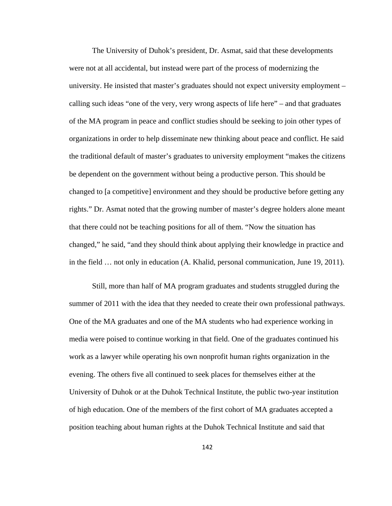The University of Duhok's president, Dr. Asmat, said that these developments were not at all accidental, but instead were part of the process of modernizing the university. He insisted that master's graduates should not expect university employment – calling such ideas "one of the very, very wrong aspects of life here" – and that graduates of the MA program in peace and conflict studies should be seeking to join other types of organizations in order to help disseminate new thinking about peace and conflict. He said the traditional default of master's graduates to university employment "makes the citizens be dependent on the government without being a productive person. This should be changed to [a competitive] environment and they should be productive before getting any rights." Dr. Asmat noted that the growing number of master's degree holders alone meant that there could not be teaching positions for all of them. "Now the situation has changed," he said, "and they should think about applying their knowledge in practice and in the field … not only in education (A. Khalid, personal communication, June 19, 2011).

 Still, more than half of MA program graduates and students struggled during the summer of 2011 with the idea that they needed to create their own professional pathways. One of the MA graduates and one of the MA students who had experience working in media were poised to continue working in that field. One of the graduates continued his work as a lawyer while operating his own nonprofit human rights organization in the evening. The others five all continued to seek places for themselves either at the University of Duhok or at the Duhok Technical Institute, the public two-year institution of high education. One of the members of the first cohort of MA graduates accepted a position teaching about human rights at the Duhok Technical Institute and said that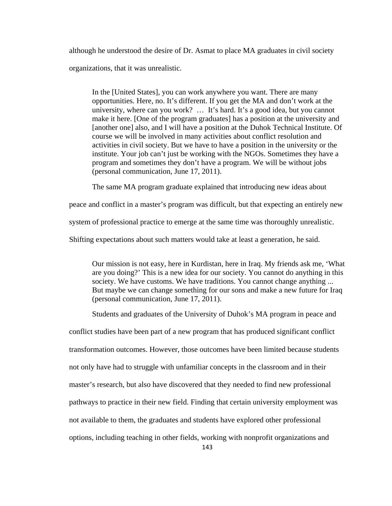although he understood the desire of Dr. Asmat to place MA graduates in civil society organizations, that it was unrealistic.

In the [United States], you can work anywhere you want. There are many opportunities. Here, no. It's different. If you get the MA and don't work at the university, where can you work? … It's hard. It's a good idea, but you cannot make it here. [One of the program graduates] has a position at the university and [another one] also, and I will have a position at the Duhok Technical Institute. Of course we will be involved in many activities about conflict resolution and activities in civil society. But we have to have a position in the university or the institute. Your job can't just be working with the NGOs. Sometimes they have a program and sometimes they don't have a program. We will be without jobs (personal communication, June 17, 2011).

The same MA program graduate explained that introducing new ideas about

peace and conflict in a master's program was difficult, but that expecting an entirely new

system of professional practice to emerge at the same time was thoroughly unrealistic.

Shifting expectations about such matters would take at least a generation, he said.

Our mission is not easy, here in Kurdistan, here in Iraq. My friends ask me, 'What are you doing?' This is a new idea for our society. You cannot do anything in this society. We have customs. We have traditions. You cannot change anything ... But maybe we can change something for our sons and make a new future for Iraq (personal communication, June 17, 2011).

Students and graduates of the University of Duhok's MA program in peace and

conflict studies have been part of a new program that has produced significant conflict transformation outcomes. However, those outcomes have been limited because students not only have had to struggle with unfamiliar concepts in the classroom and in their master's research, but also have discovered that they needed to find new professional pathways to practice in their new field. Finding that certain university employment was not available to them, the graduates and students have explored other professional options, including teaching in other fields, working with nonprofit organizations and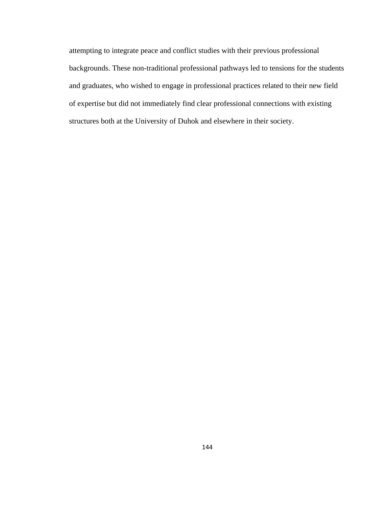attempting to integrate peace and conflict studies with their previous professional backgrounds. These non-traditional professional pathways led to tensions for the students and graduates, who wished to engage in professional practices related to their new field of expertise but did not immediately find clear professional connections with existing structures both at the University of Duhok and elsewhere in their society.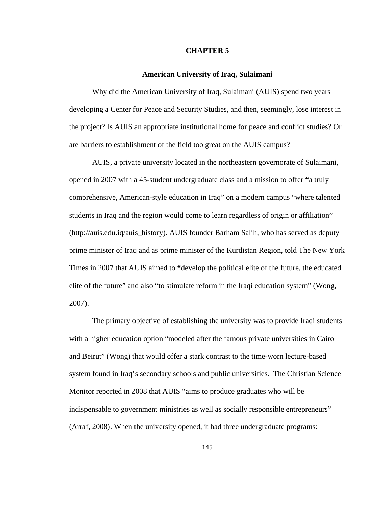#### **CHAPTER 5**

### **American University of Iraq, Sulaimani**

Why did the American University of Iraq, Sulaimani (AUIS) spend two years developing a Center for Peace and Security Studies, and then, seemingly, lose interest in the project? Is AUIS an appropriate institutional home for peace and conflict studies? Or are barriers to establishment of the field too great on the AUIS campus?

AUIS, a private university located in the northeastern governorate of Sulaimani, opened in 2007 with a 45-student undergraduate class and a mission to offer **"**a truly comprehensive, American-style education in Iraq" on a modern campus "where talented students in Iraq and the region would come to learn regardless of origin or affiliation" (http://auis.edu.iq/auis\_history). AUIS founder Barham Salih, who has served as deputy prime minister of Iraq and as prime minister of the Kurdistan Region, told The New York Times in 2007 that AUIS aimed to **"**develop the political elite of the future, the educated elite of the future" and also "to stimulate reform in the Iraqi education system" (Wong, 2007).

The primary objective of establishing the university was to provide Iraqi students with a higher education option "modeled after the famous private universities in Cairo and Beirut" (Wong) that would offer a stark contrast to the time-worn lecture-based system found in Iraq's secondary schools and public universities. The Christian Science Monitor reported in 2008 that AUIS "aims to produce graduates who will be indispensable to government ministries as well as socially responsible entrepreneurs" (Arraf, 2008). When the university opened, it had three undergraduate programs: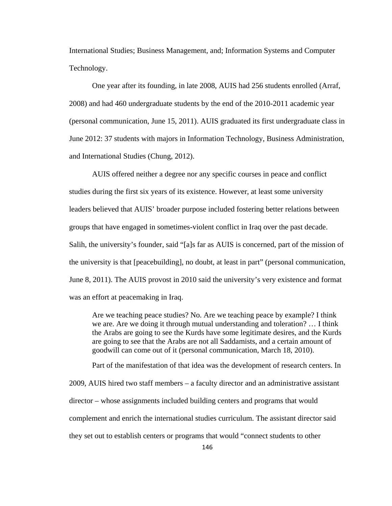International Studies; Business Management, and; Information Systems and Computer Technology.

One year after its founding, in late 2008, AUIS had 256 students enrolled (Arraf, 2008) and had 460 undergraduate students by the end of the 2010-2011 academic year (personal communication, June 15, 2011). AUIS graduated its first undergraduate class in June 2012: 37 students with majors in Information Technology, Business Administration, and International Studies (Chung, 2012).

AUIS offered neither a degree nor any specific courses in peace and conflict studies during the first six years of its existence. However, at least some university leaders believed that AUIS' broader purpose included fostering better relations between groups that have engaged in sometimes-violent conflict in Iraq over the past decade. Salih, the university's founder, said "[a]s far as AUIS is concerned, part of the mission of the university is that [peacebuilding], no doubt, at least in part" (personal communication, June 8, 2011). The AUIS provost in 2010 said the university's very existence and format was an effort at peacemaking in Iraq.

Are we teaching peace studies? No. Are we teaching peace by example? I think we are. Are we doing it through mutual understanding and toleration? … I think the Arabs are going to see the Kurds have some legitimate desires, and the Kurds are going to see that the Arabs are not all Saddamists, and a certain amount of goodwill can come out of it (personal communication, March 18, 2010).

Part of the manifestation of that idea was the development of research centers. In 2009, AUIS hired two staff members – a faculty director and an administrative assistant director – whose assignments included building centers and programs that would complement and enrich the international studies curriculum. The assistant director said they set out to establish centers or programs that would "connect students to other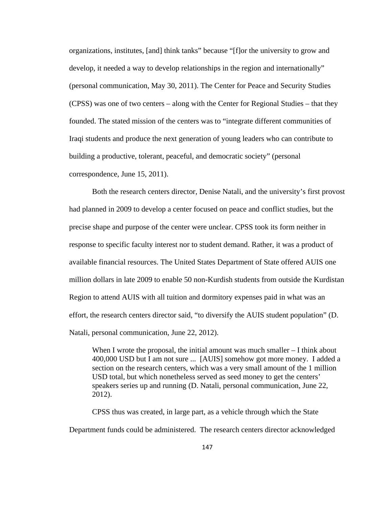organizations, institutes, [and] think tanks" because "[f]or the university to grow and develop, it needed a way to develop relationships in the region and internationally" (personal communication, May 30, 2011). The Center for Peace and Security Studies (CPSS) was one of two centers – along with the Center for Regional Studies – that they founded. The stated mission of the centers was to "integrate different communities of Iraqi students and produce the next generation of young leaders who can contribute to building a productive, tolerant, peaceful, and democratic society" (personal correspondence, June 15, 2011).

Both the research centers director, Denise Natali, and the university's first provost had planned in 2009 to develop a center focused on peace and conflict studies, but the precise shape and purpose of the center were unclear. CPSS took its form neither in response to specific faculty interest nor to student demand. Rather, it was a product of available financial resources. The United States Department of State offered AUIS one million dollars in late 2009 to enable 50 non-Kurdish students from outside the Kurdistan Region to attend AUIS with all tuition and dormitory expenses paid in what was an effort, the research centers director said, "to diversify the AUIS student population" (D. Natali, personal communication, June 22, 2012).

When I wrote the proposal, the initial amount was much smaller – I think about 400,000 USD but I am not sure ... [AUIS] somehow got more money. I added a section on the research centers, which was a very small amount of the 1 million USD total, but which nonetheless served as seed money to get the centers' speakers series up and running (D. Natali, personal communication, June 22, 2012).

CPSS thus was created, in large part, as a vehicle through which the State Department funds could be administered. The research centers director acknowledged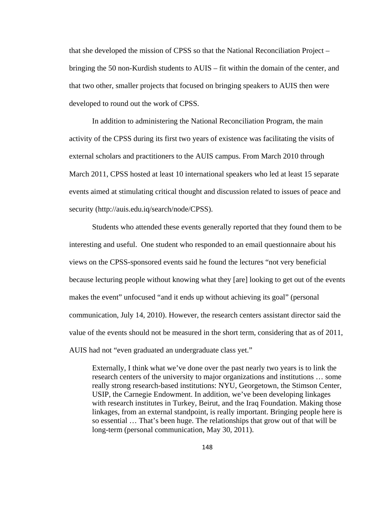that she developed the mission of CPSS so that the National Reconciliation Project – bringing the 50 non-Kurdish students to AUIS – fit within the domain of the center, and that two other, smaller projects that focused on bringing speakers to AUIS then were developed to round out the work of CPSS.

In addition to administering the National Reconciliation Program, the main activity of the CPSS during its first two years of existence was facilitating the visits of external scholars and practitioners to the AUIS campus. From March 2010 through March 2011, CPSS hosted at least 10 international speakers who led at least 15 separate events aimed at stimulating critical thought and discussion related to issues of peace and security (http://auis.edu.iq/search/node/CPSS).

Students who attended these events generally reported that they found them to be interesting and useful. One student who responded to an email questionnaire about his views on the CPSS-sponsored events said he found the lectures "not very beneficial because lecturing people without knowing what they [are] looking to get out of the events makes the event" unfocused "and it ends up without achieving its goal" (personal communication, July 14, 2010). However, the research centers assistant director said the value of the events should not be measured in the short term, considering that as of 2011, AUIS had not "even graduated an undergraduate class yet."

Externally, I think what we've done over the past nearly two years is to link the research centers of the university to major organizations and institutions … some really strong research-based institutions: NYU, Georgetown, the Stimson Center, USIP, the Carnegie Endowment. In addition, we've been developing linkages with research institutes in Turkey, Beirut, and the Iraq Foundation. Making those linkages, from an external standpoint, is really important. Bringing people here is so essential … That's been huge. The relationships that grow out of that will be long-term (personal communication, May 30, 2011).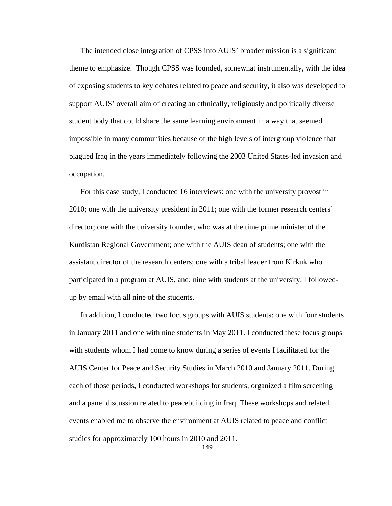The intended close integration of CPSS into AUIS' broader mission is a significant theme to emphasize. Though CPSS was founded, somewhat instrumentally, with the idea of exposing students to key debates related to peace and security, it also was developed to support AUIS' overall aim of creating an ethnically, religiously and politically diverse student body that could share the same learning environment in a way that seemed impossible in many communities because of the high levels of intergroup violence that plagued Iraq in the years immediately following the 2003 United States-led invasion and occupation.

For this case study, I conducted 16 interviews: one with the university provost in 2010; one with the university president in 2011; one with the former research centers' director; one with the university founder, who was at the time prime minister of the Kurdistan Regional Government; one with the AUIS dean of students; one with the assistant director of the research centers; one with a tribal leader from Kirkuk who participated in a program at AUIS, and; nine with students at the university. I followedup by email with all nine of the students.

In addition, I conducted two focus groups with AUIS students: one with four students in January 2011 and one with nine students in May 2011. I conducted these focus groups with students whom I had come to know during a series of events I facilitated for the AUIS Center for Peace and Security Studies in March 2010 and January 2011. During each of those periods, I conducted workshops for students, organized a film screening and a panel discussion related to peacebuilding in Iraq. These workshops and related events enabled me to observe the environment at AUIS related to peace and conflict studies for approximately 100 hours in 2010 and 2011.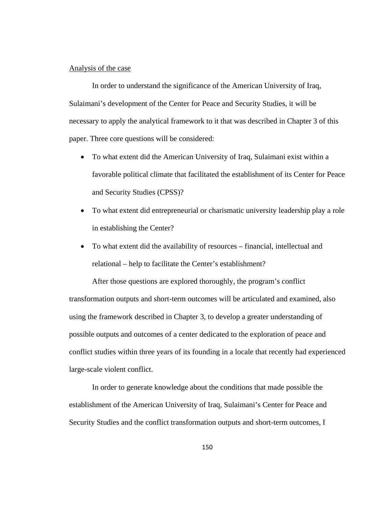# Analysis of the case

 In order to understand the significance of the American University of Iraq, Sulaimani's development of the Center for Peace and Security Studies, it will be necessary to apply the analytical framework to it that was described in Chapter 3 of this paper. Three core questions will be considered:

- To what extent did the American University of Iraq, Sulaimani exist within a favorable political climate that facilitated the establishment of its Center for Peace and Security Studies (CPSS)?
- To what extent did entrepreneurial or charismatic university leadership play a role in establishing the Center?
- To what extent did the availability of resources financial, intellectual and relational – help to facilitate the Center's establishment?

After those questions are explored thoroughly, the program's conflict transformation outputs and short-term outcomes will be articulated and examined, also using the framework described in Chapter 3, to develop a greater understanding of possible outputs and outcomes of a center dedicated to the exploration of peace and conflict studies within three years of its founding in a locale that recently had experienced large-scale violent conflict.

In order to generate knowledge about the conditions that made possible the establishment of the American University of Iraq, Sulaimani's Center for Peace and Security Studies and the conflict transformation outputs and short-term outcomes, I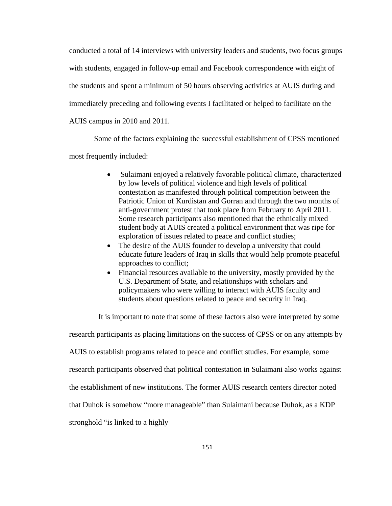conducted a total of 14 interviews with university leaders and students, two focus groups with students, engaged in follow-up email and Facebook correspondence with eight of the students and spent a minimum of 50 hours observing activities at AUIS during and immediately preceding and following events I facilitated or helped to facilitate on the AUIS campus in 2010 and 2011.

 Some of the factors explaining the successful establishment of CPSS mentioned most frequently included:

- Sulaimani enjoyed a relatively favorable political climate, characterized by low levels of political violence and high levels of political contestation as manifested through political competition between the Patriotic Union of Kurdistan and Gorran and through the two months of anti-government protest that took place from February to April 2011. Some research participants also mentioned that the ethnically mixed student body at AUIS created a political environment that was ripe for exploration of issues related to peace and conflict studies;
- The desire of the AUIS founder to develop a university that could educate future leaders of Iraq in skills that would help promote peaceful approaches to conflict;
- Financial resources available to the university, mostly provided by the U.S. Department of State, and relationships with scholars and policymakers who were willing to interact with AUIS faculty and students about questions related to peace and security in Iraq.

It is important to note that some of these factors also were interpreted by some

research participants as placing limitations on the success of CPSS or on any attempts by

AUIS to establish programs related to peace and conflict studies. For example, some

research participants observed that political contestation in Sulaimani also works against

the establishment of new institutions. The former AUIS research centers director noted

that Duhok is somehow "more manageable" than Sulaimani because Duhok, as a KDP

stronghold "is linked to a highly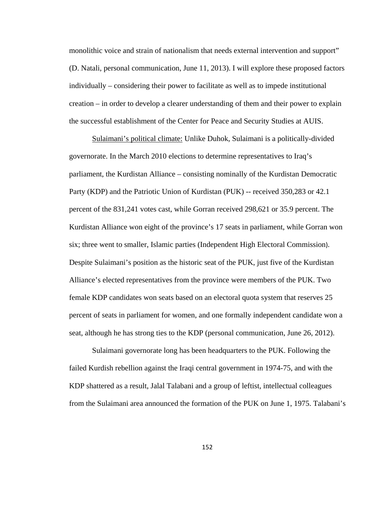monolithic voice and strain of nationalism that needs external intervention and support" (D. Natali, personal communication, June 11, 2013). I will explore these proposed factors individually – considering their power to facilitate as well as to impede institutional creation – in order to develop a clearer understanding of them and their power to explain the successful establishment of the Center for Peace and Security Studies at AUIS.

Sulaimani's political climate: Unlike Duhok, Sulaimani is a politically-divided governorate. In the March 2010 elections to determine representatives to Iraq's parliament, the Kurdistan Alliance – consisting nominally of the Kurdistan Democratic Party (KDP) and the Patriotic Union of Kurdistan (PUK) -- received 350,283 or 42.1 percent of the 831,241 votes cast, while Gorran received 298,621 or 35.9 percent. The Kurdistan Alliance won eight of the province's 17 seats in parliament, while Gorran won six; three went to smaller, Islamic parties (Independent High Electoral Commission). Despite Sulaimani's position as the historic seat of the PUK, just five of the Kurdistan Alliance's elected representatives from the province were members of the PUK. Two female KDP candidates won seats based on an electoral quota system that reserves 25 percent of seats in parliament for women, and one formally independent candidate won a seat, although he has strong ties to the KDP (personal communication, June 26, 2012).

Sulaimani governorate long has been headquarters to the PUK. Following the failed Kurdish rebellion against the Iraqi central government in 1974-75, and with the KDP shattered as a result, Jalal Talabani and a group of leftist, intellectual colleagues from the Sulaimani area announced the formation of the PUK on June 1, 1975. Talabani's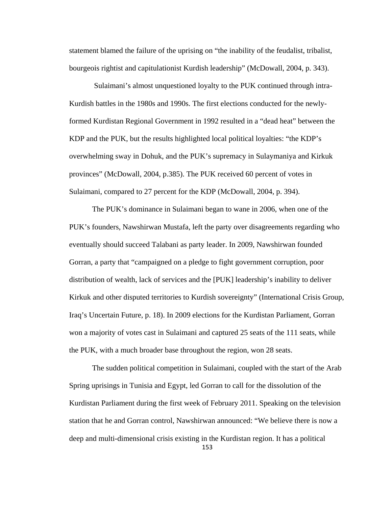statement blamed the failure of the uprising on "the inability of the feudalist, tribalist, bourgeois rightist and capitulationist Kurdish leadership" (McDowall, 2004, p. 343).

 Sulaimani's almost unquestioned loyalty to the PUK continued through intra-Kurdish battles in the 1980s and 1990s. The first elections conducted for the newlyformed Kurdistan Regional Government in 1992 resulted in a "dead heat" between the KDP and the PUK, but the results highlighted local political loyalties: "the KDP's overwhelming sway in Dohuk, and the PUK's supremacy in Sulaymaniya and Kirkuk provinces" (McDowall, 2004, p.385). The PUK received 60 percent of votes in Sulaimani, compared to 27 percent for the KDP (McDowall, 2004, p. 394).

The PUK's dominance in Sulaimani began to wane in 2006, when one of the PUK's founders, Nawshirwan Mustafa, left the party over disagreements regarding who eventually should succeed Talabani as party leader. In 2009, Nawshirwan founded Gorran, a party that "campaigned on a pledge to fight government corruption, poor distribution of wealth, lack of services and the [PUK] leadership's inability to deliver Kirkuk and other disputed territories to Kurdish sovereignty" (International Crisis Group, Iraq's Uncertain Future, p. 18). In 2009 elections for the Kurdistan Parliament, Gorran won a majority of votes cast in Sulaimani and captured 25 seats of the 111 seats, while the PUK, with a much broader base throughout the region, won 28 seats.

153 The sudden political competition in Sulaimani, coupled with the start of the Arab Spring uprisings in Tunisia and Egypt, led Gorran to call for the dissolution of the Kurdistan Parliament during the first week of February 2011. Speaking on the television station that he and Gorran control, Nawshirwan announced: "We believe there is now a deep and multi-dimensional crisis existing in the Kurdistan region. It has a political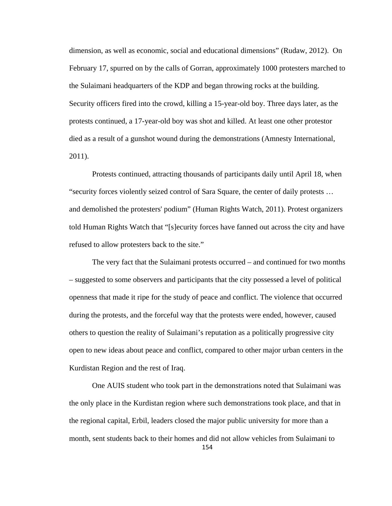dimension, as well as economic, social and educational dimensions" (Rudaw, 2012). On February 17, spurred on by the calls of Gorran, approximately 1000 protesters marched to the Sulaimani headquarters of the KDP and began throwing rocks at the building. Security officers fired into the crowd, killing a 15-year-old boy. Three days later, as the protests continued, a 17-year-old boy was shot and killed. At least one other protestor died as a result of a gunshot wound during the demonstrations (Amnesty International, 2011).

Protests continued, attracting thousands of participants daily until April 18, when "security forces violently seized control of Sara Square, the center of daily protests … and demolished the protesters' podium" (Human Rights Watch, 2011). Protest organizers told Human Rights Watch that "[s]ecurity forces have fanned out across the city and have refused to allow protesters back to the site."

The very fact that the Sulaimani protests occurred – and continued for two months – suggested to some observers and participants that the city possessed a level of political openness that made it ripe for the study of peace and conflict. The violence that occurred during the protests, and the forceful way that the protests were ended, however, caused others to question the reality of Sulaimani's reputation as a politically progressive city open to new ideas about peace and conflict, compared to other major urban centers in the Kurdistan Region and the rest of Iraq.

154 One AUIS student who took part in the demonstrations noted that Sulaimani was the only place in the Kurdistan region where such demonstrations took place, and that in the regional capital, Erbil, leaders closed the major public university for more than a month, sent students back to their homes and did not allow vehicles from Sulaimani to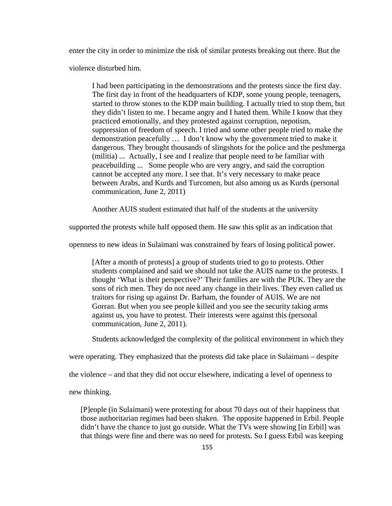enter the city in order to minimize the risk of similar protests breaking out there. But the

violence disturbed him.

I had been participating in the demonstrations and the protests since the first day. The first day in front of the headquarters of KDP, some young people, teenagers, started to throw stones to the KDP main building. I actually tried to stop them, but they didn't listen to me. I became angry and I hated them. While I know that they practiced emotionally, and they protested against corruption, nepotism, suppression of freedom of speech. I tried and some other people tried to make the demonstration peacefully … I don't know why the government tried to make it dangerous. They brought thousands of slingshots for the police and the peshmerga (militia) ... Actually, I see and I realize that people need to be familiar with peacebuilding ... Some people who are very angry, and said the corruption cannot be accepted any more. I see that. It's very necessary to make peace between Arabs, and Kurds and Turcomen, but also among us as Kurds (personal communication, June 2, 2011)

Another AUIS student estimated that half of the students at the university

supported the protests while half opposed them. He saw this split as an indication that

openness to new ideas in Sulaimani was constrained by fears of losing political power.

[After a month of protests] a group of students tried to go to protests. Other students complained and said we should not take the AUIS name to the protests. I thought 'What is their perspective?' Their families are with the PUK. They are the sons of rich men. They do not need any change in their lives. They even called us traitors for rising up against Dr. Barham, the founder of AUIS. We are not Gorran. But when you see people killed and you see the security taking arms against us, you have to protest. Their interests were against this (personal communication, June 2, 2011).

Students acknowledged the complexity of the political environment in which they

were operating. They emphasized that the protests did take place in Sulaimani – despite

the violence – and that they did not occur elsewhere, indicating a level of openness to

new thinking.

[P]eople (in Sulaimani) were protesting for about 70 days out of their happiness that those authoritarian regimes had been shaken. The opposite happened in Erbil. People didn't have the chance to just go outside. What the TVs were showing [in Erbil] was that things were fine and there was no need for protests. So I guess Erbil was keeping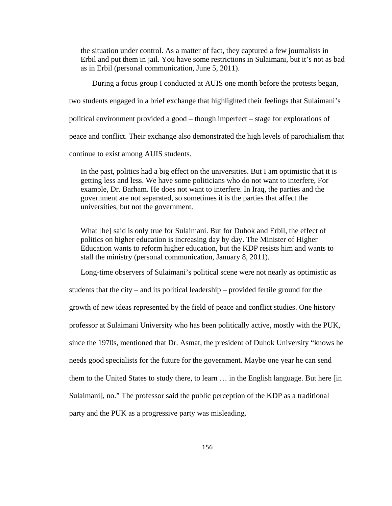the situation under control. As a matter of fact, they captured a few journalists in Erbil and put them in jail. You have some restrictions in Sulaimani, but it's not as bad as in Erbil (personal communication, June 5, 2011).

 During a focus group I conducted at AUIS one month before the protests began, two students engaged in a brief exchange that highlighted their feelings that Sulaimani's political environment provided a good – though imperfect – stage for explorations of peace and conflict. Their exchange also demonstrated the high levels of parochialism that continue to exist among AUIS students.

In the past, politics had a big effect on the universities. But I am optimistic that it is getting less and less. We have some politicians who do not want to interfere, For example, Dr. Barham. He does not want to interfere. In Iraq, the parties and the government are not separated, so sometimes it is the parties that affect the universities, but not the government.

What [he] said is only true for Sulaimani. But for Duhok and Erbil, the effect of politics on higher education is increasing day by day. The Minister of Higher Education wants to reform higher education, but the KDP resists him and wants to stall the ministry (personal communication, January 8, 2011).

Long-time observers of Sulaimani's political scene were not nearly as optimistic as

students that the city – and its political leadership – provided fertile ground for the growth of new ideas represented by the field of peace and conflict studies. One history professor at Sulaimani University who has been politically active, mostly with the PUK, since the 1970s, mentioned that Dr. Asmat, the president of Duhok University "knows he needs good specialists for the future for the government. Maybe one year he can send them to the United States to study there, to learn … in the English language. But here [in Sulaimani], no." The professor said the public perception of the KDP as a traditional

party and the PUK as a progressive party was misleading.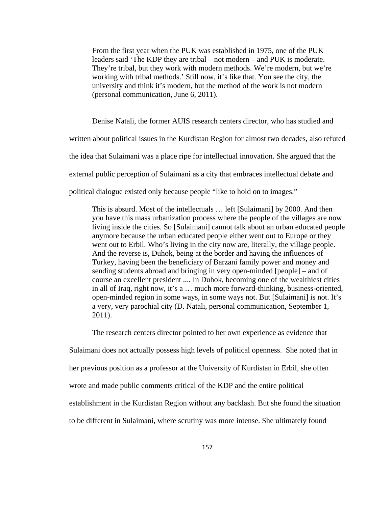From the first year when the PUK was established in 1975, one of the PUK leaders said 'The KDP they are tribal – not modern – and PUK is moderate. They're tribal, but they work with modern methods. We're modern, but we're working with tribal methods.' Still now, it's like that. You see the city, the university and think it's modern, but the method of the work is not modern (personal communication, June 6, 2011).

Denise Natali, the former AUIS research centers director, who has studied and

written about political issues in the Kurdistan Region for almost two decades, also refuted

the idea that Sulaimani was a place ripe for intellectual innovation. She argued that the

external public perception of Sulaimani as a city that embraces intellectual debate and

political dialogue existed only because people "like to hold on to images."

This is absurd. Most of the intellectuals … left [Sulaimani] by 2000. And then you have this mass urbanization process where the people of the villages are now living inside the cities. So [Sulaimani] cannot talk about an urban educated people anymore because the urban educated people either went out to Europe or they went out to Erbil. Who's living in the city now are, literally, the village people. And the reverse is, Duhok, being at the border and having the influences of Turkey, having been the beneficiary of Barzani family power and money and sending students abroad and bringing in very open-minded [people] – and of course an excellent president .... In Duhok, becoming one of the wealthiest cities in all of Iraq, right now, it's a … much more forward-thinking, business-oriented, open-minded region in some ways, in some ways not. But [Sulaimani] is not. It's a very, very parochial city (D. Natali, personal communication, September 1, 2011).

The research centers director pointed to her own experience as evidence that

Sulaimani does not actually possess high levels of political openness. She noted that in

her previous position as a professor at the University of Kurdistan in Erbil, she often

wrote and made public comments critical of the KDP and the entire political

establishment in the Kurdistan Region without any backlash. But she found the situation

to be different in Sulaimani, where scrutiny was more intense. She ultimately found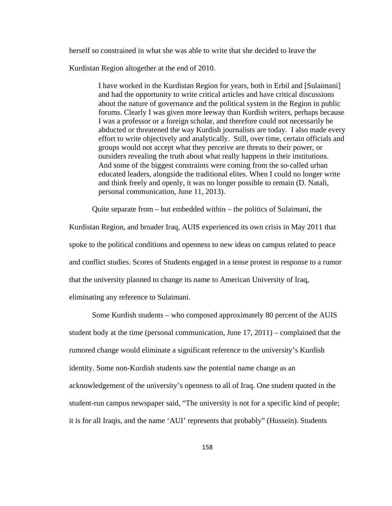herself so constrained in what she was able to write that she decided to leave the

Kurdistan Region altogether at the end of 2010.

I have worked in the Kurdistan Region for years, both in Erbil and [Sulaimani] and had the opportunity to write critical articles and have critical discussions about the nature of governance and the political system in the Region in public forums. Clearly I was given more leeway than Kurdish writers, perhaps because I was a professor or a foreign scholar, and therefore could not necessarily be abducted or threatened the way Kurdish journalists are today. I also made every effort to write objectively and analytically. Still, over time, certain officials and groups would not accept what they perceive are threats to their power, or outsiders revealing the truth about what really happens in their institutions. And some of the biggest constraints were coming from the so-called urban educated leaders, alongside the traditional elites. When I could no longer write and think freely and openly, it was no longer possible to remain (D. Natali, personal communication, June 11, 2013).

Quite separate from – but embedded within – the politics of Sulaimani, the

Kurdistan Region, and broader Iraq, AUIS experienced its own crisis in May 2011 that spoke to the political conditions and openness to new ideas on campus related to peace and conflict studies. Scores of Students engaged in a tense protest in response to a rumor that the university planned to change its name to American University of Iraq, eliminating any reference to Sulaimani.

Some Kurdish students – who composed approximately 80 percent of the AUIS student body at the time (personal communication, June 17, 2011) – complained that the rumored change would eliminate a significant reference to the university's Kurdish identity. Some non-Kurdish students saw the potential name change as an acknowledgement of the university's openness to all of Iraq. One student quoted in the student-run campus newspaper said, "The university is not for a specific kind of people; it is for all Iraqis, and the name 'AUI' represents that probably" (Hussein). Students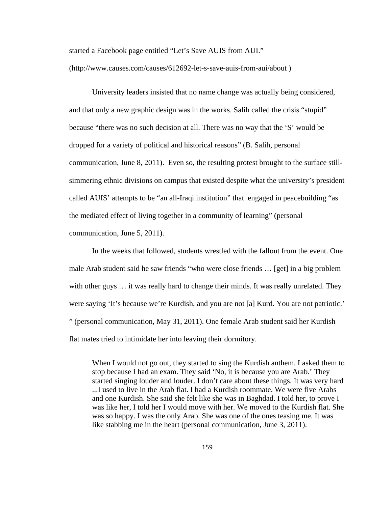started a Facebook page entitled "Let's Save AUIS from AUI."

(http://www.causes.com/causes/612692-let-s-save-auis-from-aui/about )

University leaders insisted that no name change was actually being considered, and that only a new graphic design was in the works. Salih called the crisis "stupid" because "there was no such decision at all. There was no way that the 'S' would be dropped for a variety of political and historical reasons" (B. Salih, personal communication, June 8, 2011). Even so, the resulting protest brought to the surface stillsimmering ethnic divisions on campus that existed despite what the university's president called AUIS' attempts to be "an all-Iraqi institution" that engaged in peacebuilding "as the mediated effect of living together in a community of learning" (personal communication, June 5, 2011).

In the weeks that followed, students wrestled with the fallout from the event. One male Arab student said he saw friends "who were close friends … [get] in a big problem with other guys ... it was really hard to change their minds. It was really unrelated. They were saying 'It's because we're Kurdish, and you are not [a] Kurd. You are not patriotic.' " (personal communication, May 31, 2011). One female Arab student said her Kurdish flat mates tried to intimidate her into leaving their dormitory.

When I would not go out, they started to sing the Kurdish anthem. I asked them to stop because I had an exam. They said 'No, it is because you are Arab.' They started singing louder and louder. I don't care about these things. It was very hard ...I used to live in the Arab flat. I had a Kurdish roommate. We were five Arabs and one Kurdish. She said she felt like she was in Baghdad. I told her, to prove I was like her, I told her I would move with her. We moved to the Kurdish flat. She was so happy. I was the only Arab. She was one of the ones teasing me. It was like stabbing me in the heart (personal communication, June 3, 2011).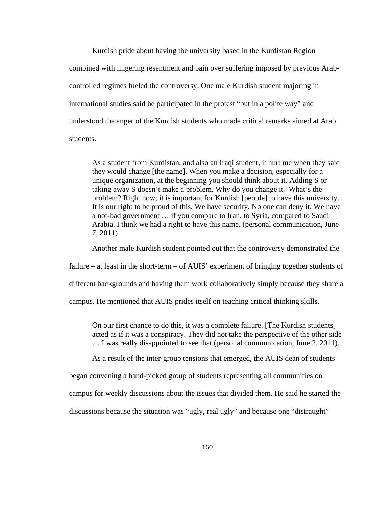Kurdish pride about having the university based in the Kurdistan Region combined with lingering resentment and pain over suffering imposed by previous Arabcontrolled regimes fueled the controversy. One male Kurdish student majoring in international studies said he participated in the protest "but in a polite way" and understood the anger of the Kurdish students who made critical remarks aimed at Arab students.

As a student from Kurdistan, and also an Iraqi student, it hurt me when they said they would change [the name]. When you make a decision, especially for a unique organization, at the beginning you should think about it. Adding S or taking away S doesn't make a problem. Why do you change it? What's the problem? Right now, it is important for Kurdish [people] to have this university. It is our right to be proud of this. We have security. No one can deny it. We have a not-bad government … if you compare to Iran, to Syria, compared to Saudi Arabia. I think we had a right to have this name. (personal communication, June 7, 2011)

Another male Kurdish student pointed out that the controversy demonstrated the

failure – at least in the short-term – of AUIS' experiment of bringing together students of

different backgrounds and having them work collaboratively simply because they share a

campus. He mentioned that AUIS prides itself on teaching critical thinking skills.

On our first chance to do this, it was a complete failure. [The Kurdish students] acted as if it was a conspiracy. They did not take the perspective of the other side … I was really disappointed to see that (personal communication, June 2, 2011).

As a result of the inter-group tensions that emerged, the AUIS dean of students

began convening a hand-picked group of students representing all communities on

campus for weekly discussions about the issues that divided them. He said he started the

discussions because the situation was "ugly, real ugly" and because one "distraught"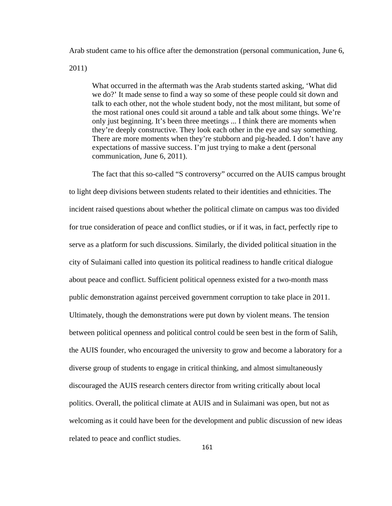Arab student came to his office after the demonstration (personal communication, June 6,

2011)

What occurred in the aftermath was the Arab students started asking, 'What did we do?' It made sense to find a way so some of these people could sit down and talk to each other, not the whole student body, not the most militant, but some of the most rational ones could sit around a table and talk about some things. We're only just beginning. It's been three meetings ... I think there are moments when they're deeply constructive. They look each other in the eye and say something. There are more moments when they're stubborn and pig-headed. I don't have any expectations of massive success. I'm just trying to make a dent (personal communication, June 6, 2011).

The fact that this so-called "S controversy" occurred on the AUIS campus brought to light deep divisions between students related to their identities and ethnicities. The incident raised questions about whether the political climate on campus was too divided for true consideration of peace and conflict studies, or if it was, in fact, perfectly ripe to serve as a platform for such discussions. Similarly, the divided political situation in the city of Sulaimani called into question its political readiness to handle critical dialogue about peace and conflict. Sufficient political openness existed for a two-month mass public demonstration against perceived government corruption to take place in 2011. Ultimately, though the demonstrations were put down by violent means. The tension between political openness and political control could be seen best in the form of Salih, the AUIS founder, who encouraged the university to grow and become a laboratory for a diverse group of students to engage in critical thinking, and almost simultaneously discouraged the AUIS research centers director from writing critically about local politics. Overall, the political climate at AUIS and in Sulaimani was open, but not as welcoming as it could have been for the development and public discussion of new ideas related to peace and conflict studies.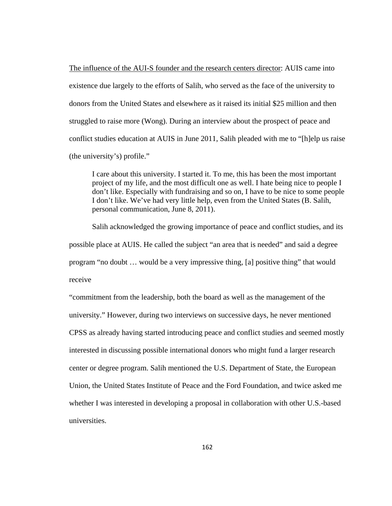The influence of the AUI-S founder and the research centers director: AUIS came into existence due largely to the efforts of Salih, who served as the face of the university to donors from the United States and elsewhere as it raised its initial \$25 million and then struggled to raise more (Wong). During an interview about the prospect of peace and conflict studies education at AUIS in June 2011, Salih pleaded with me to "[h]elp us raise (the university's) profile."

I care about this university. I started it. To me, this has been the most important project of my life, and the most difficult one as well. I hate being nice to people I don't like. Especially with fundraising and so on, I have to be nice to some people I don't like. We've had very little help, even from the United States (B. Salih, personal communication, June 8, 2011).

 Salih acknowledged the growing importance of peace and conflict studies, and its possible place at AUIS. He called the subject "an area that is needed" and said a degree program "no doubt … would be a very impressive thing, [a] positive thing" that would receive

"commitment from the leadership, both the board as well as the management of the university." However, during two interviews on successive days, he never mentioned CPSS as already having started introducing peace and conflict studies and seemed mostly interested in discussing possible international donors who might fund a larger research center or degree program. Salih mentioned the U.S. Department of State, the European Union, the United States Institute of Peace and the Ford Foundation, and twice asked me whether I was interested in developing a proposal in collaboration with other U.S.-based universities.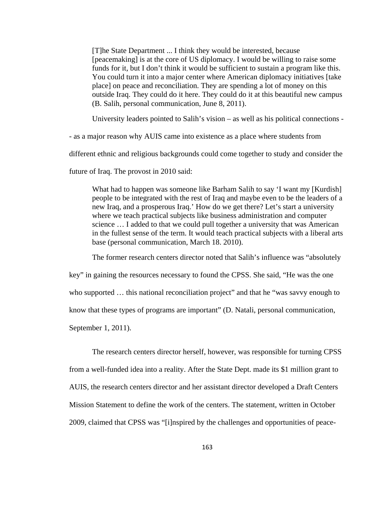[T]he State Department ... I think they would be interested, because [peacemaking] is at the core of US diplomacy. I would be willing to raise some funds for it, but I don't think it would be sufficient to sustain a program like this. You could turn it into a major center where American diplomacy initiatives [take place] on peace and reconciliation. They are spending a lot of money on this outside Iraq. They could do it here. They could do it at this beautiful new campus (B. Salih, personal communication, June 8, 2011).

University leaders pointed to Salih's vision – as well as his political connections -

- as a major reason why AUIS came into existence as a place where students from

different ethnic and religious backgrounds could come together to study and consider the

future of Iraq. The provost in 2010 said:

What had to happen was someone like Barham Salih to say 'I want my [Kurdish] people to be integrated with the rest of Iraq and maybe even to be the leaders of a new Iraq, and a prosperous Iraq.' How do we get there? Let's start a university where we teach practical subjects like business administration and computer science … I added to that we could pull together a university that was American in the fullest sense of the term. It would teach practical subjects with a liberal arts base (personal communication, March 18. 2010).

The former research centers director noted that Salih's influence was "absolutely

key" in gaining the resources necessary to found the CPSS. She said, "He was the one who supported ... this national reconciliation project" and that he "was savvy enough to know that these types of programs are important" (D. Natali, personal communication, September 1, 2011).

 The research centers director herself, however, was responsible for turning CPSS from a well-funded idea into a reality. After the State Dept. made its \$1 million grant to AUIS, the research centers director and her assistant director developed a Draft Centers Mission Statement to define the work of the centers. The statement, written in October 2009, claimed that CPSS was "[i]nspired by the challenges and opportunities of peace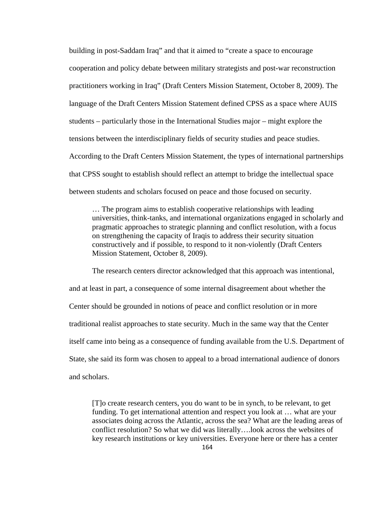building in post-Saddam Iraq" and that it aimed to "create a space to encourage cooperation and policy debate between military strategists and post-war reconstruction practitioners working in Iraq" (Draft Centers Mission Statement, October 8, 2009). The language of the Draft Centers Mission Statement defined CPSS as a space where AUIS students – particularly those in the International Studies major – might explore the tensions between the interdisciplinary fields of security studies and peace studies. According to the Draft Centers Mission Statement, the types of international partnerships that CPSS sought to establish should reflect an attempt to bridge the intellectual space between students and scholars focused on peace and those focused on security.

… The program aims to establish cooperative relationships with leading universities, think-tanks, and international organizations engaged in scholarly and pragmatic approaches to strategic planning and conflict resolution, with a focus on strengthening the capacity of Iraqis to address their security situation constructively and if possible, to respond to it non-violently (Draft Centers Mission Statement, October 8, 2009).

The research centers director acknowledged that this approach was intentional, and at least in part, a consequence of some internal disagreement about whether the Center should be grounded in notions of peace and conflict resolution or in more traditional realist approaches to state security. Much in the same way that the Center itself came into being as a consequence of funding available from the U.S. Department of State, she said its form was chosen to appeal to a broad international audience of donors and scholars.

[T]o create research centers, you do want to be in synch, to be relevant, to get funding. To get international attention and respect you look at … what are your associates doing across the Atlantic, across the sea? What are the leading areas of conflict resolution? So what we did was literally….look across the websites of key research institutions or key universities. Everyone here or there has a center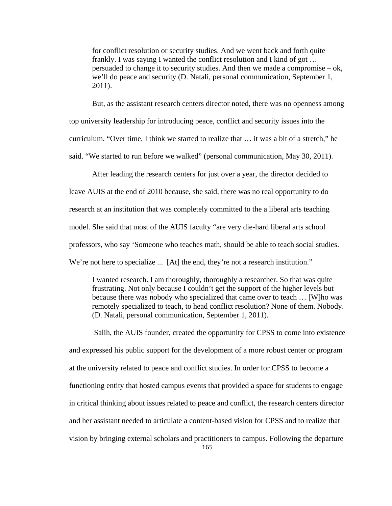for conflict resolution or security studies. And we went back and forth quite frankly. I was saying I wanted the conflict resolution and I kind of got … persuaded to change it to security studies. And then we made a compromise – ok, we'll do peace and security (D. Natali, personal communication, September 1, 2011).

But, as the assistant research centers director noted, there was no openness among top university leadership for introducing peace, conflict and security issues into the curriculum. "Over time, I think we started to realize that … it was a bit of a stretch," he said. "We started to run before we walked" (personal communication, May 30, 2011).

After leading the research centers for just over a year, the director decided to leave AUIS at the end of 2010 because, she said, there was no real opportunity to do research at an institution that was completely committed to the a liberal arts teaching model. She said that most of the AUIS faculty "are very die-hard liberal arts school professors, who say 'Someone who teaches math, should be able to teach social studies. We're not here to specialize ... [At] the end, they're not a research institution."

I wanted research. I am thoroughly, thoroughly a researcher. So that was quite frustrating. Not only because I couldn't get the support of the higher levels but because there was nobody who specialized that came over to teach … [W]ho was remotely specialized to teach, to head conflict resolution? None of them. Nobody. (D. Natali, personal communication, September 1, 2011).

 Salih, the AUIS founder, created the opportunity for CPSS to come into existence and expressed his public support for the development of a more robust center or program at the university related to peace and conflict studies. In order for CPSS to become a functioning entity that hosted campus events that provided a space for students to engage in critical thinking about issues related to peace and conflict, the research centers director and her assistant needed to articulate a content-based vision for CPSS and to realize that vision by bringing external scholars and practitioners to campus. Following the departure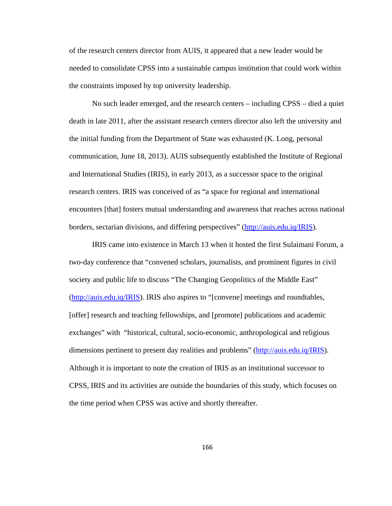of the research centers director from AUIS, it appeared that a new leader would be needed to consolidate CPSS into a sustainable campus institution that could work within the constraints imposed by top university leadership.

No such leader emerged, and the research centers – including CPSS – died a quiet death in late 2011, after the assistant research centers director also left the university and the initial funding from the Department of State was exhausted (K. Long, personal communication, June 18, 2013). AUIS subsequently established the Institute of Regional and International Studies (IRIS), in early 2013, as a successor space to the original research centers. IRIS was conceived of as "a space for regional and international encounters [that] fosters mutual understanding and awareness that reaches across national borders, sectarian divisions, and differing perspectives" (http://auis.edu.iq/IRIS).

IRIS came into existence in March 13 when it hosted the first Sulaimani Forum, a two-day conference that "convened scholars, journalists, and prominent figures in civil society and public life to discuss "The Changing Geopolitics of the Middle East" (http://auis.edu.iq/IRIS). IRIS also aspires to "[convene] meetings and roundtables, [offer] research and teaching fellowships, and [promote] publications and academic exchanges" with "historical, cultural, socio-economic, anthropological and religious dimensions pertinent to present day realities and problems" (http://auis.edu.iq/IRIS). Although it is important to note the creation of IRIS as an institutional successor to CPSS, IRIS and its activities are outside the boundaries of this study, which focuses on the time period when CPSS was active and shortly thereafter.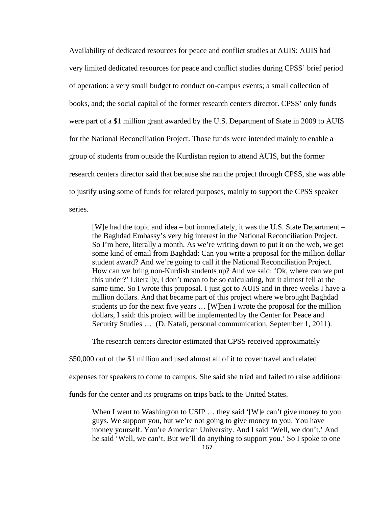Availability of dedicated resources for peace and conflict studies at AUIS: AUIS had very limited dedicated resources for peace and conflict studies during CPSS' brief period of operation: a very small budget to conduct on-campus events; a small collection of books, and; the social capital of the former research centers director. CPSS' only funds were part of a \$1 million grant awarded by the U.S. Department of State in 2009 to AUIS for the National Reconciliation Project. Those funds were intended mainly to enable a group of students from outside the Kurdistan region to attend AUIS, but the former research centers director said that because she ran the project through CPSS, she was able to justify using some of funds for related purposes, mainly to support the CPSS speaker series.

[W]e had the topic and idea – but immediately, it was the U.S. State Department – the Baghdad Embassy's very big interest in the National Reconciliation Project. So I'm here, literally a month. As we're writing down to put it on the web, we get some kind of email from Baghdad: Can you write a proposal for the million dollar student award? And we're going to call it the National Reconciliation Project. How can we bring non-Kurdish students up? And we said: 'Ok, where can we put this under?' Literally, I don't mean to be so calculating, but it almost fell at the same time. So I wrote this proposal. I just got to AUIS and in three weeks I have a million dollars. And that became part of this project where we brought Baghdad students up for the next five years … [W]hen I wrote the proposal for the million dollars, I said: this project will be implemented by the Center for Peace and Security Studies … (D. Natali, personal communication, September 1, 2011).

The research centers director estimated that CPSS received approximately

\$50,000 out of the \$1 million and used almost all of it to cover travel and related

expenses for speakers to come to campus. She said she tried and failed to raise additional

funds for the center and its programs on trips back to the United States.

When I went to Washington to USIP ... they said '[W]e can't give money to you guys. We support you, but we're not going to give money to you. You have money yourself. You're American University. And I said 'Well, we don't.' And he said 'Well, we can't. But we'll do anything to support you.' So I spoke to one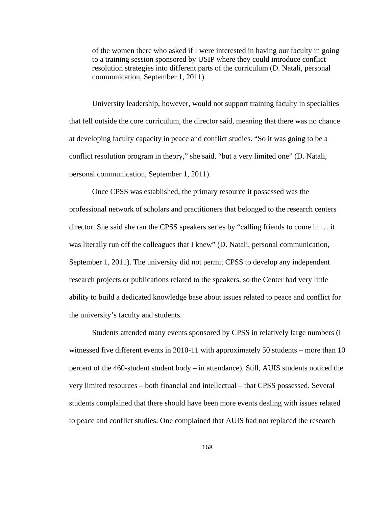of the women there who asked if I were interested in having our faculty in going to a training session sponsored by USIP where they could introduce conflict resolution strategies into different parts of the curriculum (D. Natali, personal communication, September 1, 2011).

University leadership, however, would not support training faculty in specialties that fell outside the core curriculum, the director said, meaning that there was no chance at developing faculty capacity in peace and conflict studies. "So it was going to be a conflict resolution program in theory," she said, "but a very limited one" (D. Natali, personal communication, September 1, 2011).

 Once CPSS was established, the primary resource it possessed was the professional network of scholars and practitioners that belonged to the research centers director. She said she ran the CPSS speakers series by "calling friends to come in … it was literally run off the colleagues that I knew" (D. Natali, personal communication, September 1, 2011). The university did not permit CPSS to develop any independent research projects or publications related to the speakers, so the Center had very little ability to build a dedicated knowledge base about issues related to peace and conflict for the university's faculty and students.

 Students attended many events sponsored by CPSS in relatively large numbers (I witnessed five different events in 2010-11 with approximately 50 students – more than 10 percent of the 460-student student body – in attendance). Still, AUIS students noticed the very limited resources – both financial and intellectual – that CPSS possessed. Several students complained that there should have been more events dealing with issues related to peace and conflict studies. One complained that AUIS had not replaced the research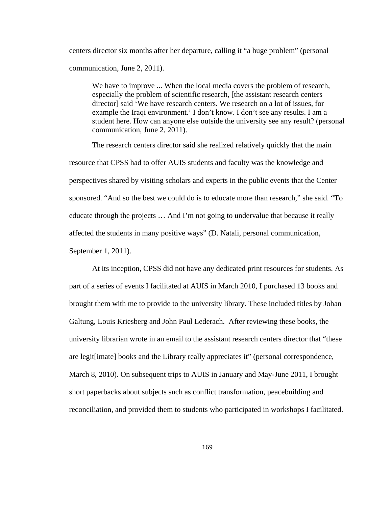centers director six months after her departure, calling it "a huge problem" (personal communication, June 2, 2011).

We have to improve ... When the local media covers the problem of research, especially the problem of scientific research, [the assistant research centers director] said 'We have research centers. We research on a lot of issues, for example the Iraqi environment.' I don't know. I don't see any results. I am a student here. How can anyone else outside the university see any result? (personal communication, June 2, 2011).

The research centers director said she realized relatively quickly that the main resource that CPSS had to offer AUIS students and faculty was the knowledge and perspectives shared by visiting scholars and experts in the public events that the Center sponsored. "And so the best we could do is to educate more than research," she said. "To educate through the projects … And I'm not going to undervalue that because it really affected the students in many positive ways" (D. Natali, personal communication, September 1, 2011).

At its inception, CPSS did not have any dedicated print resources for students. As part of a series of events I facilitated at AUIS in March 2010, I purchased 13 books and brought them with me to provide to the university library. These included titles by Johan Galtung, Louis Kriesberg and John Paul Lederach. After reviewing these books, the university librarian wrote in an email to the assistant research centers director that "these are legit[imate] books and the Library really appreciates it" (personal correspondence, March 8, 2010). On subsequent trips to AUIS in January and May-June 2011, I brought short paperbacks about subjects such as conflict transformation, peacebuilding and reconciliation, and provided them to students who participated in workshops I facilitated.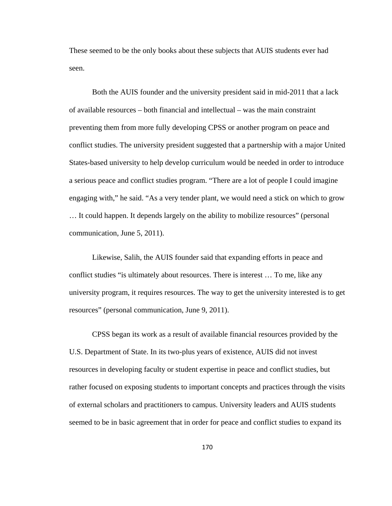These seemed to be the only books about these subjects that AUIS students ever had seen.

Both the AUIS founder and the university president said in mid-2011 that a lack of available resources – both financial and intellectual – was the main constraint preventing them from more fully developing CPSS or another program on peace and conflict studies. The university president suggested that a partnership with a major United States-based university to help develop curriculum would be needed in order to introduce a serious peace and conflict studies program. "There are a lot of people I could imagine engaging with," he said. "As a very tender plant, we would need a stick on which to grow … It could happen. It depends largely on the ability to mobilize resources" (personal communication, June 5, 2011).

Likewise, Salih, the AUIS founder said that expanding efforts in peace and conflict studies "is ultimately about resources. There is interest … To me, like any university program, it requires resources. The way to get the university interested is to get resources" (personal communication, June 9, 2011).

CPSS began its work as a result of available financial resources provided by the U.S. Department of State. In its two-plus years of existence, AUIS did not invest resources in developing faculty or student expertise in peace and conflict studies, but rather focused on exposing students to important concepts and practices through the visits of external scholars and practitioners to campus. University leaders and AUIS students seemed to be in basic agreement that in order for peace and conflict studies to expand its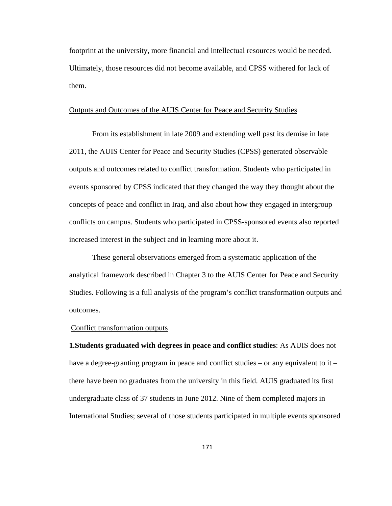footprint at the university, more financial and intellectual resources would be needed. Ultimately, those resources did not become available, and CPSS withered for lack of them.

### Outputs and Outcomes of the AUIS Center for Peace and Security Studies

 From its establishment in late 2009 and extending well past its demise in late 2011, the AUIS Center for Peace and Security Studies (CPSS) generated observable outputs and outcomes related to conflict transformation. Students who participated in events sponsored by CPSS indicated that they changed the way they thought about the concepts of peace and conflict in Iraq, and also about how they engaged in intergroup conflicts on campus. Students who participated in CPSS-sponsored events also reported increased interest in the subject and in learning more about it.

 These general observations emerged from a systematic application of the analytical framework described in Chapter 3 to the AUIS Center for Peace and Security Studies. Following is a full analysis of the program's conflict transformation outputs and outcomes.

### Conflict transformation outputs

**1.Students graduated with degrees in peace and conflict studies**: As AUIS does not have a degree-granting program in peace and conflict studies – or any equivalent to it – there have been no graduates from the university in this field. AUIS graduated its first undergraduate class of 37 students in June 2012. Nine of them completed majors in International Studies; several of those students participated in multiple events sponsored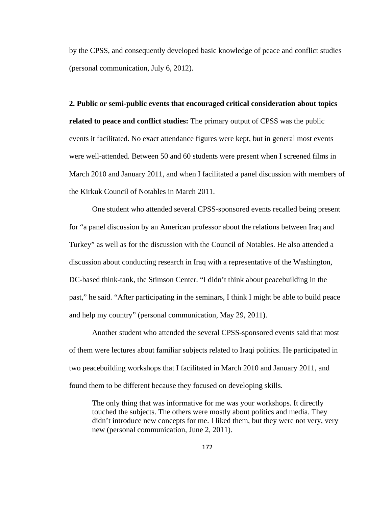by the CPSS, and consequently developed basic knowledge of peace and conflict studies (personal communication, July 6, 2012).

**2. Public or semi-public events that encouraged critical consideration about topics related to peace and conflict studies:** The primary output of CPSS was the public events it facilitated. No exact attendance figures were kept, but in general most events were well-attended. Between 50 and 60 students were present when I screened films in March 2010 and January 2011, and when I facilitated a panel discussion with members of the Kirkuk Council of Notables in March 2011.

 One student who attended several CPSS-sponsored events recalled being present for "a panel discussion by an American professor about the relations between Iraq and Turkey" as well as for the discussion with the Council of Notables. He also attended a discussion about conducting research in Iraq with a representative of the Washington, DC-based think-tank, the Stimson Center. "I didn't think about peacebuilding in the past," he said. "After participating in the seminars, I think I might be able to build peace and help my country" (personal communication, May 29, 2011).

 Another student who attended the several CPSS-sponsored events said that most of them were lectures about familiar subjects related to Iraqi politics. He participated in two peacebuilding workshops that I facilitated in March 2010 and January 2011, and found them to be different because they focused on developing skills.

The only thing that was informative for me was your workshops. It directly touched the subjects. The others were mostly about politics and media. They didn't introduce new concepts for me. I liked them, but they were not very, very new (personal communication, June 2, 2011).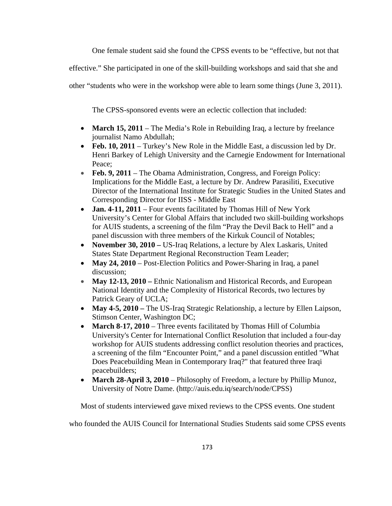One female student said she found the CPSS events to be "effective, but not that

effective." She participated in one of the skill-building workshops and said that she and

other "students who were in the workshop were able to learn some things (June 3, 2011).

The CPSS-sponsored events were an eclectic collection that included:

- March 15, 2011 The Media's Role in Rebuilding Iraq, a lecture by freelance journalist Namo Abdullah;
- Feb. 10, 2011 Turkey's New Role in the Middle East, a discussion led by Dr. Henri Barkey of Lehigh University and the Carnegie Endowment for International Peace;
- Feb. 9, 2011 The Obama Administration, Congress, and Foreign Policy: Implications for the Middle East, a lecture by Dr. Andrew Parasiliti, Executive Director of the International Institute for Strategic Studies in the United States and Corresponding Director for IISS - Middle East
- **Jan. 4-11, 2011** Four events facilitated by Thomas Hill of New York University's Center for Global Affairs that included two skill-building workshops for AUIS students, a screening of the film "Pray the Devil Back to Hell" and a panel discussion with three members of the Kirkuk Council of Notables;
- **November 30, 2010 –** US-Iraq Relations, a lecture by Alex Laskaris, United States State Department Regional Reconstruction Team Leader;
- May 24, 2010 Post-Election Politics and Power-Sharing in Iraq, a panel discussion;
- **May 12-13, 2010** Ethnic Nationalism and Historical Records, and European National Identity and the Complexity of Historical Records, two lectures by Patrick Geary of UCLA;
- **May 4-5, 2010 –** The US-Iraq Strategic Relationship, a lecture by Ellen Laipson, Stimson Center, Washington DC;
- March 8-17, 2010 Three events facilitated by Thomas Hill of Columbia University's Center for International Conflict Resolution that included a four-day workshop for AUIS students addressing conflict resolution theories and practices, a screening of the film "Encounter Point," and a panel discussion entitled "What Does Peacebuilding Mean in Contemporary Iraq?" that featured three Iraqi peacebuilders;
- **March 28-April 3, 2010** Philosophy of Freedom, a lecture by Phillip Munoz, University of Notre Dame. (http://auis.edu.iq/search/node/CPSS)

Most of students interviewed gave mixed reviews to the CPSS events. One student

who founded the AUIS Council for International Studies Students said some CPSS events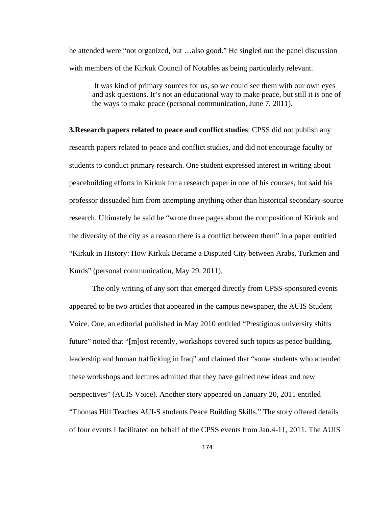he attended were "not organized, but …also good." He singled out the panel discussion with members of the Kirkuk Council of Notables as being particularly relevant.

 It was kind of primary sources for us, so we could see them with our own eyes and ask questions. It's not an educational way to make peace, but still it is one of the ways to make peace (personal communication, June 7, 2011).

**3.Research papers related to peace and conflict studies**: CPSS did not publish any research papers related to peace and conflict studies, and did not encourage faculty or students to conduct primary research. One student expressed interest in writing about peacebuilding efforts in Kirkuk for a research paper in one of his courses, but said his professor dissuaded him from attempting anything other than historical secondary-source research. Ultimately he said he "wrote three pages about the composition of Kirkuk and the diversity of the city as a reason there is a conflict between them" in a paper entitled "Kirkuk in History: How Kirkuk Became a Disputed City between Arabs, Turkmen and Kurds" (personal communication, May 29, 2011).

 The only writing of any sort that emerged directly from CPSS-sponsored events appeared to be two articles that appeared in the campus newspaper, the AUIS Student Voice. One, an editorial published in May 2010 entitled "Prestigious university shifts future" noted that "[m]ost recently, workshops covered such topics as peace building, leadership and human trafficking in Iraq" and claimed that "some students who attended these workshops and lectures admitted that they have gained new ideas and new perspectives" (AUIS Voice). Another story appeared on January 20, 2011 entitled "Thomas Hill Teaches AUI-S students Peace Building Skills." The story offered details of four events I facilitated on behalf of the CPSS events from Jan.4-11, 2011. The AUIS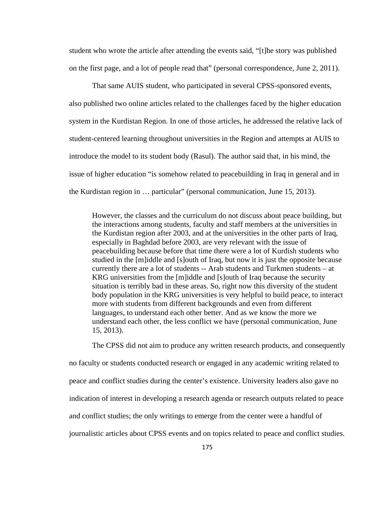student who wrote the article after attending the events said, "[t]he story was published on the first page, and a lot of people read that" (personal correspondence, June 2, 2011).

 That same AUIS student, who participated in several CPSS-sponsored events, also published two online articles related to the challenges faced by the higher education system in the Kurdistan Region. In one of those articles, he addressed the relative lack of student-centered learning throughout universities in the Region and attempts at AUIS to introduce the model to its student body (Rasul). The author said that, in his mind, the issue of higher education "is somehow related to peacebuilding in Iraq in general and in the Kurdistan region in … particular" (personal communication, June 15, 2013).

However, the classes and the curriculum do not discuss about peace building, but the interactions among students, faculty and staff members at the universities in the Kurdistan region after 2003, and at the universities in the other parts of Iraq, especially in Baghdad before 2003, are very relevant with the issue of peacebuilding because before that time there were a lot of Kurdish students who studied in the [m]iddle and [s]outh of Iraq, but now it is just the opposite because currently there are a lot of students -- Arab students and Turkmen students – at KRG universities from the [m]iddle and [s]outh of Iraq because the security situation is terribly bad in these areas. So, right now this diversity of the student body population in the KRG universities is very helpful to build peace, to interact more with students from different backgrounds and even from different languages, to understand each other better. And as we know the more we understand each other, the less conflict we have (personal communication, June 15, 2013).

The CPSS did not aim to produce any written research products, and consequently no faculty or students conducted research or engaged in any academic writing related to peace and conflict studies during the center's existence. University leaders also gave no indication of interest in developing a research agenda or research outputs related to peace and conflict studies; the only writings to emerge from the center were a handful of journalistic articles about CPSS events and on topics related to peace and conflict studies.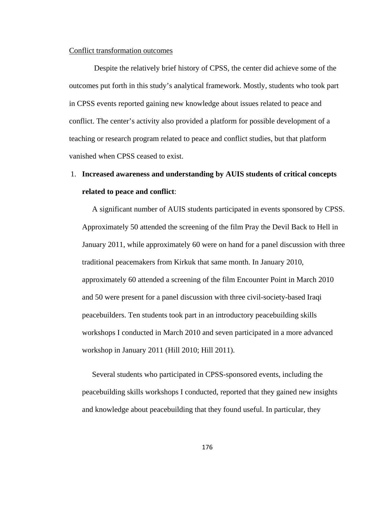#### Conflict transformation outcomes

 Despite the relatively brief history of CPSS, the center did achieve some of the outcomes put forth in this study's analytical framework. Mostly, students who took part in CPSS events reported gaining new knowledge about issues related to peace and conflict. The center's activity also provided a platform for possible development of a teaching or research program related to peace and conflict studies, but that platform vanished when CPSS ceased to exist.

# 1. **Increased awareness and understanding by AUIS students of critical concepts related to peace and conflict**:

A significant number of AUIS students participated in events sponsored by CPSS. Approximately 50 attended the screening of the film Pray the Devil Back to Hell in January 2011, while approximately 60 were on hand for a panel discussion with three traditional peacemakers from Kirkuk that same month. In January 2010, approximately 60 attended a screening of the film Encounter Point in March 2010 and 50 were present for a panel discussion with three civil-society-based Iraqi peacebuilders. Ten students took part in an introductory peacebuilding skills workshops I conducted in March 2010 and seven participated in a more advanced workshop in January 2011 (Hill 2010; Hill 2011).

Several students who participated in CPSS-sponsored events, including the peacebuilding skills workshops I conducted, reported that they gained new insights and knowledge about peacebuilding that they found useful. In particular, they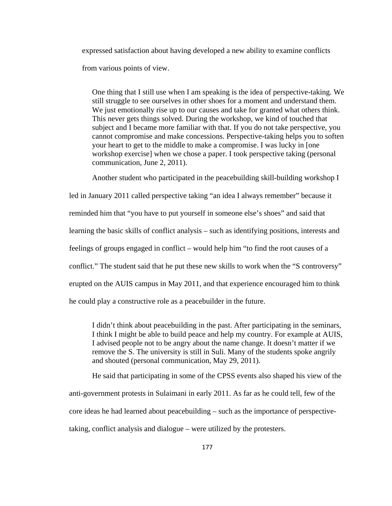expressed satisfaction about having developed a new ability to examine conflicts from various points of view.

One thing that I still use when I am speaking is the idea of perspective-taking. We still struggle to see ourselves in other shoes for a moment and understand them. We just emotionally rise up to our causes and take for granted what others think. This never gets things solved. During the workshop, we kind of touched that subject and I became more familiar with that. If you do not take perspective, you cannot compromise and make concessions. Perspective-taking helps you to soften your heart to get to the middle to make a compromise. I was lucky in [one workshop exercise] when we chose a paper. I took perspective taking (personal communication, June 2, 2011).

Another student who participated in the peacebuilding skill-building workshop I

led in January 2011 called perspective taking "an idea I always remember" because it reminded him that "you have to put yourself in someone else's shoes" and said that learning the basic skills of conflict analysis – such as identifying positions, interests and feelings of groups engaged in conflict – would help him "to find the root causes of a conflict." The student said that he put these new skills to work when the "S controversy" erupted on the AUIS campus in May 2011, and that experience encouraged him to think he could play a constructive role as a peacebuilder in the future.

I didn't think about peacebuilding in the past. After participating in the seminars, I think I might be able to build peace and help my country. For example at AUIS, I advised people not to be angry about the name change. It doesn't matter if we remove the S. The university is still in Suli. Many of the students spoke angrily and shouted (personal communication, May 29, 2011).

He said that participating in some of the CPSS events also shaped his view of the anti-government protests in Sulaimani in early 2011. As far as he could tell, few of the core ideas he had learned about peacebuilding – such as the importance of perspectivetaking, conflict analysis and dialogue – were utilized by the protesters.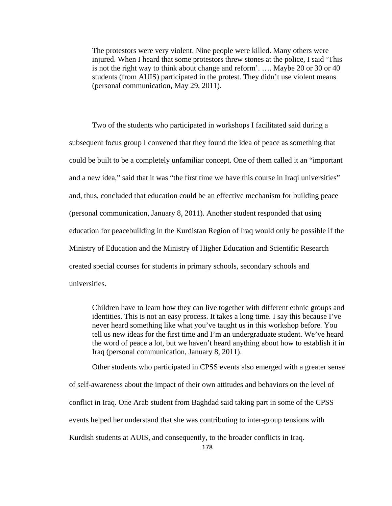The protestors were very violent. Nine people were killed. Many others were injured. When I heard that some protestors threw stones at the police, I said 'This is not the right way to think about change and reform'. …. Maybe 20 or 30 or 40 students (from AUIS) participated in the protest. They didn't use violent means (personal communication, May 29, 2011).

Two of the students who participated in workshops I facilitated said during a subsequent focus group I convened that they found the idea of peace as something that could be built to be a completely unfamiliar concept. One of them called it an "important and a new idea," said that it was "the first time we have this course in Iraqi universities" and, thus, concluded that education could be an effective mechanism for building peace (personal communication, January 8, 2011). Another student responded that using education for peacebuilding in the Kurdistan Region of Iraq would only be possible if the Ministry of Education and the Ministry of Higher Education and Scientific Research created special courses for students in primary schools, secondary schools and universities.

Children have to learn how they can live together with different ethnic groups and identities. This is not an easy process. It takes a long time. I say this because I've never heard something like what you've taught us in this workshop before. You tell us new ideas for the first time and I'm an undergraduate student. We've heard the word of peace a lot, but we haven't heard anything about how to establish it in Iraq (personal communication, January 8, 2011).

Other students who participated in CPSS events also emerged with a greater sense of self-awareness about the impact of their own attitudes and behaviors on the level of conflict in Iraq. One Arab student from Baghdad said taking part in some of the CPSS events helped her understand that she was contributing to inter-group tensions with Kurdish students at AUIS, and consequently, to the broader conflicts in Iraq.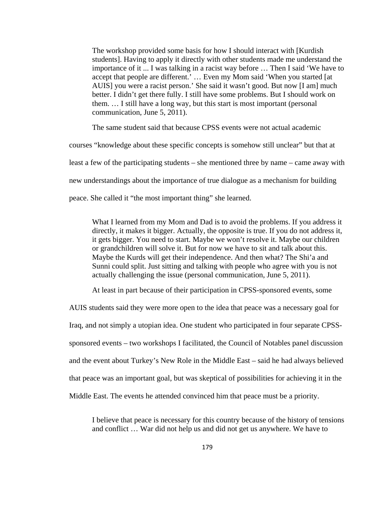The workshop provided some basis for how I should interact with [Kurdish students]. Having to apply it directly with other students made me understand the importance of it ... I was talking in a racist way before … Then I said 'We have to accept that people are different.' … Even my Mom said 'When you started [at AUIS] you were a racist person.' She said it wasn't good. But now [I am] much better. I didn't get there fully. I still have some problems. But I should work on them. … I still have a long way, but this start is most important (personal communication, June 5, 2011).

The same student said that because CPSS events were not actual academic

courses "knowledge about these specific concepts is somehow still unclear" but that at least a few of the participating students – she mentioned three by name – came away with new understandings about the importance of true dialogue as a mechanism for building peace. She called it "the most important thing" she learned.

What I learned from my Mom and Dad is to avoid the problems. If you address it directly, it makes it bigger. Actually, the opposite is true. If you do not address it, it gets bigger. You need to start. Maybe we won't resolve it. Maybe our children or grandchildren will solve it. But for now we have to sit and talk about this. Maybe the Kurds will get their independence. And then what? The Shi'a and Sunni could split. Just sitting and talking with people who agree with you is not actually challenging the issue (personal communication, June 5, 2011).

At least in part because of their participation in CPSS-sponsored events, some

AUIS students said they were more open to the idea that peace was a necessary goal for Iraq, and not simply a utopian idea. One student who participated in four separate CPSSsponsored events – two workshops I facilitated, the Council of Notables panel discussion and the event about Turkey's New Role in the Middle East – said he had always believed that peace was an important goal, but was skeptical of possibilities for achieving it in the Middle East. The events he attended convinced him that peace must be a priority.

I believe that peace is necessary for this country because of the history of tensions and conflict … War did not help us and did not get us anywhere. We have to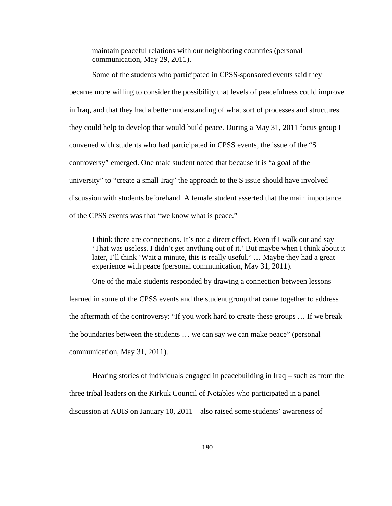maintain peaceful relations with our neighboring countries (personal communication, May 29, 2011).

Some of the students who participated in CPSS-sponsored events said they became more willing to consider the possibility that levels of peacefulness could improve in Iraq, and that they had a better understanding of what sort of processes and structures they could help to develop that would build peace. During a May 31, 2011 focus group I convened with students who had participated in CPSS events, the issue of the "S controversy" emerged. One male student noted that because it is "a goal of the university" to "create a small Iraq" the approach to the S issue should have involved discussion with students beforehand. A female student asserted that the main importance of the CPSS events was that "we know what is peace."

I think there are connections. It's not a direct effect. Even if I walk out and say 'That was useless. I didn't get anything out of it.' But maybe when I think about it later, I'll think 'Wait a minute, this is really useful.' … Maybe they had a great experience with peace (personal communication, May 31, 2011).

One of the male students responded by drawing a connection between lessons learned in some of the CPSS events and the student group that came together to address the aftermath of the controversy: "If you work hard to create these groups … If we break the boundaries between the students … we can say we can make peace" (personal communication, May 31, 2011).

Hearing stories of individuals engaged in peacebuilding in Iraq – such as from the three tribal leaders on the Kirkuk Council of Notables who participated in a panel discussion at AUIS on January 10, 2011 – also raised some students' awareness of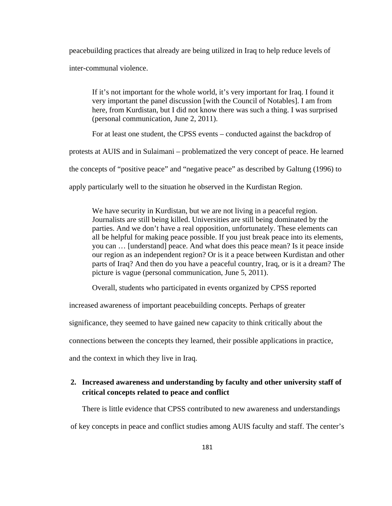peacebuilding practices that already are being utilized in Iraq to help reduce levels of inter-communal violence.

If it's not important for the whole world, it's very important for Iraq. I found it very important the panel discussion [with the Council of Notables]. I am from here, from Kurdistan, but I did not know there was such a thing. I was surprised (personal communication, June 2, 2011).

For at least one student, the CPSS events – conducted against the backdrop of

protests at AUIS and in Sulaimani – problematized the very concept of peace. He learned

the concepts of "positive peace" and "negative peace" as described by Galtung (1996) to

apply particularly well to the situation he observed in the Kurdistan Region.

We have security in Kurdistan, but we are not living in a peaceful region. Journalists are still being killed. Universities are still being dominated by the parties. And we don't have a real opposition, unfortunately. These elements can all be helpful for making peace possible. If you just break peace into its elements, you can … [understand] peace. And what does this peace mean? Is it peace inside our region as an independent region? Or is it a peace between Kurdistan and other parts of Iraq? And then do you have a peaceful country, Iraq, or is it a dream? The picture is vague (personal communication, June 5, 2011).

Overall, students who participated in events organized by CPSS reported

increased awareness of important peacebuilding concepts. Perhaps of greater

significance, they seemed to have gained new capacity to think critically about the

connections between the concepts they learned, their possible applications in practice,

and the context in which they live in Iraq.

## **2. Increased awareness and understanding by faculty and other university staff of critical concepts related to peace and conflict**

There is little evidence that CPSS contributed to new awareness and understandings

of key concepts in peace and conflict studies among AUIS faculty and staff. The center's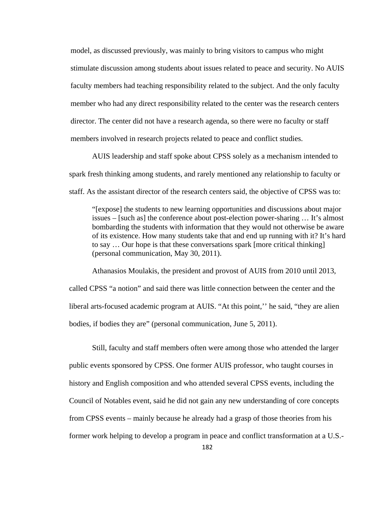model, as discussed previously, was mainly to bring visitors to campus who might stimulate discussion among students about issues related to peace and security. No AUIS faculty members had teaching responsibility related to the subject. And the only faculty member who had any direct responsibility related to the center was the research centers director. The center did not have a research agenda, so there were no faculty or staff members involved in research projects related to peace and conflict studies.

 AUIS leadership and staff spoke about CPSS solely as a mechanism intended to spark fresh thinking among students, and rarely mentioned any relationship to faculty or staff. As the assistant director of the research centers said, the objective of CPSS was to:

"[expose] the students to new learning opportunities and discussions about major issues – [such as] the conference about post-election power-sharing … It's almost bombarding the students with information that they would not otherwise be aware of its existence. How many students take that and end up running with it? It's hard to say … Our hope is that these conversations spark [more critical thinking] (personal communication, May 30, 2011).

Athanasios Moulakis, the president and provost of AUIS from 2010 until 2013, called CPSS "a notion" and said there was little connection between the center and the liberal arts-focused academic program at AUIS. "At this point,'' he said, "they are alien bodies, if bodies they are" (personal communication, June 5, 2011).

Still, faculty and staff members often were among those who attended the larger public events sponsored by CPSS. One former AUIS professor, who taught courses in history and English composition and who attended several CPSS events, including the Council of Notables event, said he did not gain any new understanding of core concepts from CPSS events – mainly because he already had a grasp of those theories from his former work helping to develop a program in peace and conflict transformation at a U.S.-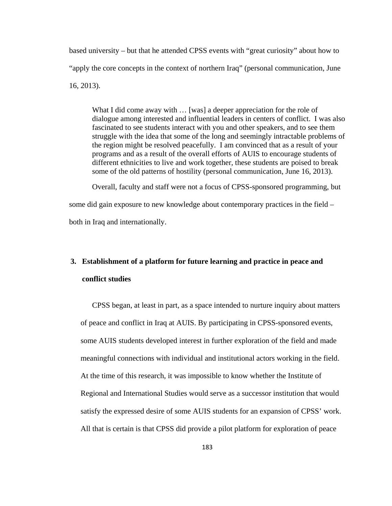based university – but that he attended CPSS events with "great curiosity" about how to "apply the core concepts in the context of northern Iraq" (personal communication, June 16, 2013).

What I did come away with … [was] a deeper appreciation for the role of dialogue among interested and influential leaders in centers of conflict. I was also fascinated to see students interact with you and other speakers, and to see them struggle with the idea that some of the long and seemingly intractable problems of the region might be resolved peacefully. I am convinced that as a result of your programs and as a result of the overall efforts of AUIS to encourage students of different ethnicities to live and work together, these students are poised to break some of the old patterns of hostility (personal communication, June 16, 2013).

Overall, faculty and staff were not a focus of CPSS-sponsored programming, but some did gain exposure to new knowledge about contemporary practices in the field – both in Iraq and internationally.

# **3. Establishment of a platform for future learning and practice in peace and conflict studies**

CPSS began, at least in part, as a space intended to nurture inquiry about matters of peace and conflict in Iraq at AUIS. By participating in CPSS-sponsored events, some AUIS students developed interest in further exploration of the field and made meaningful connections with individual and institutional actors working in the field. At the time of this research, it was impossible to know whether the Institute of Regional and International Studies would serve as a successor institution that would satisfy the expressed desire of some AUIS students for an expansion of CPSS' work. All that is certain is that CPSS did provide a pilot platform for exploration of peace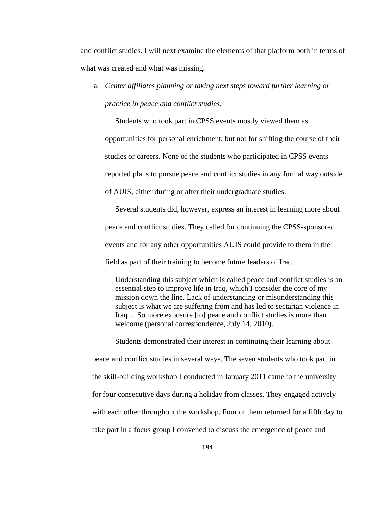and conflict studies. I will next examine the elements of that platform both in terms of what was created and what was missing.

a. *Center affiliates planning or taking next steps toward further learning or practice in peace and conflict studies:*

Students who took part in CPSS events mostly viewed them as opportunities for personal enrichment, but not for shifting the course of their studies or careers. None of the students who participated in CPSS events reported plans to pursue peace and conflict studies in any formal way outside of AUIS, either during or after their undergraduate studies.

Several students did, however, express an interest in learning more about peace and conflict studies. They called for continuing the CPSS-sponsored events and for any other opportunities AUIS could provide to them in the field as part of their training to become future leaders of Iraq.

Understanding this subject which is called peace and conflict studies is an essential step to improve life in Iraq, which I consider the core of my mission down the line. Lack of understanding or misunderstanding this subject is what we are suffering from and has led to sectarian violence in Iraq ... So more exposure [to] peace and conflict studies is more than welcome (personal correspondence, July 14, 2010).

Students demonstrated their interest in continuing their learning about peace and conflict studies in several ways. The seven students who took part in the skill-building workshop I conducted in January 2011 came to the university for four consecutive days during a holiday from classes. They engaged actively with each other throughout the workshop. Four of them returned for a fifth day to take part in a focus group I convened to discuss the emergence of peace and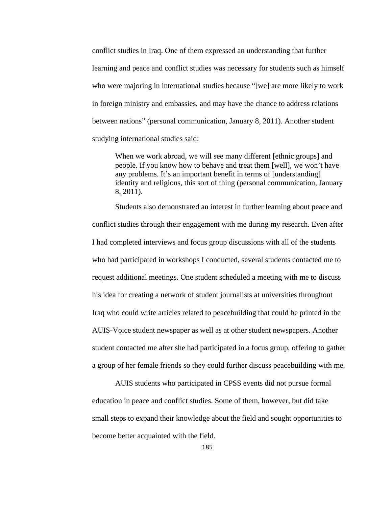conflict studies in Iraq. One of them expressed an understanding that further learning and peace and conflict studies was necessary for students such as himself who were majoring in international studies because "[we] are more likely to work in foreign ministry and embassies, and may have the chance to address relations between nations" (personal communication, January 8, 2011). Another student studying international studies said:

When we work abroad, we will see many different [ethnic groups] and people. If you know how to behave and treat them [well], we won't have any problems. It's an important benefit in terms of [understanding] identity and religions, this sort of thing (personal communication, January 8, 2011).

Students also demonstrated an interest in further learning about peace and conflict studies through their engagement with me during my research. Even after I had completed interviews and focus group discussions with all of the students who had participated in workshops I conducted, several students contacted me to request additional meetings. One student scheduled a meeting with me to discuss his idea for creating a network of student journalists at universities throughout Iraq who could write articles related to peacebuilding that could be printed in the AUIS-Voice student newspaper as well as at other student newspapers. Another student contacted me after she had participated in a focus group, offering to gather a group of her female friends so they could further discuss peacebuilding with me.

AUIS students who participated in CPSS events did not pursue formal education in peace and conflict studies. Some of them, however, but did take small steps to expand their knowledge about the field and sought opportunities to become better acquainted with the field.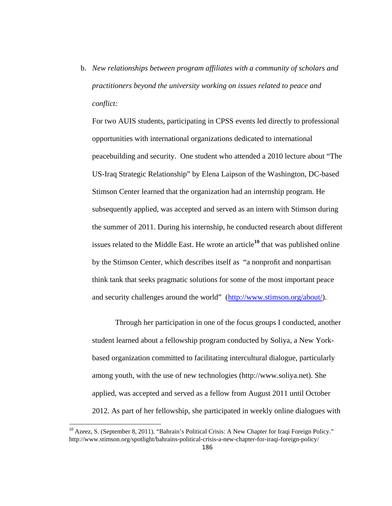b. *New relationships between program affiliates with a community of scholars and practitioners beyond the university working on issues related to peace and conflict:*

For two AUIS students, participating in CPSS events led directly to professional opportunities with international organizations dedicated to international peacebuilding and security. One student who attended a 2010 lecture about "The US-Iraq Strategic Relationship" by Elena Laipson of the Washington, DC-based Stimson Center learned that the organization had an internship program. He subsequently applied, was accepted and served as an intern with Stimson during the summer of 2011. During his internship, he conducted research about different issues related to the Middle East. He wrote an article**<sup>10</sup>** that was published online by the Stimson Center, which describes itself as "a nonprofit and nonpartisan think tank that seeks pragmatic solutions for some of the most important peace and security challenges around the world" (http://www.stimson.org/about/).

 Through her participation in one of the focus groups I conducted, another student learned about a fellowship program conducted by Soliya, a New Yorkbased organization committed to facilitating intercultural dialogue, particularly among youth, with the use of new technologies (http://www.soliya.net). She applied, was accepted and served as a fellow from August 2011 until October 2012. As part of her fellowship, she participated in weekly online dialogues with

<sup>&</sup>lt;sup>10</sup> Azeez, S. (September 8, 2011). "Bahrain's Political Crisis: A New Chapter for Iraqi Foreign Policy." http://www.stimson.org/spotlight/bahrains-political-crisis-a-new-chapter-for-iraqi-foreign-policy/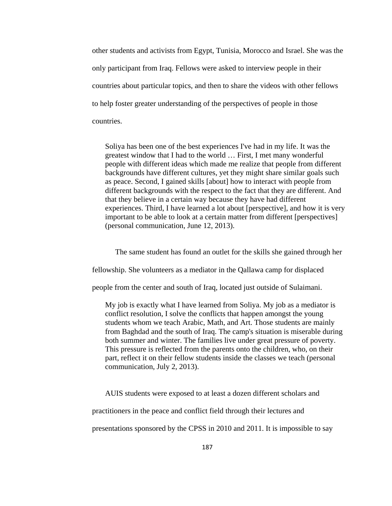other students and activists from Egypt, Tunisia, Morocco and Israel. She was the only participant from Iraq. Fellows were asked to interview people in their countries about particular topics, and then to share the videos with other fellows to help foster greater understanding of the perspectives of people in those countries.

Soliya has been one of the best experiences I've had in my life. It was the greatest window that I had to the world … First, I met many wonderful people with different ideas which made me realize that people from different backgrounds have different cultures, yet they might share similar goals such as peace. Second, I gained skills [about] how to interact with people from different backgrounds with the respect to the fact that they are different. And that they believe in a certain way because they have had different experiences. Third, I have learned a lot about [perspective], and how it is very important to be able to look at a certain matter from different [perspectives] (personal communication, June 12, 2013).

The same student has found an outlet for the skills she gained through her

fellowship. She volunteers as a mediator in the Qallawa camp for displaced

people from the center and south of Iraq, located just outside of Sulaimani.

My job is exactly what I have learned from Soliya. My job as a mediator is conflict resolution, I solve the conflicts that happen amongst the young students whom we teach Arabic, Math, and Art. Those students are mainly from Baghdad and the south of Iraq. The camp's situation is miserable during both summer and winter. The families live under great pressure of poverty. This pressure is reflected from the parents onto the children, who, on their part, reflect it on their fellow students inside the classes we teach (personal communication, July 2, 2013).

AUIS students were exposed to at least a dozen different scholars and

practitioners in the peace and conflict field through their lectures and

presentations sponsored by the CPSS in 2010 and 2011. It is impossible to say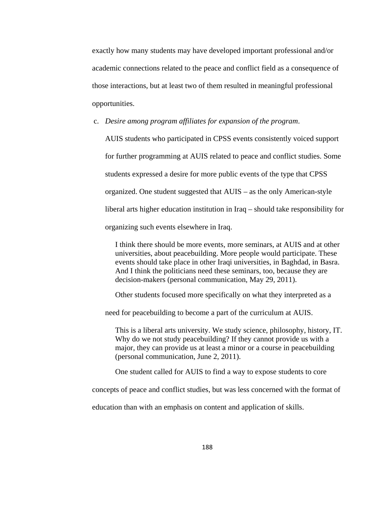exactly how many students may have developed important professional and/or academic connections related to the peace and conflict field as a consequence of those interactions, but at least two of them resulted in meaningful professional opportunities.

c. *Desire among program affiliates for expansion of the program*.

AUIS students who participated in CPSS events consistently voiced support for further programming at AUIS related to peace and conflict studies. Some students expressed a desire for more public events of the type that CPSS organized. One student suggested that AUIS – as the only American-style liberal arts higher education institution in Iraq – should take responsibility for organizing such events elsewhere in Iraq.

I think there should be more events, more seminars, at AUIS and at other universities, about peacebuilding. More people would participate. These events should take place in other Iraqi universities, in Baghdad, in Basra. And I think the politicians need these seminars, too, because they are decision-makers (personal communication, May 29, 2011).

Other students focused more specifically on what they interpreted as a

need for peacebuilding to become a part of the curriculum at AUIS.

This is a liberal arts university. We study science, philosophy, history, IT. Why do we not study peacebuilding? If they cannot provide us with a major, they can provide us at least a minor or a course in peacebuilding (personal communication, June 2, 2011).

One student called for AUIS to find a way to expose students to core

concepts of peace and conflict studies, but was less concerned with the format of

education than with an emphasis on content and application of skills.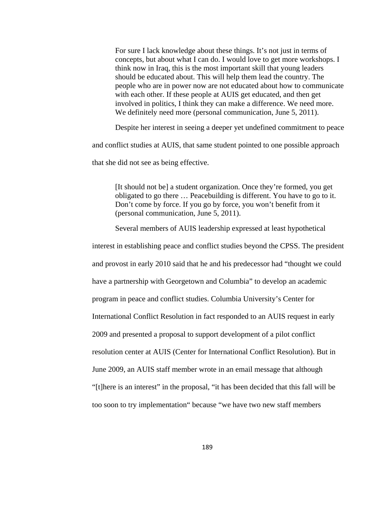For sure I lack knowledge about these things. It's not just in terms of concepts, but about what I can do. I would love to get more workshops. I think now in Iraq, this is the most important skill that young leaders should be educated about. This will help them lead the country. The people who are in power now are not educated about how to communicate with each other. If these people at AUIS get educated, and then get involved in politics, I think they can make a difference. We need more. We definitely need more (personal communication, June 5, 2011).

Despite her interest in seeing a deeper yet undefined commitment to peace

and conflict studies at AUIS, that same student pointed to one possible approach

that she did not see as being effective.

[It should not be] a student organization. Once they're formed, you get obligated to go there … Peacebuilding is different. You have to go to it. Don't come by force. If you go by force, you won't benefit from it (personal communication, June 5, 2011).

Several members of AUIS leadership expressed at least hypothetical

interest in establishing peace and conflict studies beyond the CPSS. The president and provost in early 2010 said that he and his predecessor had "thought we could have a partnership with Georgetown and Columbia" to develop an academic program in peace and conflict studies. Columbia University's Center for International Conflict Resolution in fact responded to an AUIS request in early 2009 and presented a proposal to support development of a pilot conflict resolution center at AUIS (Center for International Conflict Resolution). But in June 2009, an AUIS staff member wrote in an email message that although "[t]here is an interest" in the proposal, "it has been decided that this fall will be too soon to try implementation" because "we have two new staff members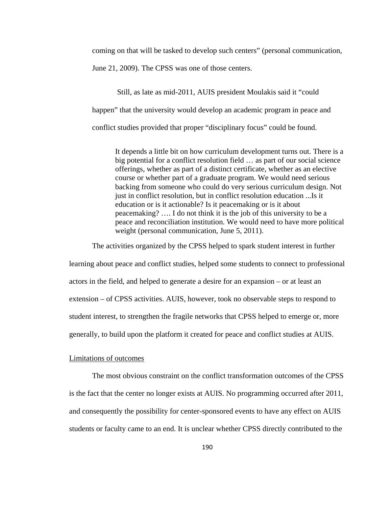coming on that will be tasked to develop such centers" (personal communication,

June 21, 2009). The CPSS was one of those centers.

 Still, as late as mid-2011, AUIS president Moulakis said it "could happen" that the university would develop an academic program in peace and conflict studies provided that proper "disciplinary focus" could be found.

It depends a little bit on how curriculum development turns out. There is a big potential for a conflict resolution field … as part of our social science offerings, whether as part of a distinct certificate, whether as an elective course or whether part of a graduate program. We would need serious backing from someone who could do very serious curriculum design. Not just in conflict resolution, but in conflict resolution education ...Is it education or is it actionable? Is it peacemaking or is it about peacemaking? …. I do not think it is the job of this university to be a peace and reconciliation institution. We would need to have more political weight (personal communication, June 5, 2011).

The activities organized by the CPSS helped to spark student interest in further learning about peace and conflict studies, helped some students to connect to professional actors in the field, and helped to generate a desire for an expansion – or at least an extension – of CPSS activities. AUIS, however, took no observable steps to respond to student interest, to strengthen the fragile networks that CPSS helped to emerge or, more

generally, to build upon the platform it created for peace and conflict studies at AUIS.

### Limitations of outcomes

The most obvious constraint on the conflict transformation outcomes of the CPSS is the fact that the center no longer exists at AUIS. No programming occurred after 2011, and consequently the possibility for center-sponsored events to have any effect on AUIS students or faculty came to an end. It is unclear whether CPSS directly contributed to the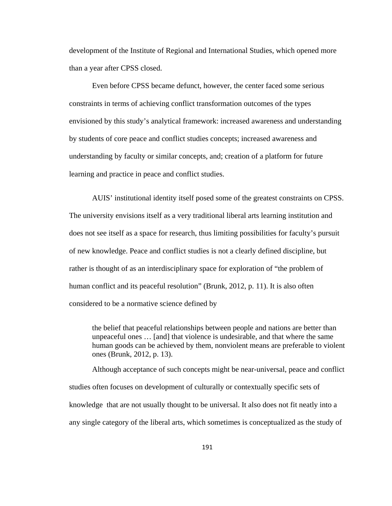development of the Institute of Regional and International Studies, which opened more than a year after CPSS closed.

 Even before CPSS became defunct, however, the center faced some serious constraints in terms of achieving conflict transformation outcomes of the types envisioned by this study's analytical framework: increased awareness and understanding by students of core peace and conflict studies concepts; increased awareness and understanding by faculty or similar concepts, and; creation of a platform for future learning and practice in peace and conflict studies.

 AUIS' institutional identity itself posed some of the greatest constraints on CPSS. The university envisions itself as a very traditional liberal arts learning institution and does not see itself as a space for research, thus limiting possibilities for faculty's pursuit of new knowledge. Peace and conflict studies is not a clearly defined discipline, but rather is thought of as an interdisciplinary space for exploration of "the problem of human conflict and its peaceful resolution" (Brunk, 2012, p. 11). It is also often considered to be a normative science defined by

the belief that peaceful relationships between people and nations are better than unpeaceful ones … [and] that violence is undesirable, and that where the same human goods can be achieved by them, nonviolent means are preferable to violent ones (Brunk, 2012, p. 13).

Although acceptance of such concepts might be near-universal, peace and conflict studies often focuses on development of culturally or contextually specific sets of knowledge that are not usually thought to be universal. It also does not fit neatly into a any single category of the liberal arts, which sometimes is conceptualized as the study of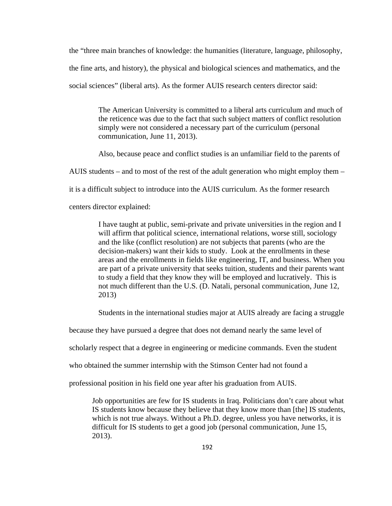the "three main branches of knowledge: the humanities (literature, language, philosophy, the fine arts, and history), the physical and biological sciences and mathematics, and the social sciences" (liberal arts). As the former AUIS research centers director said:

> The American University is committed to a liberal arts curriculum and much of the reticence was due to the fact that such subject matters of conflict resolution simply were not considered a necessary part of the curriculum (personal communication, June 11, 2013).

> Also, because peace and conflict studies is an unfamiliar field to the parents of

AUIS students – and to most of the rest of the adult generation who might employ them –

it is a difficult subject to introduce into the AUIS curriculum. As the former research

centers director explained:

I have taught at public, semi-private and private universities in the region and I will affirm that political science, international relations, worse still, sociology and the like (conflict resolution) are not subjects that parents (who are the decision-makers) want their kids to study. Look at the enrollments in these areas and the enrollments in fields like engineering, IT, and business. When you are part of a private university that seeks tuition, students and their parents want to study a field that they know they will be employed and lucratively. This is not much different than the U.S. (D. Natali, personal communication, June 12, 2013)

Students in the international studies major at AUIS already are facing a struggle

because they have pursued a degree that does not demand nearly the same level of

scholarly respect that a degree in engineering or medicine commands. Even the student

who obtained the summer internship with the Stimson Center had not found a

professional position in his field one year after his graduation from AUIS.

Job opportunities are few for IS students in Iraq. Politicians don't care about what IS students know because they believe that they know more than [the] IS students, which is not true always. Without a Ph.D. degree, unless you have networks, it is difficult for IS students to get a good job (personal communication, June 15, 2013).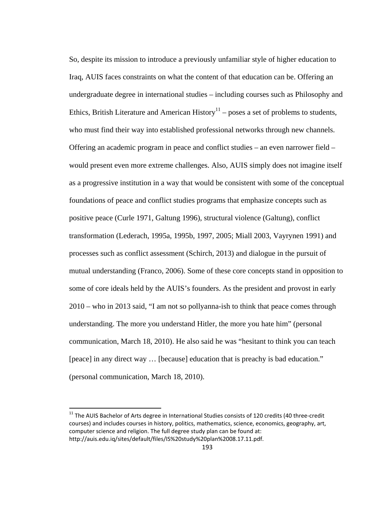So, despite its mission to introduce a previously unfamiliar style of higher education to Iraq, AUIS faces constraints on what the content of that education can be. Offering an undergraduate degree in international studies – including courses such as Philosophy and Ethics, British Literature and American History<sup>11</sup> – poses a set of problems to students, who must find their way into established professional networks through new channels. Offering an academic program in peace and conflict studies – an even narrower field – would present even more extreme challenges. Also, AUIS simply does not imagine itself as a progressive institution in a way that would be consistent with some of the conceptual foundations of peace and conflict studies programs that emphasize concepts such as positive peace (Curle 1971, Galtung 1996), structural violence (Galtung), conflict transformation (Lederach, 1995a, 1995b, 1997, 2005; Miall 2003, Vayrynen 1991) and processes such as conflict assessment (Schirch, 2013) and dialogue in the pursuit of mutual understanding (Franco, 2006). Some of these core concepts stand in opposition to some of core ideals held by the AUIS's founders. As the president and provost in early 2010 – who in 2013 said, "I am not so pollyanna-ish to think that peace comes through understanding. The more you understand Hitler, the more you hate him" (personal communication, March 18, 2010). He also said he was "hesitant to think you can teach [peace] in any direct way … [because] education that is preachy is bad education." (personal communication, March 18, 2010).

 $^{11}$  The AUIS Bachelor of Arts degree in International Studies consists of 120 credits (40 three-credit courses) and includes courses in history, politics, mathematics, science, economics, geography, art, computer science and religion. The full degree study plan can be found at: http://auis.edu.iq/sites/default/files/IS%20study%20plan%2008.17.11.pdf.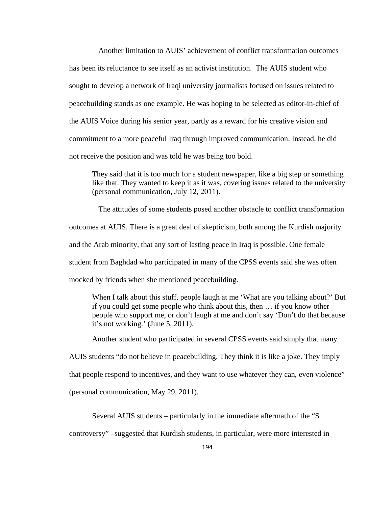Another limitation to AUIS' achievement of conflict transformation outcomes has been its reluctance to see itself as an activist institution. The AUIS student who sought to develop a network of Iraqi university journalists focused on issues related to peacebuilding stands as one example. He was hoping to be selected as editor-in-chief of the AUIS Voice during his senior year, partly as a reward for his creative vision and commitment to a more peaceful Iraq through improved communication. Instead, he did not receive the position and was told he was being too bold.

They said that it is too much for a student newspaper, like a big step or something like that. They wanted to keep it as it was, covering issues related to the university (personal communication, July 12, 2011).

 The attitudes of some students posed another obstacle to conflict transformation outcomes at AUIS. There is a great deal of skepticism, both among the Kurdish majority and the Arab minority, that any sort of lasting peace in Iraq is possible. One female student from Baghdad who participated in many of the CPSS events said she was often mocked by friends when she mentioned peacebuilding.

When I talk about this stuff, people laugh at me 'What are you talking about?' But if you could get some people who think about this, then … if you know other people who support me, or don't laugh at me and don't say 'Don't do that because it's not working.' (June 5, 2011).

Another student who participated in several CPSS events said simply that many

AUIS students "do not believe in peacebuilding. They think it is like a joke. They imply

that people respond to incentives, and they want to use whatever they can, even violence"

(personal communication, May 29, 2011).

Several AUIS students – particularly in the immediate aftermath of the "S

controversy" –suggested that Kurdish students, in particular, were more interested in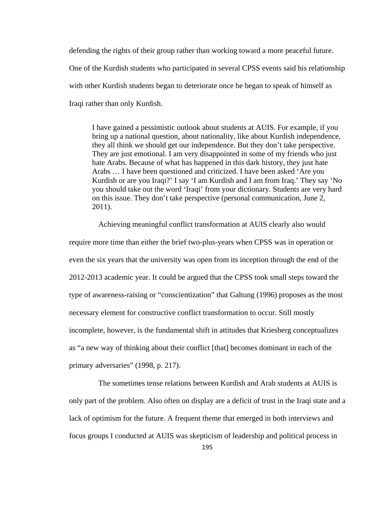defending the rights of their group rather than working toward a more peaceful future. One of the Kurdish students who participated in several CPSS events said his relationship with other Kurdish students began to deteriorate once he began to speak of himself as Iraqi rather than only Kurdish.

I have gained a pessimistic outlook about students at AUIS. For example, if you bring up a national question, about nationality, like about Kurdish independence, they all think we should get our independence. But they don't take perspective. They are just emotional. I am very disappointed in some of my friends who just hate Arabs. Because of what has happened in this dark history, they just hate Arabs … I have been questioned and criticized. I have been asked 'Are you Kurdish or are you Iraqi?' I say 'I am Kurdish and I am from Iraq.' They say 'No you should take out the word 'Iraqi' from your dictionary. Students are very hard on this issue. They don't take perspective (personal communication, June 2, 2011).

 Achieving meaningful conflict transformation at AUIS clearly also would require more time than either the brief two-plus-years when CPSS was in operation or even the six years that the university was open from its inception through the end of the 2012-2013 academic year. It could be argued that the CPSS took small steps toward the type of awareness-raising or "conscientization" that Galtung (1996) proposes as the most necessary element for constructive conflict transformation to occur. Still mostly incomplete, however, is the fundamental shift in attitudes that Kriesberg conceptualizes as "a new way of thinking about their conflict [that] becomes dominant in each of the primary adversaries" (1998, p. 217).

 The sometimes tense relations between Kurdish and Arab students at AUIS is only part of the problem. Also often on display are a deficit of trust in the Iraqi state and a lack of optimism for the future. A frequent theme that emerged in both interviews and focus groups I conducted at AUIS was skepticism of leadership and political process in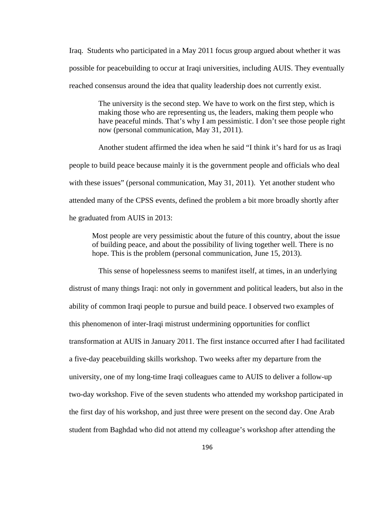Iraq. Students who participated in a May 2011 focus group argued about whether it was possible for peacebuilding to occur at Iraqi universities, including AUIS. They eventually reached consensus around the idea that quality leadership does not currently exist.

> The university is the second step. We have to work on the first step, which is making those who are representing us, the leaders, making them people who have peaceful minds. That's why I am pessimistic. I don't see those people right now (personal communication, May 31, 2011).

 Another student affirmed the idea when he said "I think it's hard for us as Iraqi people to build peace because mainly it is the government people and officials who deal with these issues" (personal communication, May 31, 2011). Yet another student who attended many of the CPSS events, defined the problem a bit more broadly shortly after he graduated from AUIS in 2013:

Most people are very pessimistic about the future of this country, about the issue of building peace, and about the possibility of living together well. There is no hope. This is the problem (personal communication, June 15, 2013).

 This sense of hopelessness seems to manifest itself, at times, in an underlying distrust of many things Iraqi: not only in government and political leaders, but also in the ability of common Iraqi people to pursue and build peace. I observed two examples of this phenomenon of inter-Iraqi mistrust undermining opportunities for conflict transformation at AUIS in January 2011. The first instance occurred after I had facilitated a five-day peacebuilding skills workshop. Two weeks after my departure from the university, one of my long-time Iraqi colleagues came to AUIS to deliver a follow-up two-day workshop. Five of the seven students who attended my workshop participated in the first day of his workshop, and just three were present on the second day. One Arab student from Baghdad who did not attend my colleague's workshop after attending the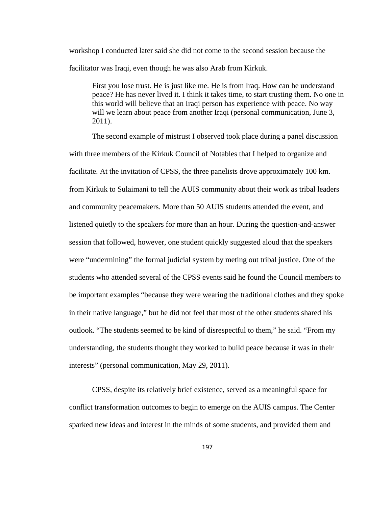workshop I conducted later said she did not come to the second session because the facilitator was Iraqi, even though he was also Arab from Kirkuk.

First you lose trust. He is just like me. He is from Iraq. How can he understand peace? He has never lived it. I think it takes time, to start trusting them. No one in this world will believe that an Iraqi person has experience with peace. No way will we learn about peace from another Iraqi (personal communication, June 3, 2011).

The second example of mistrust I observed took place during a panel discussion with three members of the Kirkuk Council of Notables that I helped to organize and facilitate. At the invitation of CPSS, the three panelists drove approximately 100 km. from Kirkuk to Sulaimani to tell the AUIS community about their work as tribal leaders and community peacemakers. More than 50 AUIS students attended the event, and listened quietly to the speakers for more than an hour. During the question-and-answer session that followed, however, one student quickly suggested aloud that the speakers were "undermining" the formal judicial system by meting out tribal justice. One of the students who attended several of the CPSS events said he found the Council members to be important examples "because they were wearing the traditional clothes and they spoke in their native language," but he did not feel that most of the other students shared his outlook. "The students seemed to be kind of disrespectful to them," he said. "From my understanding, the students thought they worked to build peace because it was in their interests" (personal communication, May 29, 2011).

CPSS, despite its relatively brief existence, served as a meaningful space for conflict transformation outcomes to begin to emerge on the AUIS campus. The Center sparked new ideas and interest in the minds of some students, and provided them and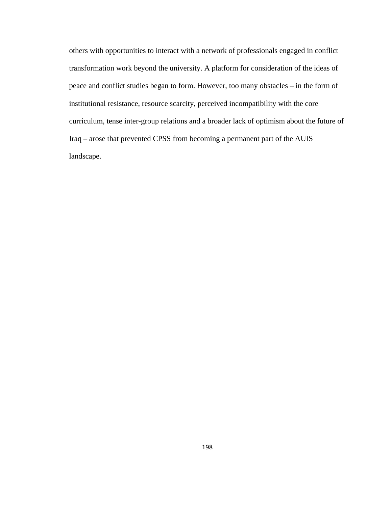others with opportunities to interact with a network of professionals engaged in conflict transformation work beyond the university. A platform for consideration of the ideas of peace and conflict studies began to form. However, too many obstacles – in the form of institutional resistance, resource scarcity, perceived incompatibility with the core curriculum, tense inter-group relations and a broader lack of optimism about the future of Iraq – arose that prevented CPSS from becoming a permanent part of the AUIS landscape.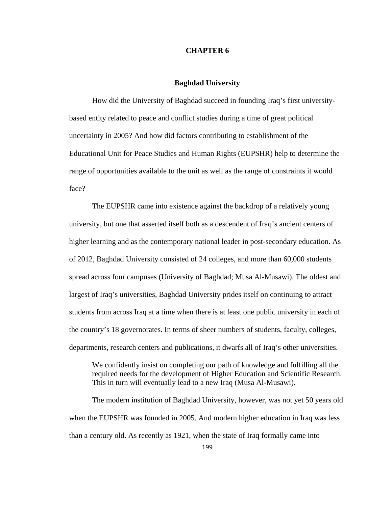### **CHAPTER 6**

#### **Baghdad University**

How did the University of Baghdad succeed in founding Iraq's first universitybased entity related to peace and conflict studies during a time of great political uncertainty in 2005? And how did factors contributing to establishment of the Educational Unit for Peace Studies and Human Rights (EUPSHR) help to determine the range of opportunities available to the unit as well as the range of constraints it would face?

The EUPSHR came into existence against the backdrop of a relatively young university, but one that asserted itself both as a descendent of Iraq's ancient centers of higher learning and as the contemporary national leader in post-secondary education. As of 2012, Baghdad University consisted of 24 colleges, and more than 60,000 students spread across four campuses (University of Baghdad; Musa Al-Musawi). The oldest and largest of Iraq's universities, Baghdad University prides itself on continuing to attract students from across Iraq at a time when there is at least one public university in each of the country's 18 governorates. In terms of sheer numbers of students, faculty, colleges, departments, research centers and publications, it dwarfs all of Iraq's other universities.

We confidently insist on completing our path of knowledge and fulfilling all the required needs for the development of Higher Education and Scientific Research. This in turn will eventually lead to a new Iraq (Musa Al-Musawi).

The modern institution of Baghdad University, however, was not yet 50 years old when the EUPSHR was founded in 2005. And modern higher education in Iraq was less than a century old. As recently as 1921, when the state of Iraq formally came into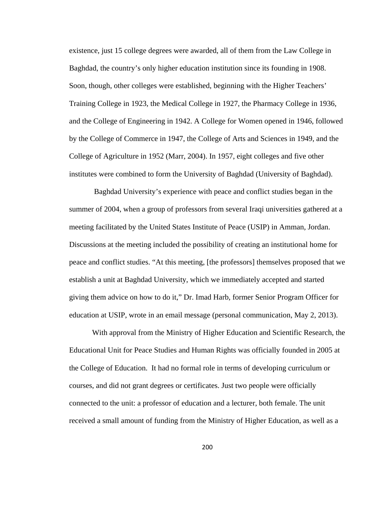existence, just 15 college degrees were awarded, all of them from the Law College in Baghdad, the country's only higher education institution since its founding in 1908. Soon, though, other colleges were established, beginning with the Higher Teachers' Training College in 1923, the Medical College in 1927, the Pharmacy College in 1936, and the College of Engineering in 1942. A College for Women opened in 1946, followed by the College of Commerce in 1947, the College of Arts and Sciences in 1949, and the College of Agriculture in 1952 (Marr, 2004). In 1957, eight colleges and five other institutes were combined to form the University of Baghdad (University of Baghdad).

 Baghdad University's experience with peace and conflict studies began in the summer of 2004, when a group of professors from several Iraqi universities gathered at a meeting facilitated by the United States Institute of Peace (USIP) in Amman, Jordan. Discussions at the meeting included the possibility of creating an institutional home for peace and conflict studies. "At this meeting, [the professors] themselves proposed that we establish a unit at Baghdad University, which we immediately accepted and started giving them advice on how to do it," Dr. Imad Harb, former Senior Program Officer for education at USIP, wrote in an email message (personal communication, May 2, 2013).

With approval from the Ministry of Higher Education and Scientific Research, the Educational Unit for Peace Studies and Human Rights was officially founded in 2005 at the College of Education. It had no formal role in terms of developing curriculum or courses, and did not grant degrees or certificates. Just two people were officially connected to the unit: a professor of education and a lecturer, both female. The unit received a small amount of funding from the Ministry of Higher Education, as well as a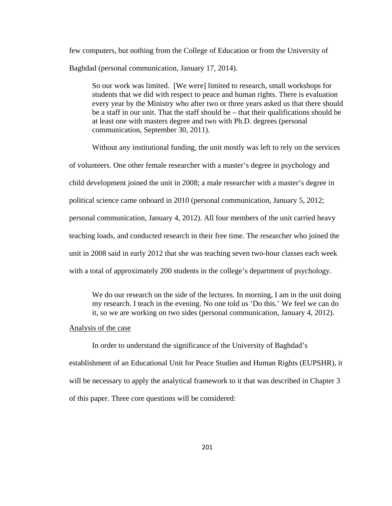few computers, but nothing from the College of Education or from the University of Baghdad (personal communication, January 17, 2014).

So our work was limited. [We were] limited to research, small workshops for students that we did with respect to peace and human rights. There is evaluation every year by the Ministry who after two or three years asked us that there should be a staff in our unit. That the staff should be – that their qualifications should be at least one with masters degree and two with Ph.D. degrees (personal communication, September 30, 2011).

Without any institutional funding, the unit mostly was left to rely on the services of volunteers. One other female researcher with a master's degree in psychology and child development joined the unit in 2008; a male researcher with a master's degree in political science came onboard in 2010 (personal communication, January 5, 2012; personal communication, January 4, 2012). All four members of the unit carried heavy teaching loads, and conducted research in their free time. The researcher who joined the unit in 2008 said in early 2012 that she was teaching seven two-hour classes each week with a total of approximately 200 students in the college's department of psychology.

We do our research on the side of the lectures. In morning, I am in the unit doing my research. I teach in the evening. No one told us 'Do this.' We feel we can do it, so we are working on two sides (personal communication, January 4, 2012).

### Analysis of the case

 In order to understand the significance of the University of Baghdad's establishment of an Educational Unit for Peace Studies and Human Rights (EUPSHR), it will be necessary to apply the analytical framework to it that was described in Chapter 3 of this paper. Three core questions will be considered: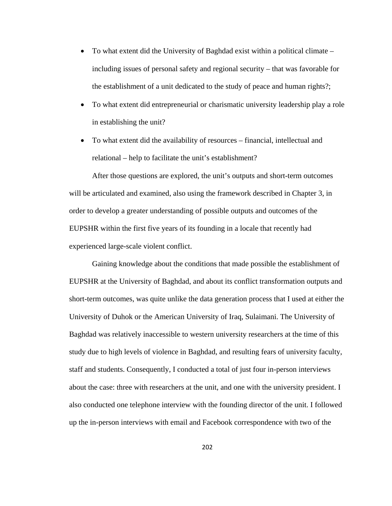- To what extent did the University of Baghdad exist within a political climate including issues of personal safety and regional security – that was favorable for the establishment of a unit dedicated to the study of peace and human rights?;
- To what extent did entrepreneurial or charismatic university leadership play a role in establishing the unit?
- To what extent did the availability of resources financial, intellectual and relational – help to facilitate the unit's establishment?

 After those questions are explored, the unit's outputs and short-term outcomes will be articulated and examined, also using the framework described in Chapter 3, in order to develop a greater understanding of possible outputs and outcomes of the EUPSHR within the first five years of its founding in a locale that recently had experienced large-scale violent conflict.

Gaining knowledge about the conditions that made possible the establishment of EUPSHR at the University of Baghdad, and about its conflict transformation outputs and short-term outcomes, was quite unlike the data generation process that I used at either the University of Duhok or the American University of Iraq, Sulaimani. The University of Baghdad was relatively inaccessible to western university researchers at the time of this study due to high levels of violence in Baghdad, and resulting fears of university faculty, staff and students. Consequently, I conducted a total of just four in-person interviews about the case: three with researchers at the unit, and one with the university president. I also conducted one telephone interview with the founding director of the unit. I followed up the in-person interviews with email and Facebook correspondence with two of the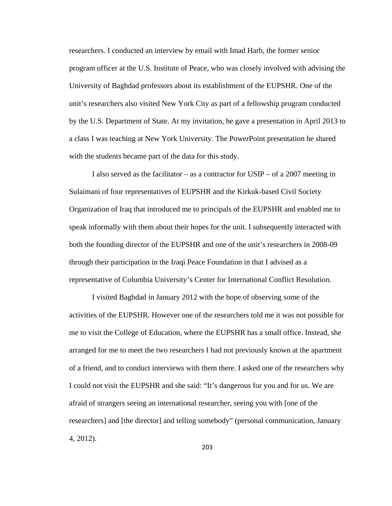researchers. I conducted an interview by email with Imad Harb, the former senior program officer at the U.S. Institute of Peace, who was closely involved with advising the University of Baghdad professors about its establishment of the EUPSHR. One of the unit's researchers also visited New York City as part of a fellowship program conducted by the U.S. Department of State. At my invitation, he gave a presentation in April 2013 to a class I was teaching at New York University. The PowerPoint presentation he shared with the students became part of the data for this study.

I also served as the facilitator – as a contractor for USIP – of a 2007 meeting in Sulaimani of four representatives of EUPSHR and the Kirkuk-based Civil Society Organization of Iraq that introduced me to principals of the EUPSHR and enabled me to speak informally with them about their hopes for the unit. I subsequently interacted with both the founding director of the EUPSHR and one of the unit's researchers in 2008-09 through their participation in the Iraqi Peace Foundation in that I advised as a representative of Columbia University's Center for International Conflict Resolution.

I visited Baghdad in January 2012 with the hope of observing some of the activities of the EUPSHR. However one of the researchers told me it was not possible for me to visit the College of Education, where the EUPSHR has a small office. Instead, she arranged for me to meet the two researchers I had not previously known at the apartment of a friend, and to conduct interviews with them there. I asked one of the researchers why I could not visit the EUPSHR and she said: "It's dangerous for you and for us. We are afraid of strangers seeing an international researcher, seeing you with [one of the researchers] and [the director] and telling somebody" (personal communication, January 4, 2012).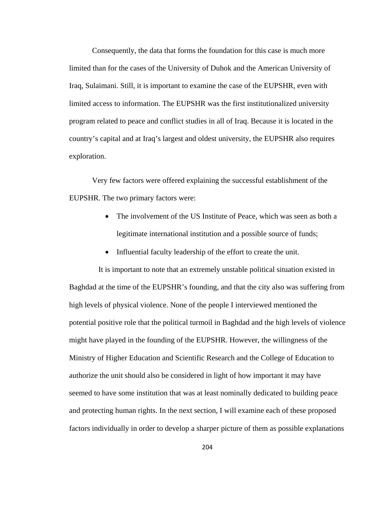Consequently, the data that forms the foundation for this case is much more limited than for the cases of the University of Duhok and the American University of Iraq, Sulaimani. Still, it is important to examine the case of the EUPSHR, even with limited access to information. The EUPSHR was the first institutionalized university program related to peace and conflict studies in all of Iraq. Because it is located in the country's capital and at Iraq's largest and oldest university, the EUPSHR also requires exploration.

Very few factors were offered explaining the successful establishment of the EUPSHR. The two primary factors were:

- The involvement of the US Institute of Peace, which was seen as both a legitimate international institution and a possible source of funds;
- Influential faculty leadership of the effort to create the unit.

 It is important to note that an extremely unstable political situation existed in Baghdad at the time of the EUPSHR's founding, and that the city also was suffering from high levels of physical violence. None of the people I interviewed mentioned the potential positive role that the political turmoil in Baghdad and the high levels of violence might have played in the founding of the EUPSHR. However, the willingness of the Ministry of Higher Education and Scientific Research and the College of Education to authorize the unit should also be considered in light of how important it may have seemed to have some institution that was at least nominally dedicated to building peace and protecting human rights. In the next section, I will examine each of these proposed factors individually in order to develop a sharper picture of them as possible explanations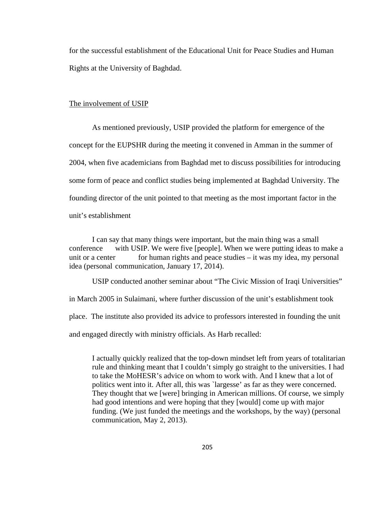for the successful establishment of the Educational Unit for Peace Studies and Human Rights at the University of Baghdad.

### The involvement of USIP

 As mentioned previously, USIP provided the platform for emergence of the concept for the EUPSHR during the meeting it convened in Amman in the summer of 2004, when five academicians from Baghdad met to discuss possibilities for introducing some form of peace and conflict studies being implemented at Baghdad University. The founding director of the unit pointed to that meeting as the most important factor in the unit's establishment

 I can say that many things were important, but the main thing was a small conference with USIP. We were five [people]. When we were putting ideas to make a unit or a center for human rights and peace studies  $-$  it was my idea, my personal idea (personal communication, January 17, 2014).

 USIP conducted another seminar about "The Civic Mission of Iraqi Universities" in March 2005 in Sulaimani, where further discussion of the unit's establishment took place. The institute also provided its advice to professors interested in founding the unit and engaged directly with ministry officials. As Harb recalled:

I actually quickly realized that the top-down mindset left from years of totalitarian rule and thinking meant that I couldn't simply go straight to the universities. I had to take the MoHESR's advice on whom to work with. And I knew that a lot of politics went into it. After all, this was `largesse' as far as they were concerned. They thought that we [were] bringing in American millions. Of course, we simply had good intentions and were hoping that they [would] come up with major funding. (We just funded the meetings and the workshops, by the way) (personal communication, May 2, 2013).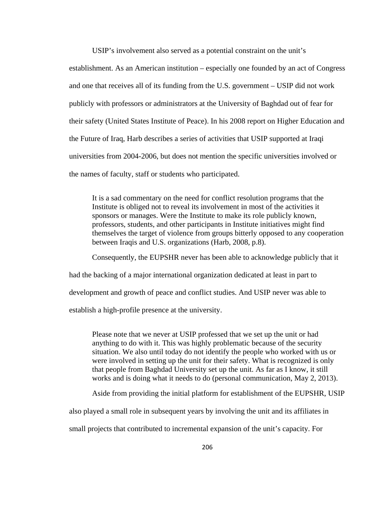USIP's involvement also served as a potential constraint on the unit's

establishment. As an American institution – especially one founded by an act of Congress and one that receives all of its funding from the U.S. government – USIP did not work publicly with professors or administrators at the University of Baghdad out of fear for their safety (United States Institute of Peace). In his 2008 report on Higher Education and the Future of Iraq, Harb describes a series of activities that USIP supported at Iraqi universities from 2004-2006, but does not mention the specific universities involved or the names of faculty, staff or students who participated.

It is a sad commentary on the need for conflict resolution programs that the Institute is obliged not to reveal its involvement in most of the activities it sponsors or manages. Were the Institute to make its role publicly known, professors, students, and other participants in Institute initiatives might find themselves the target of violence from groups bitterly opposed to any cooperation between Iraqis and U.S. organizations (Harb, 2008, p.8).

Consequently, the EUPSHR never has been able to acknowledge publicly that it had the backing of a major international organization dedicated at least in part to development and growth of peace and conflict studies. And USIP never was able to establish a high-profile presence at the university.

Please note that we never at USIP professed that we set up the unit or had anything to do with it. This was highly problematic because of the security situation. We also until today do not identify the people who worked with us or were involved in setting up the unit for their safety. What is recognized is only that people from Baghdad University set up the unit. As far as I know, it still works and is doing what it needs to do (personal communication, May 2, 2013).

Aside from providing the initial platform for establishment of the EUPSHR, USIP

also played a small role in subsequent years by involving the unit and its affiliates in

small projects that contributed to incremental expansion of the unit's capacity. For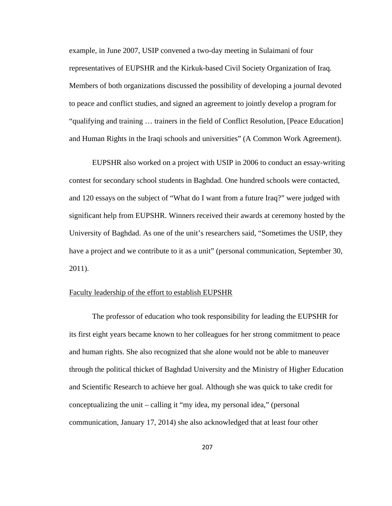example, in June 2007, USIP convened a two-day meeting in Sulaimani of four representatives of EUPSHR and the Kirkuk-based Civil Society Organization of Iraq. Members of both organizations discussed the possibility of developing a journal devoted to peace and conflict studies, and signed an agreement to jointly develop a program for "qualifying and training … trainers in the field of Conflict Resolution, [Peace Education] and Human Rights in the Iraqi schools and universities" (A Common Work Agreement).

EUPSHR also worked on a project with USIP in 2006 to conduct an essay-writing contest for secondary school students in Baghdad. One hundred schools were contacted, and 120 essays on the subject of "What do I want from a future Iraq?" were judged with significant help from EUPSHR. Winners received their awards at ceremony hosted by the University of Baghdad. As one of the unit's researchers said, "Sometimes the USIP, they have a project and we contribute to it as a unit" (personal communication, September 30, 2011).

## Faculty leadership of the effort to establish EUPSHR

 The professor of education who took responsibility for leading the EUPSHR for its first eight years became known to her colleagues for her strong commitment to peace and human rights. She also recognized that she alone would not be able to maneuver through the political thicket of Baghdad University and the Ministry of Higher Education and Scientific Research to achieve her goal. Although she was quick to take credit for conceptualizing the unit – calling it "my idea, my personal idea," (personal communication, January 17, 2014) she also acknowledged that at least four other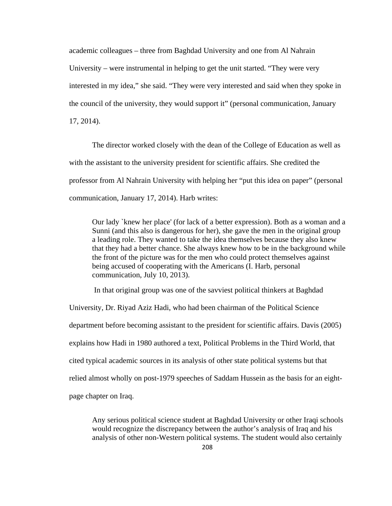academic colleagues – three from Baghdad University and one from Al Nahrain University – were instrumental in helping to get the unit started. "They were very interested in my idea," she said. "They were very interested and said when they spoke in the council of the university, they would support it" (personal communication, January 17, 2014).

 The director worked closely with the dean of the College of Education as well as with the assistant to the university president for scientific affairs. She credited the professor from Al Nahrain University with helping her "put this idea on paper" (personal communication, January 17, 2014). Harb writes:

Our lady `knew her place' (for lack of a better expression). Both as a woman and a Sunni (and this also is dangerous for her), she gave the men in the original group a leading role. They wanted to take the idea themselves because they also knew that they had a better chance. She always knew how to be in the background while the front of the picture was for the men who could protect themselves against being accused of cooperating with the Americans (I. Harb, personal communication, July 10, 2013).

In that original group was one of the savviest political thinkers at Baghdad

University, Dr. Riyad Aziz Hadi, who had been chairman of the Political Science department before becoming assistant to the president for scientific affairs. Davis (2005) explains how Hadi in 1980 authored a text, Political Problems in the Third World, that cited typical academic sources in its analysis of other state political systems but that relied almost wholly on post-1979 speeches of Saddam Hussein as the basis for an eightpage chapter on Iraq.

Any serious political science student at Baghdad University or other Iraqi schools would recognize the discrepancy between the author's analysis of Iraq and his analysis of other non-Western political systems. The student would also certainly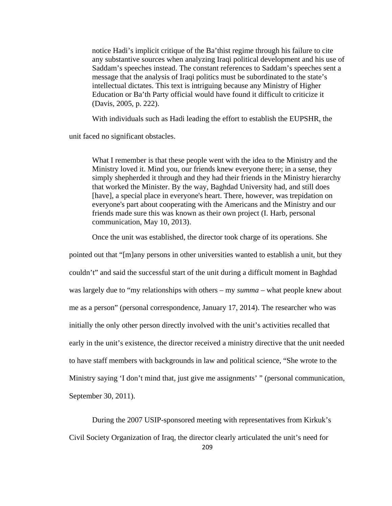notice Hadi's implicit critique of the Ba'thist regime through his failure to cite any substantive sources when analyzing Iraqi political development and his use of Saddam's speeches instead. The constant references to Saddam's speeches sent a message that the analysis of Iraqi politics must be subordinated to the state's intellectual dictates. This text is intriguing because any Ministry of Higher Education or Ba'th Party official would have found it difficult to criticize it (Davis, 2005, p. 222).

With individuals such as Hadi leading the effort to establish the EUPSHR, the

unit faced no significant obstacles.

What I remember is that these people went with the idea to the Ministry and the Ministry loved it. Mind you, our friends knew everyone there; in a sense, they simply shepherded it through and they had their friends in the Ministry hierarchy that worked the Minister. By the way, Baghdad University had, and still does [have], a special place in everyone's heart. There, however, was trepidation on everyone's part about cooperating with the Americans and the Ministry and our friends made sure this was known as their own project (I. Harb, personal communication, May 10, 2013).

Once the unit was established, the director took charge of its operations. She

pointed out that "[m]any persons in other universities wanted to establish a unit, but they couldn't" and said the successful start of the unit during a difficult moment in Baghdad was largely due to "my relationships with others – my *summa* – what people knew about me as a person" (personal correspondence, January 17, 2014). The researcher who was initially the only other person directly involved with the unit's activities recalled that early in the unit's existence, the director received a ministry directive that the unit needed to have staff members with backgrounds in law and political science, "She wrote to the Ministry saying 'I don't mind that, just give me assignments' " (personal communication, September 30, 2011).

During the 2007 USIP-sponsored meeting with representatives from Kirkuk's Civil Society Organization of Iraq, the director clearly articulated the unit's need for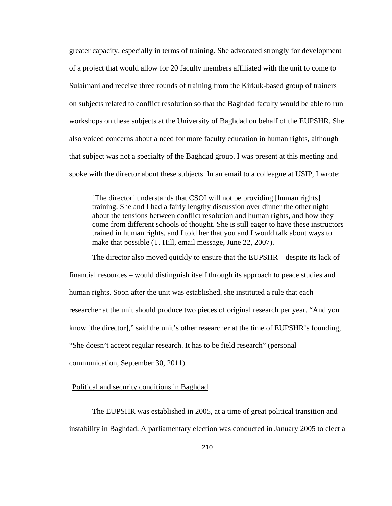greater capacity, especially in terms of training. She advocated strongly for development of a project that would allow for 20 faculty members affiliated with the unit to come to Sulaimani and receive three rounds of training from the Kirkuk-based group of trainers on subjects related to conflict resolution so that the Baghdad faculty would be able to run workshops on these subjects at the University of Baghdad on behalf of the EUPSHR. She also voiced concerns about a need for more faculty education in human rights, although that subject was not a specialty of the Baghdad group. I was present at this meeting and spoke with the director about these subjects. In an email to a colleague at USIP, I wrote:

[The director] understands that CSOI will not be providing [human rights] training. She and I had a fairly lengthy discussion over dinner the other night about the tensions between conflict resolution and human rights, and how they come from different schools of thought. She is still eager to have these instructors trained in human rights, and I told her that you and I would talk about ways to make that possible (T. Hill, email message, June 22, 2007).

 The director also moved quickly to ensure that the EUPSHR – despite its lack of financial resources – would distinguish itself through its approach to peace studies and human rights. Soon after the unit was established, she instituted a rule that each researcher at the unit should produce two pieces of original research per year. "And you know [the director]," said the unit's other researcher at the time of EUPSHR's founding, "She doesn't accept regular research. It has to be field research" (personal communication, September 30, 2011).

## Political and security conditions in Baghdad

The EUPSHR was established in 2005, at a time of great political transition and instability in Baghdad. A parliamentary election was conducted in January 2005 to elect a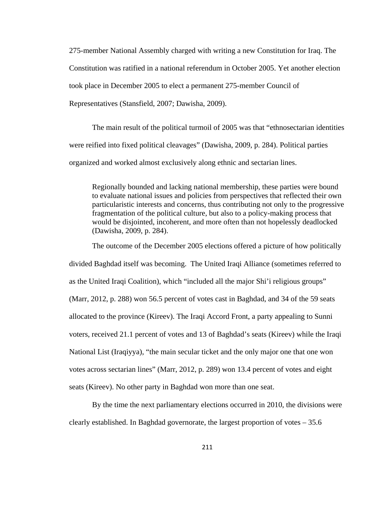275-member National Assembly charged with writing a new Constitution for Iraq. The Constitution was ratified in a national referendum in October 2005. Yet another election took place in December 2005 to elect a permanent 275-member Council of Representatives (Stansfield, 2007; Dawisha, 2009).

The main result of the political turmoil of 2005 was that "ethnosectarian identities were reified into fixed political cleavages" (Dawisha, 2009, p. 284). Political parties organized and worked almost exclusively along ethnic and sectarian lines.

Regionally bounded and lacking national membership, these parties were bound to evaluate national issues and policies from perspectives that reflected their own particularistic interests and concerns, thus contributing not only to the progressive fragmentation of the political culture, but also to a policy-making process that would be disjointed, incoherent, and more often than not hopelessly deadlocked (Dawisha, 2009, p. 284).

The outcome of the December 2005 elections offered a picture of how politically divided Baghdad itself was becoming. The United Iraqi Alliance (sometimes referred to as the United Iraqi Coalition), which "included all the major Shi'i religious groups" (Marr, 2012, p. 288) won 56.5 percent of votes cast in Baghdad, and 34 of the 59 seats allocated to the province (Kireev). The Iraqi Accord Front, a party appealing to Sunni voters, received 21.1 percent of votes and 13 of Baghdad's seats (Kireev) while the Iraqi National List (Iraqiyya), "the main secular ticket and the only major one that one won votes across sectarian lines" (Marr, 2012, p. 289) won 13.4 percent of votes and eight seats (Kireev). No other party in Baghdad won more than one seat.

By the time the next parliamentary elections occurred in 2010, the divisions were clearly established. In Baghdad governorate, the largest proportion of votes  $-35.6$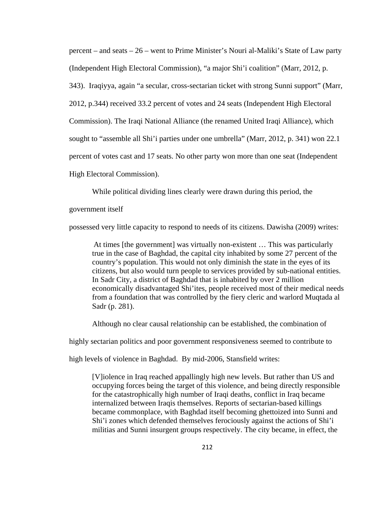percent – and seats – 26 – went to Prime Minister's Nouri al-Maliki's State of Law party (Independent High Electoral Commission), "a major Shi'i coalition" (Marr, 2012, p. 343). Iraqiyya, again "a secular, cross-sectarian ticket with strong Sunni support" (Marr, 2012, p.344) received 33.2 percent of votes and 24 seats (Independent High Electoral Commission). The Iraqi National Alliance (the renamed United Iraqi Alliance), which sought to "assemble all Shi'i parties under one umbrella" (Marr, 2012, p. 341) won 22.1 percent of votes cast and 17 seats. No other party won more than one seat (Independent High Electoral Commission).

While political dividing lines clearly were drawn during this period, the

government itself

possessed very little capacity to respond to needs of its citizens. Dawisha (2009) writes:

At times [the government] was virtually non-existent … This was particularly true in the case of Baghdad, the capital city inhabited by some 27 percent of the country's population. This would not only diminish the state in the eyes of its citizens, but also would turn people to services provided by sub-national entities. In Sadr City, a district of Baghdad that is inhabited by over 2 million economically disadvantaged Shi'ites, people received most of their medical needs from a foundation that was controlled by the fiery cleric and warlord Muqtada al Sadr (p. 281).

Although no clear causal relationship can be established, the combination of

highly sectarian politics and poor government responsiveness seemed to contribute to

high levels of violence in Baghdad. By mid-2006, Stansfield writes:

[V]iolence in Iraq reached appallingly high new levels. But rather than US and occupying forces being the target of this violence, and being directly responsible for the catastrophically high number of Iraqi deaths, conflict in Iraq became internalized between Iraqis themselves. Reports of sectarian-based killings became commonplace, with Baghdad itself becoming ghettoized into Sunni and Shi'i zones which defended themselves ferociously against the actions of Shi'i militias and Sunni insurgent groups respectively. The city became, in effect, the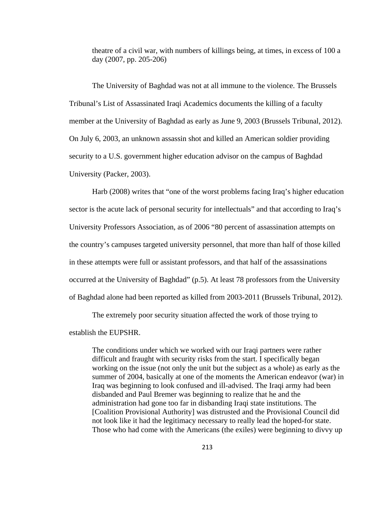theatre of a civil war, with numbers of killings being, at times, in excess of 100 a day (2007, pp. 205-206)

The University of Baghdad was not at all immune to the violence. The Brussels Tribunal's List of Assassinated Iraqi Academics documents the killing of a faculty member at the University of Baghdad as early as June 9, 2003 (Brussels Tribunal, 2012). On July 6, 2003, an unknown assassin shot and killed an American soldier providing security to a U.S. government higher education advisor on the campus of Baghdad University (Packer, 2003).

Harb (2008) writes that "one of the worst problems facing Iraq's higher education sector is the acute lack of personal security for intellectuals" and that according to Iraq's University Professors Association, as of 2006 "80 percent of assassination attempts on the country's campuses targeted university personnel, that more than half of those killed in these attempts were full or assistant professors, and that half of the assassinations occurred at the University of Baghdad" (p.5). At least 78 professors from the University of Baghdad alone had been reported as killed from 2003-2011 (Brussels Tribunal, 2012).

The extremely poor security situation affected the work of those trying to establish the EUPSHR.

The conditions under which we worked with our Iraqi partners were rather difficult and fraught with security risks from the start. I specifically began working on the issue (not only the unit but the subject as a whole) as early as the summer of 2004, basically at one of the moments the American endeavor (war) in Iraq was beginning to look confused and ill-advised. The Iraqi army had been disbanded and Paul Bremer was beginning to realize that he and the administration had gone too far in disbanding Iraqi state institutions. The [Coalition Provisional Authority] was distrusted and the Provisional Council did not look like it had the legitimacy necessary to really lead the hoped-for state. Those who had come with the Americans (the exiles) were beginning to divvy up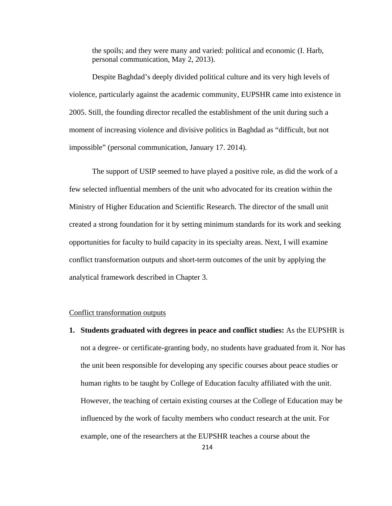the spoils; and they were many and varied: political and economic (I. Harb, personal communication, May 2, 2013).

 Despite Baghdad's deeply divided political culture and its very high levels of violence, particularly against the academic community, EUPSHR came into existence in 2005. Still, the founding director recalled the establishment of the unit during such a moment of increasing violence and divisive politics in Baghdad as "difficult, but not impossible" (personal communication, January 17. 2014).

The support of USIP seemed to have played a positive role, as did the work of a few selected influential members of the unit who advocated for its creation within the Ministry of Higher Education and Scientific Research. The director of the small unit created a strong foundation for it by setting minimum standards for its work and seeking opportunities for faculty to build capacity in its specialty areas. Next, I will examine conflict transformation outputs and short-term outcomes of the unit by applying the analytical framework described in Chapter 3.

### Conflict transformation outputs

**1. Students graduated with degrees in peace and conflict studies:** As the EUPSHR is not a degree- or certificate-granting body, no students have graduated from it. Nor has the unit been responsible for developing any specific courses about peace studies or human rights to be taught by College of Education faculty affiliated with the unit. However, the teaching of certain existing courses at the College of Education may be influenced by the work of faculty members who conduct research at the unit. For example, one of the researchers at the EUPSHR teaches a course about the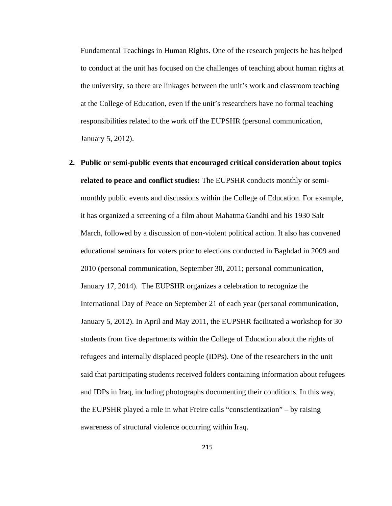Fundamental Teachings in Human Rights. One of the research projects he has helped to conduct at the unit has focused on the challenges of teaching about human rights at the university, so there are linkages between the unit's work and classroom teaching at the College of Education, even if the unit's researchers have no formal teaching responsibilities related to the work off the EUPSHR (personal communication, January 5, 2012).

**2. Public or semi-public events that encouraged critical consideration about topics related to peace and conflict studies:** The EUPSHR conducts monthly or semimonthly public events and discussions within the College of Education. For example, it has organized a screening of a film about Mahatma Gandhi and his 1930 Salt March, followed by a discussion of non-violent political action. It also has convened educational seminars for voters prior to elections conducted in Baghdad in 2009 and 2010 (personal communication, September 30, 2011; personal communication, January 17, 2014). The EUPSHR organizes a celebration to recognize the International Day of Peace on September 21 of each year (personal communication, January 5, 2012). In April and May 2011, the EUPSHR facilitated a workshop for 30 students from five departments within the College of Education about the rights of refugees and internally displaced people (IDPs). One of the researchers in the unit said that participating students received folders containing information about refugees and IDPs in Iraq, including photographs documenting their conditions. In this way, the EUPSHR played a role in what Freire calls "conscientization" – by raising awareness of structural violence occurring within Iraq.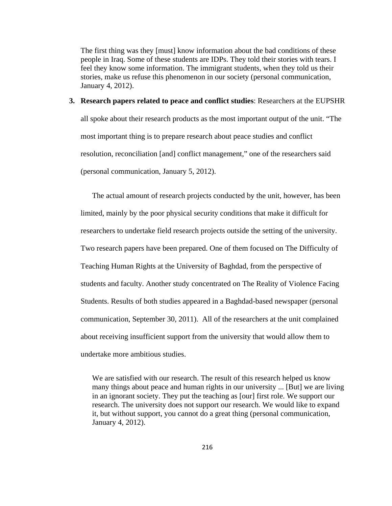The first thing was they [must] know information about the bad conditions of these people in Iraq. Some of these students are IDPs. They told their stories with tears. I feel they know some information. The immigrant students, when they told us their stories, make us refuse this phenomenon in our society (personal communication, January 4, 2012).

#### **3. Research papers related to peace and conflict studies**: Researchers at the EUPSHR

all spoke about their research products as the most important output of the unit. "The most important thing is to prepare research about peace studies and conflict resolution, reconciliation [and] conflict management," one of the researchers said (personal communication, January 5, 2012).

The actual amount of research projects conducted by the unit, however, has been limited, mainly by the poor physical security conditions that make it difficult for researchers to undertake field research projects outside the setting of the university. Two research papers have been prepared. One of them focused on The Difficulty of Teaching Human Rights at the University of Baghdad, from the perspective of students and faculty. Another study concentrated on The Reality of Violence Facing Students. Results of both studies appeared in a Baghdad-based newspaper (personal communication, September 30, 2011). All of the researchers at the unit complained about receiving insufficient support from the university that would allow them to undertake more ambitious studies.

We are satisfied with our research. The result of this research helped us know many things about peace and human rights in our university ... [But] we are living in an ignorant society. They put the teaching as [our] first role. We support our research. The university does not support our research. We would like to expand it, but without support, you cannot do a great thing (personal communication, January 4, 2012).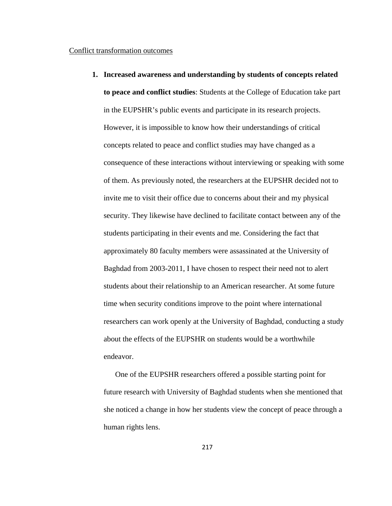## Conflict transformation outcomes

**1. Increased awareness and understanding by students of concepts related to peace and conflict studies**: Students at the College of Education take part in the EUPSHR's public events and participate in its research projects. However, it is impossible to know how their understandings of critical concepts related to peace and conflict studies may have changed as a consequence of these interactions without interviewing or speaking with some of them. As previously noted, the researchers at the EUPSHR decided not to invite me to visit their office due to concerns about their and my physical security. They likewise have declined to facilitate contact between any of the students participating in their events and me. Considering the fact that approximately 80 faculty members were assassinated at the University of Baghdad from 2003-2011, I have chosen to respect their need not to alert students about their relationship to an American researcher. At some future time when security conditions improve to the point where international researchers can work openly at the University of Baghdad, conducting a study about the effects of the EUPSHR on students would be a worthwhile endeavor.

One of the EUPSHR researchers offered a possible starting point for future research with University of Baghdad students when she mentioned that she noticed a change in how her students view the concept of peace through a human rights lens.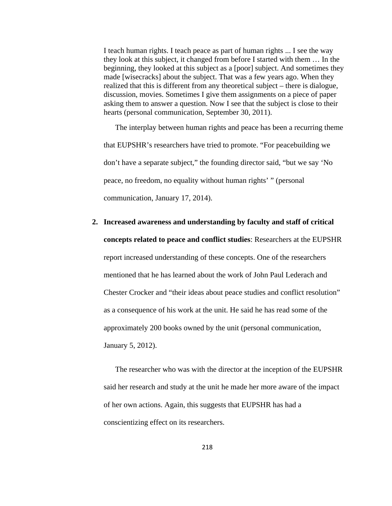I teach human rights. I teach peace as part of human rights ... I see the way they look at this subject, it changed from before I started with them … In the beginning, they looked at this subject as a [poor] subject. And sometimes they made [wisecracks] about the subject. That was a few years ago. When they realized that this is different from any theoretical subject – there is dialogue, discussion, movies. Sometimes I give them assignments on a piece of paper asking them to answer a question. Now I see that the subject is close to their hearts (personal communication, September 30, 2011).

The interplay between human rights and peace has been a recurring theme that EUPSHR's researchers have tried to promote. "For peacebuilding we don't have a separate subject," the founding director said, "but we say 'No peace, no freedom, no equality without human rights' " (personal communication, January 17, 2014).

# **2. Increased awareness and understanding by faculty and staff of critical concepts related to peace and conflict studies**: Researchers at the EUPSHR report increased understanding of these concepts. One of the researchers mentioned that he has learned about the work of John Paul Lederach and Chester Crocker and "their ideas about peace studies and conflict resolution" as a consequence of his work at the unit. He said he has read some of the approximately 200 books owned by the unit (personal communication, January 5, 2012).

 The researcher who was with the director at the inception of the EUPSHR said her research and study at the unit he made her more aware of the impact of her own actions. Again, this suggests that EUPSHR has had a conscientizing effect on its researchers.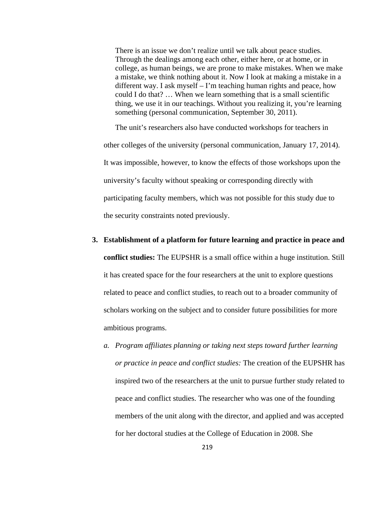There is an issue we don't realize until we talk about peace studies. Through the dealings among each other, either here, or at home, or in college, as human beings, we are prone to make mistakes. When we make a mistake, we think nothing about it. Now I look at making a mistake in a different way. I ask myself – I'm teaching human rights and peace, how could I do that? … When we learn something that is a small scientific thing, we use it in our teachings. Without you realizing it, you're learning something (personal communication, September 30, 2011).

 The unit's researchers also have conducted workshops for teachers in other colleges of the university (personal communication, January 17, 2014). It was impossible, however, to know the effects of those workshops upon the university's faculty without speaking or corresponding directly with participating faculty members, which was not possible for this study due to the security constraints noted previously.

- **3. Establishment of a platform for future learning and practice in peace and conflict studies:** The EUPSHR is a small office within a huge institution. Still it has created space for the four researchers at the unit to explore questions related to peace and conflict studies, to reach out to a broader community of scholars working on the subject and to consider future possibilities for more ambitious programs.
	- *a. Program affiliates planning or taking next steps toward further learning or practice in peace and conflict studies:* The creation of the EUPSHR has inspired two of the researchers at the unit to pursue further study related to peace and conflict studies. The researcher who was one of the founding members of the unit along with the director, and applied and was accepted for her doctoral studies at the College of Education in 2008. She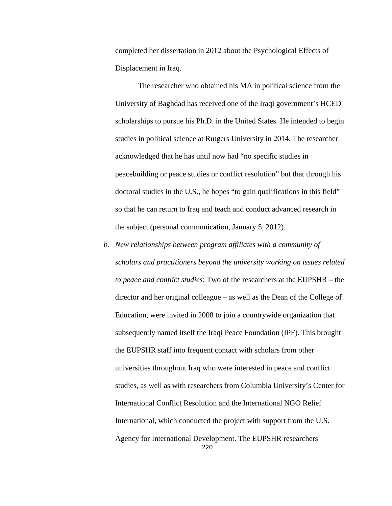completed her dissertation in 2012 about the Psychological Effects of Displacement in Iraq.

The researcher who obtained his MA in political science from the University of Baghdad has received one of the Iraqi government's HCED scholarships to pursue his Ph.D. in the United States. He intended to begin studies in political science at Rutgers University in 2014. The researcher acknowledged that he has until now had "no specific studies in peacebuilding or peace studies or conflict resolution" but that through his doctoral studies in the U.S., he hopes "to gain qualifications in this field" so that he can return to Iraq and teach and conduct advanced research in the subject (personal communication, January 5, 2012).

220 *b. New relationships between program affiliates with a community of scholars and practitioners beyond the university working on issues related to peace and conflict studies*: Two of the researchers at the EUPSHR – the director and her original colleague – as well as the Dean of the College of Education, were invited in 2008 to join a countrywide organization that subsequently named itself the Iraqi Peace Foundation (IPF). This brought the EUPSHR staff into frequent contact with scholars from other universities throughout Iraq who were interested in peace and conflict studies, as well as with researchers from Columbia University's Center for International Conflict Resolution and the International NGO Relief International, which conducted the project with support from the U.S. Agency for International Development. The EUPSHR researchers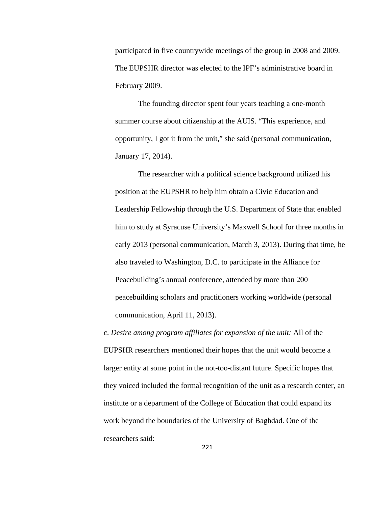participated in five countrywide meetings of the group in 2008 and 2009. The EUPSHR director was elected to the IPF's administrative board in February 2009.

The founding director spent four years teaching a one-month summer course about citizenship at the AUIS. "This experience, and opportunity, I got it from the unit," she said (personal communication, January 17, 2014).

The researcher with a political science background utilized his position at the EUPSHR to help him obtain a Civic Education and Leadership Fellowship through the U.S. Department of State that enabled him to study at Syracuse University's Maxwell School for three months in early 2013 (personal communication, March 3, 2013). During that time, he also traveled to Washington, D.C. to participate in the Alliance for Peacebuilding's annual conference, attended by more than 200 peacebuilding scholars and practitioners working worldwide (personal communication, April 11, 2013).

c. *Desire among program affiliates for expansion of the unit:* All of the EUPSHR researchers mentioned their hopes that the unit would become a larger entity at some point in the not-too-distant future. Specific hopes that they voiced included the formal recognition of the unit as a research center, an institute or a department of the College of Education that could expand its work beyond the boundaries of the University of Baghdad. One of the researchers said: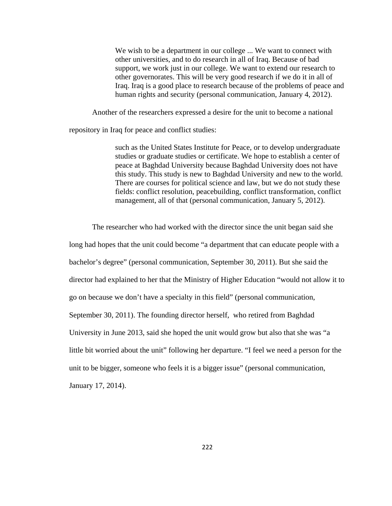We wish to be a department in our college ... We want to connect with other universities, and to do research in all of Iraq. Because of bad support, we work just in our college. We want to extend our research to other governorates. This will be very good research if we do it in all of Iraq. Iraq is a good place to research because of the problems of peace and human rights and security (personal communication, January 4, 2012).

Another of the researchers expressed a desire for the unit to become a national

repository in Iraq for peace and conflict studies:

such as the United States Institute for Peace, or to develop undergraduate studies or graduate studies or certificate. We hope to establish a center of peace at Baghdad University because Baghdad University does not have this study. This study is new to Baghdad University and new to the world. There are courses for political science and law, but we do not study these fields: conflict resolution, peacebuilding, conflict transformation, conflict management, all of that (personal communication, January 5, 2012).

The researcher who had worked with the director since the unit began said she

long had hopes that the unit could become "a department that can educate people with a

bachelor's degree" (personal communication, September 30, 2011). But she said the

director had explained to her that the Ministry of Higher Education "would not allow it to

go on because we don't have a specialty in this field" (personal communication,

September 30, 2011). The founding director herself, who retired from Baghdad

University in June 2013, said she hoped the unit would grow but also that she was "a

little bit worried about the unit" following her departure. "I feel we need a person for the

unit to be bigger, someone who feels it is a bigger issue" (personal communication,

January 17, 2014).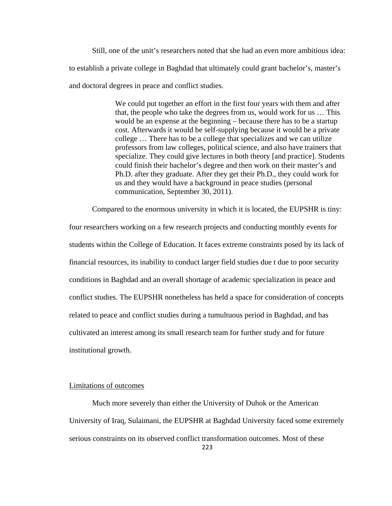Still, one of the unit's researchers noted that she had an even more ambitious idea: to establish a private college in Baghdad that ultimately could grant bachelor's, master's and doctoral degrees in peace and conflict studies.

> We could put together an effort in the first four years with them and after that, the people who take the degrees from us, would work for us … This would be an expense at the beginning – because there has to be a startup cost. Afterwards it would be self-supplying because it would be a private college … There has to be a college that specializes and we can utilize professors from law colleges, political science, and also have trainers that specialize. They could give lectures in both theory [and practice]. Students could finish their bachelor's degree and then work on their master's and Ph.D. after they graduate. After they get their Ph.D., they could work for us and they would have a background in peace studies (personal communication, September 30, 2011).

Compared to the enormous university in which it is located, the EUPSHR is tiny:

four researchers working on a few research projects and conducting monthly events for students within the College of Education. It faces extreme constraints posed by its lack of financial resources, its inability to conduct larger field studies due t due to poor security conditions in Baghdad and an overall shortage of academic specialization in peace and conflict studies. The EUPSHR nonetheless has held a space for consideration of concepts related to peace and conflict studies during a tumultuous period in Baghdad, and has cultivated an interest among its small research team for further study and for future institutional growth.

## Limitations of outcomes

223 Much more severely than either the University of Duhok or the American University of Iraq, Sulaimani, the EUPSHR at Baghdad University faced some extremely serious constraints on its observed conflict transformation outcomes. Most of these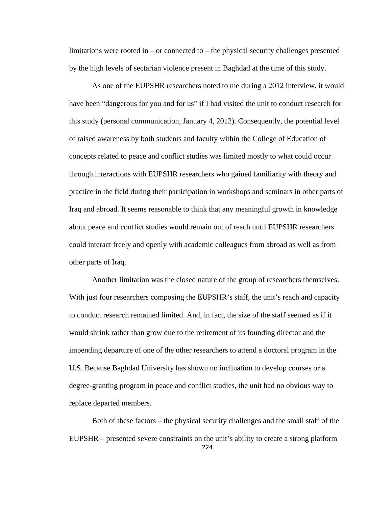limitations were rooted in  $-$  or connected to  $-$  the physical security challenges presented by the high levels of sectarian violence present in Baghdad at the time of this study.

 As one of the EUPSHR researchers noted to me during a 2012 interview, it would have been "dangerous for you and for us" if I had visited the unit to conduct research for this study (personal communication, January 4, 2012). Consequently, the potential level of raised awareness by both students and faculty within the College of Education of concepts related to peace and conflict studies was limited mostly to what could occur through interactions with EUPSHR researchers who gained familiarity with theory and practice in the field during their participation in workshops and seminars in other parts of Iraq and abroad. It seems reasonable to think that any meaningful growth in knowledge about peace and conflict studies would remain out of reach until EUPSHR researchers could interact freely and openly with academic colleagues from abroad as well as from other parts of Iraq.

 Another limitation was the closed nature of the group of researchers themselves. With just four researchers composing the EUPSHR's staff, the unit's reach and capacity to conduct research remained limited. And, in fact, the size of the staff seemed as if it would shrink rather than grow due to the retirement of its founding director and the impending departure of one of the other researchers to attend a doctoral program in the U.S. Because Baghdad University has shown no inclination to develop courses or a degree-granting program in peace and conflict studies, the unit had no obvious way to replace departed members.

224 Both of these factors – the physical security challenges and the small staff of the EUPSHR – presented severe constraints on the unit's ability to create a strong platform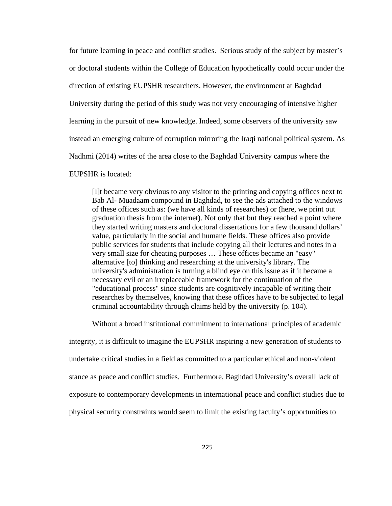for future learning in peace and conflict studies. Serious study of the subject by master's or doctoral students within the College of Education hypothetically could occur under the direction of existing EUPSHR researchers. However, the environment at Baghdad University during the period of this study was not very encouraging of intensive higher learning in the pursuit of new knowledge. Indeed, some observers of the university saw instead an emerging culture of corruption mirroring the Iraqi national political system. As Nadhmi (2014) writes of the area close to the Baghdad University campus where the

EUPSHR is located:

[I]t became very obvious to any visitor to the printing and copying offices next to Bab Al- Muadaam compound in Baghdad, to see the ads attached to the windows of these offices such as: (we have all kinds of researches) or (here, we print out graduation thesis from the internet). Not only that but they reached a point where they started writing masters and doctoral dissertations for a few thousand dollars' value, particularly in the social and humane fields. These offices also provide public services for students that include copying all their lectures and notes in a very small size for cheating purposes … These offices became an "easy" alternative [to] thinking and researching at the university's library. The university's administration is turning a blind eye on this issue as if it became a necessary evil or an irreplaceable framework for the continuation of the "educational process" since students are cognitively incapable of writing their researches by themselves, knowing that these offices have to be subjected to legal criminal accountability through claims held by the university (p. 104).

 Without a broad institutional commitment to international principles of academic integrity, it is difficult to imagine the EUPSHR inspiring a new generation of students to undertake critical studies in a field as committed to a particular ethical and non-violent stance as peace and conflict studies. Furthermore, Baghdad University's overall lack of

exposure to contemporary developments in international peace and conflict studies due to

physical security constraints would seem to limit the existing faculty's opportunities to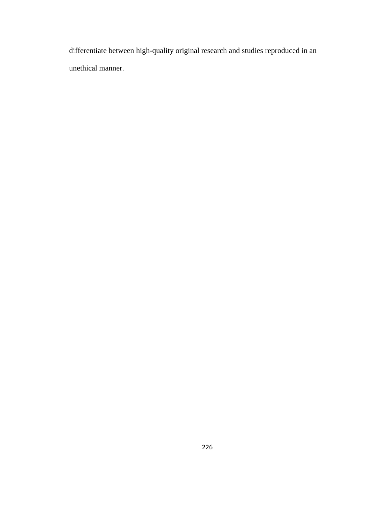differentiate between high-quality original research and studies reproduced in an unethical manner.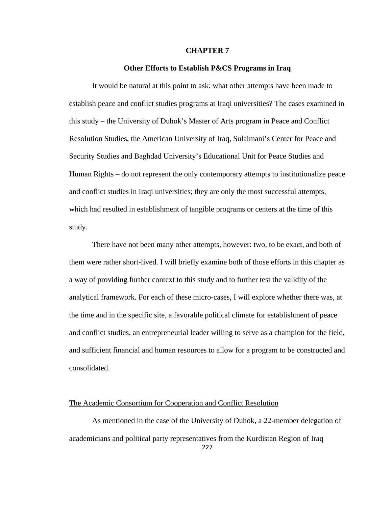### **CHAPTER 7**

### **Other Efforts to Establish P&CS Programs in Iraq**

 It would be natural at this point to ask: what other attempts have been made to establish peace and conflict studies programs at Iraqi universities? The cases examined in this study – the University of Duhok's Master of Arts program in Peace and Conflict Resolution Studies, the American University of Iraq, Sulaimani's Center for Peace and Security Studies and Baghdad University's Educational Unit for Peace Studies and Human Rights – do not represent the only contemporary attempts to institutionalize peace and conflict studies in Iraqi universities; they are only the most successful attempts, which had resulted in establishment of tangible programs or centers at the time of this study.

 There have not been many other attempts, however: two, to be exact, and both of them were rather short-lived. I will briefly examine both of those efforts in this chapter as a way of providing further context to this study and to further test the validity of the analytical framework. For each of these micro-cases, I will explore whether there was, at the time and in the specific site, a favorable political climate for establishment of peace and conflict studies, an entrepreneurial leader willing to serve as a champion for the field, and sufficient financial and human resources to allow for a program to be constructed and consolidated.

### The Academic Consortium for Cooperation and Conflict Resolution

 As mentioned in the case of the University of Duhok, a 22-member delegation of academicians and political party representatives from the Kurdistan Region of Iraq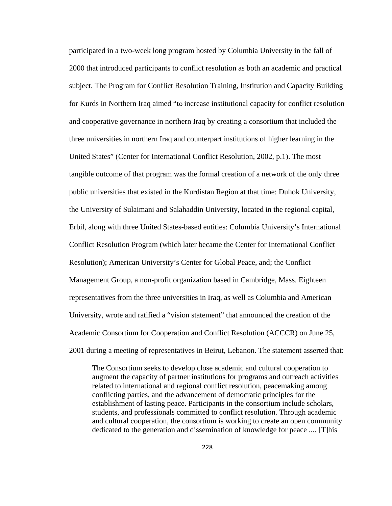participated in a two-week long program hosted by Columbia University in the fall of 2000 that introduced participants to conflict resolution as both an academic and practical subject. The Program for Conflict Resolution Training, Institution and Capacity Building for Kurds in Northern Iraq aimed "to increase institutional capacity for conflict resolution and cooperative governance in northern Iraq by creating a consortium that included the three universities in northern Iraq and counterpart institutions of higher learning in the United States" (Center for International Conflict Resolution, 2002, p.1). The most tangible outcome of that program was the formal creation of a network of the only three public universities that existed in the Kurdistan Region at that time: Duhok University, the University of Sulaimani and Salahaddin University, located in the regional capital, Erbil, along with three United States-based entities: Columbia University's International Conflict Resolution Program (which later became the Center for International Conflict Resolution); American University's Center for Global Peace, and; the Conflict Management Group, a non-profit organization based in Cambridge, Mass. Eighteen representatives from the three universities in Iraq, as well as Columbia and American University, wrote and ratified a "vision statement" that announced the creation of the Academic Consortium for Cooperation and Conflict Resolution (ACCCR) on June 25, 2001 during a meeting of representatives in Beirut, Lebanon. The statement asserted that:

The Consortium seeks to develop close academic and cultural cooperation to augment the capacity of partner institutions for programs and outreach activities related to international and regional conflict resolution, peacemaking among conflicting parties, and the advancement of democratic principles for the establishment of lasting peace. Participants in the consortium include scholars, students, and professionals committed to conflict resolution. Through academic and cultural cooperation, the consortium is working to create an open community dedicated to the generation and dissemination of knowledge for peace .... [T]his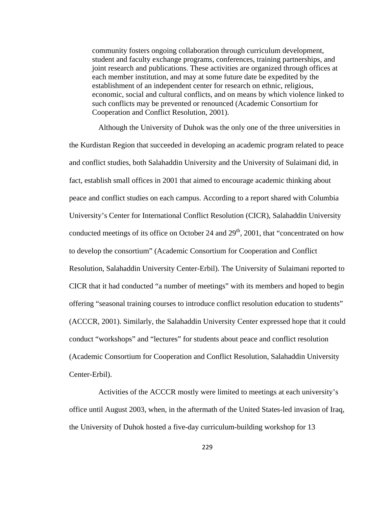community fosters ongoing collaboration through curriculum development, student and faculty exchange programs, conferences, training partnerships, and joint research and publications. These activities are organized through offices at each member institution, and may at some future date be expedited by the establishment of an independent center for research on ethnic, religious, economic, social and cultural conflicts, and on means by which violence linked to such conflicts may be prevented or renounced (Academic Consortium for Cooperation and Conflict Resolution, 2001).

Although the University of Duhok was the only one of the three universities in the Kurdistan Region that succeeded in developing an academic program related to peace and conflict studies, both Salahaddin University and the University of Sulaimani did, in fact, establish small offices in 2001 that aimed to encourage academic thinking about peace and conflict studies on each campus. According to a report shared with Columbia University's Center for International Conflict Resolution (CICR), Salahaddin University conducted meetings of its office on October 24 and  $29<sup>th</sup>$ , 2001, that "concentrated on how to develop the consortium" (Academic Consortium for Cooperation and Conflict Resolution, Salahaddin University Center-Erbil). The University of Sulaimani reported to CICR that it had conducted "a number of meetings" with its members and hoped to begin offering "seasonal training courses to introduce conflict resolution education to students" (ACCCR, 2001). Similarly, the Salahaddin University Center expressed hope that it could conduct "workshops" and "lectures" for students about peace and conflict resolution (Academic Consortium for Cooperation and Conflict Resolution, Salahaddin University Center-Erbil).

 Activities of the ACCCR mostly were limited to meetings at each university's office until August 2003, when, in the aftermath of the United States-led invasion of Iraq, the University of Duhok hosted a five-day curriculum-building workshop for 13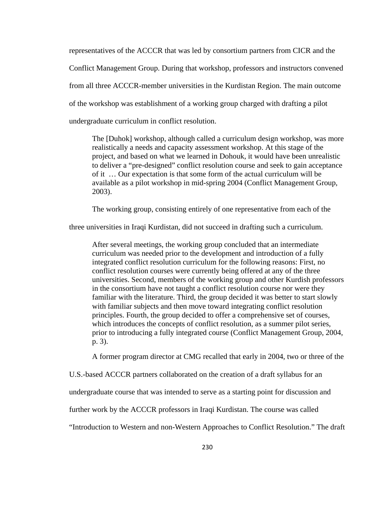representatives of the ACCCR that was led by consortium partners from CICR and the

Conflict Management Group. During that workshop, professors and instructors convened

from all three ACCCR-member universities in the Kurdistan Region. The main outcome

of the workshop was establishment of a working group charged with drafting a pilot

undergraduate curriculum in conflict resolution.

The [Duhok] workshop, although called a curriculum design workshop, was more realistically a needs and capacity assessment workshop. At this stage of the project, and based on what we learned in Dohouk, it would have been unrealistic to deliver a "pre-designed" conflict resolution course and seek to gain acceptance of it … Our expectation is that some form of the actual curriculum will be available as a pilot workshop in mid-spring 2004 (Conflict Management Group, 2003).

The working group, consisting entirely of one representative from each of the

three universities in Iraqi Kurdistan, did not succeed in drafting such a curriculum.

After several meetings, the working group concluded that an intermediate curriculum was needed prior to the development and introduction of a fully integrated conflict resolution curriculum for the following reasons: First, no conflict resolution courses were currently being offered at any of the three universities. Second, members of the working group and other Kurdish professors in the consortium have not taught a conflict resolution course nor were they familiar with the literature. Third, the group decided it was better to start slowly with familiar subjects and then move toward integrating conflict resolution principles. Fourth, the group decided to offer a comprehensive set of courses, which introduces the concepts of conflict resolution, as a summer pilot series, prior to introducing a fully integrated course (Conflict Management Group, 2004, p. 3).

A former program director at CMG recalled that early in 2004, two or three of the

U.S.-based ACCCR partners collaborated on the creation of a draft syllabus for an

undergraduate course that was intended to serve as a starting point for discussion and

further work by the ACCCR professors in Iraqi Kurdistan. The course was called

"Introduction to Western and non-Western Approaches to Conflict Resolution." The draft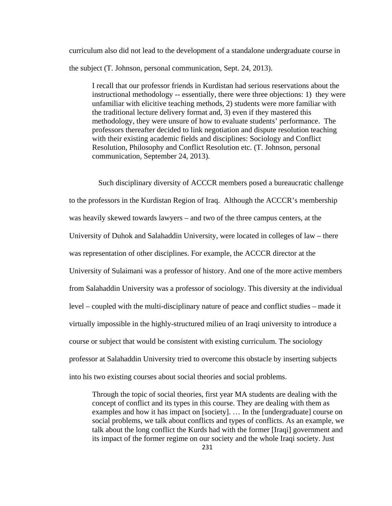curriculum also did not lead to the development of a standalone undergraduate course in the subject (T. Johnson, personal communication, Sept. 24, 2013).

I recall that our professor friends in Kurdistan had serious reservations about the instructional methodology -- essentially, there were three objections: 1) they were unfamiliar with elicitive teaching methods, 2) students were more familiar with the traditional lecture delivery format and, 3) even if they mastered this methodology, they were unsure of how to evaluate students' performance. The professors thereafter decided to link negotiation and dispute resolution teaching with their existing academic fields and disciplines: Sociology and Conflict Resolution, Philosophy and Conflict Resolution etc. (T. Johnson, personal communication, September 24, 2013).

 Such disciplinary diversity of ACCCR members posed a bureaucratic challenge to the professors in the Kurdistan Region of Iraq. Although the ACCCR's membership was heavily skewed towards lawyers – and two of the three campus centers, at the University of Duhok and Salahaddin University, were located in colleges of law – there was representation of other disciplines. For example, the ACCCR director at the University of Sulaimani was a professor of history. And one of the more active members from Salahaddin University was a professor of sociology. This diversity at the individual level – coupled with the multi-disciplinary nature of peace and conflict studies – made it virtually impossible in the highly-structured milieu of an Iraqi university to introduce a course or subject that would be consistent with existing curriculum. The sociology professor at Salahaddin University tried to overcome this obstacle by inserting subjects into his two existing courses about social theories and social problems.

Through the topic of social theories, first year MA students are dealing with the concept of conflict and its types in this course. They are dealing with them as examples and how it has impact on [society]. … In the [undergraduate] course on social problems, we talk about conflicts and types of conflicts. As an example, we talk about the long conflict the Kurds had with the former [Iraqi] government and its impact of the former regime on our society and the whole Iraqi society. Just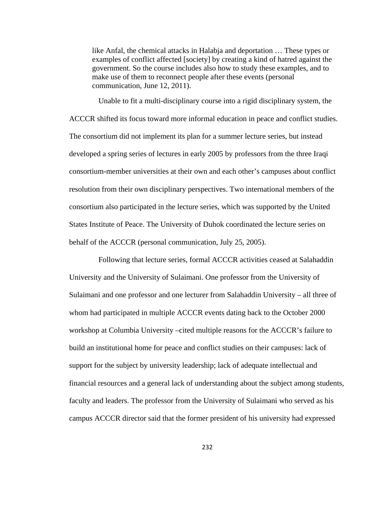like Anfal, the chemical attacks in Halabja and deportation … These types or examples of conflict affected [society] by creating a kind of hatred against the government. So the course includes also how to study these examples, and to make use of them to reconnect people after these events (personal communication, June 12, 2011).

 Unable to fit a multi-disciplinary course into a rigid disciplinary system, the ACCCR shifted its focus toward more informal education in peace and conflict studies. The consortium did not implement its plan for a summer lecture series, but instead developed a spring series of lectures in early 2005 by professors from the three Iraqi consortium-member universities at their own and each other's campuses about conflict resolution from their own disciplinary perspectives. Two international members of the consortium also participated in the lecture series, which was supported by the United States Institute of Peace. The University of Duhok coordinated the lecture series on behalf of the ACCCR (personal communication, July 25, 2005).

 Following that lecture series, formal ACCCR activities ceased at Salahaddin University and the University of Sulaimani. One professor from the University of Sulaimani and one professor and one lecturer from Salahaddin University – all three of whom had participated in multiple ACCCR events dating back to the October 2000 workshop at Columbia University –cited multiple reasons for the ACCCR's failure to build an institutional home for peace and conflict studies on their campuses: lack of support for the subject by university leadership; lack of adequate intellectual and financial resources and a general lack of understanding about the subject among students, faculty and leaders. The professor from the University of Sulaimani who served as his campus ACCCR director said that the former president of his university had expressed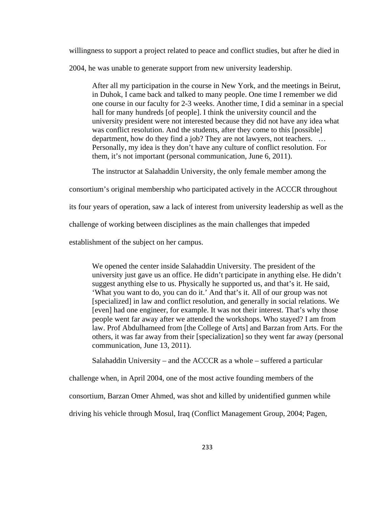willingness to support a project related to peace and conflict studies, but after he died in

2004, he was unable to generate support from new university leadership.

After all my participation in the course in New York, and the meetings in Beirut, in Duhok, I came back and talked to many people. One time I remember we did one course in our faculty for 2-3 weeks. Another time, I did a seminar in a special hall for many hundreds [of people]. I think the university council and the university president were not interested because they did not have any idea what was conflict resolution. And the students, after they come to this [possible] department, how do they find a job? They are not lawyers, not teachers. … Personally, my idea is they don't have any culture of conflict resolution. For them, it's not important (personal communication, June 6, 2011).

The instructor at Salahaddin University, the only female member among the

consortium's original membership who participated actively in the ACCCR throughout

its four years of operation, saw a lack of interest from university leadership as well as the

challenge of working between disciplines as the main challenges that impeded

establishment of the subject on her campus.

We opened the center inside Salahaddin University. The president of the university just gave us an office. He didn't participate in anything else. He didn't suggest anything else to us. Physically he supported us, and that's it. He said, 'What you want to do, you can do it.' And that's it. All of our group was not [specialized] in law and conflict resolution, and generally in social relations. We [even] had one engineer, for example. It was not their interest. That's why those people went far away after we attended the workshops. Who stayed? I am from law. Prof Abdulhameed from [the College of Arts] and Barzan from Arts. For the others, it was far away from their [specialization] so they went far away (personal communication, June 13, 2011).

Salahaddin University – and the ACCCR as a whole – suffered a particular

challenge when, in April 2004, one of the most active founding members of the

consortium, Barzan Omer Ahmed, was shot and killed by unidentified gunmen while

driving his vehicle through Mosul, Iraq (Conflict Management Group, 2004; Pagen,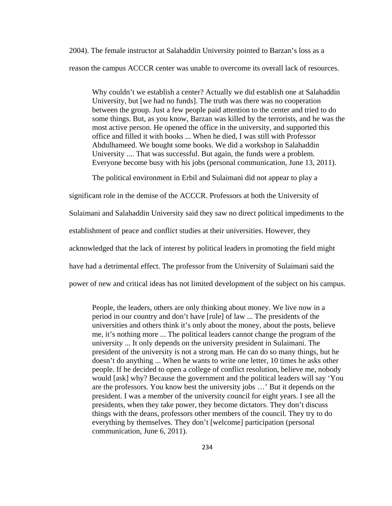2004). The female instructor at Salahaddin University pointed to Barzan's loss as a reason the campus ACCCR center was unable to overcome its overall lack of resources.

Why couldn't we establish a center? Actually we did establish one at Salahaddin University, but [we had no funds]. The truth was there was no cooperation between the group. Just a few people paid attention to the center and tried to do some things. But, as you know, Barzan was killed by the terrorists, and he was the most active person. He opened the office in the university, and supported this office and filled it with books ... When he died, I was still with Professor Abdulhameed. We bought some books. We did a workshop in Salahaddin University .... That was successful. But again, the funds were a problem. Everyone become busy with his jobs (personal communication, June 13, 2011).

The political environment in Erbil and Sulaimani did not appear to play a

significant role in the demise of the ACCCR. Professors at both the University of Sulaimani and Salahaddin University said they saw no direct political impediments to the establishment of peace and conflict studies at their universities. However, they acknowledged that the lack of interest by political leaders in promoting the field might have had a detrimental effect. The professor from the University of Sulaimani said the power of new and critical ideas has not limited development of the subject on his campus.

People, the leaders, others are only thinking about money. We live now in a period in our country and don't have [rule] of law ... The presidents of the universities and others think it's only about the money, about the posts, believe me, it's nothing more ... The political leaders cannot change the program of the university ... It only depends on the university president in Sulaimani. The president of the university is not a strong man. He can do so many things, but he doesn't do anything ... When he wants to write one letter, 10 times he asks other people. If he decided to open a college of conflict resolution, believe me, nobody would [ask] why? Because the government and the political leaders will say 'You are the professors. You know best the university jobs …' But it depends on the president. I was a member of the university council for eight years. I see all the presidents, when they take power, they become dictators. They don't discuss things with the deans, professors other members of the council. They try to do everything by themselves. They don't [welcome] participation (personal communication, June 6, 2011).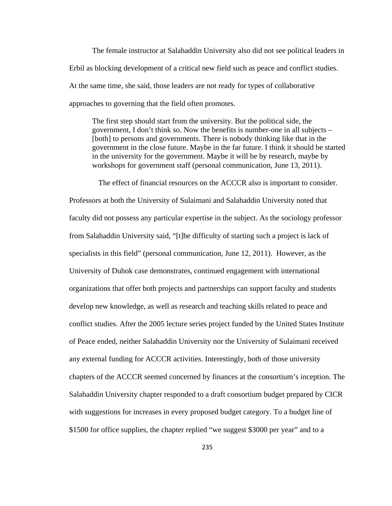The female instructor at Salahaddin University also did not see political leaders in Erbil as blocking development of a critical new field such as peace and conflict studies. At the same time, she said, those leaders are not ready for types of collaborative approaches to governing that the field often promotes.

The first step should start from the university. But the political side, the government, I don't think so. Now the benefits is number-one in all subjects – [both] to persons and governments. There is nobody thinking like that in the government in the close future. Maybe in the far future. I think it should be started in the university for the government. Maybe it will be by research, maybe by workshops for government staff (personal communication, June 13, 2011).

 The effect of financial resources on the ACCCR also is important to consider. Professors at both the University of Sulaimani and Salahaddin University noted that faculty did not possess any particular expertise in the subject. As the sociology professor from Salahaddin University said, "[t]he difficulty of starting such a project is lack of specialists in this field" (personal communication, June 12, 2011). However, as the University of Duhok case demonstrates, continued engagement with international organizations that offer both projects and partnerships can support faculty and students develop new knowledge, as well as research and teaching skills related to peace and conflict studies. After the 2005 lecture series project funded by the United States Institute of Peace ended, neither Salahaddin University nor the University of Sulaimani received any external funding for ACCCR activities. Interestingly, both of those university chapters of the ACCCR seemed concerned by finances at the consortium's inception. The Salahaddin University chapter responded to a draft consortium budget prepared by CICR with suggestions for increases in every proposed budget category. To a budget line of \$1500 for office supplies, the chapter replied "we suggest \$3000 per year" and to a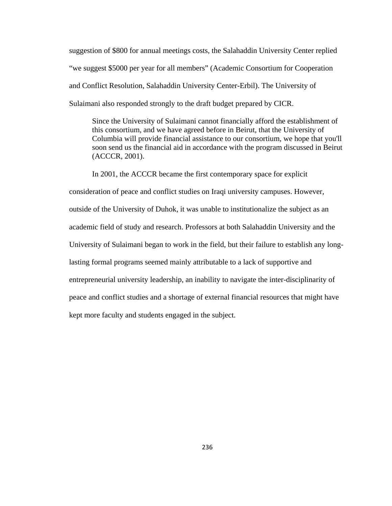suggestion of \$800 for annual meetings costs, the Salahaddin University Center replied "we suggest \$5000 per year for all members" (Academic Consortium for Cooperation and Conflict Resolution, Salahaddin University Center-Erbil). The University of Sulaimani also responded strongly to the draft budget prepared by CICR.

Since the University of Sulaimani cannot financially afford the establishment of this consortium, and we have agreed before in Beirut, that the University of Columbia will provide financial assistance to our consortium, we hope that you'll soon send us the financial aid in accordance with the program discussed in Beirut (ACCCR, 2001).

In 2001, the ACCCR became the first contemporary space for explicit consideration of peace and conflict studies on Iraqi university campuses. However, outside of the University of Duhok, it was unable to institutionalize the subject as an academic field of study and research. Professors at both Salahaddin University and the University of Sulaimani began to work in the field, but their failure to establish any longlasting formal programs seemed mainly attributable to a lack of supportive and entrepreneurial university leadership, an inability to navigate the inter-disciplinarity of peace and conflict studies and a shortage of external financial resources that might have kept more faculty and students engaged in the subject.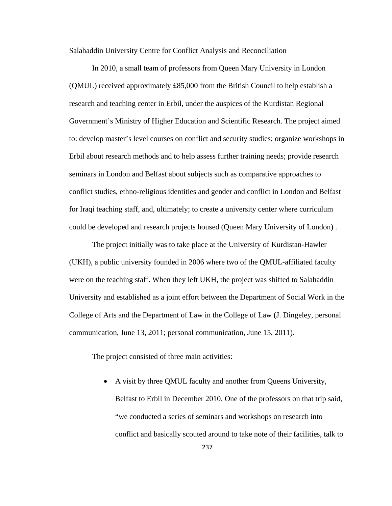### Salahaddin University Centre for Conflict Analysis and Reconciliation

 In 2010, a small team of professors from Queen Mary University in London (QMUL) received approximately £85,000 from the British Council to help establish a research and teaching center in Erbil, under the auspices of the Kurdistan Regional Government's Ministry of Higher Education and Scientific Research. The project aimed to: develop master's level courses on conflict and security studies; organize workshops in Erbil about research methods and to help assess further training needs; provide research seminars in London and Belfast about subjects such as comparative approaches to conflict studies, ethno-religious identities and gender and conflict in London and Belfast for Iraqi teaching staff, and, ultimately; to create a university center where curriculum could be developed and research projects housed (Queen Mary University of London) .

The project initially was to take place at the University of Kurdistan-Hawler (UKH), a public university founded in 2006 where two of the QMUL-affiliated faculty were on the teaching staff. When they left UKH, the project was shifted to Salahaddin University and established as a joint effort between the Department of Social Work in the College of Arts and the Department of Law in the College of Law (J. Dingeley, personal communication, June 13, 2011; personal communication, June 15, 2011).

The project consisted of three main activities:

 A visit by three QMUL faculty and another from Queens University, Belfast to Erbil in December 2010. One of the professors on that trip said, "we conducted a series of seminars and workshops on research into conflict and basically scouted around to take note of their facilities, talk to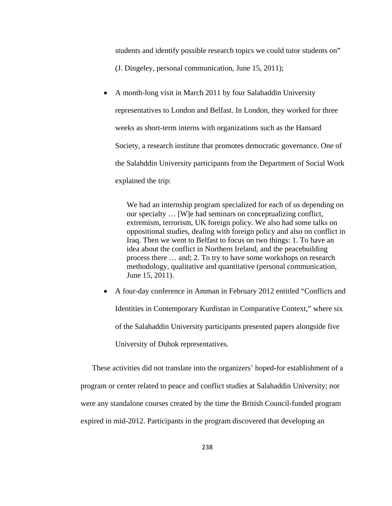students and identify possible research topics we could tutor students on" (J. Dingeley, personal communication, June 15, 2011);

 A month-long visit in March 2011 by four Salahaddin University representatives to London and Belfast. In London, they worked for three weeks as short-term interns with organizations such as the Hansard Society, a research institute that promotes democratic governance. One of the Salahddin University participants from the Department of Social Work explained the trip:

We had an internship program specialized for each of us depending on our specialty … [W]e had seminars on conceptualizing conflict, extremism, terrorism, UK foreign policy. We also had some talks on oppositional studies, dealing with foreign policy and also on conflict in Iraq. Then we went to Belfast to focus on two things: 1. To have an idea about the conflict in Northern Ireland, and the peacebuilding process there … and; 2. To try to have some workshops on research methodology, qualitative and quantitative (personal communication, June 15, 2011).

 A four-day conference in Amman in February 2012 entitled "Conflicts and Identities in Contemporary Kurdistan in Comparative Context," where six of the Salahaddin University participants presented papers alongside five University of Duhok representatives.

These activities did not translate into the organizers' hoped-for establishment of a program or center related to peace and conflict studies at Salahaddin University; nor were any standalone courses created by the time the British Council-funded program expired in mid-2012. Participants in the program discovered that developing an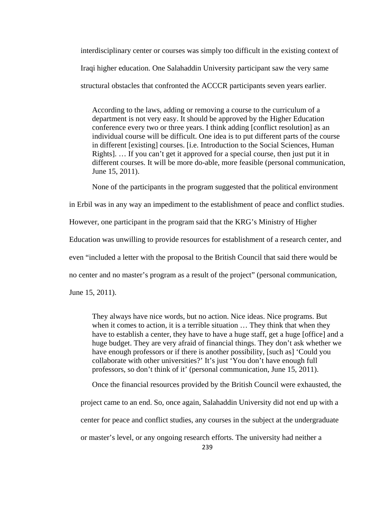interdisciplinary center or courses was simply too difficult in the existing context of Iraqi higher education. One Salahaddin University participant saw the very same structural obstacles that confronted the ACCCR participants seven years earlier.

According to the laws, adding or removing a course to the curriculum of a department is not very easy. It should be approved by the Higher Education conference every two or three years. I think adding [conflict resolution] as an individual course will be difficult. One idea is to put different parts of the course in different [existing] courses. [i.e. Introduction to the Social Sciences, Human Rights]. … If you can't get it approved for a special course, then just put it in different courses. It will be more do-able, more feasible (personal communication, June 15, 2011).

None of the participants in the program suggested that the political environment

in Erbil was in any way an impediment to the establishment of peace and conflict studies.

However, one participant in the program said that the KRG's Ministry of Higher

Education was unwilling to provide resources for establishment of a research center, and

even "included a letter with the proposal to the British Council that said there would be

no center and no master's program as a result of the project" (personal communication,

June 15, 2011).

They always have nice words, but no action. Nice ideas. Nice programs. But when it comes to action, it is a terrible situation … They think that when they have to establish a center, they have to have a huge staff, get a huge [office] and a huge budget. They are very afraid of financial things. They don't ask whether we have enough professors or if there is another possibility, [such as] 'Could you collaborate with other universities?' It's just 'You don't have enough full professors, so don't think of it' (personal communication, June 15, 2011).

Once the financial resources provided by the British Council were exhausted, the

project came to an end. So, once again, Salahaddin University did not end up with a

center for peace and conflict studies, any courses in the subject at the undergraduate

or master's level, or any ongoing research efforts. The university had neither a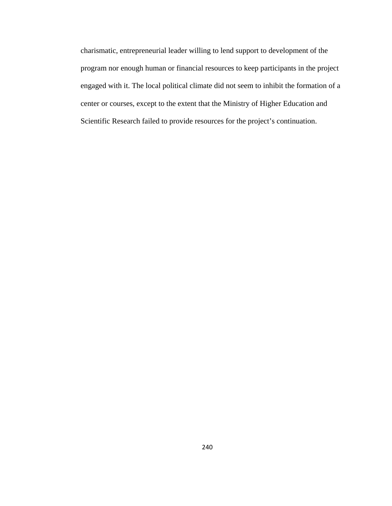charismatic, entrepreneurial leader willing to lend support to development of the program nor enough human or financial resources to keep participants in the project engaged with it. The local political climate did not seem to inhibit the formation of a center or courses, except to the extent that the Ministry of Higher Education and Scientific Research failed to provide resources for the project's continuation.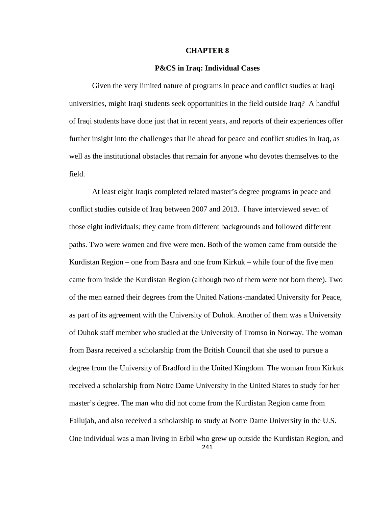### **CHAPTER 8**

## **P&CS in Iraq: Individual Cases**

 Given the very limited nature of programs in peace and conflict studies at Iraqi universities, might Iraqi students seek opportunities in the field outside Iraq? A handful of Iraqi students have done just that in recent years, and reports of their experiences offer further insight into the challenges that lie ahead for peace and conflict studies in Iraq, as well as the institutional obstacles that remain for anyone who devotes themselves to the field.

241 At least eight Iraqis completed related master's degree programs in peace and conflict studies outside of Iraq between 2007 and 2013. I have interviewed seven of those eight individuals; they came from different backgrounds and followed different paths. Two were women and five were men. Both of the women came from outside the Kurdistan Region – one from Basra and one from Kirkuk – while four of the five men came from inside the Kurdistan Region (although two of them were not born there). Two of the men earned their degrees from the United Nations-mandated University for Peace, as part of its agreement with the University of Duhok. Another of them was a University of Duhok staff member who studied at the University of Tromso in Norway. The woman from Basra received a scholarship from the British Council that she used to pursue a degree from the University of Bradford in the United Kingdom. The woman from Kirkuk received a scholarship from Notre Dame University in the United States to study for her master's degree. The man who did not come from the Kurdistan Region came from Fallujah, and also received a scholarship to study at Notre Dame University in the U.S. One individual was a man living in Erbil who grew up outside the Kurdistan Region, and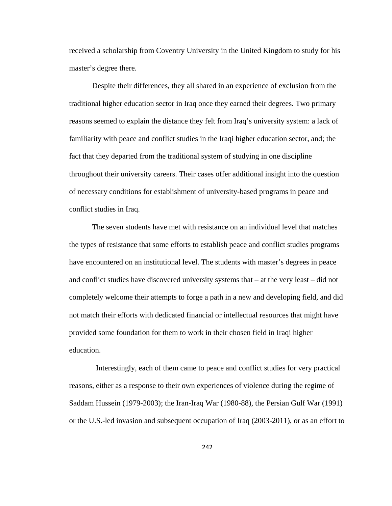received a scholarship from Coventry University in the United Kingdom to study for his master's degree there.

 Despite their differences, they all shared in an experience of exclusion from the traditional higher education sector in Iraq once they earned their degrees. Two primary reasons seemed to explain the distance they felt from Iraq's university system: a lack of familiarity with peace and conflict studies in the Iraqi higher education sector, and; the fact that they departed from the traditional system of studying in one discipline throughout their university careers. Their cases offer additional insight into the question of necessary conditions for establishment of university-based programs in peace and conflict studies in Iraq.

The seven students have met with resistance on an individual level that matches the types of resistance that some efforts to establish peace and conflict studies programs have encountered on an institutional level. The students with master's degrees in peace and conflict studies have discovered university systems that – at the very least – did not completely welcome their attempts to forge a path in a new and developing field, and did not match their efforts with dedicated financial or intellectual resources that might have provided some foundation for them to work in their chosen field in Iraqi higher education.

 Interestingly, each of them came to peace and conflict studies for very practical reasons, either as a response to their own experiences of violence during the regime of Saddam Hussein (1979-2003); the Iran-Iraq War (1980-88), the Persian Gulf War (1991) or the U.S.-led invasion and subsequent occupation of Iraq (2003-2011), or as an effort to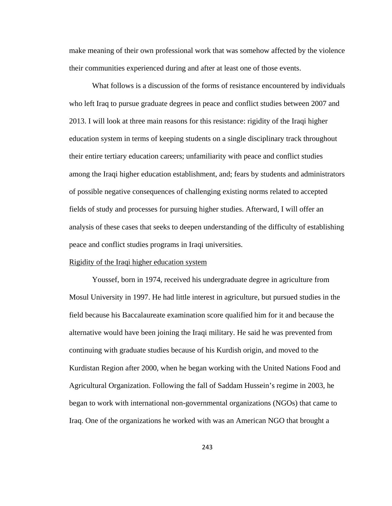make meaning of their own professional work that was somehow affected by the violence their communities experienced during and after at least one of those events.

What follows is a discussion of the forms of resistance encountered by individuals who left Iraq to pursue graduate degrees in peace and conflict studies between 2007 and 2013. I will look at three main reasons for this resistance: rigidity of the Iraqi higher education system in terms of keeping students on a single disciplinary track throughout their entire tertiary education careers; unfamiliarity with peace and conflict studies among the Iraqi higher education establishment, and; fears by students and administrators of possible negative consequences of challenging existing norms related to accepted fields of study and processes for pursuing higher studies. Afterward, I will offer an analysis of these cases that seeks to deepen understanding of the difficulty of establishing peace and conflict studies programs in Iraqi universities.

## Rigidity of the Iraqi higher education system

 Youssef, born in 1974, received his undergraduate degree in agriculture from Mosul University in 1997. He had little interest in agriculture, but pursued studies in the field because his Baccalaureate examination score qualified him for it and because the alternative would have been joining the Iraqi military. He said he was prevented from continuing with graduate studies because of his Kurdish origin, and moved to the Kurdistan Region after 2000, when he began working with the United Nations Food and Agricultural Organization. Following the fall of Saddam Hussein's regime in 2003, he began to work with international non-governmental organizations (NGOs) that came to Iraq. One of the organizations he worked with was an American NGO that brought a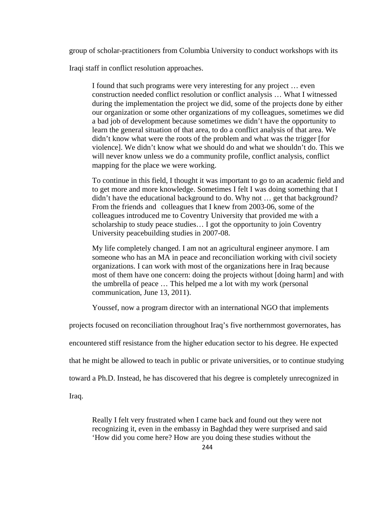group of scholar-practitioners from Columbia University to conduct workshops with its

Iraqi staff in conflict resolution approaches.

I found that such programs were very interesting for any project … even construction needed conflict resolution or conflict analysis … What I witnessed during the implementation the project we did, some of the projects done by either our organization or some other organizations of my colleagues, sometimes we did a bad job of development because sometimes we didn't have the opportunity to learn the general situation of that area, to do a conflict analysis of that area. We didn't know what were the roots of the problem and what was the trigger [for violence]. We didn't know what we should do and what we shouldn't do. This we will never know unless we do a community profile, conflict analysis, conflict mapping for the place we were working.

To continue in this field, I thought it was important to go to an academic field and to get more and more knowledge. Sometimes I felt I was doing something that I didn't have the educational background to do. Why not … get that background? From the friends and colleagues that I knew from 2003-06, some of the colleagues introduced me to Coventry University that provided me with a scholarship to study peace studies… I got the opportunity to join Coventry University peacebuilding studies in 2007-08.

My life completely changed. I am not an agricultural engineer anymore. I am someone who has an MA in peace and reconciliation working with civil society organizations. I can work with most of the organizations here in Iraq because most of them have one concern: doing the projects without [doing harm] and with the umbrella of peace … This helped me a lot with my work (personal communication, June 13, 2011).

Youssef, now a program director with an international NGO that implements

projects focused on reconciliation throughout Iraq's five northernmost governorates, has

encountered stiff resistance from the higher education sector to his degree. He expected

that he might be allowed to teach in public or private universities, or to continue studying

toward a Ph.D. Instead, he has discovered that his degree is completely unrecognized in

Iraq.

Really I felt very frustrated when I came back and found out they were not recognizing it, even in the embassy in Baghdad they were surprised and said 'How did you come here? How are you doing these studies without the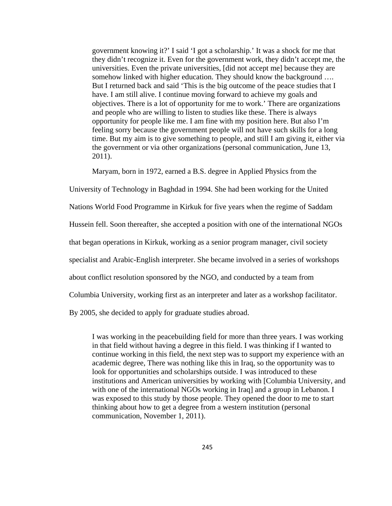government knowing it?' I said 'I got a scholarship.' It was a shock for me that they didn't recognize it. Even for the government work, they didn't accept me, the universities. Even the private universities, [did not accept me] because they are somehow linked with higher education. They should know the background .... But I returned back and said 'This is the big outcome of the peace studies that I have. I am still alive. I continue moving forward to achieve my goals and objectives. There is a lot of opportunity for me to work.' There are organizations and people who are willing to listen to studies like these. There is always opportunity for people like me. I am fine with my position here. But also I'm feeling sorry because the government people will not have such skills for a long time. But my aim is to give something to people, and still I am giving it, either via the government or via other organizations (personal communication, June 13, 2011).

Maryam, born in 1972, earned a B.S. degree in Applied Physics from the

University of Technology in Baghdad in 1994. She had been working for the United

Nations World Food Programme in Kirkuk for five years when the regime of Saddam

Hussein fell. Soon thereafter, she accepted a position with one of the international NGOs

that began operations in Kirkuk, working as a senior program manager, civil society

specialist and Arabic-English interpreter. She became involved in a series of workshops

about conflict resolution sponsored by the NGO, and conducted by a team from

Columbia University, working first as an interpreter and later as a workshop facilitator.

By 2005, she decided to apply for graduate studies abroad.

I was working in the peacebuilding field for more than three years. I was working in that field without having a degree in this field. I was thinking if I wanted to continue working in this field, the next step was to support my experience with an academic degree, There was nothing like this in Iraq, so the opportunity was to look for opportunities and scholarships outside. I was introduced to these institutions and American universities by working with [Columbia University, and with one of the international NGOs working in Iraq] and a group in Lebanon. I was exposed to this study by those people. They opened the door to me to start thinking about how to get a degree from a western institution (personal communication, November 1, 2011).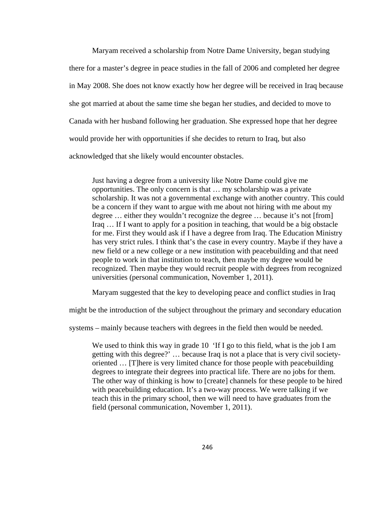Maryam received a scholarship from Notre Dame University, began studying there for a master's degree in peace studies in the fall of 2006 and completed her degree in May 2008. She does not know exactly how her degree will be received in Iraq because she got married at about the same time she began her studies, and decided to move to Canada with her husband following her graduation. She expressed hope that her degree would provide her with opportunities if she decides to return to Iraq, but also acknowledged that she likely would encounter obstacles.

Just having a degree from a university like Notre Dame could give me opportunities. The only concern is that … my scholarship was a private scholarship. It was not a governmental exchange with another country. This could be a concern if they want to argue with me about not hiring with me about my degree … either they wouldn't recognize the degree … because it's not [from] Iraq … If I want to apply for a position in teaching, that would be a big obstacle for me. First they would ask if I have a degree from Iraq. The Education Ministry has very strict rules. I think that's the case in every country. Maybe if they have a new field or a new college or a new institution with peacebuilding and that need people to work in that institution to teach, then maybe my degree would be recognized. Then maybe they would recruit people with degrees from recognized universities (personal communication, November 1, 2011).

Maryam suggested that the key to developing peace and conflict studies in Iraq

might be the introduction of the subject throughout the primary and secondary education

systems – mainly because teachers with degrees in the field then would be needed.

We used to think this way in grade 10 'If I go to this field, what is the job I am getting with this degree?' … because Iraq is not a place that is very civil societyoriented … [T]here is very limited chance for those people with peacebuilding degrees to integrate their degrees into practical life. There are no jobs for them. The other way of thinking is how to [create] channels for these people to be hired with peacebuilding education. It's a two-way process. We were talking if we teach this in the primary school, then we will need to have graduates from the field (personal communication, November 1, 2011).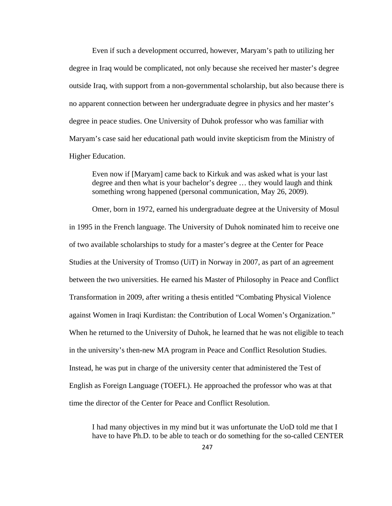Even if such a development occurred, however, Maryam's path to utilizing her degree in Iraq would be complicated, not only because she received her master's degree outside Iraq, with support from a non-governmental scholarship, but also because there is no apparent connection between her undergraduate degree in physics and her master's degree in peace studies. One University of Duhok professor who was familiar with Maryam's case said her educational path would invite skepticism from the Ministry of Higher Education.

Even now if [Maryam] came back to Kirkuk and was asked what is your last degree and then what is your bachelor's degree … they would laugh and think something wrong happened (personal communication, May 26, 2009).

Omer, born in 1972, earned his undergraduate degree at the University of Mosul in 1995 in the French language. The University of Duhok nominated him to receive one of two available scholarships to study for a master's degree at the Center for Peace Studies at the University of Tromso (UiT) in Norway in 2007, as part of an agreement between the two universities. He earned his Master of Philosophy in Peace and Conflict Transformation in 2009, after writing a thesis entitled "Combating Physical Violence against Women in Iraqi Kurdistan: the Contribution of Local Women's Organization." When he returned to the University of Duhok, he learned that he was not eligible to teach in the university's then-new MA program in Peace and Conflict Resolution Studies. Instead, he was put in charge of the university center that administered the Test of English as Foreign Language (TOEFL). He approached the professor who was at that time the director of the Center for Peace and Conflict Resolution.

I had many objectives in my mind but it was unfortunate the UoD told me that I have to have Ph.D. to be able to teach or do something for the so-called CENTER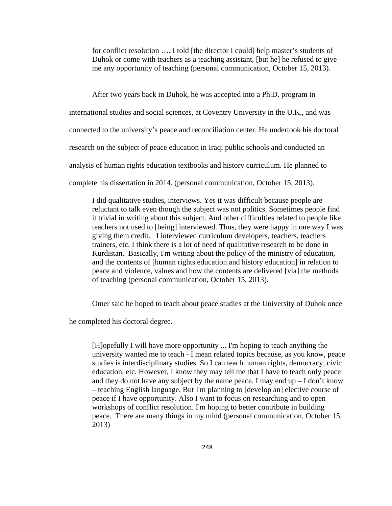for conflict resolution …. I told [the director I could] help master's students of Duhok or come with teachers as a teaching assistant, [but he] he refused to give me any opportunity of teaching (personal communication, October 15, 2013).

After two years back in Duhok, he was accepted into a Ph.D. program in

international studies and social sciences, at Coventry University in the U.K., and was

connected to the university's peace and reconciliation center. He undertook his doctoral

research on the subject of peace education in Iraqi public schools and conducted an

analysis of human rights education textbooks and history curriculum. He planned to

complete his dissertation in 2014. (personal communication, October 15, 2013).

I did qualitative studies, interviews. Yes it was difficult because people are reluctant to talk even though the subject was not politics. Sometimes people find it trivial in writing about this subject. And other difficulties related to people like teachers not used to [being] interviewed. Thus, they were happy in one way I was giving them credit. I interviewed curriculum developers, teachers, teachers trainers, etc. I think there is a lot of need of qualitative research to be done in Kurdistan. Basically, I'm writing about the policy of the ministry of education, and the contents of [human rights education and history education] in relation to peace and violence, values and how the contents are delivered [via] the methods of teaching (personal communication, October 15, 2013).

Omer said he hoped to teach about peace studies at the University of Duhok once

he completed his doctoral degree.

[H]opefully I will have more opportunity ... I'm hoping to teach anything the university wanted me to teach - I mean related topics because, as you know, peace studies is interdisciplinary studies. So I can teach human rights, democracy, civic education, etc. However, I know they may tell me that I have to teach only peace and they do not have any subject by the name peace. I may end up  $-1$  don't know – teaching English language. But I'm planning to [develop an] elective course of peace if I have opportunity. Also I want to focus on researching and to open workshops of conflict resolution. I'm hoping to better contribute in building peace. There are many things in my mind (personal communication, October 15, 2013)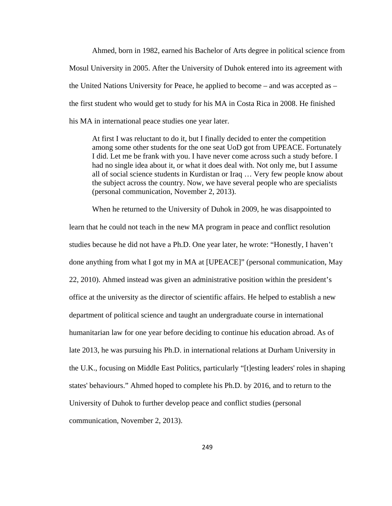Ahmed, born in 1982, earned his Bachelor of Arts degree in political science from Mosul University in 2005. After the University of Duhok entered into its agreement with the United Nations University for Peace, he applied to become – and was accepted as – the first student who would get to study for his MA in Costa Rica in 2008. He finished his MA in international peace studies one year later.

At first I was reluctant to do it, but I finally decided to enter the competition among some other students for the one seat UoD got from UPEACE. Fortunately I did. Let me be frank with you. I have never come across such a study before. I had no single idea about it, or what it does deal with. Not only me, but I assume all of social science students in Kurdistan or Iraq … Very few people know about the subject across the country. Now, we have several people who are specialists (personal communication, November 2, 2013).

When he returned to the University of Duhok in 2009, he was disappointed to learn that he could not teach in the new MA program in peace and conflict resolution studies because he did not have a Ph.D. One year later, he wrote: "Honestly, I haven't done anything from what I got my in MA at [UPEACE]" (personal communication, May 22, 2010). Ahmed instead was given an administrative position within the president's office at the university as the director of scientific affairs. He helped to establish a new department of political science and taught an undergraduate course in international humanitarian law for one year before deciding to continue his education abroad. As of late 2013, he was pursuing his Ph.D. in international relations at Durham University in the U.K., focusing on Middle East Politics, particularly "[t]esting leaders' roles in shaping states' behaviours." Ahmed hoped to complete his Ph.D. by 2016, and to return to the University of Duhok to further develop peace and conflict studies (personal communication, November 2, 2013).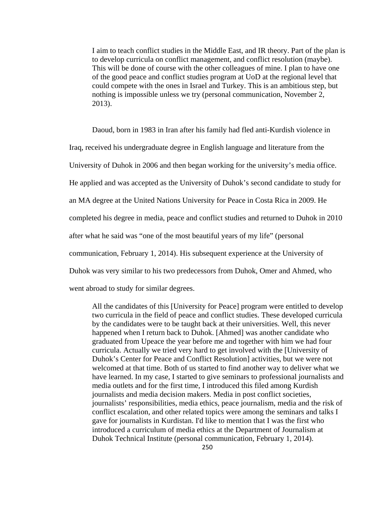I aim to teach conflict studies in the Middle East, and IR theory. Part of the plan is to develop curricula on conflict management, and conflict resolution (maybe). This will be done of course with the other colleagues of mine. I plan to have one of the good peace and conflict studies program at UoD at the regional level that could compete with the ones in Israel and Turkey. This is an ambitious step, but nothing is impossible unless we try (personal communication, November 2, 2013).

Daoud, born in 1983 in Iran after his family had fled anti-Kurdish violence in Iraq, received his undergraduate degree in English language and literature from the University of Duhok in 2006 and then began working for the university's media office. He applied and was accepted as the University of Duhok's second candidate to study for an MA degree at the United Nations University for Peace in Costa Rica in 2009. He completed his degree in media, peace and conflict studies and returned to Duhok in 2010 after what he said was "one of the most beautiful years of my life" (personal communication, February 1, 2014). His subsequent experience at the University of Duhok was very similar to his two predecessors from Duhok, Omer and Ahmed, who went abroad to study for similar degrees.

All the candidates of this [University for Peace] program were entitled to develop two curricula in the field of peace and conflict studies. These developed curricula by the candidates were to be taught back at their universities. Well, this never happened when I return back to Duhok. [Ahmed] was another candidate who graduated from Upeace the year before me and together with him we had four curricula. Actually we tried very hard to get involved with the [University of Duhok's Center for Peace and Conflict Resolution] activities, but we were not welcomed at that time. Both of us started to find another way to deliver what we have learned. In my case, I started to give seminars to professional journalists and media outlets and for the first time, I introduced this filed among Kurdish journalists and media decision makers. Media in post conflict societies, journalists' responsibilities, media ethics, peace journalism, media and the risk of conflict escalation, and other related topics were among the seminars and talks I gave for journalists in Kurdistan. I'd like to mention that I was the first who introduced a curriculum of media ethics at the Department of Journalism at Duhok Technical Institute (personal communication, February 1, 2014).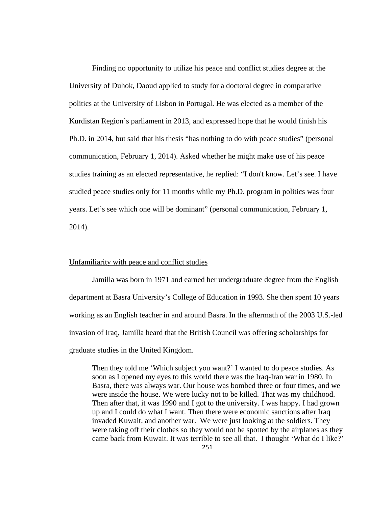Finding no opportunity to utilize his peace and conflict studies degree at the University of Duhok, Daoud applied to study for a doctoral degree in comparative politics at the University of Lisbon in Portugal. He was elected as a member of the Kurdistan Region's parliament in 2013, and expressed hope that he would finish his Ph.D. in 2014, but said that his thesis "has nothing to do with peace studies" (personal communication, February 1, 2014). Asked whether he might make use of his peace studies training as an elected representative, he replied: "I don't know. Let's see. I have studied peace studies only for 11 months while my Ph.D. program in politics was four years. Let's see which one will be dominant" (personal communication, February 1, 2014).

# Unfamiliarity with peace and conflict studies

Jamilla was born in 1971 and earned her undergraduate degree from the English department at Basra University's College of Education in 1993. She then spent 10 years working as an English teacher in and around Basra. In the aftermath of the 2003 U.S.-led invasion of Iraq, Jamilla heard that the British Council was offering scholarships for graduate studies in the United Kingdom.

Then they told me 'Which subject you want?' I wanted to do peace studies. As soon as I opened my eyes to this world there was the Iraq-Iran war in 1980. In Basra, there was always war. Our house was bombed three or four times, and we were inside the house. We were lucky not to be killed. That was my childhood. Then after that, it was 1990 and I got to the university. I was happy. I had grown up and I could do what I want. Then there were economic sanctions after Iraq invaded Kuwait, and another war. We were just looking at the soldiers. They were taking off their clothes so they would not be spotted by the airplanes as they came back from Kuwait. It was terrible to see all that. I thought 'What do I like?'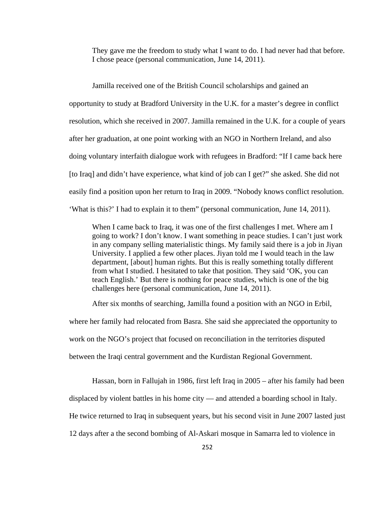They gave me the freedom to study what I want to do. I had never had that before. I chose peace (personal communication, June 14, 2011).

Jamilla received one of the British Council scholarships and gained an opportunity to study at Bradford University in the U.K. for a master's degree in conflict resolution, which she received in 2007. Jamilla remained in the U.K. for a couple of years after her graduation, at one point working with an NGO in Northern Ireland, and also doing voluntary interfaith dialogue work with refugees in Bradford: "If I came back here [to Iraq] and didn't have experience, what kind of job can I get?" she asked. She did not easily find a position upon her return to Iraq in 2009. "Nobody knows conflict resolution. 'What is this?' I had to explain it to them" (personal communication, June 14, 2011).

When I came back to Iraq, it was one of the first challenges I met. Where am I going to work? I don't know. I want something in peace studies. I can't just work in any company selling materialistic things. My family said there is a job in Jiyan University. I applied a few other places. Jiyan told me I would teach in the law department, [about] human rights. But this is really something totally different from what I studied. I hesitated to take that position. They said 'OK, you can teach English.' But there is nothing for peace studies, which is one of the big challenges here (personal communication, June 14, 2011).

After six months of searching, Jamilla found a position with an NGO in Erbil, where her family had relocated from Basra. She said she appreciated the opportunity to work on the NGO's project that focused on reconciliation in the territories disputed between the Iraqi central government and the Kurdistan Regional Government.

Hassan, born in Fallujah in 1986, first left Iraq in 2005 – after his family had been displaced by violent battles in his home city — and attended a boarding school in Italy. He twice returned to Iraq in subsequent years, but his second visit in June 2007 lasted just 12 days after a the second bombing of Al-Askari mosque in Samarra led to violence in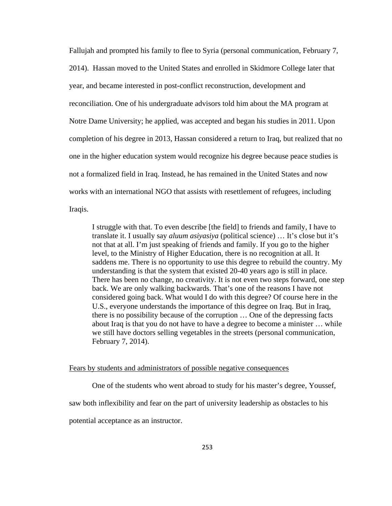Fallujah and prompted his family to flee to Syria (personal communication, February 7, 2014). Hassan moved to the United States and enrolled in Skidmore College later that year, and became interested in post-conflict reconstruction, development and reconciliation. One of his undergraduate advisors told him about the MA program at Notre Dame University; he applied, was accepted and began his studies in 2011. Upon completion of his degree in 2013, Hassan considered a return to Iraq, but realized that no one in the higher education system would recognize his degree because peace studies is not a formalized field in Iraq. Instead, he has remained in the United States and now works with an international NGO that assists with resettlement of refugees, including Iraqis.

I struggle with that. To even describe [the field] to friends and family, I have to translate it. I usually say *aluum asiyasiya* (political science) … It's close but it's not that at all. I'm just speaking of friends and family. If you go to the higher level, to the Ministry of Higher Education, there is no recognition at all. It saddens me. There is no opportunity to use this degree to rebuild the country. My understanding is that the system that existed 20-40 years ago is still in place. There has been no change, no creativity. It is not even two steps forward, one step back. We are only walking backwards. That's one of the reasons I have not considered going back. What would I do with this degree? Of course here in the U.S., everyone understands the importance of this degree on Iraq. But in Iraq, there is no possibility because of the corruption … One of the depressing facts about Iraq is that you do not have to have a degree to become a minister … while we still have doctors selling vegetables in the streets (personal communication, February 7, 2014).

#### Fears by students and administrators of possible negative consequences

One of the students who went abroad to study for his master's degree, Youssef, saw both inflexibility and fear on the part of university leadership as obstacles to his potential acceptance as an instructor.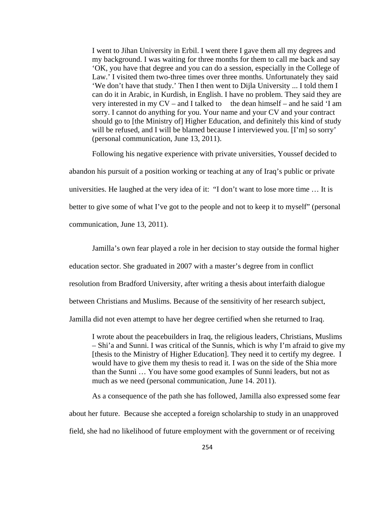I went to Jihan University in Erbil. I went there I gave them all my degrees and my background. I was waiting for three months for them to call me back and say 'OK, you have that degree and you can do a session, especially in the College of Law.' I visited them two-three times over three months. Unfortunately they said 'We don't have that study.' Then I then went to Dijla University ... I told them I can do it in Arabic, in Kurdish, in English. I have no problem. They said they are very interested in my  $CV -$  and I talked to the dean himself – and he said 'I am sorry. I cannot do anything for you. Your name and your CV and your contract should go to [the Ministry of] Higher Education, and definitely this kind of study will be refused, and I will be blamed because I interviewed you. [I'm] so sorry' (personal communication, June 13, 2011).

 Following his negative experience with private universities, Youssef decided to abandon his pursuit of a position working or teaching at any of Iraq's public or private universities. He laughed at the very idea of it: "I don't want to lose more time … It is better to give some of what I've got to the people and not to keep it to myself" (personal communication, June 13, 2011).

Jamilla's own fear played a role in her decision to stay outside the formal higher education sector. She graduated in 2007 with a master's degree from in conflict resolution from Bradford University, after writing a thesis about interfaith dialogue between Christians and Muslims. Because of the sensitivity of her research subject, Jamilla did not even attempt to have her degree certified when she returned to Iraq.

I wrote about the peacebuilders in Iraq, the religious leaders, Christians, Muslims – Shi'a and Sunni. I was critical of the Sunnis, which is why I'm afraid to give my [thesis to the Ministry of Higher Education]. They need it to certify my degree. I would have to give them my thesis to read it. I was on the side of the Shia more than the Sunni … You have some good examples of Sunni leaders, but not as much as we need (personal communication, June 14. 2011).

As a consequence of the path she has followed, Jamilla also expressed some fear about her future. Because she accepted a foreign scholarship to study in an unapproved field, she had no likelihood of future employment with the government or of receiving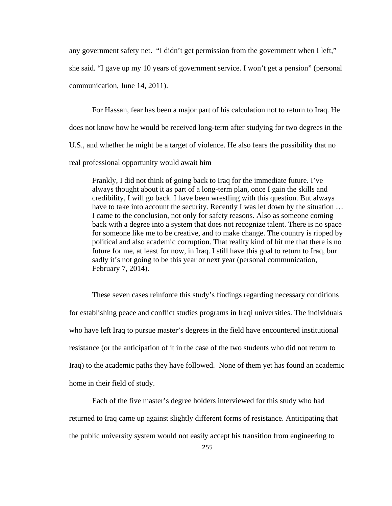any government safety net. "I didn't get permission from the government when I left,"

she said. "I gave up my 10 years of government service. I won't get a pension" (personal communication, June 14, 2011).

 For Hassan, fear has been a major part of his calculation not to return to Iraq. He does not know how he would be received long-term after studying for two degrees in the U.S., and whether he might be a target of violence. He also fears the possibility that no real professional opportunity would await him

Frankly, I did not think of going back to Iraq for the immediate future. I've always thought about it as part of a long-term plan, once I gain the skills and credibility, I will go back. I have been wrestling with this question. But always have to take into account the security. Recently I was let down by the situation ... I came to the conclusion, not only for safety reasons. Also as someone coming back with a degree into a system that does not recognize talent. There is no space for someone like me to be creative, and to make change. The country is ripped by political and also academic corruption. That reality kind of hit me that there is no future for me, at least for now, in Iraq. I still have this goal to return to Iraq, bur sadly it's not going to be this year or next year (personal communication, February 7, 2014).

These seven cases reinforce this study's findings regarding necessary conditions for establishing peace and conflict studies programs in Iraqi universities. The individuals who have left Iraq to pursue master's degrees in the field have encountered institutional resistance (or the anticipation of it in the case of the two students who did not return to Iraq) to the academic paths they have followed. None of them yet has found an academic home in their field of study.

 Each of the five master's degree holders interviewed for this study who had returned to Iraq came up against slightly different forms of resistance. Anticipating that the public university system would not easily accept his transition from engineering to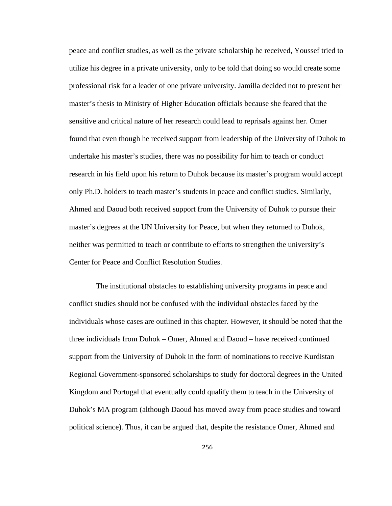peace and conflict studies, as well as the private scholarship he received, Youssef tried to utilize his degree in a private university, only to be told that doing so would create some professional risk for a leader of one private university. Jamilla decided not to present her master's thesis to Ministry of Higher Education officials because she feared that the sensitive and critical nature of her research could lead to reprisals against her. Omer found that even though he received support from leadership of the University of Duhok to undertake his master's studies, there was no possibility for him to teach or conduct research in his field upon his return to Duhok because its master's program would accept only Ph.D. holders to teach master's students in peace and conflict studies. Similarly, Ahmed and Daoud both received support from the University of Duhok to pursue their master's degrees at the UN University for Peace, but when they returned to Duhok, neither was permitted to teach or contribute to efforts to strengthen the university's Center for Peace and Conflict Resolution Studies.

 The institutional obstacles to establishing university programs in peace and conflict studies should not be confused with the individual obstacles faced by the individuals whose cases are outlined in this chapter. However, it should be noted that the three individuals from Duhok – Omer, Ahmed and Daoud – have received continued support from the University of Duhok in the form of nominations to receive Kurdistan Regional Government-sponsored scholarships to study for doctoral degrees in the United Kingdom and Portugal that eventually could qualify them to teach in the University of Duhok's MA program (although Daoud has moved away from peace studies and toward political science). Thus, it can be argued that, despite the resistance Omer, Ahmed and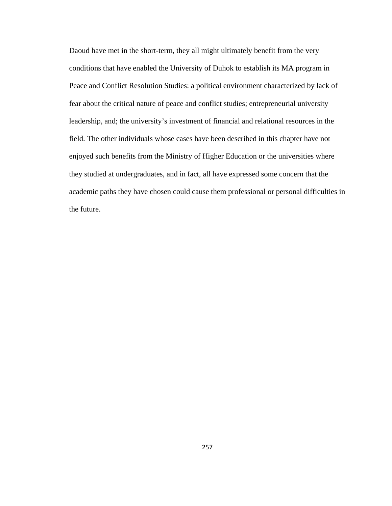Daoud have met in the short-term, they all might ultimately benefit from the very conditions that have enabled the University of Duhok to establish its MA program in Peace and Conflict Resolution Studies: a political environment characterized by lack of fear about the critical nature of peace and conflict studies; entrepreneurial university leadership, and; the university's investment of financial and relational resources in the field. The other individuals whose cases have been described in this chapter have not enjoyed such benefits from the Ministry of Higher Education or the universities where they studied at undergraduates, and in fact, all have expressed some concern that the academic paths they have chosen could cause them professional or personal difficulties in the future.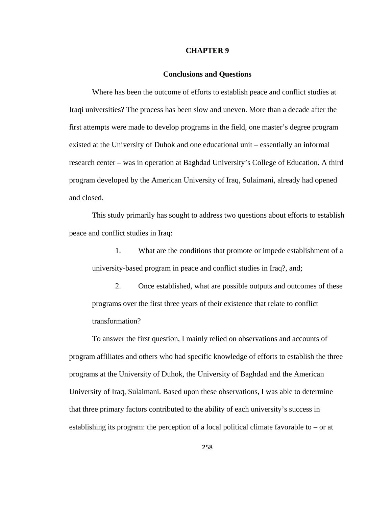#### **CHAPTER 9**

### **Conclusions and Questions**

Where has been the outcome of efforts to establish peace and conflict studies at Iraqi universities? The process has been slow and uneven. More than a decade after the first attempts were made to develop programs in the field, one master's degree program existed at the University of Duhok and one educational unit – essentially an informal research center – was in operation at Baghdad University's College of Education. A third program developed by the American University of Iraq, Sulaimani, already had opened and closed.

This study primarily has sought to address two questions about efforts to establish peace and conflict studies in Iraq:

1. What are the conditions that promote or impede establishment of a university-based program in peace and conflict studies in Iraq?, and;

2. Once established, what are possible outputs and outcomes of these programs over the first three years of their existence that relate to conflict transformation?

To answer the first question, I mainly relied on observations and accounts of program affiliates and others who had specific knowledge of efforts to establish the three programs at the University of Duhok, the University of Baghdad and the American University of Iraq, Sulaimani. Based upon these observations, I was able to determine that three primary factors contributed to the ability of each university's success in establishing its program: the perception of a local political climate favorable to – or at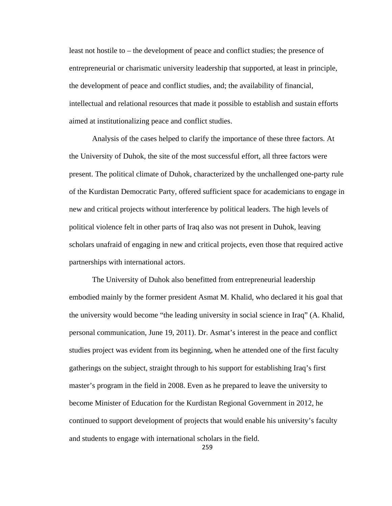least not hostile to – the development of peace and conflict studies; the presence of entrepreneurial or charismatic university leadership that supported, at least in principle, the development of peace and conflict studies, and; the availability of financial, intellectual and relational resources that made it possible to establish and sustain efforts aimed at institutionalizing peace and conflict studies.

Analysis of the cases helped to clarify the importance of these three factors. At the University of Duhok, the site of the most successful effort, all three factors were present. The political climate of Duhok, characterized by the unchallenged one-party rule of the Kurdistan Democratic Party, offered sufficient space for academicians to engage in new and critical projects without interference by political leaders. The high levels of political violence felt in other parts of Iraq also was not present in Duhok, leaving scholars unafraid of engaging in new and critical projects, even those that required active partnerships with international actors.

The University of Duhok also benefitted from entrepreneurial leadership embodied mainly by the former president Asmat M. Khalid, who declared it his goal that the university would become "the leading university in social science in Iraq" (A. Khalid, personal communication, June 19, 2011). Dr. Asmat's interest in the peace and conflict studies project was evident from its beginning, when he attended one of the first faculty gatherings on the subject, straight through to his support for establishing Iraq's first master's program in the field in 2008. Even as he prepared to leave the university to become Minister of Education for the Kurdistan Regional Government in 2012, he continued to support development of projects that would enable his university's faculty and students to engage with international scholars in the field.

259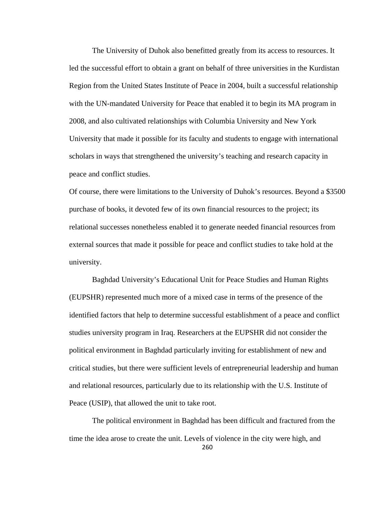The University of Duhok also benefitted greatly from its access to resources. It led the successful effort to obtain a grant on behalf of three universities in the Kurdistan Region from the United States Institute of Peace in 2004, built a successful relationship with the UN-mandated University for Peace that enabled it to begin its MA program in 2008, and also cultivated relationships with Columbia University and New York University that made it possible for its faculty and students to engage with international scholars in ways that strengthened the university's teaching and research capacity in peace and conflict studies.

Of course, there were limitations to the University of Duhok's resources. Beyond a \$3500 purchase of books, it devoted few of its own financial resources to the project; its relational successes nonetheless enabled it to generate needed financial resources from external sources that made it possible for peace and conflict studies to take hold at the university.

 Baghdad University's Educational Unit for Peace Studies and Human Rights (EUPSHR) represented much more of a mixed case in terms of the presence of the identified factors that help to determine successful establishment of a peace and conflict studies university program in Iraq. Researchers at the EUPSHR did not consider the political environment in Baghdad particularly inviting for establishment of new and critical studies, but there were sufficient levels of entrepreneurial leadership and human and relational resources, particularly due to its relationship with the U.S. Institute of Peace (USIP), that allowed the unit to take root.

260 The political environment in Baghdad has been difficult and fractured from the time the idea arose to create the unit. Levels of violence in the city were high, and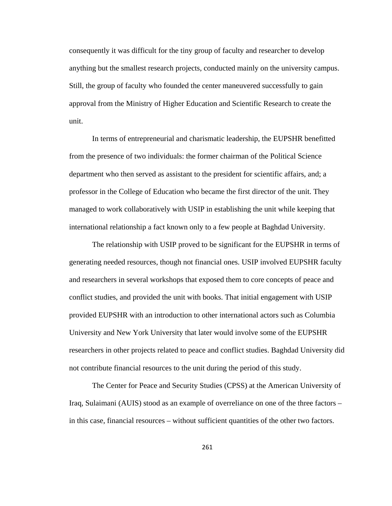consequently it was difficult for the tiny group of faculty and researcher to develop anything but the smallest research projects, conducted mainly on the university campus. Still, the group of faculty who founded the center maneuvered successfully to gain approval from the Ministry of Higher Education and Scientific Research to create the unit.

 In terms of entrepreneurial and charismatic leadership, the EUPSHR benefitted from the presence of two individuals: the former chairman of the Political Science department who then served as assistant to the president for scientific affairs, and; a professor in the College of Education who became the first director of the unit. They managed to work collaboratively with USIP in establishing the unit while keeping that international relationship a fact known only to a few people at Baghdad University.

The relationship with USIP proved to be significant for the EUPSHR in terms of generating needed resources, though not financial ones. USIP involved EUPSHR faculty and researchers in several workshops that exposed them to core concepts of peace and conflict studies, and provided the unit with books. That initial engagement with USIP provided EUPSHR with an introduction to other international actors such as Columbia University and New York University that later would involve some of the EUPSHR researchers in other projects related to peace and conflict studies. Baghdad University did not contribute financial resources to the unit during the period of this study.

The Center for Peace and Security Studies (CPSS) at the American University of Iraq, Sulaimani (AUIS) stood as an example of overreliance on one of the three factors – in this case, financial resources – without sufficient quantities of the other two factors.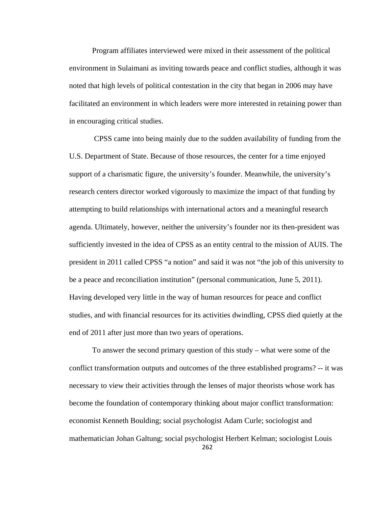Program affiliates interviewed were mixed in their assessment of the political environment in Sulaimani as inviting towards peace and conflict studies, although it was noted that high levels of political contestation in the city that began in 2006 may have facilitated an environment in which leaders were more interested in retaining power than in encouraging critical studies.

 CPSS came into being mainly due to the sudden availability of funding from the U.S. Department of State. Because of those resources, the center for a time enjoyed support of a charismatic figure, the university's founder. Meanwhile, the university's research centers director worked vigorously to maximize the impact of that funding by attempting to build relationships with international actors and a meaningful research agenda. Ultimately, however, neither the university's founder nor its then-president was sufficiently invested in the idea of CPSS as an entity central to the mission of AUIS. The president in 2011 called CPSS "a notion" and said it was not "the job of this university to be a peace and reconciliation institution" (personal communication, June 5, 2011). Having developed very little in the way of human resources for peace and conflict studies, and with financial resources for its activities dwindling, CPSS died quietly at the end of 2011 after just more than two years of operations.

To answer the second primary question of this study – what were some of the conflict transformation outputs and outcomes of the three established programs? -- it was necessary to view their activities through the lenses of major theorists whose work has become the foundation of contemporary thinking about major conflict transformation: economist Kenneth Boulding; social psychologist Adam Curle; sociologist and mathematician Johan Galtung; social psychologist Herbert Kelman; sociologist Louis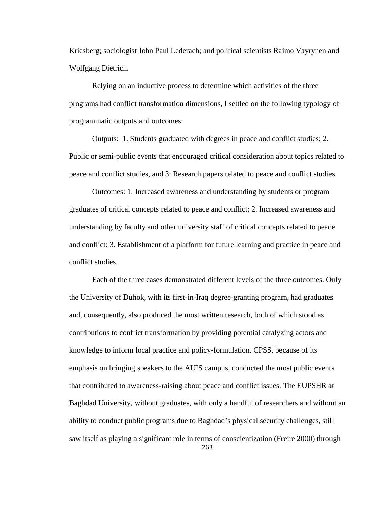Kriesberg; sociologist John Paul Lederach; and political scientists Raimo Vayrynen and Wolfgang Dietrich.

Relying on an inductive process to determine which activities of the three programs had conflict transformation dimensions, I settled on the following typology of programmatic outputs and outcomes:

Outputs: 1. Students graduated with degrees in peace and conflict studies; 2. Public or semi-public events that encouraged critical consideration about topics related to peace and conflict studies, and 3: Research papers related to peace and conflict studies.

Outcomes: 1. Increased awareness and understanding by students or program graduates of critical concepts related to peace and conflict; 2. Increased awareness and understanding by faculty and other university staff of critical concepts related to peace and conflict: 3. Establishment of a platform for future learning and practice in peace and conflict studies.

263 Each of the three cases demonstrated different levels of the three outcomes. Only the University of Duhok, with its first-in-Iraq degree-granting program, had graduates and, consequently, also produced the most written research, both of which stood as contributions to conflict transformation by providing potential catalyzing actors and knowledge to inform local practice and policy-formulation. CPSS, because of its emphasis on bringing speakers to the AUIS campus, conducted the most public events that contributed to awareness-raising about peace and conflict issues. The EUPSHR at Baghdad University, without graduates, with only a handful of researchers and without an ability to conduct public programs due to Baghdad's physical security challenges, still saw itself as playing a significant role in terms of conscientization (Freire 2000) through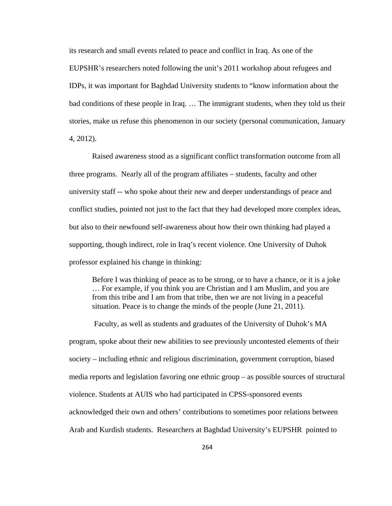its research and small events related to peace and conflict in Iraq. As one of the EUPSHR's researchers noted following the unit's 2011 workshop about refugees and IDPs, it was important for Baghdad University students to "know information about the bad conditions of these people in Iraq. … The immigrant students, when they told us their stories, make us refuse this phenomenon in our society (personal communication, January 4, 2012).

Raised awareness stood as a significant conflict transformation outcome from all three programs. Nearly all of the program affiliates – students, faculty and other university staff -- who spoke about their new and deeper understandings of peace and conflict studies, pointed not just to the fact that they had developed more complex ideas, but also to their newfound self-awareness about how their own thinking had played a supporting, though indirect, role in Iraq's recent violence. One University of Duhok professor explained his change in thinking:

Before I was thinking of peace as to be strong, or to have a chance, or it is a joke … For example, if you think you are Christian and I am Muslim, and you are from this tribe and I am from that tribe, then we are not living in a peaceful situation. Peace is to change the minds of the people (June 21, 2011).

 Faculty, as well as students and graduates of the University of Duhok's MA program, spoke about their new abilities to see previously uncontested elements of their society – including ethnic and religious discrimination, government corruption, biased media reports and legislation favoring one ethnic group – as possible sources of structural violence. Students at AUIS who had participated in CPSS-sponsored events acknowledged their own and others' contributions to sometimes poor relations between Arab and Kurdish students. Researchers at Baghdad University's EUPSHR pointed to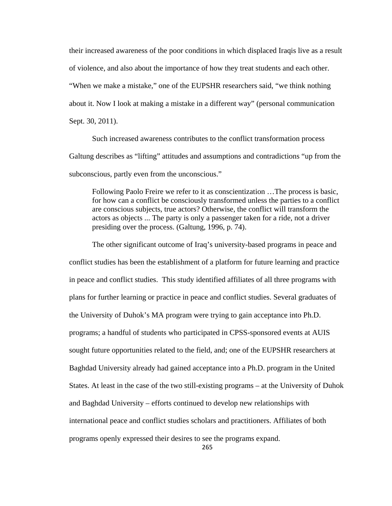their increased awareness of the poor conditions in which displaced Iraqis live as a result of violence, and also about the importance of how they treat students and each other. "When we make a mistake," one of the EUPSHR researchers said, "we think nothing about it. Now I look at making a mistake in a different way" (personal communication Sept. 30, 2011).

Such increased awareness contributes to the conflict transformation process Galtung describes as "lifting" attitudes and assumptions and contradictions "up from the subconscious, partly even from the unconscious."

Following Paolo Freire we refer to it as conscientization …The process is basic, for how can a conflict be consciously transformed unless the parties to a conflict are conscious subjects, true actors? Otherwise, the conflict will transform the actors as objects ... The party is only a passenger taken for a ride, not a driver presiding over the process. (Galtung, 1996, p. 74).

The other significant outcome of Iraq's university-based programs in peace and conflict studies has been the establishment of a platform for future learning and practice in peace and conflict studies. This study identified affiliates of all three programs with plans for further learning or practice in peace and conflict studies. Several graduates of the University of Duhok's MA program were trying to gain acceptance into Ph.D. programs; a handful of students who participated in CPSS-sponsored events at AUIS sought future opportunities related to the field, and; one of the EUPSHR researchers at Baghdad University already had gained acceptance into a Ph.D. program in the United States. At least in the case of the two still-existing programs – at the University of Duhok and Baghdad University – efforts continued to develop new relationships with international peace and conflict studies scholars and practitioners. Affiliates of both programs openly expressed their desires to see the programs expand.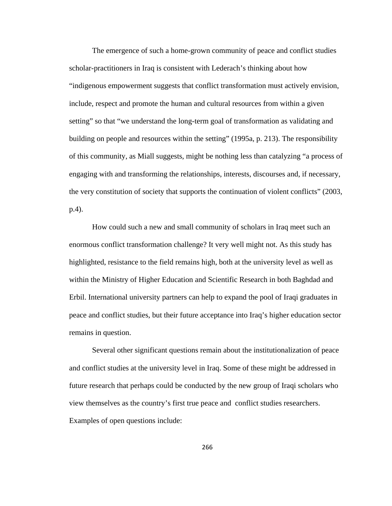The emergence of such a home-grown community of peace and conflict studies scholar-practitioners in Iraq is consistent with Lederach's thinking about how "indigenous empowerment suggests that conflict transformation must actively envision, include, respect and promote the human and cultural resources from within a given setting" so that "we understand the long-term goal of transformation as validating and building on people and resources within the setting" (1995a, p. 213). The responsibility of this community, as Miall suggests, might be nothing less than catalyzing "a process of engaging with and transforming the relationships, interests, discourses and, if necessary, the very constitution of society that supports the continuation of violent conflicts" (2003, p.4).

How could such a new and small community of scholars in Iraq meet such an enormous conflict transformation challenge? It very well might not. As this study has highlighted, resistance to the field remains high, both at the university level as well as within the Ministry of Higher Education and Scientific Research in both Baghdad and Erbil. International university partners can help to expand the pool of Iraqi graduates in peace and conflict studies, but their future acceptance into Iraq's higher education sector remains in question.

Several other significant questions remain about the institutionalization of peace and conflict studies at the university level in Iraq. Some of these might be addressed in future research that perhaps could be conducted by the new group of Iraqi scholars who view themselves as the country's first true peace and conflict studies researchers. Examples of open questions include: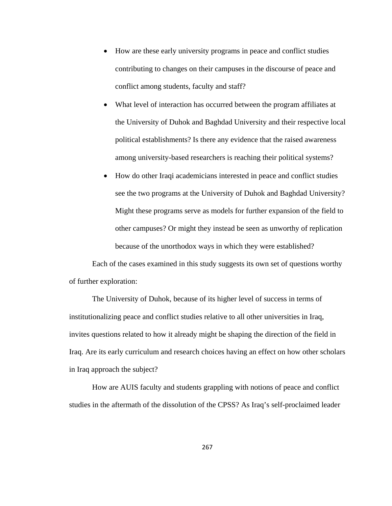- How are these early university programs in peace and conflict studies contributing to changes on their campuses in the discourse of peace and conflict among students, faculty and staff?
- What level of interaction has occurred between the program affiliates at the University of Duhok and Baghdad University and their respective local political establishments? Is there any evidence that the raised awareness among university-based researchers is reaching their political systems?
- How do other Iraqi academicians interested in peace and conflict studies see the two programs at the University of Duhok and Baghdad University? Might these programs serve as models for further expansion of the field to other campuses? Or might they instead be seen as unworthy of replication because of the unorthodox ways in which they were established?

Each of the cases examined in this study suggests its own set of questions worthy of further exploration:

The University of Duhok, because of its higher level of success in terms of institutionalizing peace and conflict studies relative to all other universities in Iraq, invites questions related to how it already might be shaping the direction of the field in Iraq. Are its early curriculum and research choices having an effect on how other scholars in Iraq approach the subject?

How are AUIS faculty and students grappling with notions of peace and conflict studies in the aftermath of the dissolution of the CPSS? As Iraq's self-proclaimed leader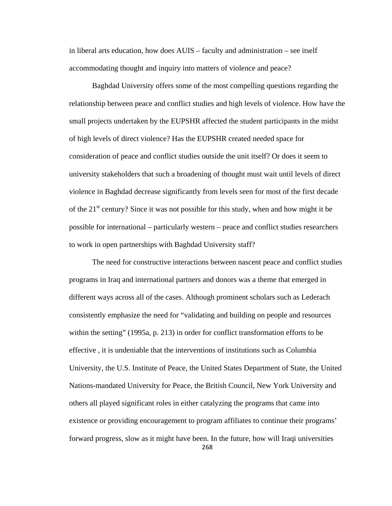in liberal arts education, how does AUIS – faculty and administration – see itself accommodating thought and inquiry into matters of violence and peace?

Baghdad University offers some of the most compelling questions regarding the relationship between peace and conflict studies and high levels of violence. How have the small projects undertaken by the EUPSHR affected the student participants in the midst of high levels of direct violence? Has the EUPSHR created needed space for consideration of peace and conflict studies outside the unit itself? Or does it seem to university stakeholders that such a broadening of thought must wait until levels of direct violence in Baghdad decrease significantly from levels seen for most of the first decade of the  $21<sup>st</sup>$  century? Since it was not possible for this study, when and how might it be possible for international – particularly western – peace and conflict studies researchers to work in open partnerships with Baghdad University staff?

268 The need for constructive interactions between nascent peace and conflict studies programs in Iraq and international partners and donors was a theme that emerged in different ways across all of the cases. Although prominent scholars such as Lederach consistently emphasize the need for "validating and building on people and resources within the setting" (1995a, p. 213) in order for conflict transformation efforts to be effective , it is undeniable that the interventions of institutions such as Columbia University, the U.S. Institute of Peace, the United States Department of State, the United Nations-mandated University for Peace, the British Council, New York University and others all played significant roles in either catalyzing the programs that came into existence or providing encouragement to program affiliates to continue their programs' forward progress, slow as it might have been. In the future, how will Iraqi universities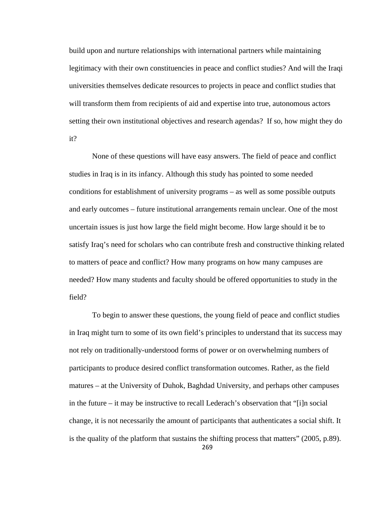build upon and nurture relationships with international partners while maintaining legitimacy with their own constituencies in peace and conflict studies? And will the Iraqi universities themselves dedicate resources to projects in peace and conflict studies that will transform them from recipients of aid and expertise into true, autonomous actors setting their own institutional objectives and research agendas? If so, how might they do it?

None of these questions will have easy answers. The field of peace and conflict studies in Iraq is in its infancy. Although this study has pointed to some needed conditions for establishment of university programs – as well as some possible outputs and early outcomes – future institutional arrangements remain unclear. One of the most uncertain issues is just how large the field might become. How large should it be to satisfy Iraq's need for scholars who can contribute fresh and constructive thinking related to matters of peace and conflict? How many programs on how many campuses are needed? How many students and faculty should be offered opportunities to study in the field?

269 To begin to answer these questions, the young field of peace and conflict studies in Iraq might turn to some of its own field's principles to understand that its success may not rely on traditionally-understood forms of power or on overwhelming numbers of participants to produce desired conflict transformation outcomes. Rather, as the field matures – at the University of Duhok, Baghdad University, and perhaps other campuses in the future – it may be instructive to recall Lederach's observation that "[i]n social change, it is not necessarily the amount of participants that authenticates a social shift. It is the quality of the platform that sustains the shifting process that matters" (2005, p.89).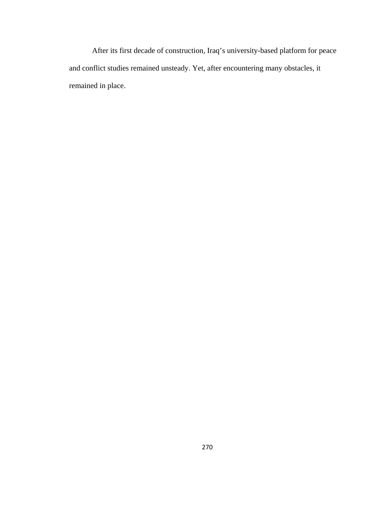After its first decade of construction, Iraq's university-based platform for peace and conflict studies remained unsteady. Yet, after encountering many obstacles, it remained in place.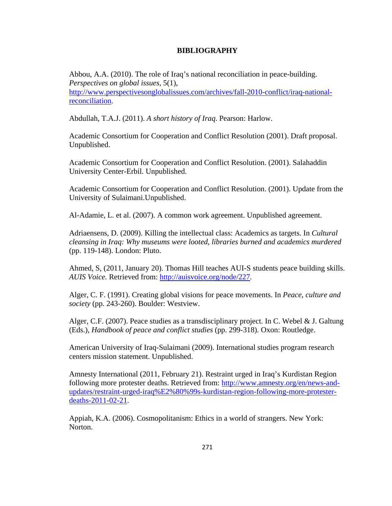# **BIBLIOGRAPHY**

Abbou, A.A. (2010). The role of Iraq's national reconciliation in peace-building. *Perspectives on global issues*, 5(1), http://www.perspectivesonglobalissues.com/archives/fall-2010-conflict/iraq-nationalreconciliation.

Abdullah, T.A.J. (2011). *A short history of Iraq*. Pearson: Harlow.

Academic Consortium for Cooperation and Conflict Resolution (2001). Draft proposal. Unpublished.

Academic Consortium for Cooperation and Conflict Resolution. (2001). Salahaddin University Center-Erbil. Unpublished.

Academic Consortium for Cooperation and Conflict Resolution. (2001). Update from the University of Sulaimani.Unpublished.

Al-Adamie, L. et al. (2007). A common work agreement. Unpublished agreement.

Adriaensens, D. (2009). Killing the intellectual class: Academics as targets. In *Cultural cleansing in Iraq: Why museums were looted, libraries burned and academics murdered* (pp. 119-148). London: Pluto.

Ahmed, S, (2011, January 20). Thomas Hill teaches AUI-S students peace building skills. *AUIS Voice.* Retrieved from: http://auisvoice.org/node/227.

Alger, C. F. (1991). Creating global visions for peace movements. In *Peace, culture and society* (pp. 243-260). Boulder: Westview.

Alger, C.F. (2007). Peace studies as a transdisciplinary project. In C. Webel  $&$  J. Galtung (Eds.), *Handbook of peace and conflict studies* (pp. 299-318). Oxon: Routledge.

American University of Iraq-Sulaimani (2009). International studies program research centers mission statement. Unpublished.

Amnesty International (2011, February 21). Restraint urged in Iraq's Kurdistan Region following more protester deaths. Retrieved from: http://www.amnesty.org/en/news-andupdates/restraint-urged-iraq%E2%80%99s-kurdistan-region-following-more-protesterdeaths-2011-02-21.

Appiah, K.A. (2006). Cosmopolitanism: Ethics in a world of strangers. New York: Norton.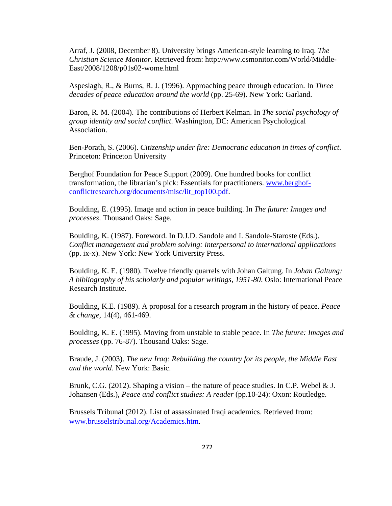Arraf, J. (2008, December 8). University brings American-style learning to Iraq. *The Christian Science Monitor.* Retrieved from: http://www.csmonitor.com/World/Middle-East/2008/1208/p01s02-wome.html

Aspeslagh, R., & Burns, R. J. (1996). Approaching peace through education. In *Three decades of peace education around the world* (pp. 25-69). New York: Garland.

Baron, R. M. (2004). The contributions of Herbert Kelman. In *The social psychology of group identity and social conflict*. Washington, DC: American Psychological Association.

Ben-Porath, S. (2006). *Citizenship under fire: Democratic education in times of conflict*. Princeton: Princeton University

Berghof Foundation for Peace Support (2009). One hundred books for conflict transformation, the librarian's pick: Essentials for practitioners. www.berghofconflictresearch.org/documents/misc/lit\_top100.pdf.

Boulding, E. (1995). Image and action in peace building. In *The future: Images and processes*. Thousand Oaks: Sage.

Boulding, K. (1987). Foreword. In D.J.D. Sandole and I. Sandole-Staroste (Eds.). *Conflict management and problem solving: interpersonal to international applications*  (pp. ix-x). New York: New York University Press.

Boulding, K. E. (1980). Twelve friendly quarrels with Johan Galtung. In *Johan Galtung: A bibliography of his scholarly and popular writings, 1951-80*. Oslo: International Peace Research Institute.

Boulding, K.E. (1989). A proposal for a research program in the history of peace. *Peace & change,* 14(4), 461-469.

Boulding, K. E. (1995). Moving from unstable to stable peace. In *The future: Images and processes* (pp. 76-87). Thousand Oaks: Sage.

Braude, J. (2003). *The new Iraq: Rebuilding the country for its people, the Middle East and the world*. New York: Basic.

Brunk, C.G. (2012). Shaping a vision – the nature of peace studies. In C.P. Webel  $& J.$ Johansen (Eds.), *Peace and conflict studies: A reader* (pp.10-24): Oxon: Routledge.

Brussels Tribunal (2012). List of assassinated Iraqi academics. Retrieved from: www.brusselstribunal.org/Academics.htm.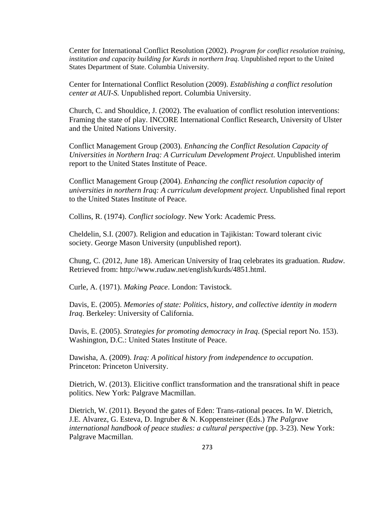Center for International Conflict Resolution (2002). *Program for conflict resolution training, institution and capacity building for Kurds in northern Iraq*. Unpublished report to the United States Department of State. Columbia University.

Center for International Conflict Resolution (2009). *Establishing a conflict resolution center at AUI-S.* Unpublished report. Columbia University.

Church, C. and Shouldice, J. (2002). The evaluation of conflict resolution interventions: Framing the state of play. INCORE International Conflict Research, University of Ulster and the United Nations University.

Conflict Management Group (2003). *Enhancing the Conflict Resolution Capacity of Universities in Northern Iraq: A Curriculum Development Project*. Unpublished interim report to the United States Institute of Peace.

Conflict Management Group (2004). *Enhancing the conflict resolution capacity of universities in northern Iraq: A curriculum development project.* Unpublished final report to the United States Institute of Peace.

Collins, R. (1974). *Conflict sociology*. New York: Academic Press.

Cheldelin, S.I. (2007). Religion and education in Tajikistan: Toward tolerant civic society. George Mason University (unpublished report).

Chung, C. (2012, June 18). American University of Iraq celebrates its graduation. *Rudaw*. Retrieved from: http://www.rudaw.net/english/kurds/4851.html.

Curle, A. (1971). *Making Peace*. London: Tavistock.

Davis, E. (2005). *Memories of state: Politics, history, and collective identity in modern Iraq*. Berkeley: University of California.

Davis, E. (2005). *Strategies for promoting democracy in Iraq*. (Special report No. 153). Washington, D.C.: United States Institute of Peace.

Dawisha, A. (2009). *Iraq: A political history from independence to occupation*. Princeton: Princeton University.

Dietrich, W. (2013). Elicitive conflict transformation and the transrational shift in peace politics. New York: Palgrave Macmillan.

Dietrich, W. (2011). Beyond the gates of Eden: Trans-rational peaces. In W. Dietrich, J.E. Alvarez, G. Esteva, D. Ingruber & N. Koppensteiner (Eds.) *The Palgrave international handbook of peace studies: a cultural perspective* (pp. 3-23). New York: Palgrave Macmillan.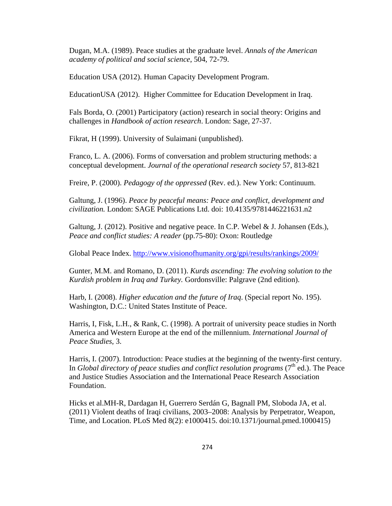Dugan, M.A. (1989). Peace studies at the graduate level. *Annals of the American academy of political and social science*, 504, 72-79.

Education USA (2012). Human Capacity Development Program.

EducationUSA (2012). Higher Committee for Education Development in Iraq.

Fals Borda, O. (2001) Participatory (action) research in social theory: Origins and challenges in *Handbook of action research*. London: Sage, 27-37.

Fikrat, H (1999). University of Sulaimani (unpublished).

Franco, L. A. (2006). Forms of conversation and problem structuring methods: a conceptual development. *Journal of the operational research society* 57, 813-821

Freire, P. (2000). *Pedagogy of the oppressed* (Rev. ed.). New York: Continuum.

Galtung, J. (1996). *Peace by peaceful means: Peace and conflict, development and civilization.* London: SAGE Publications Ltd. doi: 10.4135/9781446221631.n2

Galtung, J. (2012). Positive and negative peace. In C.P. Webel & J. Johansen (Eds.), *Peace and conflict studies: A reader* (pp.75-80): Oxon: Routledge

Global Peace Index. http://www.visionofhumanity.org/gpi/results/rankings/2009/

Gunter, M.M. and Romano, D. (2011). *Kurds ascending: The evolving solution to the Kurdish problem in Iraq and Turkey.* Gordonsville: Palgrave (2nd edition).

Harb, I. (2008). *Higher education and the future of Iraq*. (Special report No. 195). Washington, D.C.: United States Institute of Peace.

Harris, I, Fisk, L.H., & Rank, C. (1998). A portrait of university peace studies in North America and Western Europe at the end of the millennium. *International Journal of Peace Studies*, 3.

Harris, I. (2007). Introduction: Peace studies at the beginning of the twenty-first century. In *Global directory of peace studies and conflict resolution programs* ( $7<sup>th</sup>$  ed.). The Peace and Justice Studies Association and the International Peace Research Association Foundation.

Hicks et al.MH-R, Dardagan H, Guerrero Serdán G, Bagnall PM, Sloboda JA, et al. (2011) Violent deaths of Iraqi civilians, 2003–2008: Analysis by Perpetrator, Weapon, Time, and Location. PLoS Med 8(2): e1000415. doi:10.1371/journal.pmed.1000415)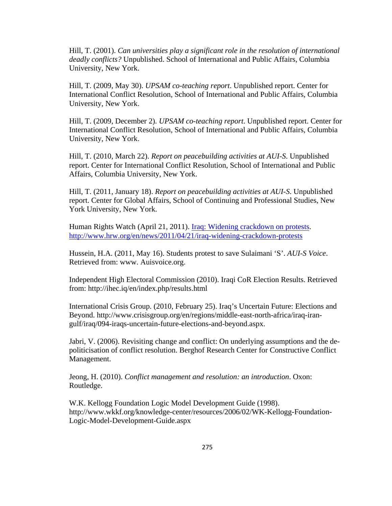Hill, T. (2001). *Can universities play a significant role in the resolution of international deadly conflicts?* Unpublished. School of International and Public Affairs, Columbia University, New York.

Hill, T. (2009, May 30). *UPSAM co-teaching report*. Unpublished report. Center for International Conflict Resolution, School of International and Public Affairs, Columbia University, New York.

Hill, T. (2009, December 2). *UPSAM co-teaching report*. Unpublished report. Center for International Conflict Resolution, School of International and Public Affairs, Columbia University, New York.

Hill, T. (2010, March 22). *Report on peacebuilding activities at AUI-S*. Unpublished report. Center for International Conflict Resolution, School of International and Public Affairs, Columbia University, New York.

Hill, T. (2011, January 18). *Report on peacebuilding activities at AUI-S*. Unpublished report. Center for Global Affairs, School of Continuing and Professional Studies, New York University, New York.

Human Rights Watch (April 21, 2011). *Iraq: Widening crackdown on protests*. http://www.hrw.org/en/news/2011/04/21/iraq-widening-crackdown-protests

Hussein, H.A. (2011, May 16). Students protest to save Sulaimani 'S'. *AUI-S Voice*. Retrieved from: www. Auisvoice.org.

Independent High Electoral Commission (2010). Iraqi CoR Election Results. Retrieved from: http://ihec.iq/en/index.php/results.html

International Crisis Group. (2010, February 25). Iraq's Uncertain Future: Elections and Beyond. http://www.crisisgroup.org/en/regions/middle-east-north-africa/iraq-irangulf/iraq/094-iraqs-uncertain-future-elections-and-beyond.aspx.

Jabri, V. (2006). Revisiting change and conflict: On underlying assumptions and the depoliticisation of conflict resolution. Berghof Research Center for Constructive Conflict Management.

Jeong, H. (2010). *Conflict management and resolution: an introduction*. Oxon: Routledge.

W.K. Kellogg Foundation Logic Model Development Guide (1998). http://www.wkkf.org/knowledge-center/resources/2006/02/WK-Kellogg-Foundation-Logic-Model-Development-Guide.aspx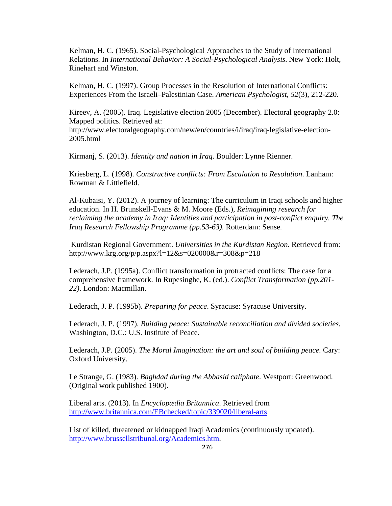Kelman, H. C. (1965). Social-Psychological Approaches to the Study of International Relations. In *International Behavior: A Social-Psychological Analysis*. New York: Holt, Rinehart and Winston.

Kelman, H. C. (1997). Group Processes in the Resolution of International Conflicts: Experiences From the Israeli–Palestinian Case. *American Psychologist*, *52*(3), 212-220.

Kireev, A. (2005). Iraq. Legislative election 2005 (December). Electoral geography 2.0: Mapped politics. Retrieved at:

http://www.electoralgeography.com/new/en/countries/i/iraq/iraq-legislative-election-2005.html

Kirmanj, S. (2013). *Identity and nation in Iraq*. Boulder: Lynne Rienner.

Kriesberg, L. (1998). *Constructive conflicts: From Escalation to Resolution*. Lanham: Rowman & Littlefield.

Al-Kubaisi, Y. (2012). A journey of learning: The curriculum in Iraqi schools and higher education. In H. Brunskell-Evans & M. Moore (Eds.), *Reimagining research for reclaiming the academy in Iraq: Identities and participation in post-conflict enquiry. The Iraq Research Fellowship Programme (pp.53-63).* Rotterdam: Sense*.* 

Kurdistan Regional Government. *Universities in the Kurdistan Region*. Retrieved from: http://www.krg.org/p/p.aspx?l=12&s=020000&r=308&p=218

Lederach, J.P. (1995a). Conflict transformation in protracted conflicts: The case for a comprehensive framework. In Rupesinghe, K. (ed.). *Conflict Transformation (pp.201- 22)*. London: Macmillan.

Lederach, J. P. (1995b). *Preparing for peace*. Syracuse: Syracuse University.

Lederach, J. P. (1997). *Building peace: Sustainable reconciliation and divided societies.* Washington, D.C.: U.S. Institute of Peace.

Lederach, J.P. (2005). *The Moral Imagination: the art and soul of building peace.* Cary: Oxford University.

Le Strange, G. (1983). *Baghdad during the Abbasid caliphate*. Westport: Greenwood. (Original work published 1900).

Liberal arts. (2013). In *Encyclopædia Britannica*. Retrieved from http://www.britannica.com/EBchecked/topic/339020/liberal-arts

List of killed, threatened or kidnapped Iraqi Academics (continuously updated). http://www.brussellstribunal.org/Academics.htm.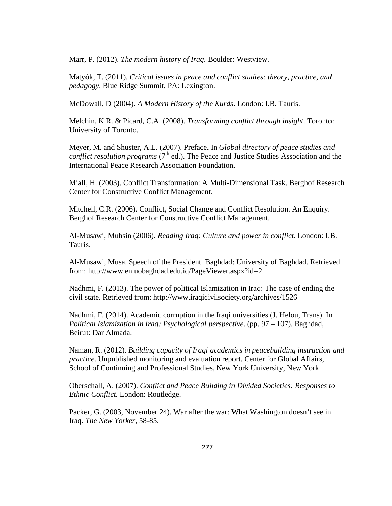Marr, P. (2012). *The modern history of Iraq*. Boulder: Westview.

Matyók, T. (2011). *Critical issues in peace and conflict studies: theory, practice, and pedagogy*. Blue Ridge Summit, PA: Lexington.

McDowall, D (2004). *A Modern History of the Kurds*. London: I.B. Tauris.

Melchin, K.R. & Picard, C.A. (2008). *Transforming conflict through insight*. Toronto: University of Toronto.

Meyer, M. and Shuster, A.L. (2007). Preface. In *Global directory of peace studies and conflict resolution programs* (7<sup>th</sup> ed.). The Peace and Justice Studies Association and the International Peace Research Association Foundation.

Miall, H. (2003). Conflict Transformation: A Multi-Dimensional Task. Berghof Research Center for Constructive Conflict Management.

Mitchell, C.R. (2006). Conflict, Social Change and Conflict Resolution. An Enquiry. Berghof Research Center for Constructive Conflict Management.

Al-Musawi, Muhsin (2006). *Reading Iraq: Culture and power in conflict*. London: I.B. Tauris.

Al-Musawi, Musa. Speech of the President. Baghdad: University of Baghdad. Retrieved from: http://www.en.uobaghdad.edu.iq/PageViewer.aspx?id=2

Nadhmi, F. (2013). The power of political Islamization in Iraq: The case of ending the civil state. Retrieved from: http://www.iraqicivilsociety.org/archives/1526

Nadhmi, F. (2014). Academic corruption in the Iraqi universities (J. Helou, Trans). In *Political Islamization in Iraq: Psychological perspective*. (pp. 97 – 107). Baghdad, Beirut: Dar Almada.

Naman, R. (2012). *Building capacity of Iraqi academics in peacebuilding instruction and practice*. Unpublished monitoring and evaluation report. Center for Global Affairs, School of Continuing and Professional Studies, New York University, New York.

Oberschall, A. (2007). *Conflict and Peace Building in Divided Societies: Responses to Ethnic Conflict.* London: Routledge.

Packer, G. (2003, November 24). War after the war: What Washington doesn't see in Iraq. *The New Yorker*, 58-85.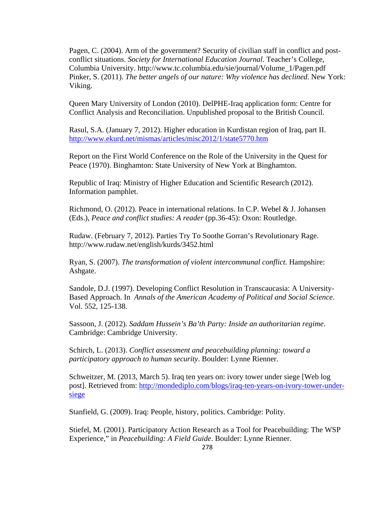Pagen, C. (2004). Arm of the government? Security of civilian staff in conflict and postconflict situations. *Society for International Education Journal.* Teacher's College, Columbia University. http://www.tc.columbia.edu/sie/journal/Volume\_1/Pagen.pdf Pinker, S. (2011). *The better angels of our nature: Why violence has declined*. New York: Viking.

Queen Mary University of London (2010). DelPHE-Iraq application form: Centre for Conflict Analysis and Reconciliation. Unpublished proposal to the British Council.

Rasul, S.A. (January 7, 2012). Higher education in Kurdistan region of Iraq, part II. http://www.ekurd.net/mismas/articles/misc2012/1/state5770.htm

Report on the First World Conference on the Role of the University in the Quest for Peace (1970). Binghamton: State University of New York at Binghamton.

Republic of Iraq: Ministry of Higher Education and Scientific Research (2012). Information pamphlet.

Richmond, O. (2012). Peace in international relations. In C.P. Webel & J. Johansen (Eds.), *Peace and conflict studies: A reader* (pp.36-45): Oxon: Routledge.

Rudaw. (February 7, 2012). Parties Try To Soothe Gorran's Revolutionary Rage. http://www.rudaw.net/english/kurds/3452.html

Ryan, S. (2007). *The transformation of violent intercommunal conflict*. Hampshire: Ashgate.

Sandole, D.J. (1997). Developing Conflict Resolution in Transcaucasia: A University-Based Approach. In *Annals of the American Academy of Political and Social Science*. Vol. 552, 125-138.

Sassoon, J. (2012). *Saddam Hussein's Ba'th Party: Inside an authoritarian regime*. Cambridge: Cambridge University.

Schirch, L. (2013). *Conflict assessment and peacebuilding planning: toward a participatory approach to human security*. Boulder: Lynne Rienner.

Schweitzer, M. (2013, March 5). Iraq ten years on: ivory tower under siege [Web log post]. Retrieved from: http://mondediplo.com/blogs/iraq-ten-years-on-ivory-tower-undersiege

Stanfield, G. (2009). Iraq: People, history, politics. Cambridge: Polity.

Stiefel, M. (2001). Participatory Action Research as a Tool for Peacebuilding: The WSP Experience," in *Peacebuilding: A Field Guide*. Boulder: Lynne Rienner.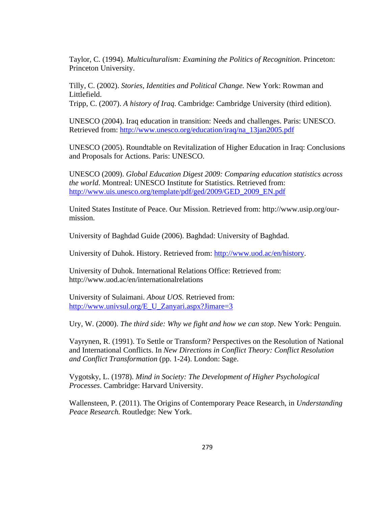Taylor, C. (1994). *Multiculturalism: Examining the Politics of Recognition*. Princeton: Princeton University.

Tilly, C. (2002). *Stories, Identities and Political Change.* New York: Rowman and Littlefield.

Tripp, C. (2007). *A history of Iraq*. Cambridge: Cambridge University (third edition).

UNESCO (2004). Iraq education in transition: Needs and challenges. Paris: UNESCO. Retrieved from: http://www.unesco.org/education/iraq/na\_13jan2005.pdf

UNESCO (2005). Roundtable on Revitalization of Higher Education in Iraq: Conclusions and Proposals for Actions. Paris: UNESCO.

UNESCO (2009). *Global Education Digest 2009: Comparing education statistics across the world*. Montreal: UNESCO Institute for Statistics. Retrieved from: http://www.uis.unesco.org/template/pdf/ged/2009/GED\_2009\_EN.pdf

United States Institute of Peace. Our Mission. Retrieved from: http://www.usip.org/ourmission.

University of Baghdad Guide (2006). Baghdad: University of Baghdad.

University of Duhok. History. Retrieved from: http://www.uod.ac/en/history.

University of Duhok. International Relations Office: Retrieved from: http://www.uod.ac/en/internationalrelations

University of Sulaimani. *About UOS*. Retrieved from: http://www.univsul.org/E\_U\_Zanyari.aspx?Jimare=3

Ury, W. (2000). *The third side: Why we fight and how we can stop*. New York: Penguin.

Vayrynen, R. (1991). To Settle or Transform? Perspectives on the Resolution of National and International Conflicts. In *New Directions in Conflict Theory: Conflict Resolution and Conflict Transformation* (pp. 1-24). London: Sage.

Vygotsky, L. (1978). *Mind in Society: The Development of Higher Psychological Processes*. Cambridge: Harvard University.

Wallensteen, P. (2011). The Origins of Contemporary Peace Research, in *Understanding Peace Research.* Routledge: New York.